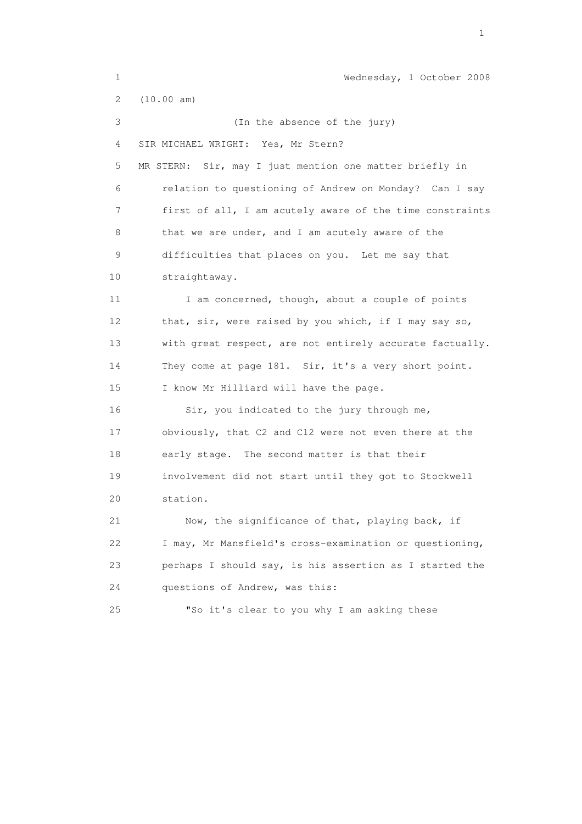1 Wednesday, 1 October 2008 2 (10.00 am) 3 (In the absence of the jury) 4 SIR MICHAEL WRIGHT: Yes, Mr Stern? 5 MR STERN: Sir, may I just mention one matter briefly in 6 relation to questioning of Andrew on Monday? Can I say 7 first of all, I am acutely aware of the time constraints 8 that we are under, and I am acutely aware of the 9 difficulties that places on you. Let me say that 10 straightaway. 11 I am concerned, though, about a couple of points 12 that, sir, were raised by you which, if I may say so, 13 with great respect, are not entirely accurate factually. 14 They come at page 181. Sir, it's a very short point. 15 I know Mr Hilliard will have the page. 16 Sir, you indicated to the jury through me, 17 obviously, that C2 and C12 were not even there at the 18 early stage. The second matter is that their 19 involvement did not start until they got to Stockwell 20 station. 21 Now, the significance of that, playing back, if 22 I may, Mr Mansfield's cross-examination or questioning, 23 perhaps I should say, is his assertion as I started the 24 questions of Andrew, was this: 25 "So it's clear to you why I am asking these

the contract of the contract of the contract of the contract of the contract of the contract of the contract of the contract of the contract of the contract of the contract of the contract of the contract of the contract o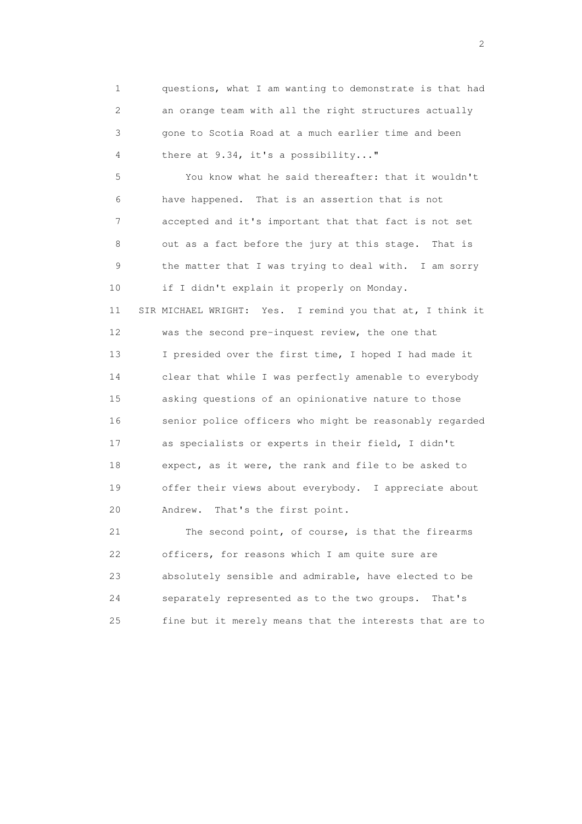1 questions, what I am wanting to demonstrate is that had 2 an orange team with all the right structures actually 3 gone to Scotia Road at a much earlier time and been 4 there at 9.34, it's a possibility..."

 5 You know what he said thereafter: that it wouldn't 6 have happened. That is an assertion that is not 7 accepted and it's important that that fact is not set 8 out as a fact before the jury at this stage. That is 9 the matter that I was trying to deal with. I am sorry 10 if I didn't explain it properly on Monday. 11 SIR MICHAEL WRIGHT: Yes. I remind you that at, I think it 12 was the second pre-inquest review, the one that 13 I presided over the first time, I hoped I had made it 14 clear that while I was perfectly amenable to everybody 15 asking questions of an opinionative nature to those 16 senior police officers who might be reasonably regarded 17 as specialists or experts in their field, I didn't 18 expect, as it were, the rank and file to be asked to 19 offer their views about everybody. I appreciate about 20 Andrew. That's the first point.

 21 The second point, of course, is that the firearms 22 officers, for reasons which I am quite sure are 23 absolutely sensible and admirable, have elected to be 24 separately represented as to the two groups. That's 25 fine but it merely means that the interests that are to

 $\overline{2}$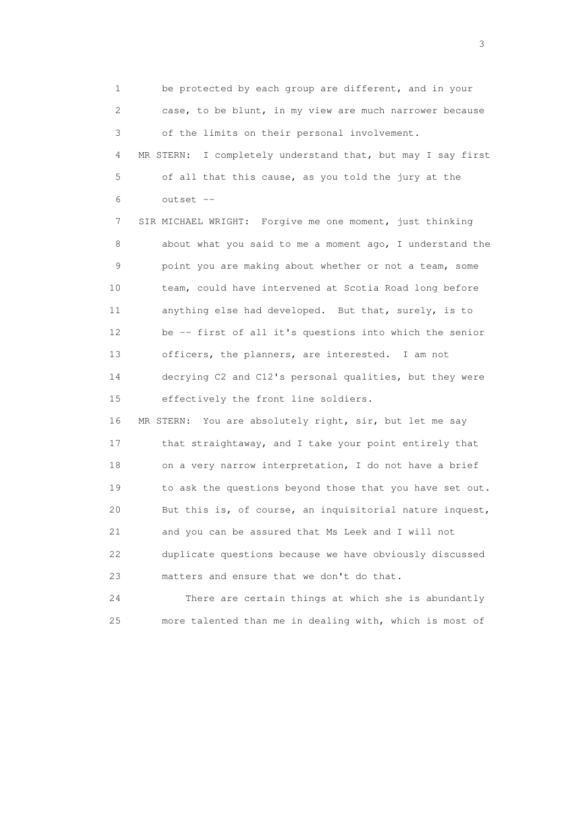1 be protected by each group are different, and in your 2 case, to be blunt, in my view are much narrower because 3 of the limits on their personal involvement. 4 MR STERN: I completely understand that, but may I say first 5 of all that this cause, as you told the jury at the 6 outset --

 7 SIR MICHAEL WRIGHT: Forgive me one moment, just thinking 8 about what you said to me a moment ago, I understand the 9 point you are making about whether or not a team, some 10 team, could have intervened at Scotia Road long before 11 anything else had developed. But that, surely, is to 12 be -- first of all it's questions into which the senior 13 officers, the planners, are interested. I am not 14 decrying C2 and C12's personal qualities, but they were 15 effectively the front line soldiers.

 16 MR STERN: You are absolutely right, sir, but let me say 17 that straightaway, and I take your point entirely that 18 on a very narrow interpretation, I do not have a brief 19 to ask the questions beyond those that you have set out. 20 But this is, of course, an inquisitorial nature inquest, 21 and you can be assured that Ms Leek and I will not 22 duplicate questions because we have obviously discussed 23 matters and ensure that we don't do that.

 24 There are certain things at which she is abundantly 25 more talented than me in dealing with, which is most of

 $\sim$  3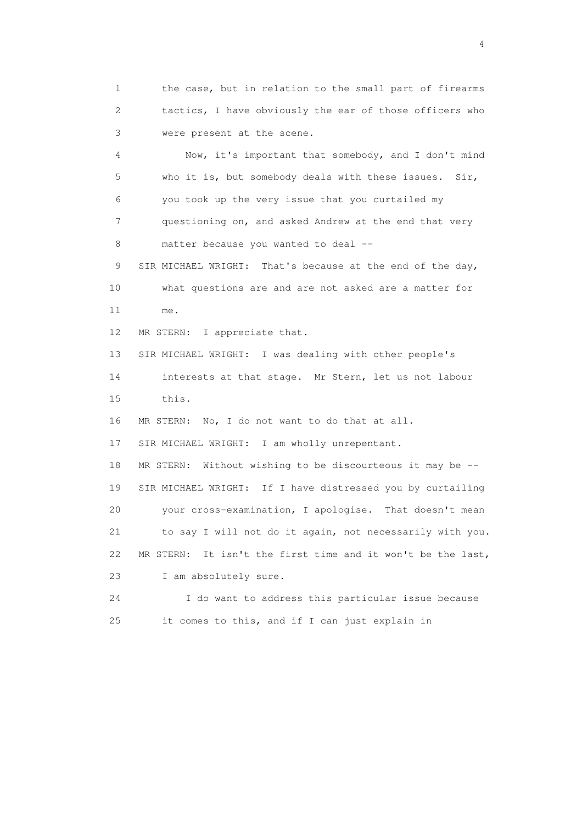1 the case, but in relation to the small part of firearms 2 tactics, I have obviously the ear of those officers who 3 were present at the scene.

 4 Now, it's important that somebody, and I don't mind 5 who it is, but somebody deals with these issues. Sir, 6 you took up the very issue that you curtailed my 7 questioning on, and asked Andrew at the end that very 8 matter because you wanted to deal --

 9 SIR MICHAEL WRIGHT: That's because at the end of the day, 10 what questions are and are not asked are a matter for 11 me.

12 MR STERN: I appreciate that.

13 SIR MICHAEL WRIGHT: I was dealing with other people's

 14 interests at that stage. Mr Stern, let us not labour 15 this.

16 MR STERN: No, I do not want to do that at all.

17 SIR MICHAEL WRIGHT: I am wholly unrepentant.

 18 MR STERN: Without wishing to be discourteous it may be -- 19 SIR MICHAEL WRIGHT: If I have distressed you by curtailing 20 your cross-examination, I apologise. That doesn't mean 21 to say I will not do it again, not necessarily with you. 22 MR STERN: It isn't the first time and it won't be the last, 23 I am absolutely sure.

 24 I do want to address this particular issue because 25 it comes to this, and if I can just explain in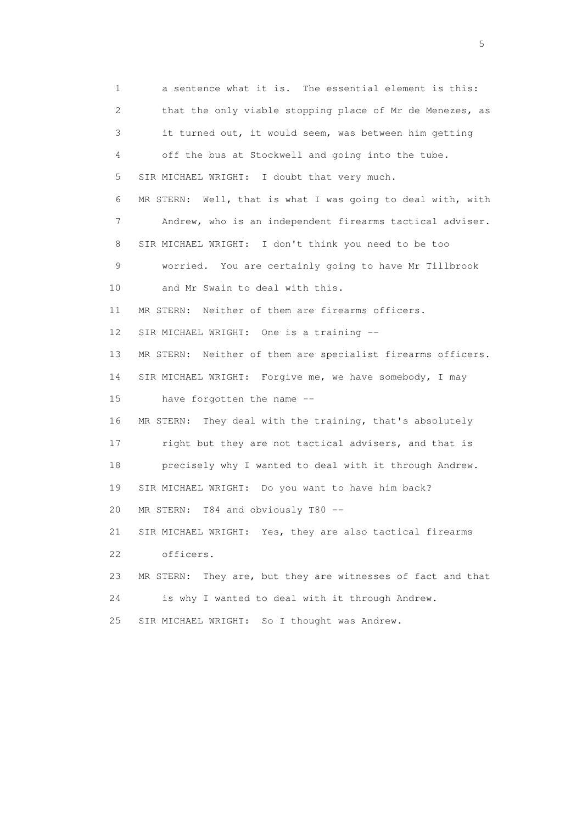1 a sentence what it is. The essential element is this: 2 that the only viable stopping place of Mr de Menezes, as 3 it turned out, it would seem, was between him getting 4 off the bus at Stockwell and going into the tube. 5 SIR MICHAEL WRIGHT: I doubt that very much. 6 MR STERN: Well, that is what I was going to deal with, with 7 Andrew, who is an independent firearms tactical adviser. 8 SIR MICHAEL WRIGHT: I don't think you need to be too 9 worried. You are certainly going to have Mr Tillbrook 10 and Mr Swain to deal with this. 11 MR STERN: Neither of them are firearms officers. 12 SIR MICHAEL WRIGHT: One is a training -- 13 MR STERN: Neither of them are specialist firearms officers. 14 SIR MICHAEL WRIGHT: Forgive me, we have somebody, I may 15 have forgotten the name -- 16 MR STERN: They deal with the training, that's absolutely 17 right but they are not tactical advisers, and that is 18 precisely why I wanted to deal with it through Andrew. 19 SIR MICHAEL WRIGHT: Do you want to have him back? 20 MR STERN: T84 and obviously T80 -- 21 SIR MICHAEL WRIGHT: Yes, they are also tactical firearms 22 officers. 23 MR STERN: They are, but they are witnesses of fact and that 24 is why I wanted to deal with it through Andrew. 25 SIR MICHAEL WRIGHT: So I thought was Andrew.

 $\sim$  5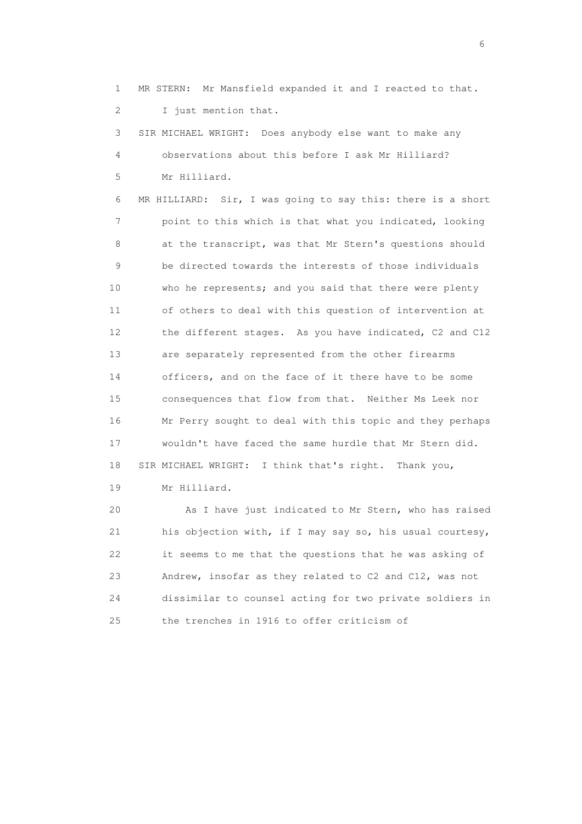1 MR STERN: Mr Mansfield expanded it and I reacted to that. 2 I just mention that.

 3 SIR MICHAEL WRIGHT: Does anybody else want to make any 4 observations about this before I ask Mr Hilliard? 5 Mr Hilliard.

 6 MR HILLIARD: Sir, I was going to say this: there is a short 7 point to this which is that what you indicated, looking 8 at the transcript, was that Mr Stern's questions should 9 be directed towards the interests of those individuals 10 who he represents; and you said that there were plenty 11 of others to deal with this question of intervention at 12 the different stages. As you have indicated, C2 and C12 13 are separately represented from the other firearms 14 officers, and on the face of it there have to be some 15 consequences that flow from that. Neither Ms Leek nor 16 Mr Perry sought to deal with this topic and they perhaps 17 wouldn't have faced the same hurdle that Mr Stern did. 18 SIR MICHAEL WRIGHT: I think that's right. Thank you,

19 Mr Hilliard.

 20 As I have just indicated to Mr Stern, who has raised 21 his objection with, if I may say so, his usual courtesy, 22 it seems to me that the questions that he was asking of 23 Andrew, insofar as they related to C2 and C12, was not 24 dissimilar to counsel acting for two private soldiers in 25 the trenches in 1916 to offer criticism of

 $\sim$  6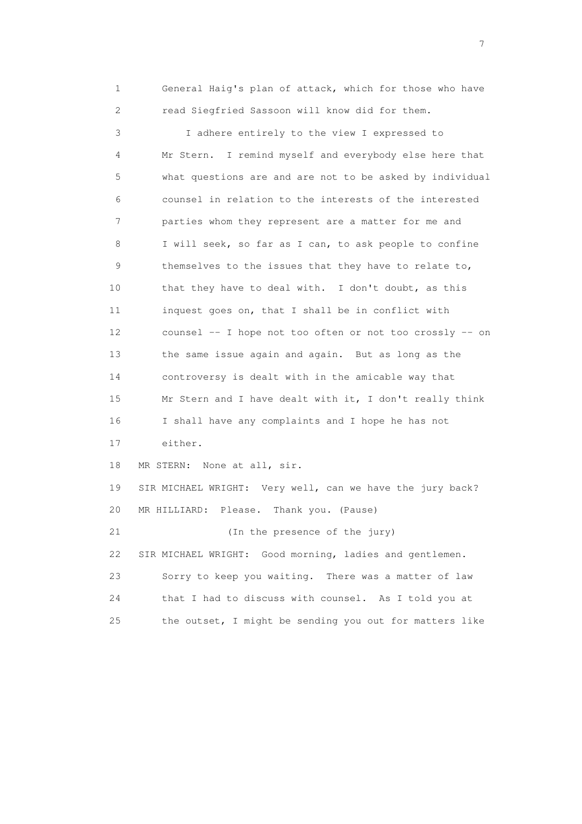1 General Haig's plan of attack, which for those who have 2 read Siegfried Sassoon will know did for them.

 3 I adhere entirely to the view I expressed to 4 Mr Stern. I remind myself and everybody else here that 5 what questions are and are not to be asked by individual 6 counsel in relation to the interests of the interested 7 parties whom they represent are a matter for me and 8 I will seek, so far as I can, to ask people to confine 9 themselves to the issues that they have to relate to, 10 that they have to deal with. I don't doubt, as this 11 inquest goes on, that I shall be in conflict with 12 counsel -- I hope not too often or not too crossly -- on 13 the same issue again and again. But as long as the 14 controversy is dealt with in the amicable way that 15 Mr Stern and I have dealt with it, I don't really think 16 I shall have any complaints and I hope he has not 17 either. 18 MR STERN: None at all, sir. 19 SIR MICHAEL WRIGHT: Very well, can we have the jury back? 20 MR HILLIARD: Please. Thank you. (Pause) 21 (In the presence of the jury) 22 SIR MICHAEL WRIGHT: Good morning, ladies and gentlemen. 23 Sorry to keep you waiting. There was a matter of law 24 that I had to discuss with counsel. As I told you at 25 the outset, I might be sending you out for matters like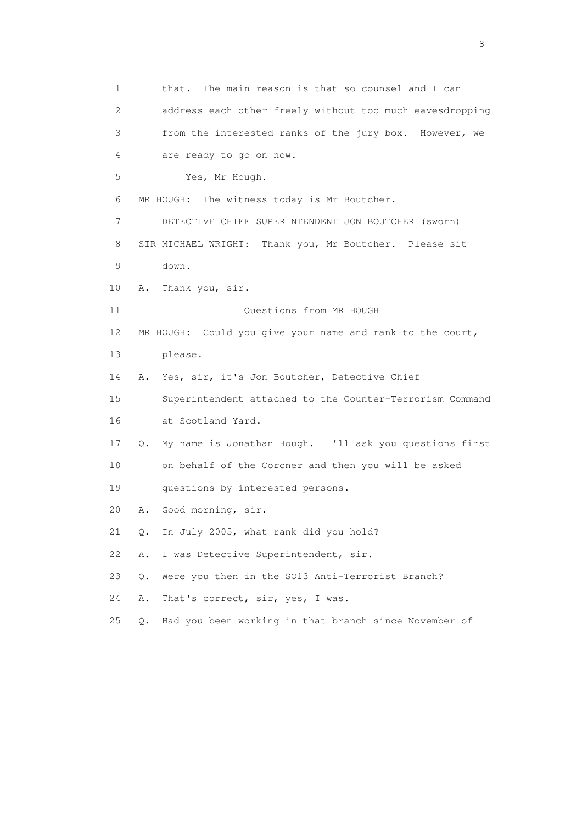1 that. The main reason is that so counsel and I can 2 address each other freely without too much eavesdropping 3 from the interested ranks of the jury box. However, we 4 are ready to go on now. 5 Yes, Mr Hough. 6 MR HOUGH: The witness today is Mr Boutcher. 7 DETECTIVE CHIEF SUPERINTENDENT JON BOUTCHER (sworn) 8 SIR MICHAEL WRIGHT: Thank you, Mr Boutcher. Please sit 9 down. 10 A. Thank you, sir. 11 Ouestions from MR HOUGH 12 MR HOUGH: Could you give your name and rank to the court, 13 please. 14 A. Yes, sir, it's Jon Boutcher, Detective Chief 15 Superintendent attached to the Counter-Terrorism Command 16 at Scotland Yard. 17 Q. My name is Jonathan Hough. I'll ask you questions first 18 on behalf of the Coroner and then you will be asked 19 questions by interested persons. 20 A. Good morning, sir. 21 Q. In July 2005, what rank did you hold? 22 A. I was Detective Superintendent, sir. 23 Q. Were you then in the SO13 Anti-Terrorist Branch? 24 A. That's correct, sir, yes, I was. 25 Q. Had you been working in that branch since November of

en de la construction de la construction de la construction de la construction de la construction de la constr<br>En 1980, en 1980, en 1980, en 1980, en 1980, en 1980, en 1980, en 1980, en 1980, en 1980, en 1980, en 1980, en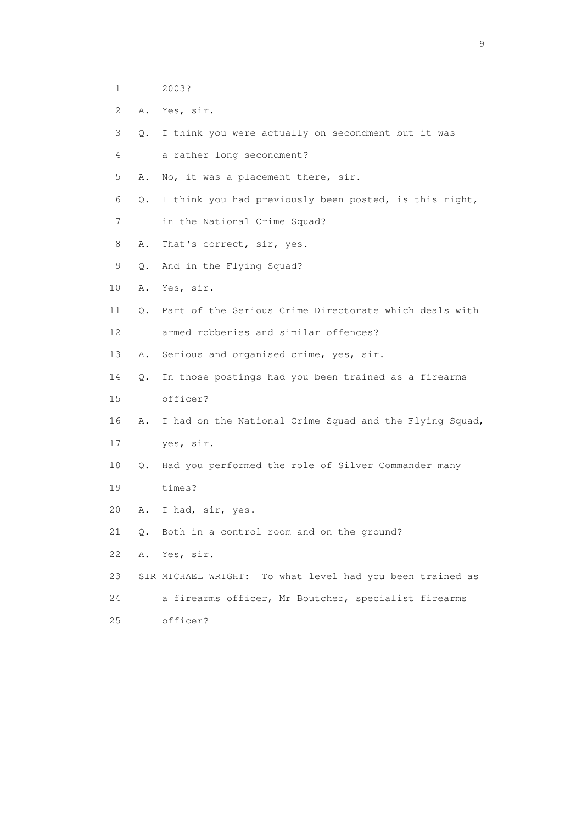- 1 2003?
- 2 A. Yes, sir.
- 3 Q. I think you were actually on secondment but it was
- 4 a rather long secondment?
- 5 A. No, it was a placement there, sir.
- 6 Q. I think you had previously been posted, is this right,
- 7 in the National Crime Squad?
- 8 A. That's correct, sir, yes.
- 9 Q. And in the Flying Squad?
- 10 A. Yes, sir.
- 11 Q. Part of the Serious Crime Directorate which deals with 12 armed robberies and similar offences?
- 13 A. Serious and organised crime, yes, sir.
- 14 Q. In those postings had you been trained as a firearms 15 officer?
- 16 A. I had on the National Crime Squad and the Flying Squad,
- 17 yes, sir.
- 18 Q. Had you performed the role of Silver Commander many 19 times?
- 20 A. I had, sir, yes.
- 21 Q. Both in a control room and on the ground?
- 22 A. Yes, sir.
- 23 SIR MICHAEL WRIGHT: To what level had you been trained as 24 a firearms officer, Mr Boutcher, specialist firearms 25 officer?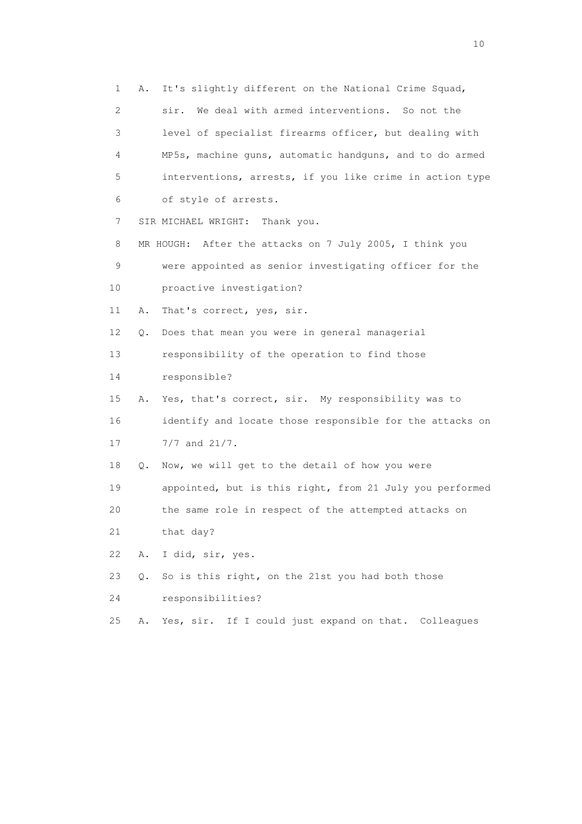1 A. It's slightly different on the National Crime Squad, 2 sir. We deal with armed interventions. So not the 3 level of specialist firearms officer, but dealing with 4 MP5s, machine guns, automatic handguns, and to do armed 5 interventions, arrests, if you like crime in action type 6 of style of arrests. 7 SIR MICHAEL WRIGHT: Thank you. 8 MR HOUGH: After the attacks on 7 July 2005, I think you 9 were appointed as senior investigating officer for the 10 proactive investigation? 11 A. That's correct, yes, sir. 12 Q. Does that mean you were in general managerial 13 responsibility of the operation to find those 14 responsible? 15 A. Yes, that's correct, sir. My responsibility was to 16 identify and locate those responsible for the attacks on 17 7/7 and 21/7. 18 Q. Now, we will get to the detail of how you were 19 appointed, but is this right, from 21 July you performed 20 the same role in respect of the attempted attacks on 21 that day? 22 A. I did, sir, yes. 23 Q. So is this right, on the 21st you had both those 24 responsibilities?

25 A. Yes, sir. If I could just expand on that. Colleagues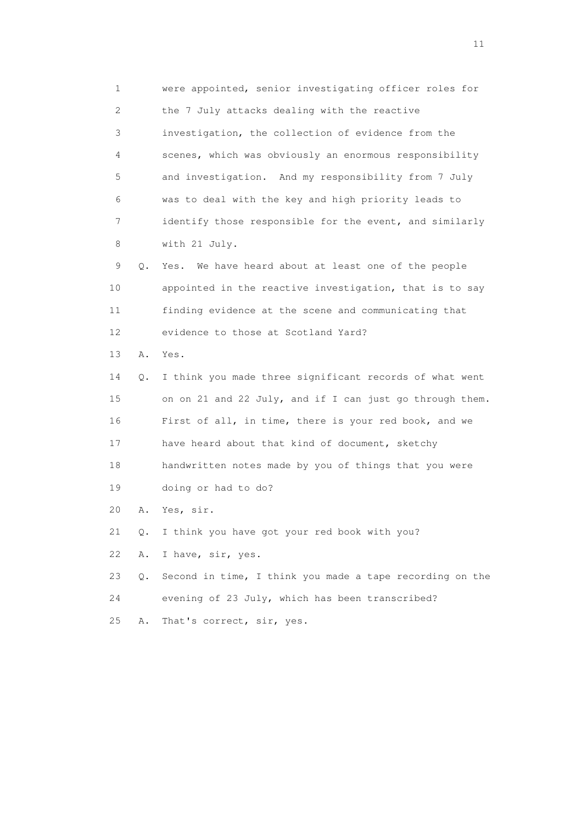1 were appointed, senior investigating officer roles for 2 the 7 July attacks dealing with the reactive 3 investigation, the collection of evidence from the 4 scenes, which was obviously an enormous responsibility 5 and investigation. And my responsibility from 7 July 6 was to deal with the key and high priority leads to 7 identify those responsible for the event, and similarly 8 with 21 July. 9 Q. Yes. We have heard about at least one of the people 10 appointed in the reactive investigation, that is to say 11 finding evidence at the scene and communicating that 12 evidence to those at Scotland Yard? 13 A. Yes. 14 Q. I think you made three significant records of what went 15 on on 21 and 22 July, and if I can just go through them. 16 First of all, in time, there is your red book, and we 17 have heard about that kind of document, sketchy 18 handwritten notes made by you of things that you were 19 doing or had to do? 20 A. Yes, sir. 21 Q. I think you have got your red book with you? 22 A. I have, sir, yes. 23 Q. Second in time, I think you made a tape recording on the 24 evening of 23 July, which has been transcribed? 25 A. That's correct, sir, yes.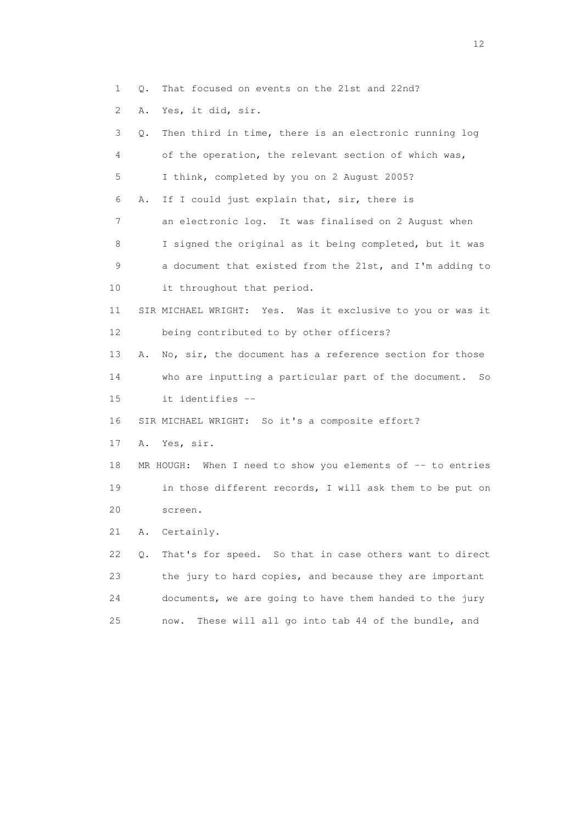- 1 Q. That focused on events on the 21st and 22nd?
- 2 A. Yes, it did, sir.

| 3  | Q. | Then third in time, there is an electronic running log          |
|----|----|-----------------------------------------------------------------|
| 4  |    | of the operation, the relevant section of which was,            |
| 5  |    | I think, completed by you on 2 August 2005?                     |
| 6  | Α. | If I could just explain that, sir, there is                     |
| 7  |    | an electronic log. It was finalised on 2 August when            |
| 8  |    | I signed the original as it being completed, but it was         |
| 9  |    | a document that existed from the 21st, and I'm adding to        |
| 10 |    | it throughout that period.                                      |
| 11 |    | SIR MICHAEL WRIGHT: Yes. Was it exclusive to you or was it      |
| 12 |    | being contributed to by other officers?                         |
| 13 | Α. | No, sir, the document has a reference section for those         |
| 14 |    | who are inputting a particular part of the document.<br>So      |
| 15 |    | it identifies --                                                |
| 16 |    | SIR MICHAEL WRIGHT: So it's a composite effort?                 |
| 17 | Α. | Yes, sir.                                                       |
| 18 |    | When I need to show you elements of $-$ to entries<br>MR HOUGH: |
| 19 |    | in those different records, I will ask them to be put on        |
| 20 |    | screen.                                                         |
| 21 | Α. | Certainly.                                                      |
| 22 | Q. | That's for speed. So that in case others want to direct         |
| 23 |    | the jury to hard copies, and because they are important         |
| 24 |    | documents, we are going to have them handed to the jury         |
| 25 |    | These will all go into tab 44 of the bundle, and<br>now.        |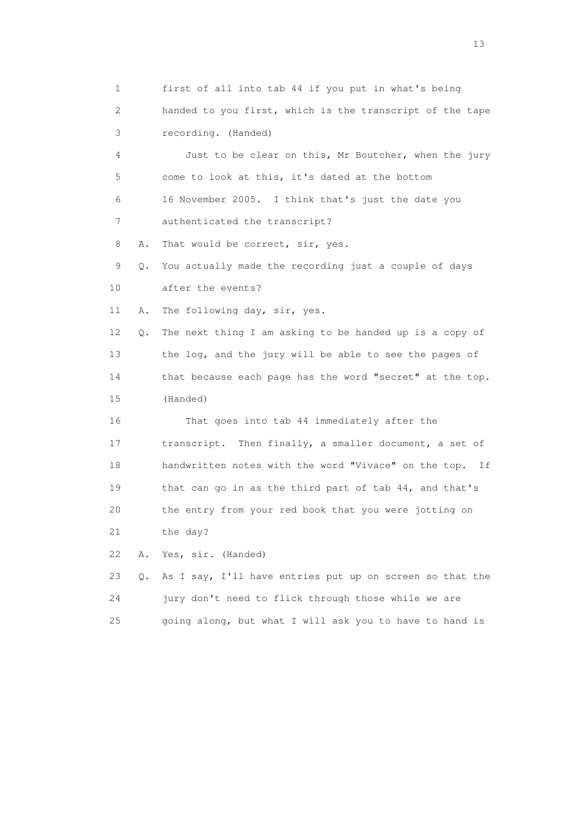1 first of all into tab 44 if you put in what's being 2 handed to you first, which is the transcript of the tape 3 recording. (Handed) 4 Just to be clear on this, Mr Boutcher, when the jury 5 come to look at this, it's dated at the bottom 6 16 November 2005. I think that's just the date you 7 authenticated the transcript? 8 A. That would be correct, sir, yes. 9 Q. You actually made the recording just a couple of days 10 after the events? 11 A. The following day, sir, yes. 12 Q. The next thing I am asking to be handed up is a copy of 13 the log, and the jury will be able to see the pages of 14 that because each page has the word "secret" at the top. 15 (Handed) 16 That goes into tab 44 immediately after the 17 transcript. Then finally, a smaller document, a set of 18 handwritten notes with the word "Vivace" on the top. If 19 that can go in as the third part of tab 44, and that's 20 the entry from your red book that you were jotting on 21 the day? 22 A. Yes, sir. (Handed) 23 Q. As I say, I'll have entries put up on screen so that the 24 jury don't need to flick through those while we are 25 going along, but what I will ask you to have to hand is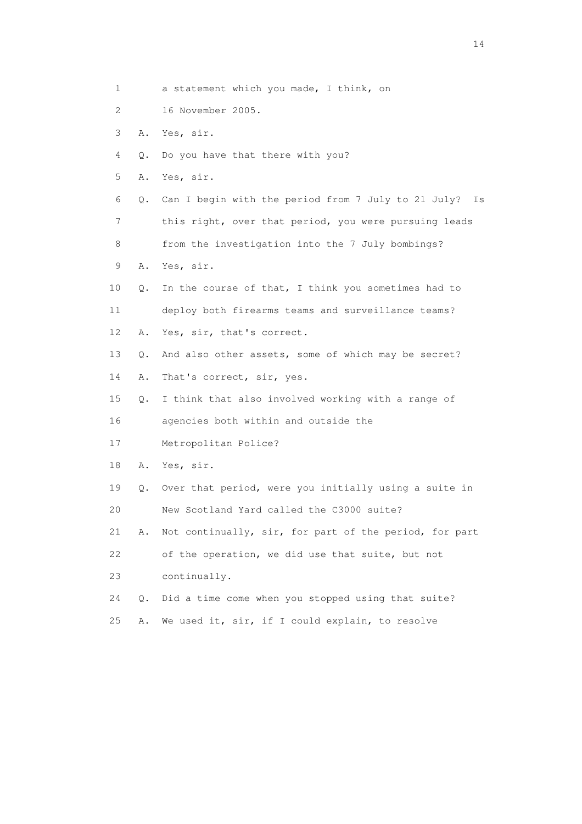| $\mathbf 1$ |    | a statement which you made, I think, on                   |
|-------------|----|-----------------------------------------------------------|
| 2           |    | 16 November 2005.                                         |
| 3           | Α. | Yes, sir.                                                 |
| 4           | 0. | Do you have that there with you?                          |
| 5           | Α. | Yes, sir.                                                 |
| 6           | Q. | Can I begin with the period from 7 July to 21 July?<br>Is |
| 7           |    | this right, over that period, you were pursuing leads     |
| 8           |    | from the investigation into the 7 July bombings?          |
| 9           | Α. | Yes, sir.                                                 |
| 10          | Q. | In the course of that, I think you sometimes had to       |
| 11          |    | deploy both firearms teams and surveillance teams?        |
| 12          | Α. | Yes, sir, that's correct.                                 |
| 13          | 0. | And also other assets, some of which may be secret?       |
| 14          | Α. | That's correct, sir, yes.                                 |
| 15          | Q. | I think that also involved working with a range of        |
| 16          |    | agencies both within and outside the                      |
| 17          |    | Metropolitan Police?                                      |
| 18          | Α. | Yes, sir.                                                 |
| 19          | Q. | Over that period, were you initially using a suite in     |
| 20          |    | New Scotland Yard called the C3000 suite?                 |
| 21          | Α. | Not continually, sir, for part of the period, for part    |
| 22          |    | of the operation, we did use that suite, but not          |
| 23          |    | continually.                                              |
| 24          | Q. | Did a time come when you stopped using that suite?        |
| 25          | Α. | We used it, sir, if I could explain, to resolve           |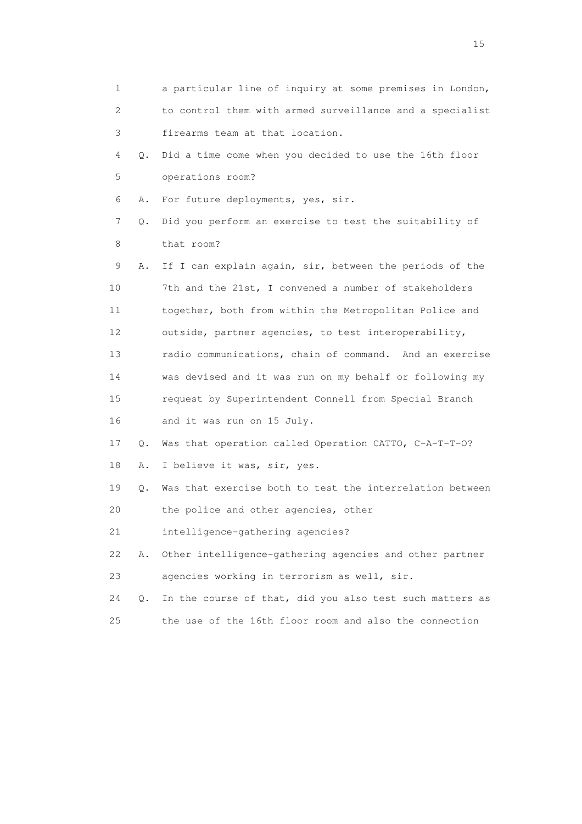1 a particular line of inquiry at some premises in London, 2 to control them with armed surveillance and a specialist 3 firearms team at that location. 4 Q. Did a time come when you decided to use the 16th floor 5 operations room? 6 A. For future deployments, yes, sir. 7 Q. Did you perform an exercise to test the suitability of 8 that room? 9 A. If I can explain again, sir, between the periods of the 10 7th and the 21st, I convened a number of stakeholders 11 together, both from within the Metropolitan Police and 12 outside, partner agencies, to test interoperability, 13 radio communications, chain of command. And an exercise 14 was devised and it was run on my behalf or following my 15 request by Superintendent Connell from Special Branch 16 and it was run on 15 July. 17 Q. Was that operation called Operation CATTO, C-A-T-T-O? 18 A. I believe it was, sir, yes. 19 Q. Was that exercise both to test the interrelation between 20 the police and other agencies, other 21 intelligence-gathering agencies? 22 A. Other intelligence-gathering agencies and other partner 23 agencies working in terrorism as well, sir. 24 Q. In the course of that, did you also test such matters as 25 the use of the 16th floor room and also the connection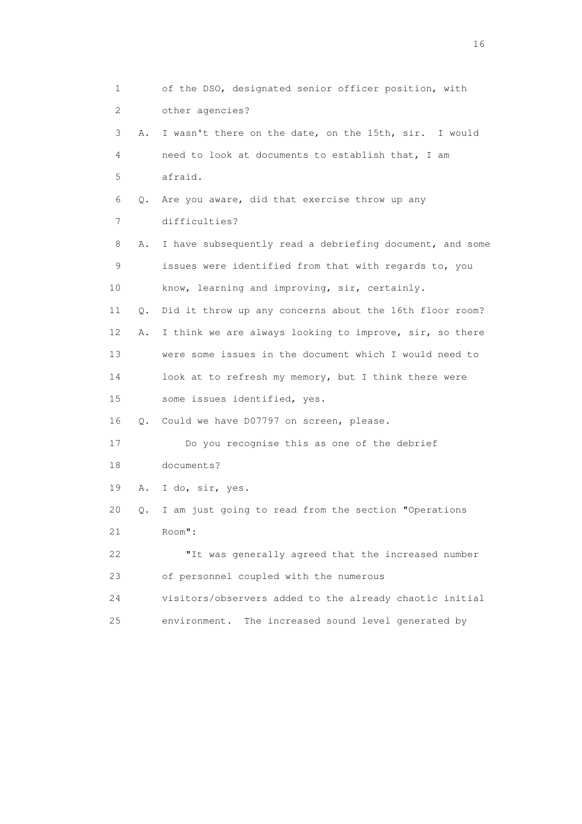1 of the DSO, designated senior officer position, with 2 other agencies? 3 A. I wasn't there on the date, on the 15th, sir. I would 4 need to look at documents to establish that, I am 5 afraid. 6 Q. Are you aware, did that exercise throw up any 7 difficulties? 8 A. I have subsequently read a debriefing document, and some 9 issues were identified from that with regards to, you 10 know, learning and improving, sir, certainly. 11 Q. Did it throw up any concerns about the 16th floor room? 12 A. I think we are always looking to improve, sir, so there 13 were some issues in the document which I would need to 14 look at to refresh my memory, but I think there were 15 some issues identified, yes. 16 Q. Could we have D07797 on screen, please. 17 Do you recognise this as one of the debrief 18 documents? 19 A. I do, sir, yes. 20 Q. I am just going to read from the section "Operations 21 Room": 22 "It was generally agreed that the increased number 23 of personnel coupled with the numerous 24 visitors/observers added to the already chaotic initial 25 environment. The increased sound level generated by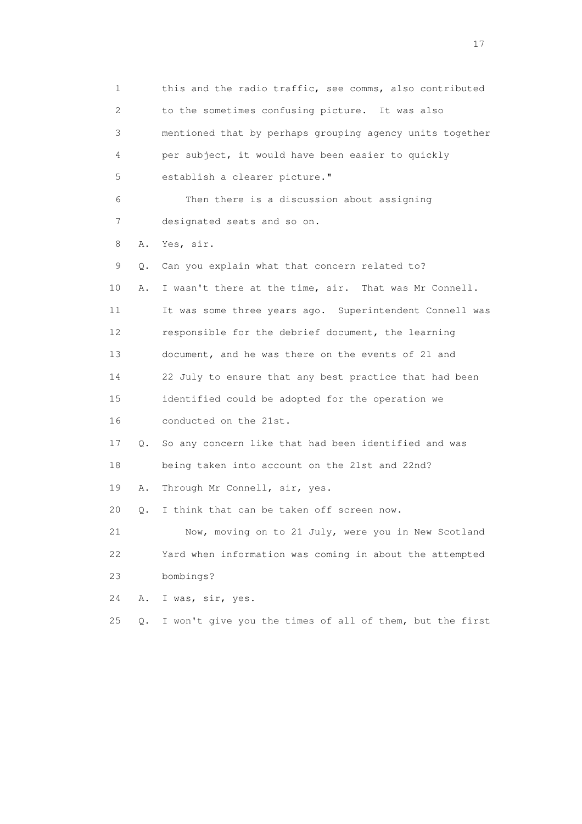1 this and the radio traffic, see comms, also contributed 2 to the sometimes confusing picture. It was also 3 mentioned that by perhaps grouping agency units together 4 per subject, it would have been easier to quickly 5 establish a clearer picture." 6 Then there is a discussion about assigning 7 designated seats and so on. 8 A. Yes, sir. 9 Q. Can you explain what that concern related to? 10 A. I wasn't there at the time, sir. That was Mr Connell. 11 It was some three years ago. Superintendent Connell was 12 responsible for the debrief document, the learning 13 document, and he was there on the events of 21 and 14 22 July to ensure that any best practice that had been 15 identified could be adopted for the operation we 16 conducted on the 21st. 17 Q. So any concern like that had been identified and was 18 being taken into account on the 21st and 22nd? 19 A. Through Mr Connell, sir, yes. 20 Q. I think that can be taken off screen now. 21 Now, moving on to 21 July, were you in New Scotland 22 Yard when information was coming in about the attempted 23 bombings? 24 A. I was, sir, yes. 25 Q. I won't give you the times of all of them, but the first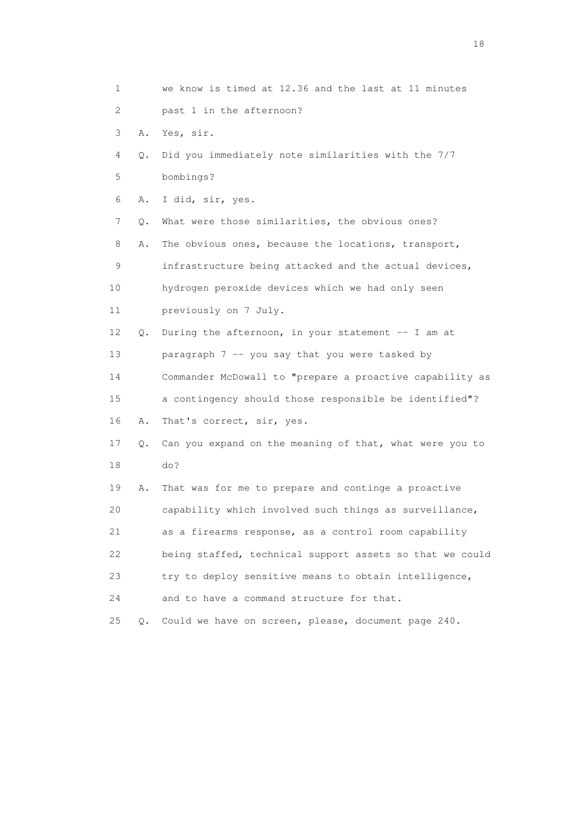| 1                         |    | we know is timed at 12.36 and the last at 11 minutes     |
|---------------------------|----|----------------------------------------------------------|
| $\mathbf{2}^{\mathsf{I}}$ |    | past 1 in the afternoon?                                 |
| 3                         | Α. | Yes, sir.                                                |
| 4                         | Q. | Did you immediately note similarities with the 7/7       |
| 5                         |    | bombings?                                                |
| 6                         | Α. | I did, sir, yes.                                         |
| 7                         | Q. | What were those similarities, the obvious ones?          |
| 8                         | Α. | The obvious ones, because the locations, transport,      |
| 9                         |    | infrastructure being attacked and the actual devices,    |
| 10                        |    | hydrogen peroxide devices which we had only seen         |
| 11                        |    | previously on 7 July.                                    |
| 12                        | Q. | During the afternoon, in your statement -- I am at       |
| 13                        |    | paragraph 7 -- you say that you were tasked by           |
| 14                        |    | Commander McDowall to "prepare a proactive capability as |
| 15                        |    | a contingency should those responsible be identified"?   |
| 16                        | Α. | That's correct, sir, yes.                                |
| 17                        | Q. | Can you expand on the meaning of that, what were you to  |
| 18                        |    | do?                                                      |
| 19                        | Α. | That was for me to prepare and continge a proactive      |
| 20                        |    | capability which involved such things as surveillance,   |
| 21                        |    | as a firearms response, as a control room capability     |
| 22                        |    | being staffed, technical support assets so that we could |
| 23                        |    | try to deploy sensitive means to obtain intelligence,    |
| 24                        |    | and to have a command structure for that.                |
| 25                        | Q. | Could we have on screen, please, document page 240.      |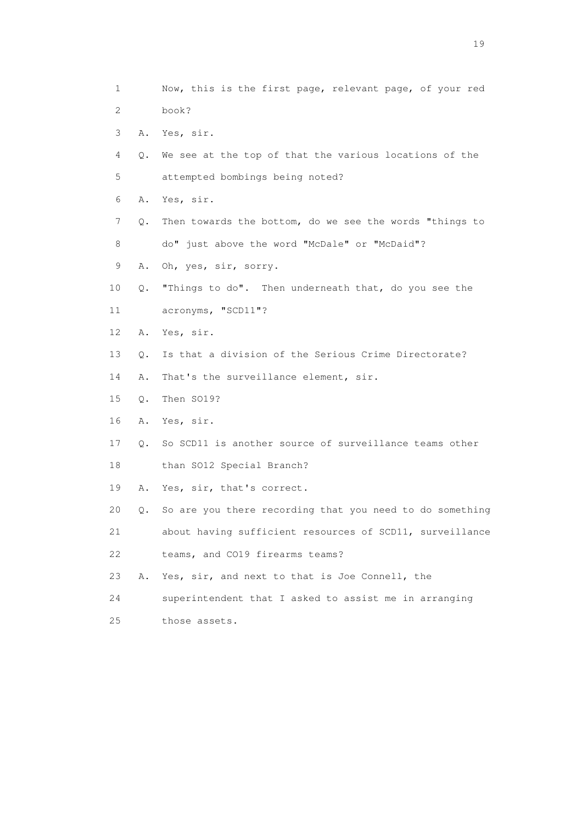1 Now, this is the first page, relevant page, of your red 2 book? 3 A. Yes, sir. 4 Q. We see at the top of that the various locations of the 5 attempted bombings being noted? 6 A. Yes, sir. 7 Q. Then towards the bottom, do we see the words "things to 8 do" just above the word "McDale" or "McDaid"? 9 A. Oh, yes, sir, sorry. 10 Q. "Things to do". Then underneath that, do you see the 11 acronyms, "SCD11"? 12 A. Yes, sir. 13 Q. Is that a division of the Serious Crime Directorate? 14 A. That's the surveillance element, sir. 15 Q. Then SO19? 16 A. Yes, sir. 17 Q. So SCD11 is another source of surveillance teams other 18 than SO12 Special Branch? 19 A. Yes, sir, that's correct. 20 Q. So are you there recording that you need to do something 21 about having sufficient resources of SCD11, surveillance 22 teams, and CO19 firearms teams? 23 A. Yes, sir, and next to that is Joe Connell, the 24 superintendent that I asked to assist me in arranging 25 those assets.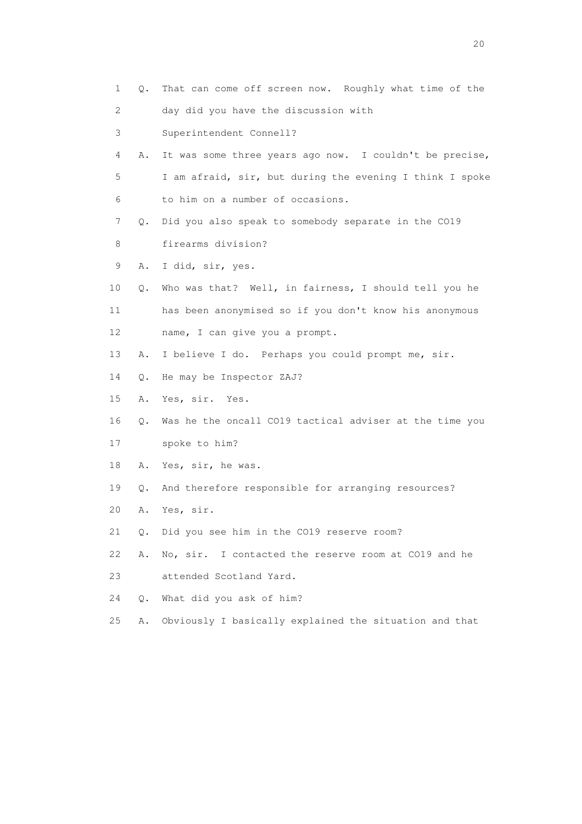1 Q. That can come off screen now. Roughly what time of the 2 day did you have the discussion with 3 Superintendent Connell? 4 A. It was some three years ago now. I couldn't be precise, 5 I am afraid, sir, but during the evening I think I spoke 6 to him on a number of occasions. 7 Q. Did you also speak to somebody separate in the CO19 8 firearms division? 9 A. I did, sir, yes. 10 Q. Who was that? Well, in fairness, I should tell you he 11 has been anonymised so if you don't know his anonymous 12 name, I can give you a prompt. 13 A. I believe I do. Perhaps you could prompt me, sir. 14 Q. He may be Inspector ZAJ? 15 A. Yes, sir. Yes. 16 Q. Was he the oncall CO19 tactical adviser at the time you 17 spoke to him? 18 A. Yes, sir, he was. 19 Q. And therefore responsible for arranging resources? 20 A. Yes, sir. 21 Q. Did you see him in the CO19 reserve room? 22 A. No, sir. I contacted the reserve room at CO19 and he 23 attended Scotland Yard. 24 Q. What did you ask of him? 25 A. Obviously I basically explained the situation and that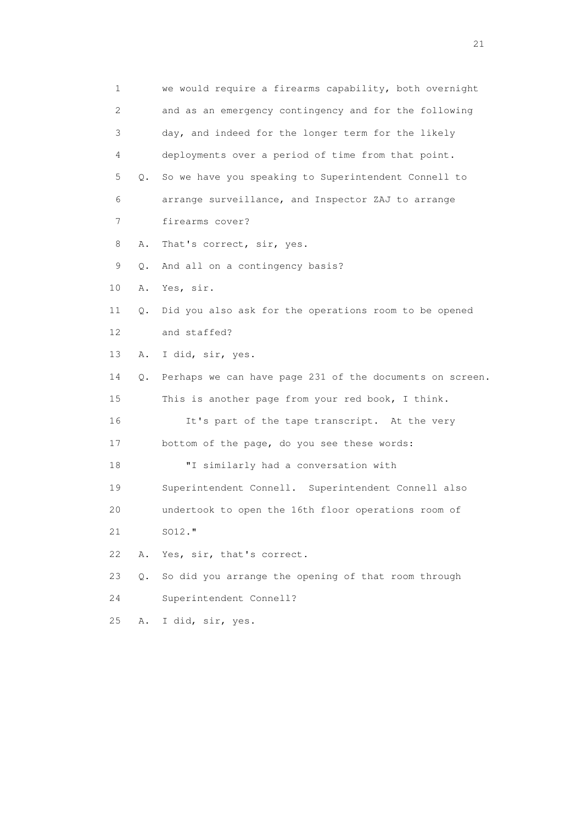1 we would require a firearms capability, both overnight 2 and as an emergency contingency and for the following 3 day, and indeed for the longer term for the likely 4 deployments over a period of time from that point. 5 Q. So we have you speaking to Superintendent Connell to 6 arrange surveillance, and Inspector ZAJ to arrange 7 firearms cover? 8 A. That's correct, sir, yes. 9 Q. And all on a contingency basis? 10 A. Yes, sir. 11 Q. Did you also ask for the operations room to be opened 12 and staffed? 13 A. I did, sir, yes. 14 Q. Perhaps we can have page 231 of the documents on screen. 15 This is another page from your red book, I think. 16 It's part of the tape transcript. At the very 17 bottom of the page, do you see these words: 18 "I similarly had a conversation with 19 Superintendent Connell. Superintendent Connell also 20 undertook to open the 16th floor operations room of 21 SO12." 22 A. Yes, sir, that's correct. 23 Q. So did you arrange the opening of that room through 24 Superintendent Connell? 25 A. I did, sir, yes.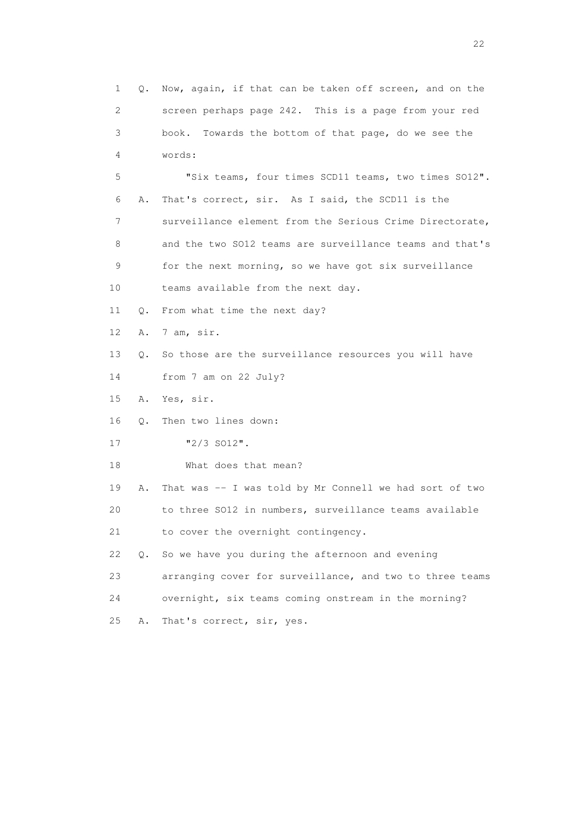1 Q. Now, again, if that can be taken off screen, and on the 2 screen perhaps page 242. This is a page from your red 3 book. Towards the bottom of that page, do we see the 4 words: 5 "Six teams, four times SCD11 teams, two times SO12". 6 A. That's correct, sir. As I said, the SCD11 is the 7 surveillance element from the Serious Crime Directorate, 8 and the two SO12 teams are surveillance teams and that's 9 for the next morning, so we have got six surveillance 10 teams available from the next day. 11 Q. From what time the next day? 12 A. 7 am, sir. 13 Q. So those are the surveillance resources you will have 14 from 7 am on 22 July? 15 A. Yes, sir. 16 Q. Then two lines down: 17  $\frac{17}{2}$   $\frac{2}{3}$   $\frac{12}{3}$ . 18 What does that mean? 19 A. That was -- I was told by Mr Connell we had sort of two 20 to three SO12 in numbers, surveillance teams available 21 to cover the overnight contingency. 22 Q. So we have you during the afternoon and evening 23 arranging cover for surveillance, and two to three teams 24 overnight, six teams coming onstream in the morning? 25 A. That's correct, sir, yes.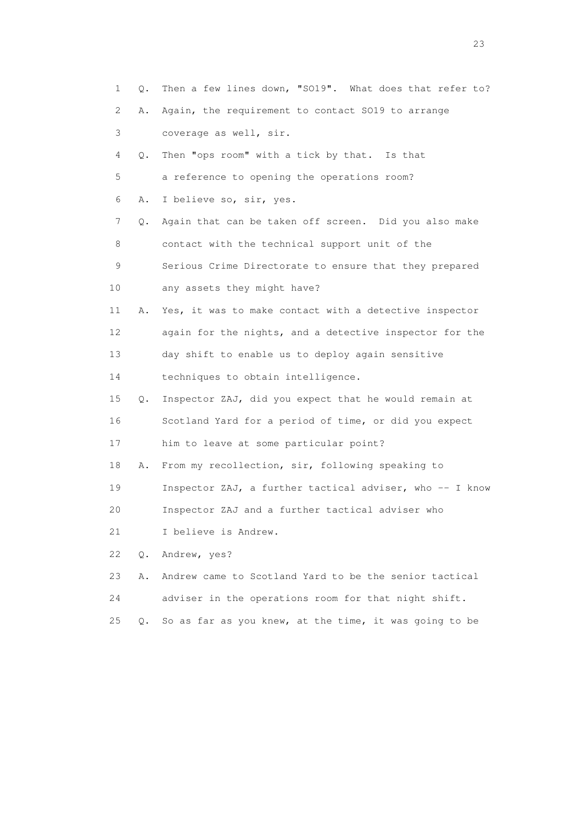1 Q. Then a few lines down, "SO19". What does that refer to? 2 A. Again, the requirement to contact SO19 to arrange 3 coverage as well, sir. 4 Q. Then "ops room" with a tick by that. Is that 5 a reference to opening the operations room? 6 A. I believe so, sir, yes. 7 Q. Again that can be taken off screen. Did you also make 8 contact with the technical support unit of the 9 Serious Crime Directorate to ensure that they prepared 10 any assets they might have? 11 A. Yes, it was to make contact with a detective inspector 12 again for the nights, and a detective inspector for the 13 day shift to enable us to deploy again sensitive 14 techniques to obtain intelligence. 15 Q. Inspector ZAJ, did you expect that he would remain at 16 Scotland Yard for a period of time, or did you expect 17 him to leave at some particular point? 18 A. From my recollection, sir, following speaking to 19 Inspector ZAJ, a further tactical adviser, who -- I know 20 Inspector ZAJ and a further tactical adviser who 21 I believe is Andrew. 22 Q. Andrew, yes? 23 A. Andrew came to Scotland Yard to be the senior tactical 24 adviser in the operations room for that night shift. 25 Q. So as far as you knew, at the time, it was going to be

23 and 23 and 23 and 23 and 23 and 23 and 23 and 23 and 23 and 23 and 23 and 23 and 23 and 23 and 23 and 23 and 24 and 25 and 25 and 26 and 26 and 26 and 26 and 26 and 26 and 26 and 26 and 26 and 26 and 26 and 26 and 26 an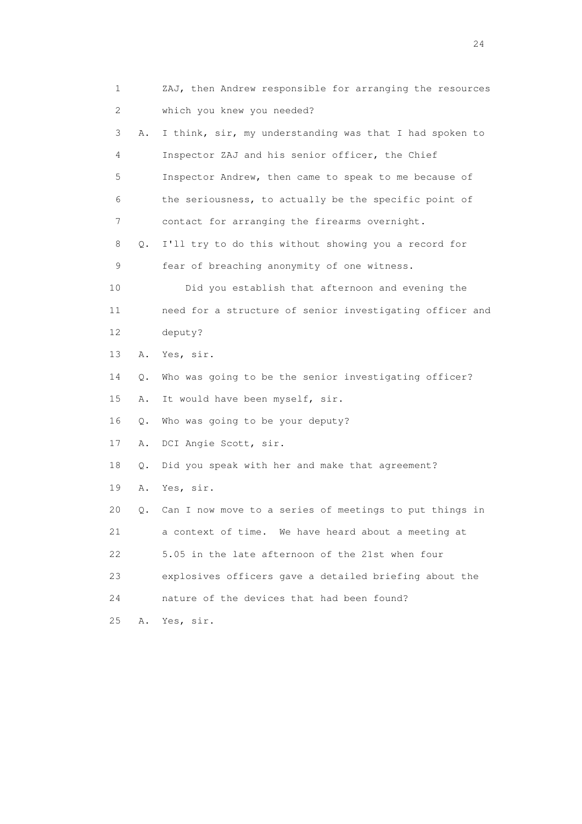1 ZAJ, then Andrew responsible for arranging the resources 2 which you knew you needed? 3 A. I think, sir, my understanding was that I had spoken to 4 Inspector ZAJ and his senior officer, the Chief 5 Inspector Andrew, then came to speak to me because of 6 the seriousness, to actually be the specific point of 7 contact for arranging the firearms overnight. 8 Q. I'll try to do this without showing you a record for 9 fear of breaching anonymity of one witness. 10 Did you establish that afternoon and evening the 11 need for a structure of senior investigating officer and 12 deputy? 13 A. Yes, sir. 14 Q. Who was going to be the senior investigating officer? 15 A. It would have been myself, sir. 16 Q. Who was going to be your deputy? 17 A. DCI Angie Scott, sir. 18 Q. Did you speak with her and make that agreement? 19 A. Yes, sir. 20 Q. Can I now move to a series of meetings to put things in 21 a context of time. We have heard about a meeting at 22 5.05 in the late afternoon of the 21st when four 23 explosives officers gave a detailed briefing about the 24 nature of the devices that had been found? 25 A. Yes, sir.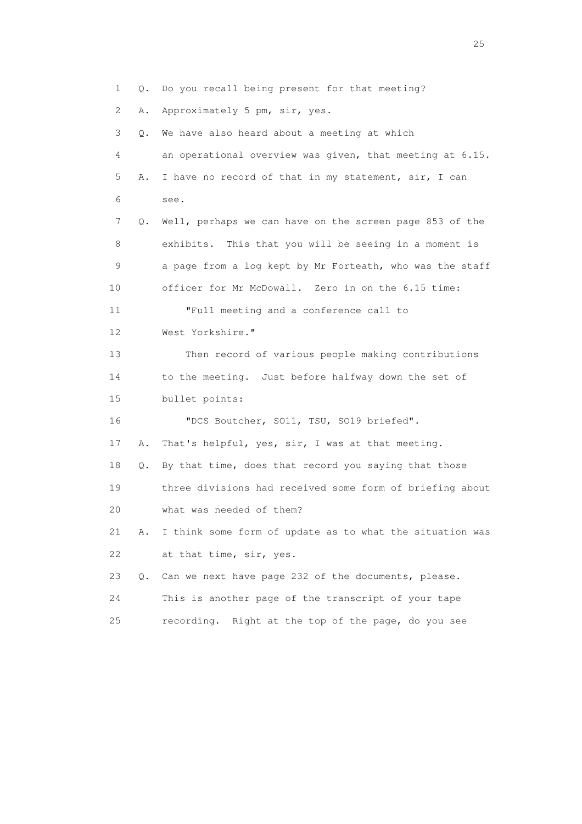1 Q. Do you recall being present for that meeting? 2 A. Approximately 5 pm, sir, yes. 3 Q. We have also heard about a meeting at which 4 an operational overview was given, that meeting at 6.15. 5 A. I have no record of that in my statement, sir, I can 6 see. 7 Q. Well, perhaps we can have on the screen page 853 of the 8 exhibits. This that you will be seeing in a moment is 9 a page from a log kept by Mr Forteath, who was the staff 10 officer for Mr McDowall. Zero in on the 6.15 time: 11 "Full meeting and a conference call to 12 West Yorkshire." 13 Then record of various people making contributions 14 to the meeting. Just before halfway down the set of 15 bullet points: 16 "DCS Boutcher, SO11, TSU, SO19 briefed". 17 A. That's helpful, yes, sir, I was at that meeting. 18 Q. By that time, does that record you saying that those 19 three divisions had received some form of briefing about 20 what was needed of them? 21 A. I think some form of update as to what the situation was 22 at that time, sir, yes. 23 Q. Can we next have page 232 of the documents, please. 24 This is another page of the transcript of your tape 25 recording. Right at the top of the page, do you see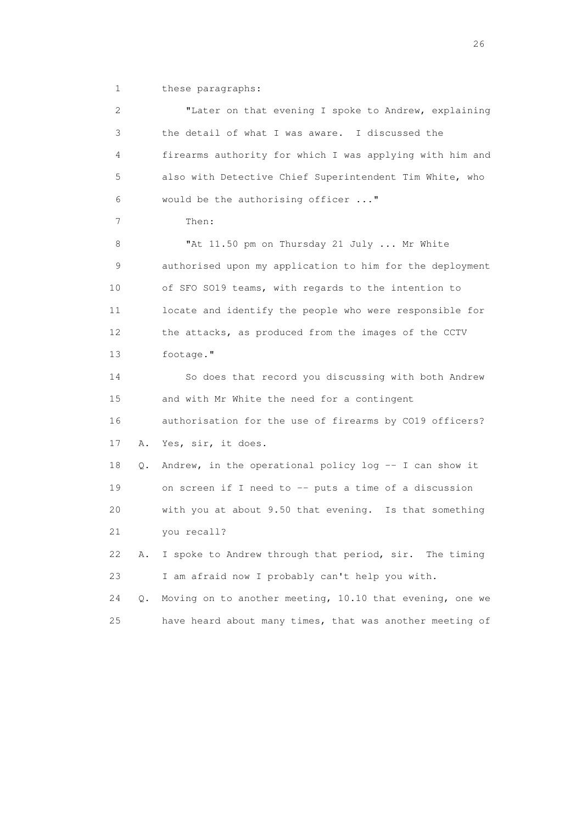1 these paragraphs:

 2 "Later on that evening I spoke to Andrew, explaining 3 the detail of what I was aware. I discussed the 4 firearms authority for which I was applying with him and 5 also with Detective Chief Superintendent Tim White, who 6 would be the authorising officer ..." 7 Then: 8 "At 11.50 pm on Thursday 21 July ... Mr White 9 authorised upon my application to him for the deployment 10 of SFO SO19 teams, with regards to the intention to 11 locate and identify the people who were responsible for 12 the attacks, as produced from the images of the CCTV 13 footage." 14 So does that record you discussing with both Andrew 15 and with Mr White the need for a contingent 16 authorisation for the use of firearms by CO19 officers? 17 A. Yes, sir, it does. 18 Q. Andrew, in the operational policy log -- I can show it 19 on screen if I need to -- puts a time of a discussion 20 with you at about 9.50 that evening. Is that something 21 you recall? 22 A. I spoke to Andrew through that period, sir. The timing 23 I am afraid now I probably can't help you with. 24 Q. Moving on to another meeting, 10.10 that evening, one we 25 have heard about many times, that was another meeting of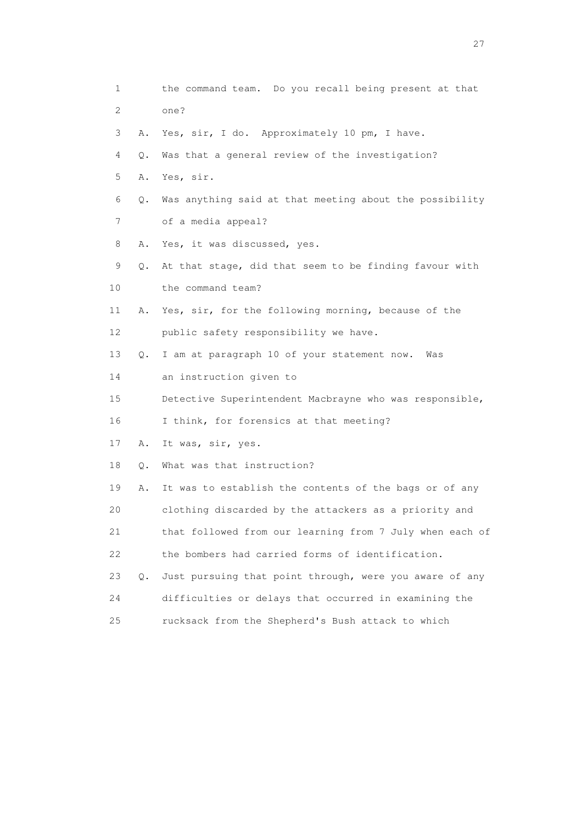| 1                         |           | the command team. Do you recall being present at that    |
|---------------------------|-----------|----------------------------------------------------------|
| $\mathbf{2}^{\mathsf{I}}$ |           | one?                                                     |
| 3                         | Α.        | Yes, sir, I do. Approximately 10 pm, I have.             |
| 4                         | О.        | Was that a general review of the investigation?          |
| 5                         | Α.        | Yes, sir.                                                |
| 6                         | Q.        | Was anything said at that meeting about the possibility  |
| 7                         |           | of a media appeal?                                       |
| 8                         | Α.        | Yes, it was discussed, yes.                              |
| 9                         | Q.        | At that stage, did that seem to be finding favour with   |
| 10                        |           | the command team?                                        |
| 11                        | Α.        | Yes, sir, for the following morning, because of the      |
| 12                        |           | public safety responsibility we have.                    |
| 13                        | $\circ$ . | I am at paragraph 10 of your statement now.<br>Was       |
| 14                        |           | an instruction given to                                  |
| 15                        |           | Detective Superintendent Macbrayne who was responsible,  |
| 16                        |           | I think, for forensics at that meeting?                  |
| 17                        | Α.        | It was, sir, yes.                                        |
| 18                        | Q.        | What was that instruction?                               |
| 19                        | Α.        | It was to establish the contents of the bags or of any   |
| 20                        |           | clothing discarded by the attackers as a priority and    |
| 21                        |           | that followed from our learning from 7 July when each of |
| 22                        |           | the bombers had carried forms of identification.         |
| 23                        | Q.        | Just pursuing that point through, were you aware of any  |
| 24                        |           | difficulties or delays that occurred in examining the    |
| 25                        |           | rucksack from the Shepherd's Bush attack to which        |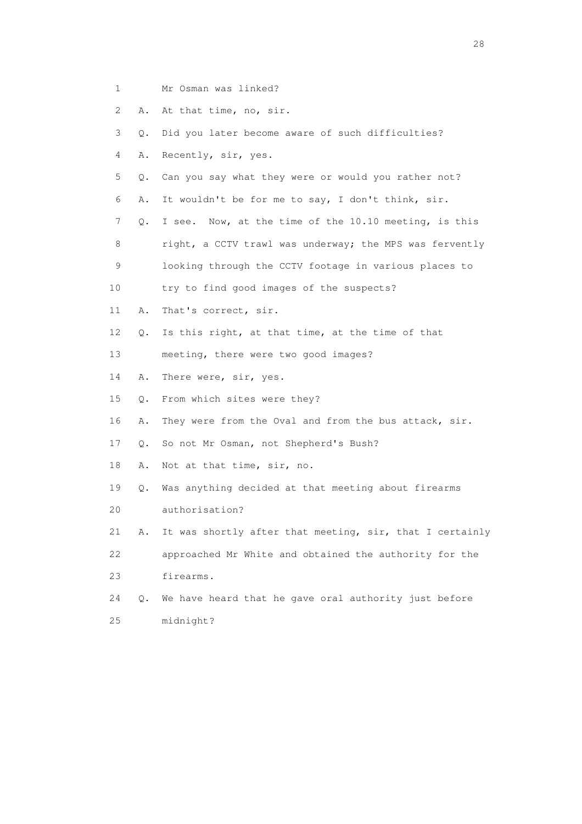- 1 Mr Osman was linked?
- 2 A. At that time, no, sir.
- 3 Q. Did you later become aware of such difficulties?
- 4 A. Recently, sir, yes.
- 5 Q. Can you say what they were or would you rather not?
- 6 A. It wouldn't be for me to say, I don't think, sir.
- 7 Q. I see. Now, at the time of the 10.10 meeting, is this
- 8 right, a CCTV trawl was underway; the MPS was fervently
- 9 looking through the CCTV footage in various places to
- 10 try to find good images of the suspects?
- 11 A. That's correct, sir.
- 12 Q. Is this right, at that time, at the time of that
- 13 meeting, there were two good images?
- 14 A. There were, sir, yes.
- 15 Q. From which sites were they?
- 16 A. They were from the Oval and from the bus attack, sir.
- 17 Q. So not Mr Osman, not Shepherd's Bush?
- 18 A. Not at that time, sir, no.
- 19 Q. Was anything decided at that meeting about firearms 20 authorisation?
- 21 A. It was shortly after that meeting, sir, that I certainly 22 approached Mr White and obtained the authority for the
- 23 firearms.
- 24 Q. We have heard that he gave oral authority just before 25 midnight?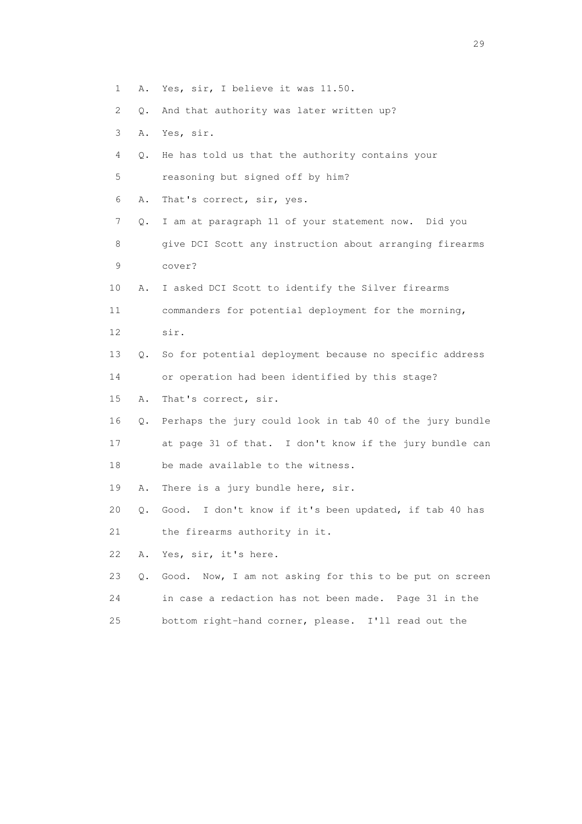- 1 A. Yes, sir, I believe it was 11.50.
- 2 Q. And that authority was later written up?
- 3 A. Yes, sir.
- 4 Q. He has told us that the authority contains your
- 5 reasoning but signed off by him?
- 6 A. That's correct, sir, yes.
- 7 Q. I am at paragraph 11 of your statement now. Did you 8 give DCI Scott any instruction about arranging firearms 9 cover?
- 10 A. I asked DCI Scott to identify the Silver firearms
- 11 commanders for potential deployment for the morning, 12 sir.
- 13 Q. So for potential deployment because no specific address
- 14 or operation had been identified by this stage?
- 15 A. That's correct, sir.
- 16 Q. Perhaps the jury could look in tab 40 of the jury bundle 17 at page 31 of that. I don't know if the jury bundle can 18 be made available to the witness.
- 19 A. There is a jury bundle here, sir.
- 20 Q. Good. I don't know if it's been updated, if tab 40 has
- 21 the firearms authority in it.
- 22 A. Yes, sir, it's here.
- 23 Q. Good. Now, I am not asking for this to be put on screen 24 in case a redaction has not been made. Page 31 in the
- 25 bottom right-hand corner, please. I'll read out the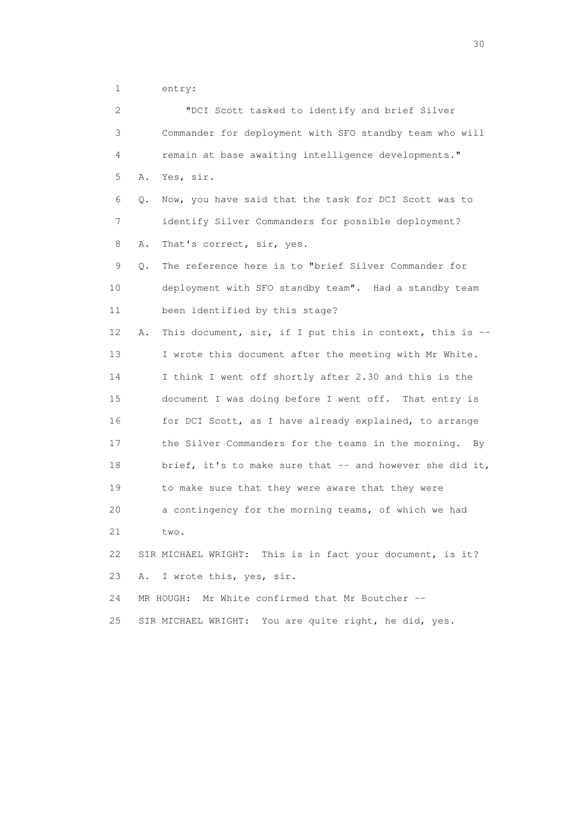1 entry:

| $\mathbf{2}^{\mathsf{I}}$ |    | "DCI Scott tasked to identify and brief Silver            |
|---------------------------|----|-----------------------------------------------------------|
| 3                         |    | Commander for deployment with SFO standby team who will   |
| 4                         |    | remain at base awaiting intelligence developments."       |
| 5                         | Α. | Yes, sir.                                                 |
| 6                         | Q. | Now, you have said that the task for DCI Scott was to     |
| 7                         |    | identify Silver Commanders for possible deployment?       |
| 8                         | Α. | That's correct, sir, yes.                                 |
| 9                         | Q. | The reference here is to "brief Silver Commander for      |
| 10                        |    | deployment with SFO standby team". Had a standby team     |
| 11                        |    | been identified by this stage?                            |
| 12                        | Α. | This document, sir, if I put this in context, this is --  |
| 13                        |    | I wrote this document after the meeting with Mr White.    |
| 14                        |    | I think I went off shortly after 2.30 and this is the     |
| 15                        |    | document I was doing before I went off. That entry is     |
| 16                        |    | for DCI Scott, as I have already explained, to arrange    |
| 17                        |    | the Silver Commanders for the teams in the morning. By    |
| 18                        |    | brief, it's to make sure that $-$ and however she did it, |
| 19                        |    | to make sure that they were aware that they were          |
| 20                        |    | a contingency for the morning teams, of which we had      |
| 21                        |    | two.                                                      |
| 22                        |    | SIR MICHAEL WRIGHT: This is in fact your document, is it? |
| 23                        | Α. | I wrote this, yes, sir.                                   |
| 24                        |    | Mr White confirmed that Mr Boutcher --<br>MR HOUGH:       |
| 25                        |    | SIR MICHAEL WRIGHT: You are quite right, he did, yes.     |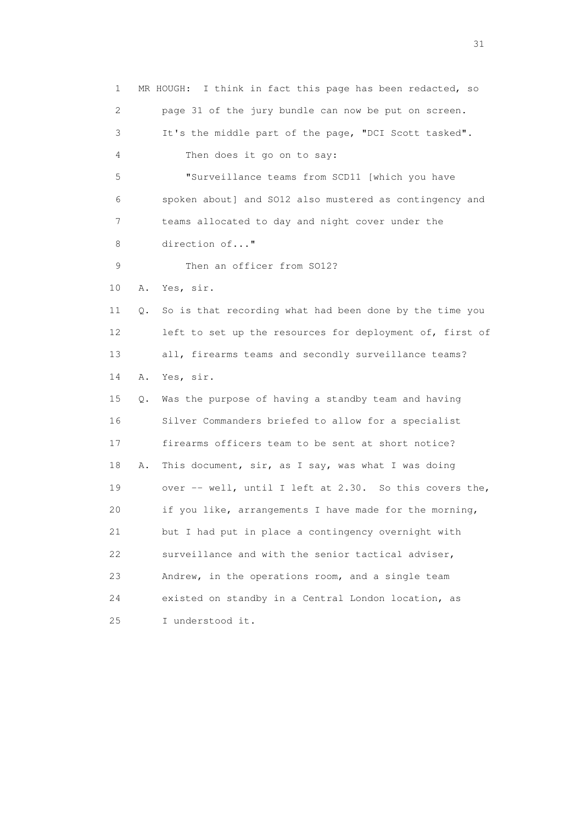1 MR HOUGH: I think in fact this page has been redacted, so 2 page 31 of the jury bundle can now be put on screen. 3 It's the middle part of the page, "DCI Scott tasked". 4 Then does it go on to say: 5 "Surveillance teams from SCD11 [which you have 6 spoken about] and SO12 also mustered as contingency and 7 teams allocated to day and night cover under the 8 direction of..." 9 Then an officer from SO12? 10 A. Yes, sir. 11 Q. So is that recording what had been done by the time you 12 left to set up the resources for deployment of, first of 13 all, firearms teams and secondly surveillance teams? 14 A. Yes, sir. 15 Q. Was the purpose of having a standby team and having 16 Silver Commanders briefed to allow for a specialist 17 firearms officers team to be sent at short notice? 18 A. This document, sir, as I say, was what I was doing 19 over -- well, until I left at 2.30. So this covers the, 20 if you like, arrangements I have made for the morning, 21 but I had put in place a contingency overnight with 22 surveillance and with the senior tactical adviser, 23 Andrew, in the operations room, and a single team 24 existed on standby in a Central London location, as 25 I understood it.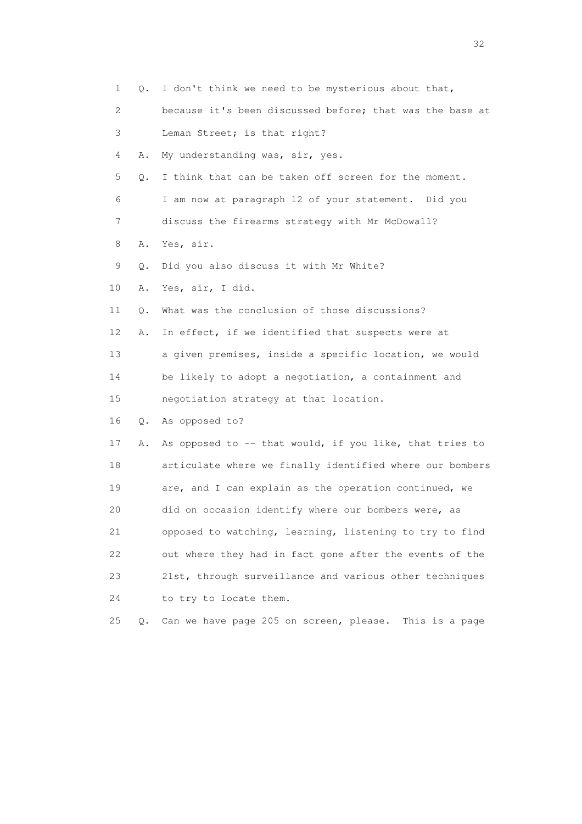| 1  | Q.    | I don't think we need to be mysterious about that,       |
|----|-------|----------------------------------------------------------|
| 2  |       | because it's been discussed before; that was the base at |
| 3  |       | Leman Street; is that right?                             |
| 4  | Α.    | My understanding was, sir, yes.                          |
| 5  | Q.    | I think that can be taken off screen for the moment.     |
| 6  |       | I am now at paragraph 12 of your statement. Did you      |
| 7  |       | discuss the firearms strategy with Mr McDowall?          |
| 8  | Α.    | Yes, sir.                                                |
| 9  | Q.    | Did you also discuss it with Mr White?                   |
| 10 | Α.    | Yes, sir, I did.                                         |
| 11 | Q.    | What was the conclusion of those discussions?            |
| 12 | Α.    | In effect, if we identified that suspects were at        |
| 13 |       | a given premises, inside a specific location, we would   |
| 14 |       | be likely to adopt a negotiation, a containment and      |
| 15 |       | negotiation strategy at that location.                   |
| 16 | Q.    | As opposed to?                                           |
| 17 | Α.    | As opposed to -- that would, if you like, that tries to  |
| 18 |       | articulate where we finally identified where our bombers |
| 19 |       | are, and I can explain as the operation continued, we    |
| 20 |       | did on occasion identify where our bombers were, as      |
| 21 |       | opposed to watching, learning, listening to try to find  |
| 22 |       | out where they had in fact gone after the events of the  |
| 23 |       | 21st, through surveillance and various other techniques  |
| 24 |       | to try to locate them.                                   |
| 25 | $Q$ . | Can we have page 205 on screen, please. This is a page   |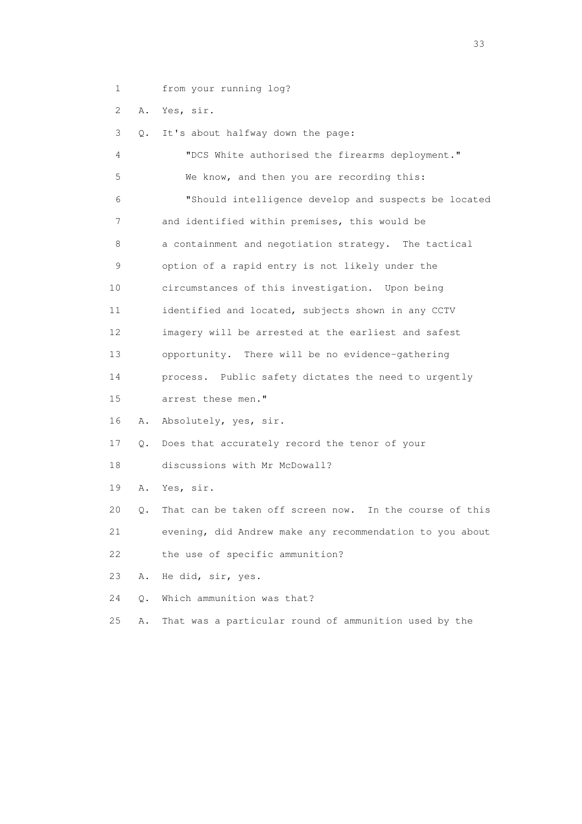1 from your running log?

2 A. Yes, sir.

 3 Q. It's about halfway down the page: 4 "DCS White authorised the firearms deployment." 5 We know, and then you are recording this: 6 "Should intelligence develop and suspects be located 7 and identified within premises, this would be 8 a containment and negotiation strategy. The tactical 9 option of a rapid entry is not likely under the 10 circumstances of this investigation. Upon being 11 identified and located, subjects shown in any CCTV 12 imagery will be arrested at the earliest and safest 13 opportunity. There will be no evidence-gathering 14 process. Public safety dictates the need to urgently 15 arrest these men." 16 A. Absolutely, yes, sir. 17 Q. Does that accurately record the tenor of your 18 discussions with Mr McDowall? 19 A. Yes, sir. 20 Q. That can be taken off screen now. In the course of this 21 evening, did Andrew make any recommendation to you about 22 the use of specific ammunition? 23 A. He did, sir, yes. 24 Q. Which ammunition was that? 25 A. That was a particular round of ammunition used by the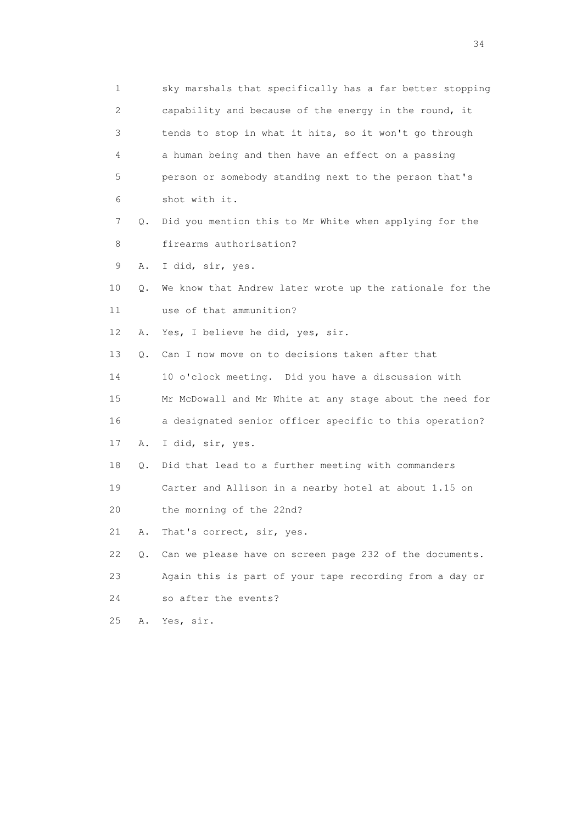|    | 1       | sky marshals that specifically has a far better stopping |
|----|---------|----------------------------------------------------------|
|    | 2       | capability and because of the energy in the round, it    |
|    | 3       | tends to stop in what it hits, so it won't go through    |
|    | 4       | a human being and then have an effect on a passing       |
|    | 5       | person or somebody standing next to the person that's    |
|    | 6       | shot with it.                                            |
|    | 7<br>О. | Did you mention this to Mr White when applying for the   |
|    | 8       | firearms authorisation?                                  |
|    | 9<br>Α. | I did, sir, yes.                                         |
| 10 | Q.      | We know that Andrew later wrote up the rationale for the |
| 11 |         | use of that ammunition?                                  |
| 12 | Α.      | Yes, I believe he did, yes, sir.                         |
| 13 | Q.      | Can I now move on to decisions taken after that          |
| 14 |         | 10 o'clock meeting. Did you have a discussion with       |
| 15 |         | Mr McDowall and Mr White at any stage about the need for |
| 16 |         | a designated senior officer specific to this operation?  |
| 17 | Α.      | I did, sir, yes.                                         |
| 18 | Q.      | Did that lead to a further meeting with commanders       |
| 19 |         | Carter and Allison in a nearby hotel at about 1.15 on    |
| 20 |         | the morning of the 22nd?                                 |
| 21 | Α.      | That's correct, sir, yes.                                |
| 22 | Q.      | Can we please have on screen page 232 of the documents.  |
| 23 |         | Again this is part of your tape recording from a day or  |
| 24 |         | so after the events?                                     |
| 25 | Α.      | Yes, sir.                                                |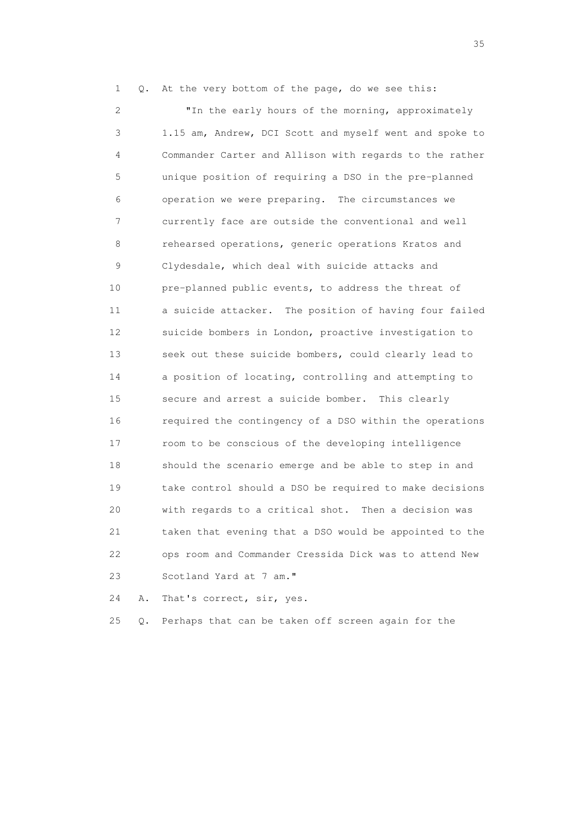1 Q. At the very bottom of the page, do we see this:

 2 "In the early hours of the morning, approximately 3 1.15 am, Andrew, DCI Scott and myself went and spoke to 4 Commander Carter and Allison with regards to the rather 5 unique position of requiring a DSO in the pre-planned 6 operation we were preparing. The circumstances we 7 currently face are outside the conventional and well 8 rehearsed operations, generic operations Kratos and 9 Clydesdale, which deal with suicide attacks and 10 pre-planned public events, to address the threat of 11 a suicide attacker. The position of having four failed 12 suicide bombers in London, proactive investigation to 13 seek out these suicide bombers, could clearly lead to 14 a position of locating, controlling and attempting to 15 secure and arrest a suicide bomber. This clearly 16 required the contingency of a DSO within the operations 17 room to be conscious of the developing intelligence 18 should the scenario emerge and be able to step in and 19 take control should a DSO be required to make decisions 20 with regards to a critical shot. Then a decision was 21 taken that evening that a DSO would be appointed to the 22 ops room and Commander Cressida Dick was to attend New 23 Scotland Yard at 7 am."

24 A. That's correct, sir, yes.

25 Q. Perhaps that can be taken off screen again for the

<u>35</u> and the state of the state of the state of the state of the state of the state of the state of the state of the state of the state of the state of the state of the state of the state of the state of the state of the s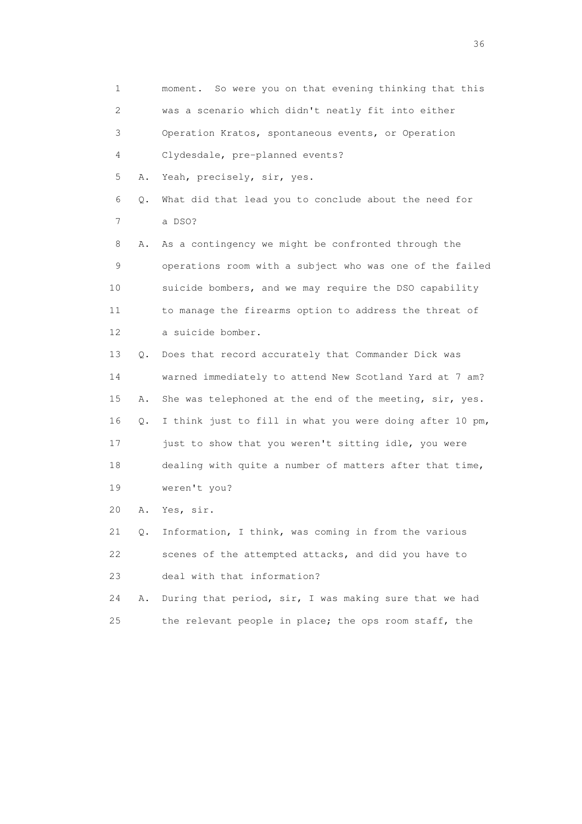1 moment. So were you on that evening thinking that this 2 was a scenario which didn't neatly fit into either 3 Operation Kratos, spontaneous events, or Operation 4 Clydesdale, pre-planned events? 5 A. Yeah, precisely, sir, yes. 6 Q. What did that lead you to conclude about the need for 7 a DSO? 8 A. As a contingency we might be confronted through the 9 operations room with a subject who was one of the failed 10 suicide bombers, and we may require the DSO capability 11 to manage the firearms option to address the threat of 12 a suicide bomber. 13 Q. Does that record accurately that Commander Dick was 14 warned immediately to attend New Scotland Yard at 7 am? 15 A. She was telephoned at the end of the meeting, sir, yes. 16 Q. I think just to fill in what you were doing after 10 pm, 17 just to show that you weren't sitting idle, you were 18 dealing with quite a number of matters after that time, 19 weren't you? 20 A. Yes, sir. 21 Q. Information, I think, was coming in from the various 22 scenes of the attempted attacks, and did you have to 23 deal with that information? 24 A. During that period, sir, I was making sure that we had 25 the relevant people in place; the ops room staff, the

 $36<sup>2</sup>$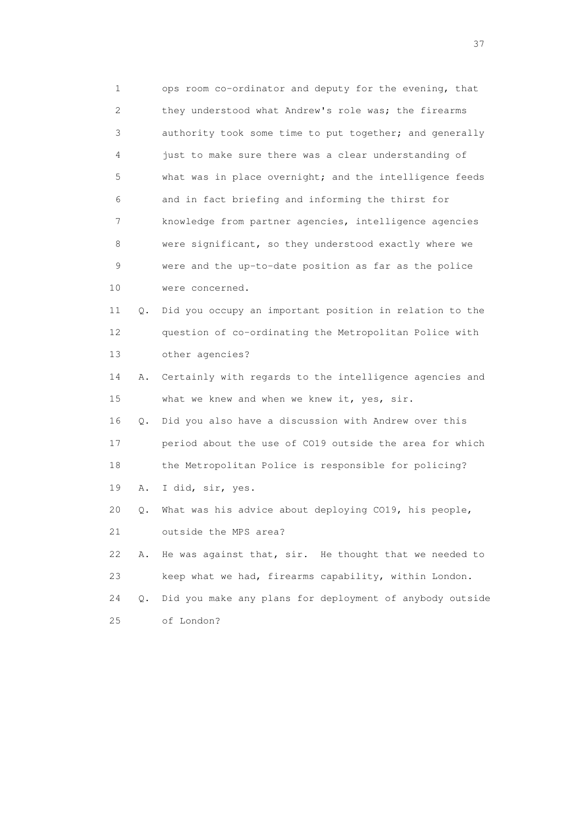1 ops room co-ordinator and deputy for the evening, that 2 they understood what Andrew's role was; the firearms 3 authority took some time to put together; and generally 4 just to make sure there was a clear understanding of 5 what was in place overnight; and the intelligence feeds 6 and in fact briefing and informing the thirst for 7 knowledge from partner agencies, intelligence agencies 8 were significant, so they understood exactly where we 9 were and the up-to-date position as far as the police 10 were concerned. 11 Q. Did you occupy an important position in relation to the 12 question of co-ordinating the Metropolitan Police with 13 other agencies? 14 A. Certainly with regards to the intelligence agencies and 15 what we knew and when we knew it, yes, sir. 16 Q. Did you also have a discussion with Andrew over this 17 period about the use of CO19 outside the area for which 18 the Metropolitan Police is responsible for policing? 19 A. I did, sir, yes. 20 Q. What was his advice about deploying CO19, his people, 21 outside the MPS area? 22 A. He was against that, sir. He thought that we needed to 23 keep what we had, firearms capability, within London.

 24 Q. Did you make any plans for deployment of anybody outside 25 of London?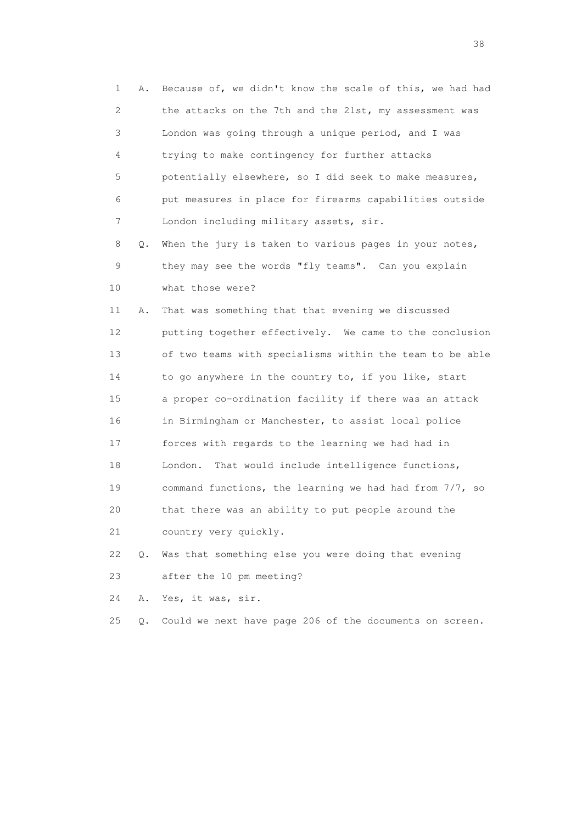1 A. Because of, we didn't know the scale of this, we had had 2 the attacks on the 7th and the 21st, my assessment was 3 London was going through a unique period, and I was 4 trying to make contingency for further attacks 5 potentially elsewhere, so I did seek to make measures, 6 put measures in place for firearms capabilities outside 7 London including military assets, sir. 8 Q. When the jury is taken to various pages in your notes, 9 they may see the words "fly teams". Can you explain 10 what those were? 11 A. That was something that that evening we discussed 12 putting together effectively. We came to the conclusion 13 of two teams with specialisms within the team to be able 14 to go anywhere in the country to, if you like, start 15 a proper co-ordination facility if there was an attack 16 in Birmingham or Manchester, to assist local police 17 forces with regards to the learning we had had in 18 London. That would include intelligence functions, 19 command functions, the learning we had had from 7/7, so 20 that there was an ability to put people around the 21 country very quickly. 22 Q. Was that something else you were doing that evening 23 after the 10 pm meeting?

24 A. Yes, it was, sir.

25 Q. Could we next have page 206 of the documents on screen.

and the state of the state of the state of the state of the state of the state of the state of the state of the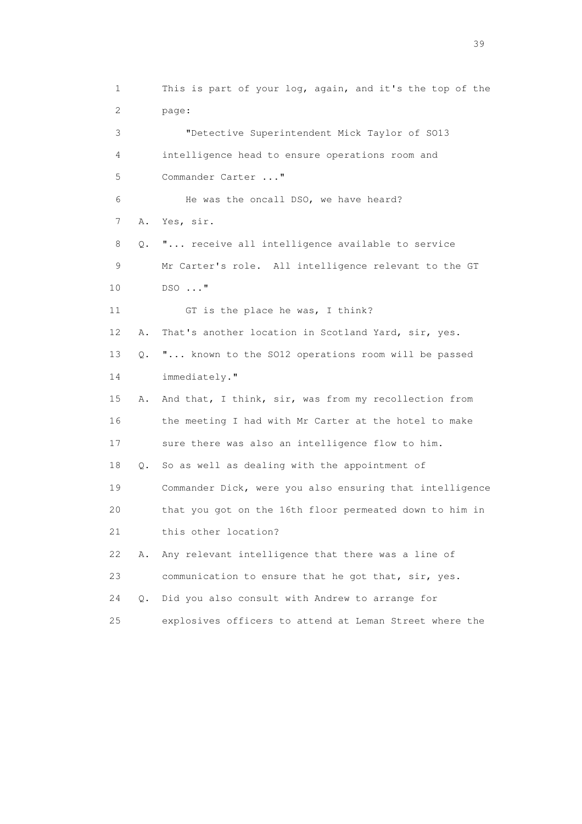1 This is part of your log, again, and it's the top of the 2 page: 3 "Detective Superintendent Mick Taylor of SO13 4 intelligence head to ensure operations room and 5 Commander Carter ..." 6 He was the oncall DSO, we have heard? 7 A. Yes, sir. 8 Q. "... receive all intelligence available to service 9 Mr Carter's role. All intelligence relevant to the GT 10 DSO ..." 11 GT is the place he was, I think? 12 A. That's another location in Scotland Yard, sir, yes. 13 Q. "... known to the SO12 operations room will be passed 14 immediately." 15 A. And that, I think, sir, was from my recollection from 16 the meeting I had with Mr Carter at the hotel to make 17 sure there was also an intelligence flow to him. 18 Q. So as well as dealing with the appointment of 19 Commander Dick, were you also ensuring that intelligence 20 that you got on the 16th floor permeated down to him in 21 this other location? 22 A. Any relevant intelligence that there was a line of 23 communication to ensure that he got that, sir, yes. 24 Q. Did you also consult with Andrew to arrange for 25 explosives officers to attend at Leman Street where the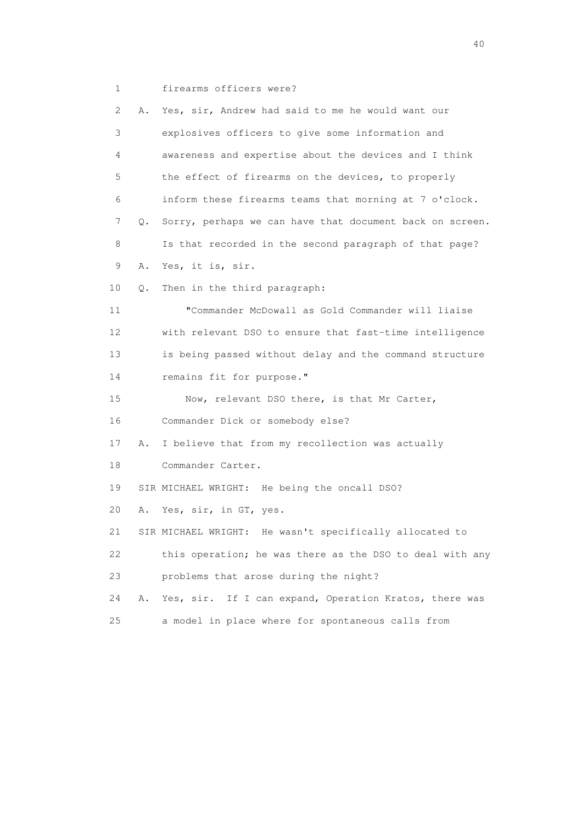1 firearms officers were?

| 2  | Α. | Yes, sir, Andrew had said to me he would want our         |
|----|----|-----------------------------------------------------------|
| 3  |    | explosives officers to give some information and          |
| 4  |    | awareness and expertise about the devices and I think     |
| 5  |    | the effect of firearms on the devices, to properly        |
| 6  |    | inform these firearms teams that morning at 7 o'clock.    |
| 7  | Q. | Sorry, perhaps we can have that document back on screen.  |
| 8  |    | Is that recorded in the second paragraph of that page?    |
| 9  | Α. | Yes, it is, sir.                                          |
| 10 | Q. | Then in the third paragraph:                              |
| 11 |    | "Commander McDowall as Gold Commander will liaise         |
| 12 |    | with relevant DSO to ensure that fast-time intelligence   |
| 13 |    | is being passed without delay and the command structure   |
| 14 |    | remains fit for purpose."                                 |
| 15 |    | Now, relevant DSO there, is that Mr Carter,               |
| 16 |    | Commander Dick or somebody else?                          |
| 17 | Α. | I believe that from my recollection was actually          |
| 18 |    | Commander Carter.                                         |
| 19 |    | SIR MICHAEL WRIGHT: He being the oncall DSO?              |
| 20 | Α. | Yes, sir, in GT, yes.                                     |
| 21 |    | SIR MICHAEL WRIGHT: He wasn't specifically allocated to   |
| 22 |    | this operation; he was there as the DSO to deal with any  |
| 23 |    | problems that arose during the night?                     |
| 24 | Α. | If I can expand, Operation Kratos, there was<br>Yes, sir. |
| 25 |    | a model in place where for spontaneous calls from         |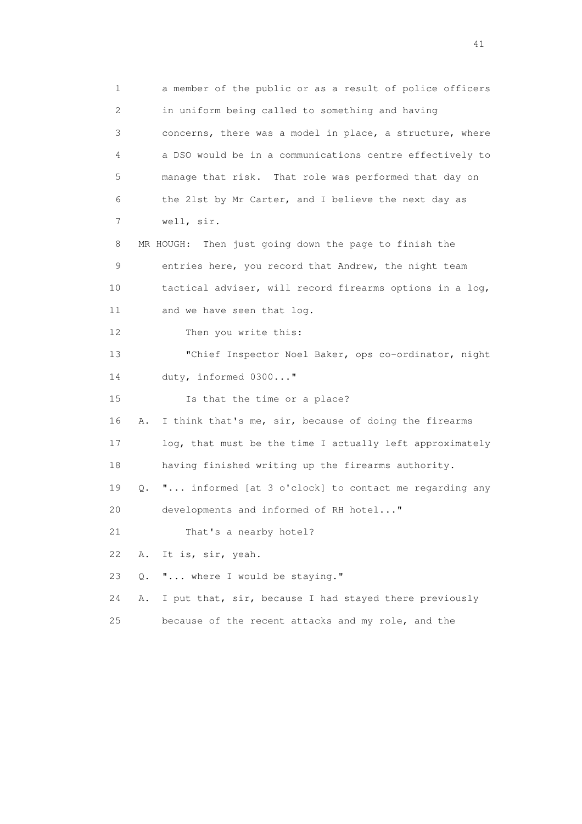1 a member of the public or as a result of police officers 2 in uniform being called to something and having 3 concerns, there was a model in place, a structure, where 4 a DSO would be in a communications centre effectively to 5 manage that risk. That role was performed that day on 6 the 21st by Mr Carter, and I believe the next day as 7 well, sir. 8 MR HOUGH: Then just going down the page to finish the 9 entries here, you record that Andrew, the night team 10 tactical adviser, will record firearms options in a log, 11 and we have seen that log. 12 Then you write this: 13 "Chief Inspector Noel Baker, ops co-ordinator, night 14 duty, informed 0300..." 15 Is that the time or a place? 16 A. I think that's me, sir, because of doing the firearms 17 log, that must be the time I actually left approximately 18 having finished writing up the firearms authority. 19 Q. "... informed [at 3 o'clock] to contact me regarding any 20 developments and informed of RH hotel..." 21 That's a nearby hotel? 22 A. It is, sir, yeah. 23 Q. "... where I would be staying." 24 A. I put that, sir, because I had stayed there previously 25 because of the recent attacks and my role, and the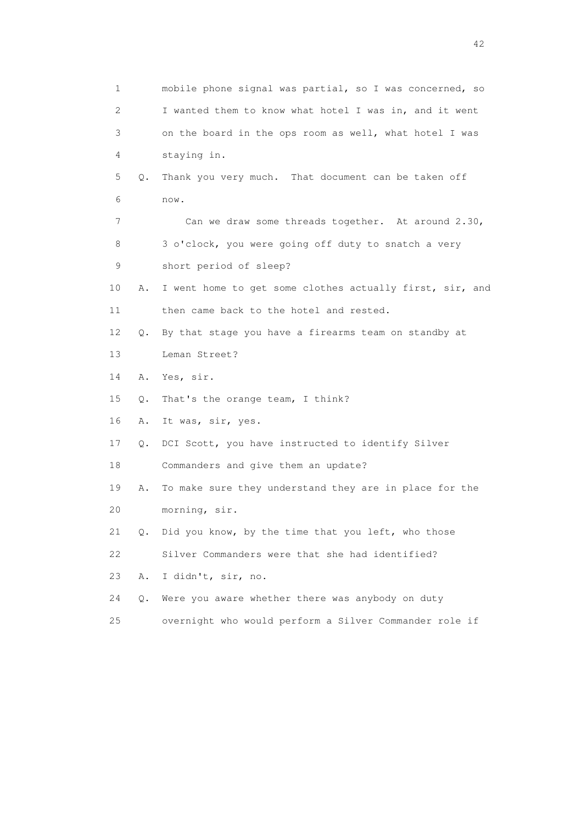1 mobile phone signal was partial, so I was concerned, so 2 I wanted them to know what hotel I was in, and it went 3 on the board in the ops room as well, what hotel I was 4 staying in. 5 Q. Thank you very much. That document can be taken off 6 now. 7 Can we draw some threads together. At around 2.30, 8 3 o'clock, you were going off duty to snatch a very 9 short period of sleep? 10 A. I went home to get some clothes actually first, sir, and 11 then came back to the hotel and rested. 12 Q. By that stage you have a firearms team on standby at 13 Leman Street? 14 A. Yes, sir. 15 Q. That's the orange team, I think? 16 A. It was, sir, yes. 17 Q. DCI Scott, you have instructed to identify Silver 18 Commanders and give them an update? 19 A. To make sure they understand they are in place for the 20 morning, sir. 21 Q. Did you know, by the time that you left, who those 22 Silver Commanders were that she had identified? 23 A. I didn't, sir, no. 24 Q. Were you aware whether there was anybody on duty 25 overnight who would perform a Silver Commander role if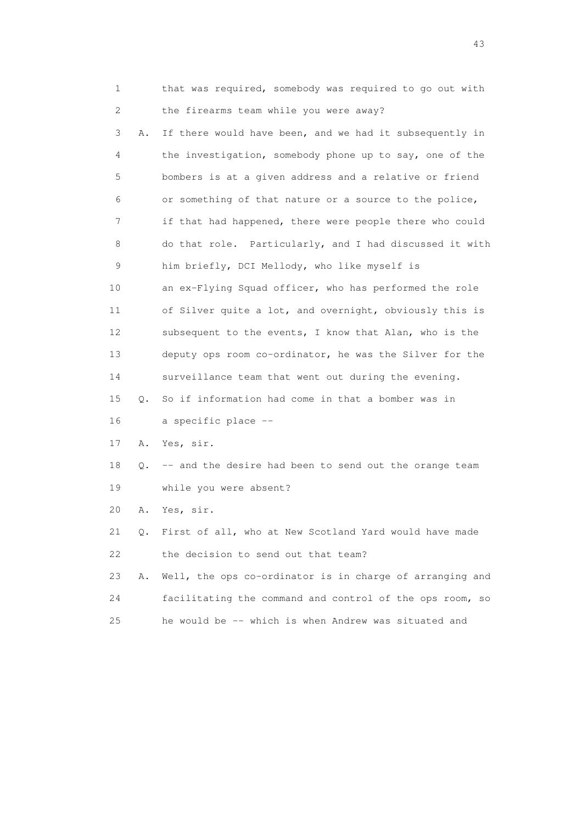1 that was required, somebody was required to go out with 2 the firearms team while you were away?

 3 A. If there would have been, and we had it subsequently in 4 the investigation, somebody phone up to say, one of the 5 bombers is at a given address and a relative or friend 6 or something of that nature or a source to the police, 7 if that had happened, there were people there who could 8 do that role. Particularly, and I had discussed it with 9 him briefly, DCI Mellody, who like myself is 10 an ex-Flying Squad officer, who has performed the role 11 of Silver quite a lot, and overnight, obviously this is 12 subsequent to the events, I know that Alan, who is the 13 deputy ops room co-ordinator, he was the Silver for the 14 surveillance team that went out during the evening. 15 Q. So if information had come in that a bomber was in 16 a specific place -- 17 A. Yes, sir. 18 Q. -- and the desire had been to send out the orange team

19 while you were absent?

20 A. Yes, sir.

 21 Q. First of all, who at New Scotland Yard would have made 22 the decision to send out that team?

 23 A. Well, the ops co-ordinator is in charge of arranging and 24 facilitating the command and control of the ops room, so 25 he would be -- which is when Andrew was situated and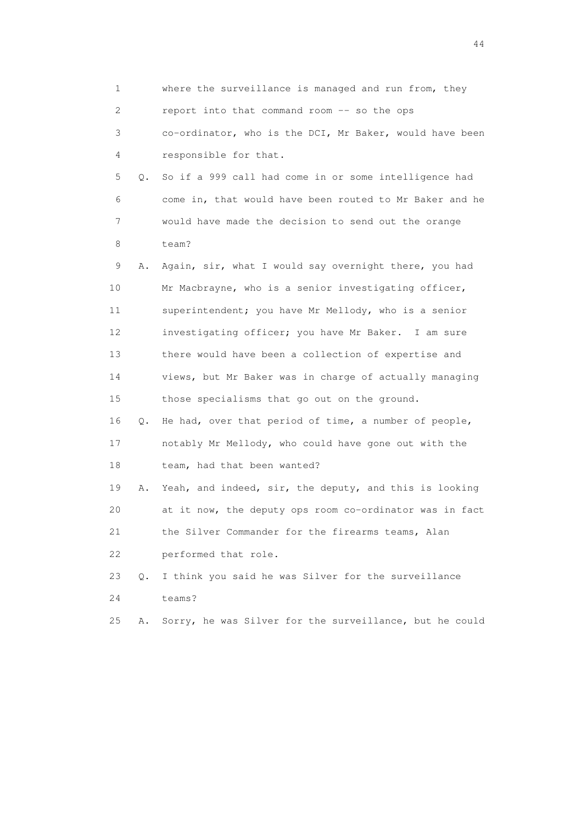1 where the surveillance is managed and run from, they 2 report into that command room -- so the ops 3 co-ordinator, who is the DCI, Mr Baker, would have been 4 responsible for that. 5 Q. So if a 999 call had come in or some intelligence had 6 come in, that would have been routed to Mr Baker and he 7 would have made the decision to send out the orange 8 team? 9 A. Again, sir, what I would say overnight there, you had 10 Mr Macbrayne, who is a senior investigating officer, 11 superintendent; you have Mr Mellody, who is a senior 12 investigating officer; you have Mr Baker. I am sure 13 there would have been a collection of expertise and 14 views, but Mr Baker was in charge of actually managing 15 those specialisms that go out on the ground. 16 Q. He had, over that period of time, a number of people, 17 notably Mr Mellody, who could have gone out with the 18 team, had that been wanted? 19 A. Yeah, and indeed, sir, the deputy, and this is looking 20 at it now, the deputy ops room co-ordinator was in fact 21 the Silver Commander for the firearms teams, Alan 22 performed that role. 23 Q. I think you said he was Silver for the surveillance 24 teams? 25 A. Sorry, he was Silver for the surveillance, but he could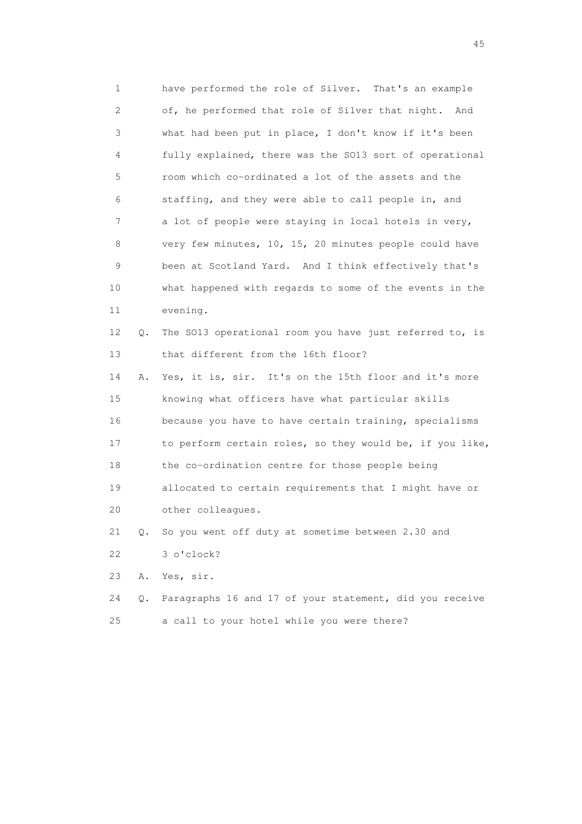1 have performed the role of Silver. That's an example 2 of, he performed that role of Silver that night. And 3 what had been put in place, I don't know if it's been 4 fully explained, there was the SO13 sort of operational 5 room which co-ordinated a lot of the assets and the 6 staffing, and they were able to call people in, and 7 a lot of people were staying in local hotels in very, 8 very few minutes, 10, 15, 20 minutes people could have 9 been at Scotland Yard. And I think effectively that's 10 what happened with regards to some of the events in the 11 evening. 12 Q. The SO13 operational room you have just referred to, is

13 that different from the 16th floor?

 14 A. Yes, it is, sir. It's on the 15th floor and it's more 15 knowing what officers have what particular skills 16 because you have to have certain training, specialisms 17 to perform certain roles, so they would be, if you like, 18 the co-ordination centre for those people being 19 allocated to certain requirements that I might have or 20 other colleagues.

21 Q. So you went off duty at sometime between 2.30 and

22 3 o'clock?

23 A. Yes, sir.

 24 Q. Paragraphs 16 and 17 of your statement, did you receive 25 a call to your hotel while you were there?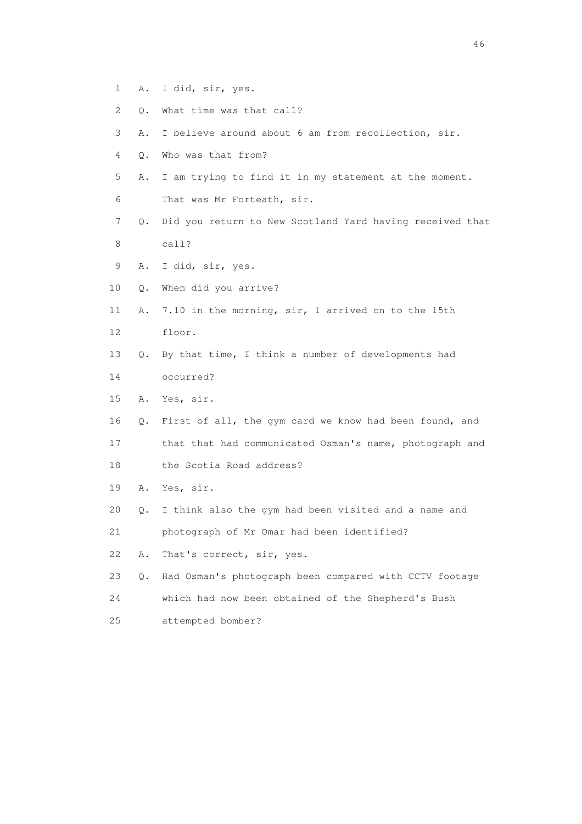- 1 A. I did, sir, yes.
- 2 Q. What time was that call?
- 3 A. I believe around about 6 am from recollection, sir.
- 4 Q. Who was that from?
- 5 A. I am trying to find it in my statement at the moment.
- 6 That was Mr Forteath, sir.
- 7 Q. Did you return to New Scotland Yard having received that 8 call?
- 9 A. I did, sir, yes.
- 10 Q. When did you arrive?
- 11 A. 7.10 in the morning, sir, I arrived on to the 15th 12 floor.
- 13 Q. By that time, I think a number of developments had
- 14 occurred?
- 15 A. Yes, sir.
- 16 Q. First of all, the gym card we know had been found, and
- 17 that that had communicated Osman's name, photograph and
- 18 the Scotia Road address?
- 19 A. Yes, sir.
- 20 Q. I think also the gym had been visited and a name and
- 21 photograph of Mr Omar had been identified?
- 22 A. That's correct, sir, yes.
- 23 Q. Had Osman's photograph been compared with CCTV footage
- 24 which had now been obtained of the Shepherd's Bush
- 25 attempted bomber?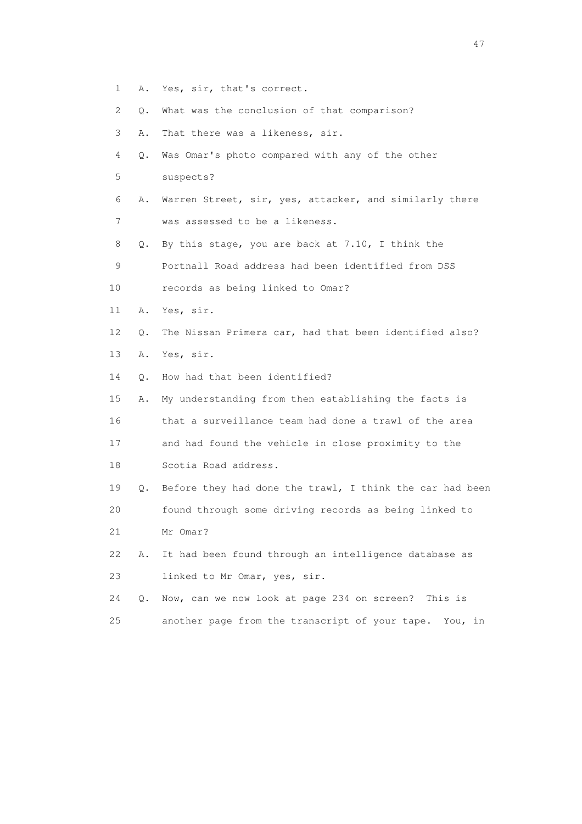- 1 A. Yes, sir, that's correct.
- 2 Q. What was the conclusion of that comparison?
- 3 A. That there was a likeness, sir.
- 4 Q. Was Omar's photo compared with any of the other
- 5 suspects?
- 6 A. Warren Street, sir, yes, attacker, and similarly there 7 was assessed to be a likeness.
- 8 Q. By this stage, you are back at 7.10, I think the

9 Portnall Road address had been identified from DSS

- 10 records as being linked to Omar?
- 11 A. Yes, sir.
- 12 Q. The Nissan Primera car, had that been identified also?
- 13 A. Yes, sir.

14 Q. How had that been identified?

 15 A. My understanding from then establishing the facts is 16 that a surveillance team had done a trawl of the area 17 and had found the vehicle in close proximity to the 18 Scotia Road address.

 19 Q. Before they had done the trawl, I think the car had been 20 found through some driving records as being linked to 21 Mr Omar?

 22 A. It had been found through an intelligence database as 23 linked to Mr Omar, yes, sir.

 24 Q. Now, can we now look at page 234 on screen? This is 25 another page from the transcript of your tape. You, in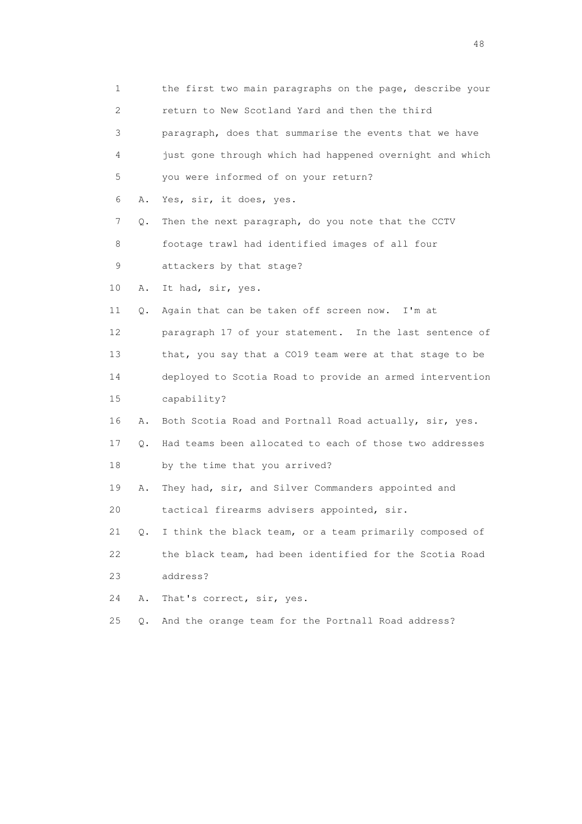1 the first two main paragraphs on the page, describe your 2 return to New Scotland Yard and then the third 3 paragraph, does that summarise the events that we have 4 just gone through which had happened overnight and which 5 you were informed of on your return? 6 A. Yes, sir, it does, yes. 7 Q. Then the next paragraph, do you note that the CCTV 8 footage trawl had identified images of all four 9 attackers by that stage? 10 A. It had, sir, yes. 11 Q. Again that can be taken off screen now. I'm at 12 paragraph 17 of your statement. In the last sentence of 13 that, you say that a CO19 team were at that stage to be 14 deployed to Scotia Road to provide an armed intervention 15 capability? 16 A. Both Scotia Road and Portnall Road actually, sir, yes. 17 Q. Had teams been allocated to each of those two addresses 18 by the time that you arrived? 19 A. They had, sir, and Silver Commanders appointed and 20 tactical firearms advisers appointed, sir. 21 Q. I think the black team, or a team primarily composed of 22 the black team, had been identified for the Scotia Road 23 address? 24 A. That's correct, sir, yes. 25 Q. And the orange team for the Portnall Road address?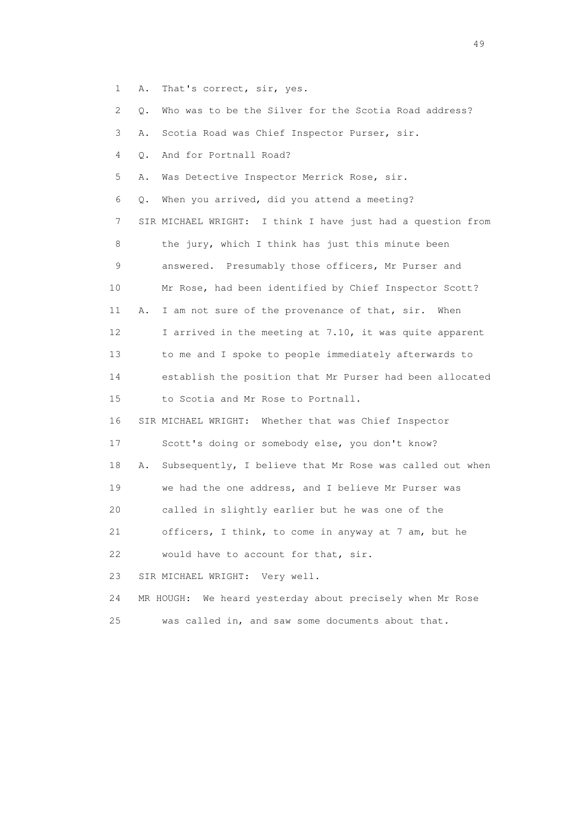- 1 A. That's correct, sir, yes.
- 2 Q. Who was to be the Silver for the Scotia Road address?
- 3 A. Scotia Road was Chief Inspector Purser, sir.
- 4 Q. And for Portnall Road?
- 5 A. Was Detective Inspector Merrick Rose, sir.
- 6 Q. When you arrived, did you attend a meeting? 7 SIR MICHAEL WRIGHT: I think I have just had a question from 8 the jury, which I think has just this minute been 9 answered. Presumably those officers, Mr Purser and 10 Mr Rose, had been identified by Chief Inspector Scott? 11 A. I am not sure of the provenance of that, sir. When 12 I arrived in the meeting at 7.10, it was quite apparent 13 to me and I spoke to people immediately afterwards to 14 establish the position that Mr Purser had been allocated 15 to Scotia and Mr Rose to Portnall.
- 16 SIR MICHAEL WRIGHT: Whether that was Chief Inspector
- 17 Scott's doing or somebody else, you don't know?
- 18 A. Subsequently, I believe that Mr Rose was called out when
- 19 we had the one address, and I believe Mr Purser was
- 20 called in slightly earlier but he was one of the
- 21 officers, I think, to come in anyway at 7 am, but he

22 would have to account for that, sir.

- 23 SIR MICHAEL WRIGHT: Very well.
- 24 MR HOUGH: We heard yesterday about precisely when Mr Rose 25 was called in, and saw some documents about that.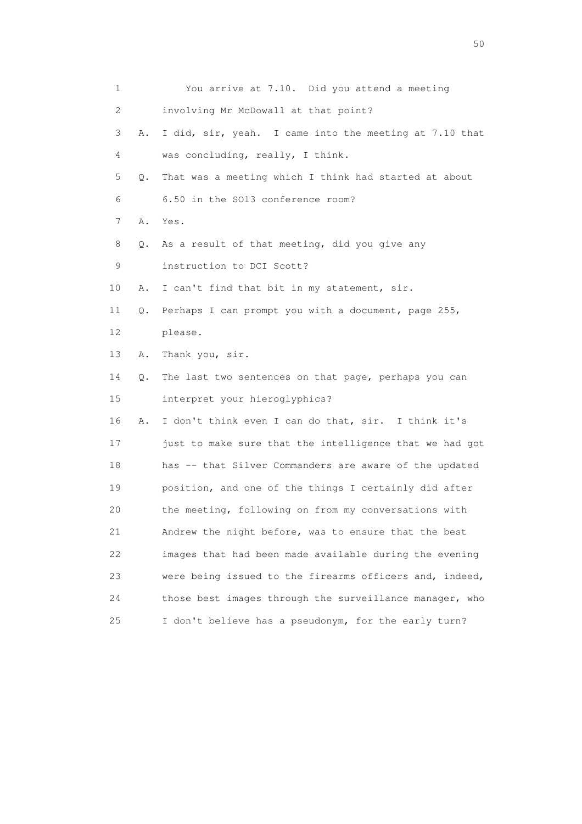| 1  |    | You arrive at 7.10. Did you attend a meeting            |
|----|----|---------------------------------------------------------|
| 2  |    | involving Mr McDowall at that point?                    |
| 3  | Α. | I did, sir, yeah. I came into the meeting at 7.10 that  |
| 4  |    | was concluding, really, I think.                        |
| 5  | Q. | That was a meeting which I think had started at about   |
| 6  |    | 6.50 in the SO13 conference room?                       |
| 7  | Α. | Yes.                                                    |
| 8  | Q. | As a result of that meeting, did you give any           |
| 9  |    | instruction to DCI Scott?                               |
| 10 | Α. | I can't find that bit in my statement, sir.             |
| 11 | Q. | Perhaps I can prompt you with a document, page 255,     |
| 12 |    | please.                                                 |
| 13 | Α. | Thank you, sir.                                         |
| 14 | Q. | The last two sentences on that page, perhaps you can    |
| 15 |    | interpret your hieroglyphics?                           |
| 16 | Α. | I don't think even I can do that, sir. I think it's     |
| 17 |    | just to make sure that the intelligence that we had got |
| 18 |    | has -- that Silver Commanders are aware of the updated  |
| 19 |    | position, and one of the things I certainly did after   |
| 20 |    | the meeting, following on from my conversations with    |
| 21 |    | Andrew the night before, was to ensure that the best    |
| 22 |    | images that had been made available during the evening  |
| 23 |    | were being issued to the firearms officers and, indeed, |
| 24 |    | those best images through the surveillance manager, who |
| 25 |    | I don't believe has a pseudonym, for the early turn?    |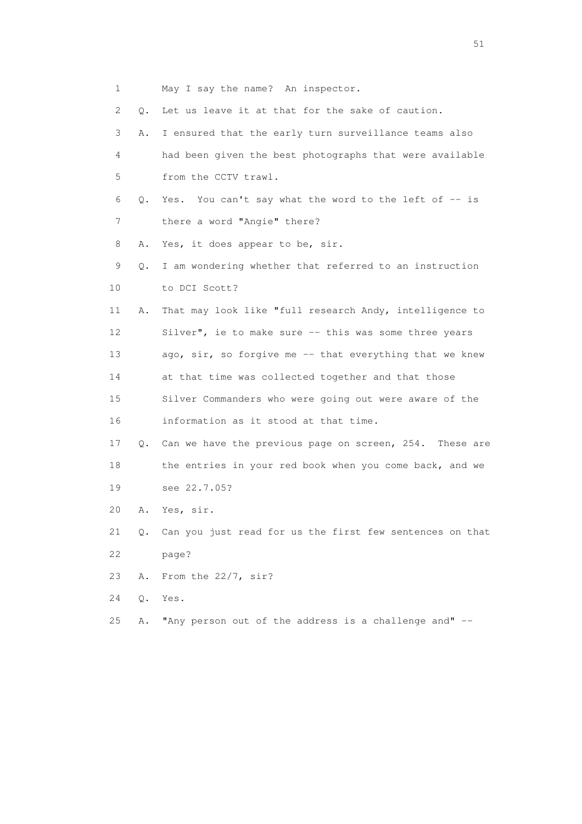- 1 May I say the name? An inspector. 2 Q. Let us leave it at that for the sake of caution. 3 A. I ensured that the early turn surveillance teams also 4 had been given the best photographs that were available 5 from the CCTV trawl. 6 Q. Yes. You can't say what the word to the left of -- is 7 there a word "Angie" there? 8 A. Yes, it does appear to be, sir. 9 Q. I am wondering whether that referred to an instruction 10 to DCI Scott? 11 A. That may look like "full research Andy, intelligence to 12 Silver", ie to make sure -- this was some three years 13 ago, sir, so forgive me -- that everything that we knew 14 at that time was collected together and that those 15 Silver Commanders who were going out were aware of the 16 information as it stood at that time. 17 Q. Can we have the previous page on screen, 254. These are 18 the entries in your red book when you come back, and we 19 see 22.7.05? 20 A. Yes, sir. 21 Q. Can you just read for us the first few sentences on that 22 page? 23 A. From the 22/7, sir? 24 Q. Yes.
- 25 A. "Any person out of the address is a challenge and" --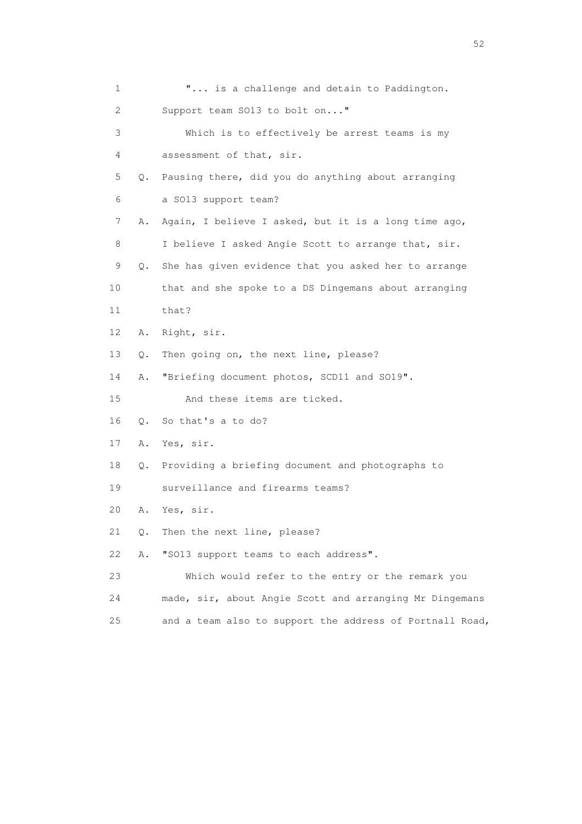| 1  |           | " is a challenge and detain to Paddington.               |
|----|-----------|----------------------------------------------------------|
| 2  |           | Support team SO13 to bolt on"                            |
| 3  |           | Which is to effectively be arrest teams is my            |
| 4  |           | assessment of that, sir.                                 |
| 5  | Q.        | Pausing there, did you do anything about arranging       |
| 6  |           | a SO13 support team?                                     |
| 7  | Α.        | Again, I believe I asked, but it is a long time ago,     |
| 8  |           | I believe I asked Angie Scott to arrange that, sir.      |
| 9  | Q.        | She has given evidence that you asked her to arrange     |
| 10 |           | that and she spoke to a DS Dingemans about arranging     |
| 11 |           | that?                                                    |
| 12 | Α.        | Right, sir.                                              |
| 13 | Q.        | Then going on, the next line, please?                    |
| 14 | Α.        | "Briefing document photos, SCD11 and SO19".              |
| 15 |           | And these items are ticked.                              |
| 16 | $\circ$ . | So that's a to do?                                       |
| 17 | Α.        | Yes, sir.                                                |
| 18 | Q.        | Providing a briefing document and photographs to         |
| 19 |           | surveillance and firearms teams?                         |
| 20 | Α.        | Yes, sir.                                                |
| 21 | Q.        | Then the next line, please?                              |
| 22 | Α.        | "SO13 support teams to each address".                    |
| 23 |           | Which would refer to the entry or the remark you         |
| 24 |           | made, sir, about Angie Scott and arranging Mr Dingemans  |
| 25 |           | and a team also to support the address of Portnall Road, |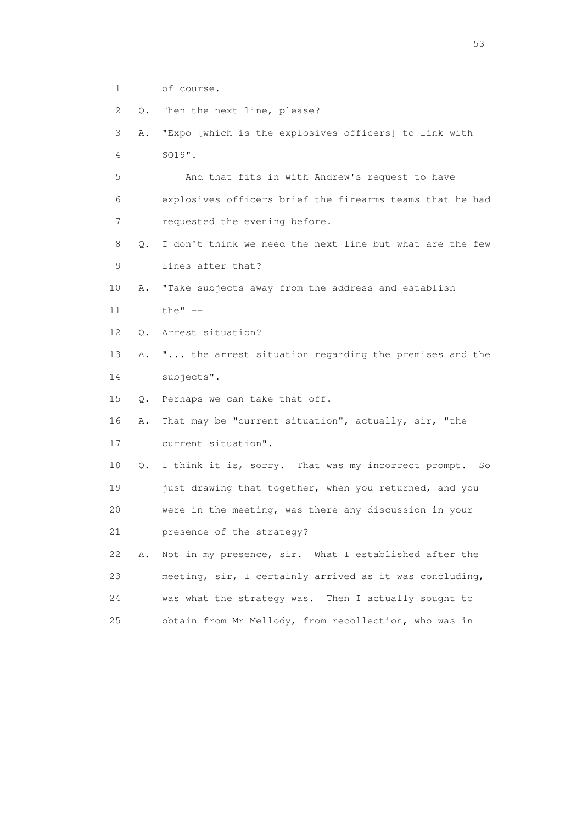- 1 of course.
- 2 Q. Then the next line, please?
- 3 A. "Expo [which is the explosives officers] to link with 4 SO19".

 5 And that fits in with Andrew's request to have 6 explosives officers brief the firearms teams that he had 7 requested the evening before.

- 8 Q. I don't think we need the next line but what are the few 9 lines after that?
- 10 A. "Take subjects away from the address and establish
- 11 the" --
- 12 Q. Arrest situation?
- 13 A. "... the arrest situation regarding the premises and the 14 subjects".
- 15 Q. Perhaps we can take that off.
- 16 A. That may be "current situation", actually, sir, "the 17 current situation".

 18 Q. I think it is, sorry. That was my incorrect prompt. So 19 just drawing that together, when you returned, and you 20 were in the meeting, was there any discussion in your 21 presence of the strategy?

 22 A. Not in my presence, sir. What I established after the 23 meeting, sir, I certainly arrived as it was concluding, 24 was what the strategy was. Then I actually sought to 25 obtain from Mr Mellody, from recollection, who was in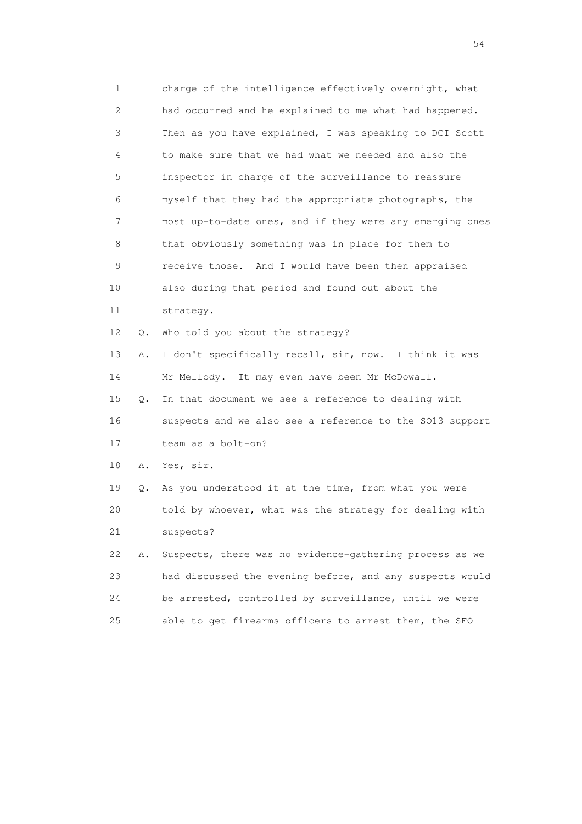1 charge of the intelligence effectively overnight, what 2 had occurred and he explained to me what had happened. 3 Then as you have explained, I was speaking to DCI Scott 4 to make sure that we had what we needed and also the 5 inspector in charge of the surveillance to reassure 6 myself that they had the appropriate photographs, the 7 most up-to-date ones, and if they were any emerging ones 8 that obviously something was in place for them to 9 receive those. And I would have been then appraised 10 also during that period and found out about the 11 strategy. 12 Q. Who told you about the strategy? 13 A. I don't specifically recall, sir, now. I think it was 14 Mr Mellody. It may even have been Mr McDowall. 15 Q. In that document we see a reference to dealing with 16 suspects and we also see a reference to the SO13 support 17 team as a bolt-on? 18 A. Yes, sir. 19 Q. As you understood it at the time, from what you were 20 told by whoever, what was the strategy for dealing with 21 suspects? 22 A. Suspects, there was no evidence-gathering process as we 23 had discussed the evening before, and any suspects would 24 be arrested, controlled by surveillance, until we were 25 able to get firearms officers to arrest them, the SFO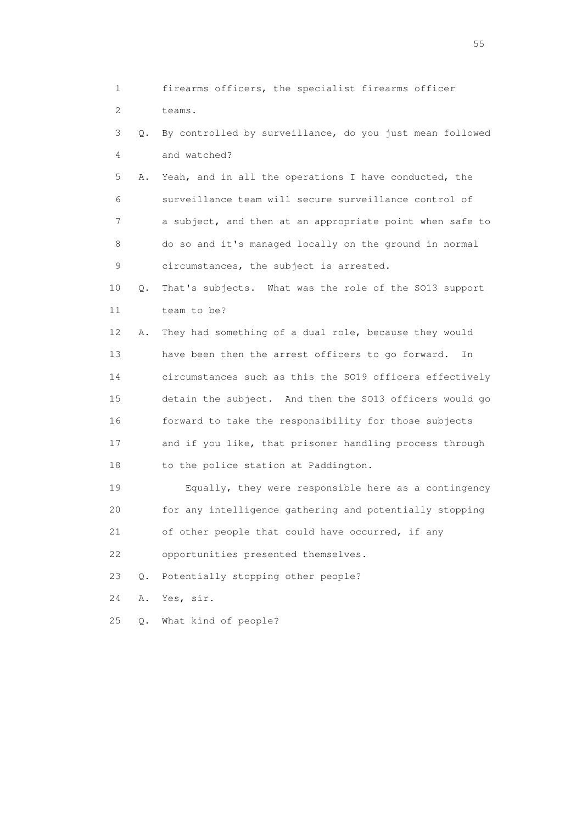1 firearms officers, the specialist firearms officer 2 teams. 3 Q. By controlled by surveillance, do you just mean followed 4 and watched? 5 A. Yeah, and in all the operations I have conducted, the 6 surveillance team will secure surveillance control of 7 a subject, and then at an appropriate point when safe to 8 do so and it's managed locally on the ground in normal 9 circumstances, the subject is arrested. 10 Q. That's subjects. What was the role of the SO13 support 11 team to be? 12 A. They had something of a dual role, because they would 13 have been then the arrest officers to go forward. In 14 circumstances such as this the SO19 officers effectively 15 detain the subject. And then the SO13 officers would go 16 forward to take the responsibility for those subjects 17 and if you like, that prisoner handling process through 18 to the police station at Paddington. 19 Equally, they were responsible here as a contingency 20 for any intelligence gathering and potentially stopping 21 of other people that could have occurred, if any 22 opportunities presented themselves. 23 Q. Potentially stopping other people? 24 A. Yes, sir. 25 Q. What kind of people?

the state of the state of the state of the state of the state of the state of the state of the state of the state of the state of the state of the state of the state of the state of the state of the state of the state of t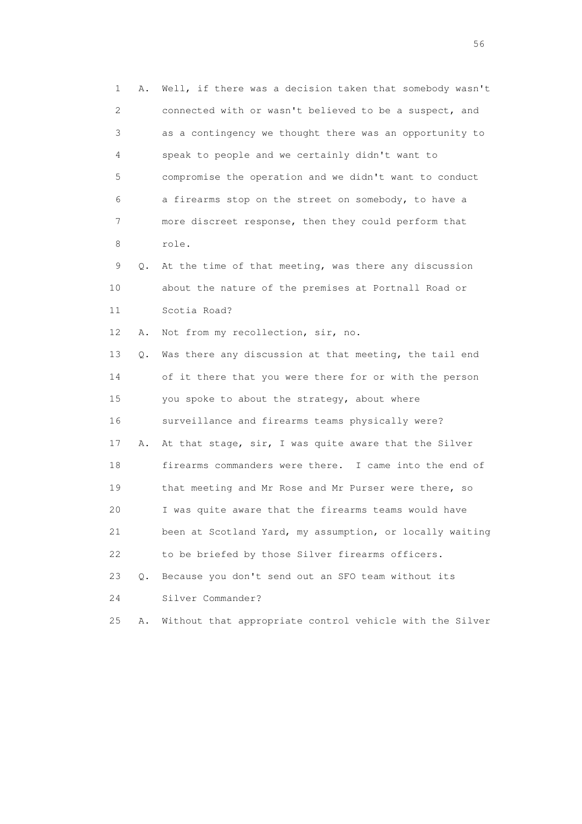1 A. Well, if there was a decision taken that somebody wasn't 2 connected with or wasn't believed to be a suspect, and 3 as a contingency we thought there was an opportunity to 4 speak to people and we certainly didn't want to 5 compromise the operation and we didn't want to conduct 6 a firearms stop on the street on somebody, to have a 7 more discreet response, then they could perform that 8 role. 9 Q. At the time of that meeting, was there any discussion 10 about the nature of the premises at Portnall Road or 11 Scotia Road? 12 A. Not from my recollection, sir, no. 13 Q. Was there any discussion at that meeting, the tail end 14 of it there that you were there for or with the person 15 you spoke to about the strategy, about where 16 surveillance and firearms teams physically were? 17 A. At that stage, sir, I was quite aware that the Silver 18 firearms commanders were there. I came into the end of 19 that meeting and Mr Rose and Mr Purser were there, so 20 I was quite aware that the firearms teams would have 21 been at Scotland Yard, my assumption, or locally waiting 22 to be briefed by those Silver firearms officers. 23 Q. Because you don't send out an SFO team without its 24 Silver Commander? 25 A. Without that appropriate control vehicle with the Silver

 $56<sup>o</sup>$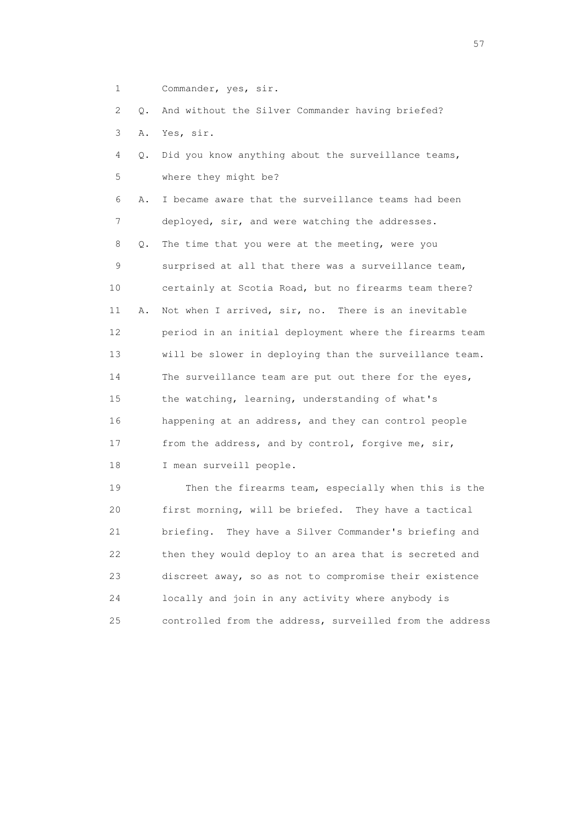1 Commander, yes, sir.

2 Q. And without the Silver Commander having briefed?

- 3 A. Yes, sir.
- 4 Q. Did you know anything about the surveillance teams, 5 where they might be?

 6 A. I became aware that the surveillance teams had been 7 deployed, sir, and were watching the addresses. 8 Q. The time that you were at the meeting, were you 9 surprised at all that there was a surveillance team, 10 certainly at Scotia Road, but no firearms team there? 11 A. Not when I arrived, sir, no. There is an inevitable 12 period in an initial deployment where the firearms team 13 will be slower in deploying than the surveillance team. 14 The surveillance team are put out there for the eyes, 15 the watching, learning, understanding of what's

 16 happening at an address, and they can control people 17 from the address, and by control, forgive me, sir, 18 I mean surveill people.

 19 Then the firearms team, especially when this is the 20 first morning, will be briefed. They have a tactical 21 briefing. They have a Silver Commander's briefing and 22 then they would deploy to an area that is secreted and 23 discreet away, so as not to compromise their existence 24 locally and join in any activity where anybody is 25 controlled from the address, surveilled from the address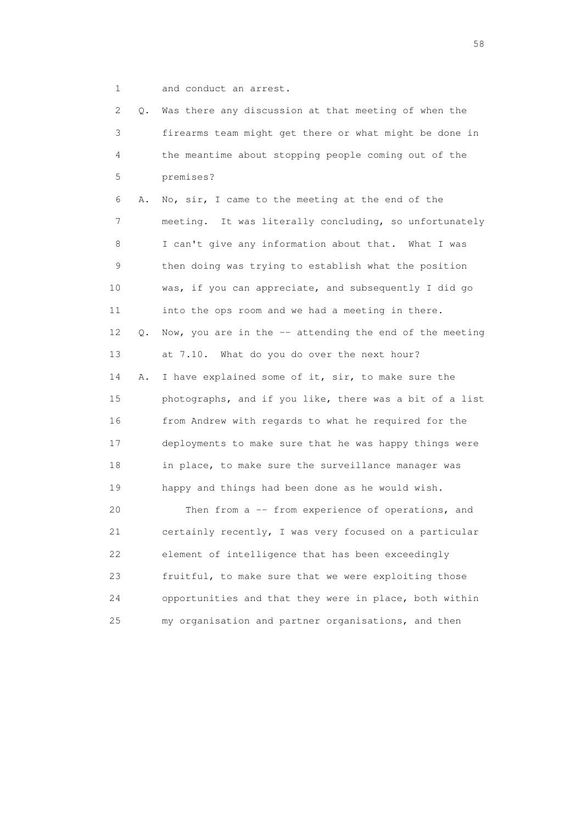1 and conduct an arrest.

 2 Q. Was there any discussion at that meeting of when the 3 firearms team might get there or what might be done in 4 the meantime about stopping people coming out of the 5 premises? 6 A. No, sir, I came to the meeting at the end of the 7 meeting. It was literally concluding, so unfortunately 8 I can't give any information about that. What I was 9 then doing was trying to establish what the position 10 was, if you can appreciate, and subsequently I did go 11 into the ops room and we had a meeting in there. 12 Q. Now, you are in the -- attending the end of the meeting 13 at 7.10. What do you do over the next hour? 14 A. I have explained some of it, sir, to make sure the 15 photographs, and if you like, there was a bit of a list 16 from Andrew with regards to what he required for the 17 deployments to make sure that he was happy things were 18 in place, to make sure the surveillance manager was 19 happy and things had been done as he would wish. 20 Then from a -- from experience of operations, and 21 certainly recently, I was very focused on a particular 22 element of intelligence that has been exceedingly 23 fruitful, to make sure that we were exploiting those 24 opportunities and that they were in place, both within 25 my organisation and partner organisations, and then

the state of the state of the state of the state of the state of the state of the state of the state of the state of the state of the state of the state of the state of the state of the state of the state of the state of t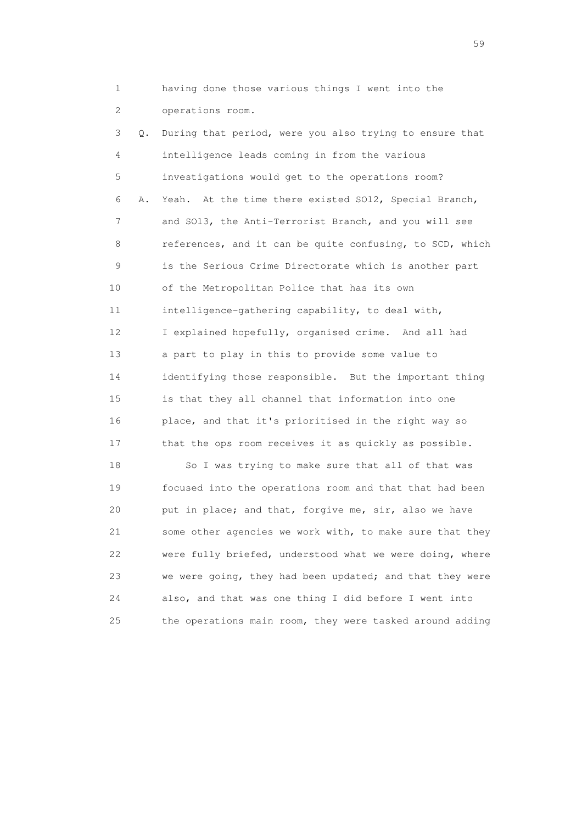1 having done those various things I went into the 2 operations room.

 3 Q. During that period, were you also trying to ensure that 4 intelligence leads coming in from the various 5 investigations would get to the operations room? 6 A. Yeah. At the time there existed SO12, Special Branch, 7 and SO13, the Anti-Terrorist Branch, and you will see 8 references, and it can be quite confusing, to SCD, which 9 is the Serious Crime Directorate which is another part 10 of the Metropolitan Police that has its own 11 intelligence-gathering capability, to deal with, 12 I explained hopefully, organised crime. And all had 13 a part to play in this to provide some value to 14 identifying those responsible. But the important thing 15 is that they all channel that information into one 16 place, and that it's prioritised in the right way so 17 that the ops room receives it as quickly as possible.

 18 So I was trying to make sure that all of that was 19 focused into the operations room and that that had been 20 put in place; and that, forgive me, sir, also we have 21 some other agencies we work with, to make sure that they 22 were fully briefed, understood what we were doing, where 23 we were going, they had been updated; and that they were 24 also, and that was one thing I did before I went into 25 the operations main room, they were tasked around adding

 $59<sub>2</sub>$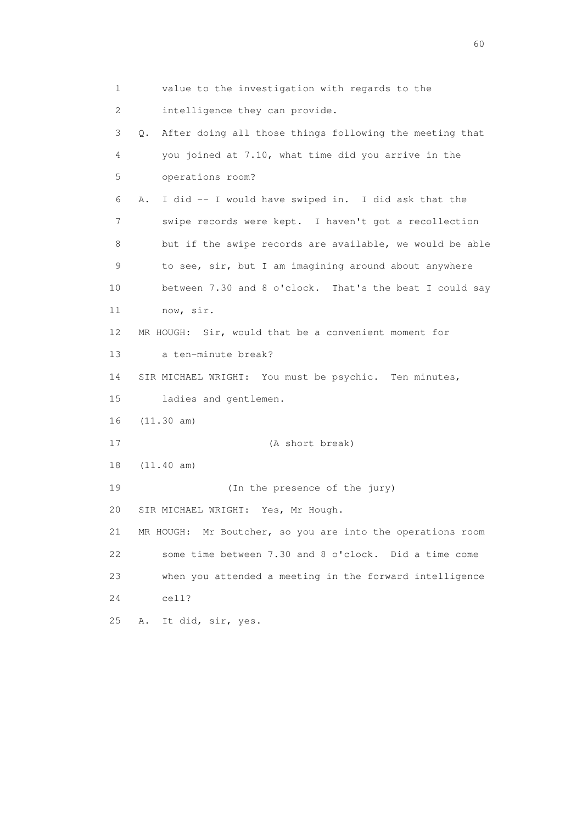1 value to the investigation with regards to the 2 intelligence they can provide. 3 Q. After doing all those things following the meeting that 4 you joined at 7.10, what time did you arrive in the 5 operations room? 6 A. I did -- I would have swiped in. I did ask that the 7 swipe records were kept. I haven't got a recollection 8 but if the swipe records are available, we would be able 9 to see, sir, but I am imagining around about anywhere 10 between 7.30 and 8 o'clock. That's the best I could say 11 now, sir. 12 MR HOUGH: Sir, would that be a convenient moment for 13 a ten-minute break? 14 SIR MICHAEL WRIGHT: You must be psychic. Ten minutes, 15 ladies and gentlemen. 16 (11.30 am) 17 (A short break) 18 (11.40 am) 19 (In the presence of the jury) 20 SIR MICHAEL WRIGHT: Yes, Mr Hough. 21 MR HOUGH: Mr Boutcher, so you are into the operations room 22 some time between 7.30 and 8 o'clock. Did a time come 23 when you attended a meeting in the forward intelligence 24 cell? 25 A. It did, sir, yes.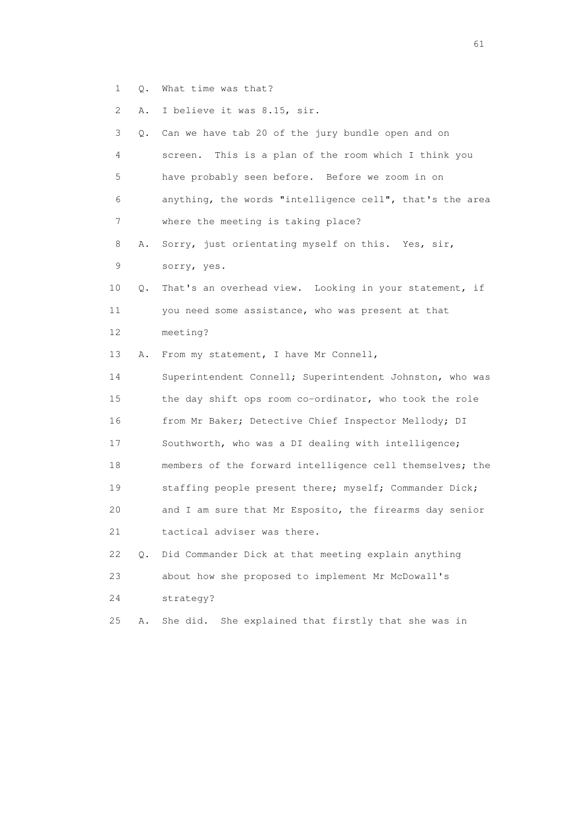1 Q. What time was that?

2 A. I believe it was 8.15, sir.

| 3               | О. | Can we have tab 20 of the jury bundle open and on        |
|-----------------|----|----------------------------------------------------------|
| 4               |    | This is a plan of the room which I think you<br>screen.  |
| 5               |    | have probably seen before. Before we zoom in on          |
| 6               |    | anything, the words "intelligence cell", that's the area |
| 7               |    | where the meeting is taking place?                       |
| 8               | Α. | Sorry, just orientating myself on this. Yes, sir,        |
| 9               |    | sorry, yes.                                              |
| 10              | Q. | That's an overhead view. Looking in your statement, if   |
| 11              |    | you need some assistance, who was present at that        |
| 12 <sup>°</sup> |    | meeting?                                                 |
| 13              | Α. | From my statement, I have Mr Connell,                    |
| 14              |    | Superintendent Connell; Superintendent Johnston, who was |
| 15              |    | the day shift ops room co-ordinator, who took the role   |
| 16              |    | from Mr Baker; Detective Chief Inspector Mellody; DI     |
| 17              |    | Southworth, who was a DI dealing with intelligence;      |
| 18              |    | members of the forward intelligence cell themselves; the |
| 19              |    | staffing people present there; myself; Commander Dick;   |
| 20              |    | and I am sure that Mr Esposito, the firearms day senior  |
| 21              |    | tactical adviser was there.                              |
| 22              | Q. | Did Commander Dick at that meeting explain anything      |
| 23              |    | about how she proposed to implement Mr McDowall's        |
| 24              |    | strategy?                                                |
| 25              | Α. | She did.<br>She explained that firstly that she was in   |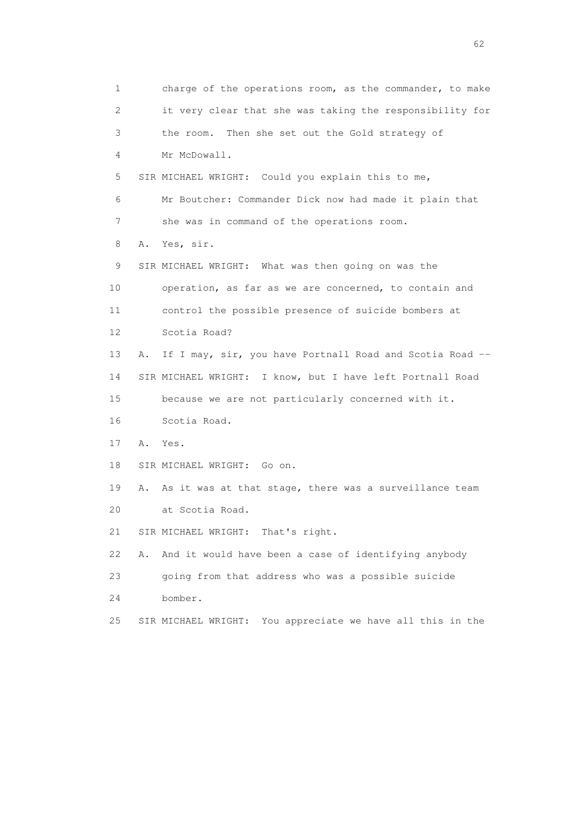1 charge of the operations room, as the commander, to make 2 it very clear that she was taking the responsibility for 3 the room. Then she set out the Gold strategy of 4 Mr McDowall. 5 SIR MICHAEL WRIGHT: Could you explain this to me, 6 Mr Boutcher: Commander Dick now had made it plain that 7 she was in command of the operations room. 8 A. Yes, sir. 9 SIR MICHAEL WRIGHT: What was then going on was the 10 operation, as far as we are concerned, to contain and 11 control the possible presence of suicide bombers at 12 Scotia Road? 13 A. If I may, sir, you have Portnall Road and Scotia Road -- 14 SIR MICHAEL WRIGHT: I know, but I have left Portnall Road 15 because we are not particularly concerned with it. 16 Scotia Road. 17 A. Yes. 18 SIR MICHAEL WRIGHT: Go on. 19 A. As it was at that stage, there was a surveillance team 20 at Scotia Road. 21 SIR MICHAEL WRIGHT: That's right. 22 A. And it would have been a case of identifying anybody 23 going from that address who was a possible suicide 24 bomber. 25 SIR MICHAEL WRIGHT: You appreciate we have all this in the

 $\sim$  62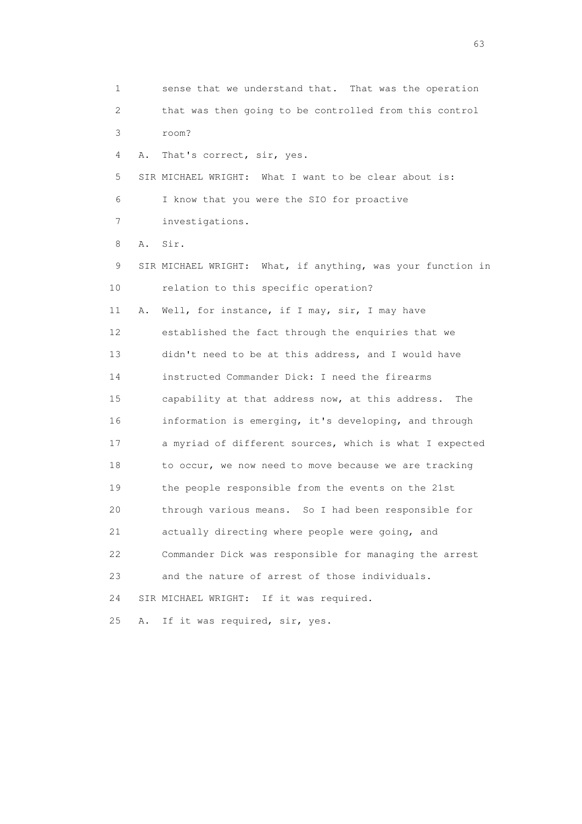1 sense that we understand that. That was the operation 2 that was then going to be controlled from this control 3 room? 4 A. That's correct, sir, yes. 5 SIR MICHAEL WRIGHT: What I want to be clear about is: 6 I know that you were the SIO for proactive 7 investigations. 8 A. Sir. 9 SIR MICHAEL WRIGHT: What, if anything, was your function in 10 relation to this specific operation? 11 A. Well, for instance, if I may, sir, I may have 12 established the fact through the enquiries that we 13 didn't need to be at this address, and I would have 14 instructed Commander Dick: I need the firearms 15 capability at that address now, at this address. The 16 information is emerging, it's developing, and through 17 a myriad of different sources, which is what I expected 18 to occur, we now need to move because we are tracking 19 the people responsible from the events on the 21st 20 through various means. So I had been responsible for 21 actually directing where people were going, and 22 Commander Dick was responsible for managing the arrest 23 and the nature of arrest of those individuals. 24 SIR MICHAEL WRIGHT: If it was required. 25 A. If it was required, sir, yes.

experience of the contract of the contract of the contract of the contract of the contract of the contract of the contract of the contract of the contract of the contract of the contract of the contract of the contract of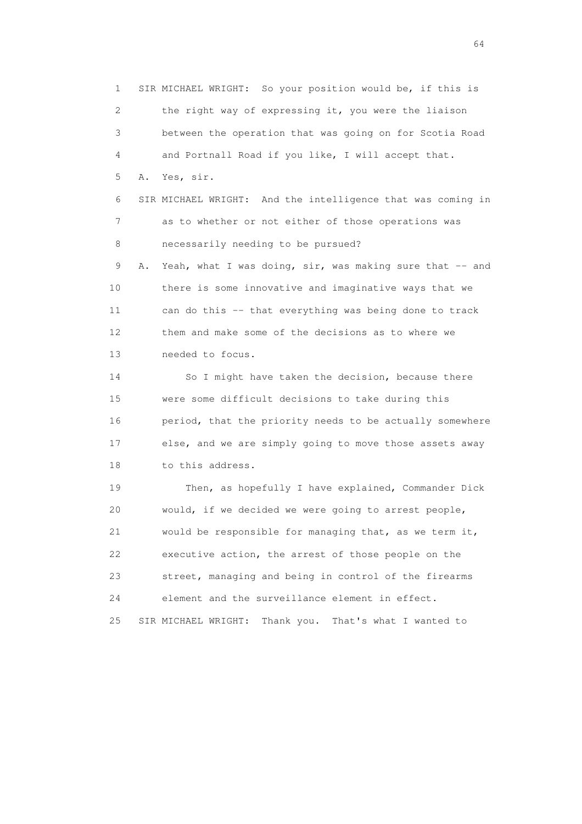1 SIR MICHAEL WRIGHT: So your position would be, if this is 2 the right way of expressing it, you were the liaison 3 between the operation that was going on for Scotia Road 4 and Portnall Road if you like, I will accept that. 5 A. Yes, sir. 6 SIR MICHAEL WRIGHT: And the intelligence that was coming in 7 as to whether or not either of those operations was 8 necessarily needing to be pursued? 9 A. Yeah, what I was doing, sir, was making sure that -- and 10 there is some innovative and imaginative ways that we 11 can do this -- that everything was being done to track 12 them and make some of the decisions as to where we 13 needed to focus. 14 So I might have taken the decision, because there 15 were some difficult decisions to take during this 16 period, that the priority needs to be actually somewhere 17 else, and we are simply going to move those assets away 18 to this address. 19 Then, as hopefully I have explained, Commander Dick 20 would, if we decided we were going to arrest people, 21 would be responsible for managing that, as we term it, 22 executive action, the arrest of those people on the 23 street, managing and being in control of the firearms 24 element and the surveillance element in effect. 25 SIR MICHAEL WRIGHT: Thank you. That's what I wanted to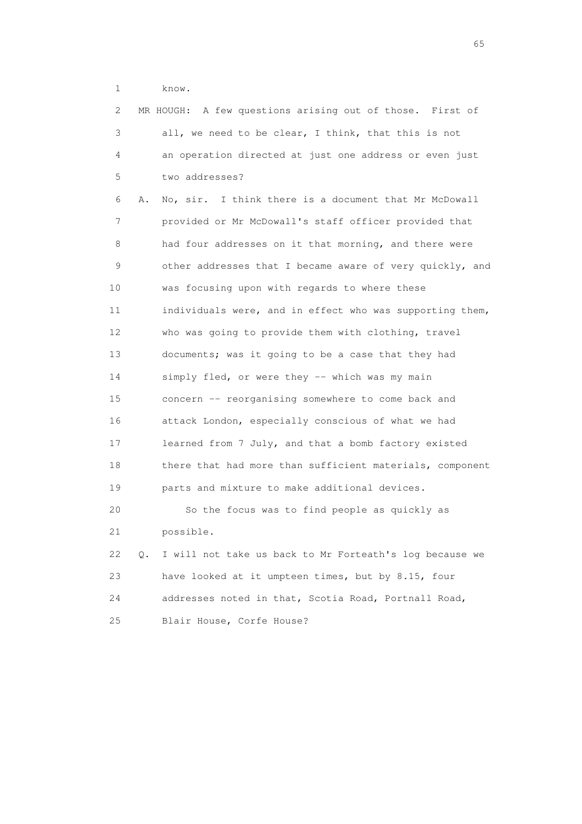1 know.

| $\mathbf{2}^{\mathsf{I}}$ |           | MR HOUGH: A few questions arising out of those. First of |
|---------------------------|-----------|----------------------------------------------------------|
| 3                         |           | all, we need to be clear, I think, that this is not      |
| 4                         |           | an operation directed at just one address or even just   |
| 5                         |           | two addresses?                                           |
| 6                         | Α.        | No, sir. I think there is a document that Mr McDowall    |
| 7                         |           | provided or Mr McDowall's staff officer provided that    |
| 8                         |           | had four addresses on it that morning, and there were    |
| 9                         |           | other addresses that I became aware of very quickly, and |
| 10                        |           | was focusing upon with regards to where these            |
| 11                        |           | individuals were, and in effect who was supporting them, |
| 12 <sup>°</sup>           |           | who was going to provide them with clothing, travel      |
| 13                        |           | documents; was it going to be a case that they had       |
| 14                        |           | simply fled, or were they -- which was my main           |
| 15                        |           | concern -- reorganising somewhere to come back and       |
| 16                        |           | attack London, especially conscious of what we had       |
| 17                        |           | learned from 7 July, and that a bomb factory existed     |
| 18                        |           | there that had more than sufficient materials, component |
| 19                        |           | parts and mixture to make additional devices.            |
| 20                        |           | So the focus was to find people as quickly as            |
| 21                        |           | possible.                                                |
| 22                        | $\circ$ . | I will not take us back to Mr Forteath's log because we  |
| 23                        |           | have looked at it umpteen times, but by 8.15, four       |
| 24                        |           | addresses noted in that, Scotia Road, Portnall Road,     |
| 25                        |           | Blair House, Corfe House?                                |

 $\sim$  65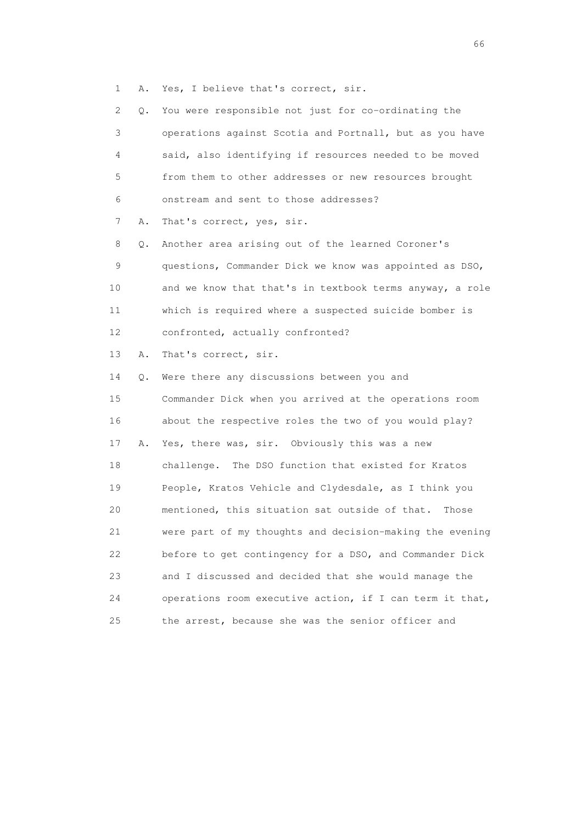1 A. Yes, I believe that's correct, sir.

| 2.       | You were responsible not just for co-ordinating the<br>Q. |
|----------|-----------------------------------------------------------|
| 3        | operations against Scotia and Portnall, but as you have   |
| 4        | said, also identifying if resources needed to be moved    |
| 5        | from them to other addresses or new resources brought     |
| 6        | onstream and sent to those addresses?                     |
| 7<br>Α.  | That's correct, yes, sir.                                 |
| 8<br>Q.  | Another area arising out of the learned Coroner's         |
| 9        | questions, Commander Dick we know was appointed as DSO,   |
| 10       | and we know that that's in textbook terms anyway, a role  |
| 11       | which is required where a suspected suicide bomber is     |
| 12       | confronted, actually confronted?                          |
| 13<br>Α. | That's correct, sir.                                      |
| 14<br>Q. | Were there any discussions between you and                |
| 15       | Commander Dick when you arrived at the operations room    |
| 16       | about the respective roles the two of you would play?     |
| 17<br>Α. | Yes, there was, sir. Obviously this was a new             |
| 18       | challenge. The DSO function that existed for Kratos       |
| 19       | People, Kratos Vehicle and Clydesdale, as I think you     |
| 20       | mentioned, this situation sat outside of that.<br>Those   |
| 21       | were part of my thoughts and decision-making the evening  |
| 22       | before to get contingency for a DSO, and Commander Dick   |
| 23       | and I discussed and decided that she would manage the     |
| 24       | operations room executive action, if I can term it that,  |
| 25       | the arrest, because she was the senior officer and        |

 $\sim$  66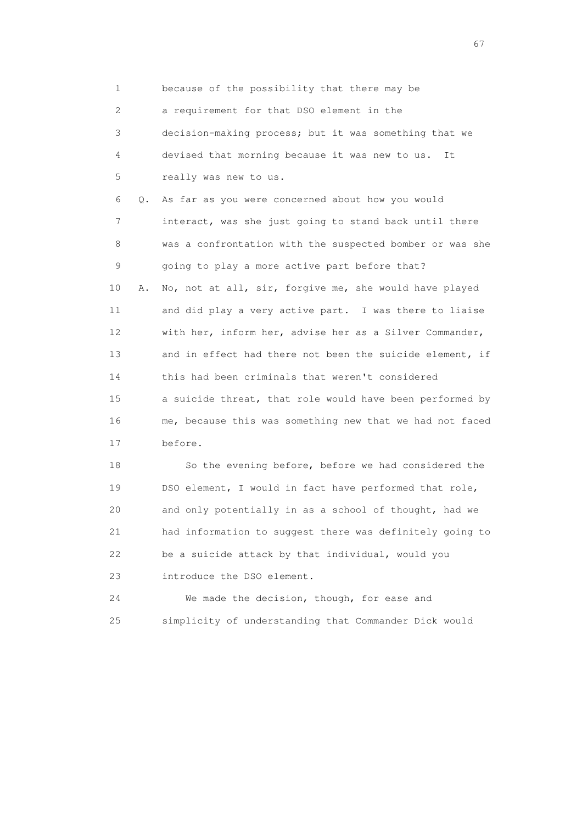1 because of the possibility that there may be

2 a requirement for that DSO element in the

 3 decision-making process; but it was something that we 4 devised that morning because it was new to us. It 5 really was new to us.

 6 Q. As far as you were concerned about how you would 7 interact, was she just going to stand back until there 8 was a confrontation with the suspected bomber or was she 9 going to play a more active part before that? 10 A. No, not at all, sir, forgive me, she would have played 11 and did play a very active part. I was there to liaise

 12 with her, inform her, advise her as a Silver Commander, 13 and in effect had there not been the suicide element, if 14 this had been criminals that weren't considered 15 a suicide threat, that role would have been performed by 16 me, because this was something new that we had not faced 17 before.

 18 So the evening before, before we had considered the 19 DSO element, I would in fact have performed that role, 20 and only potentially in as a school of thought, had we 21 had information to suggest there was definitely going to 22 be a suicide attack by that individual, would you 23 introduce the DSO element.

 24 We made the decision, though, for ease and 25 simplicity of understanding that Commander Dick would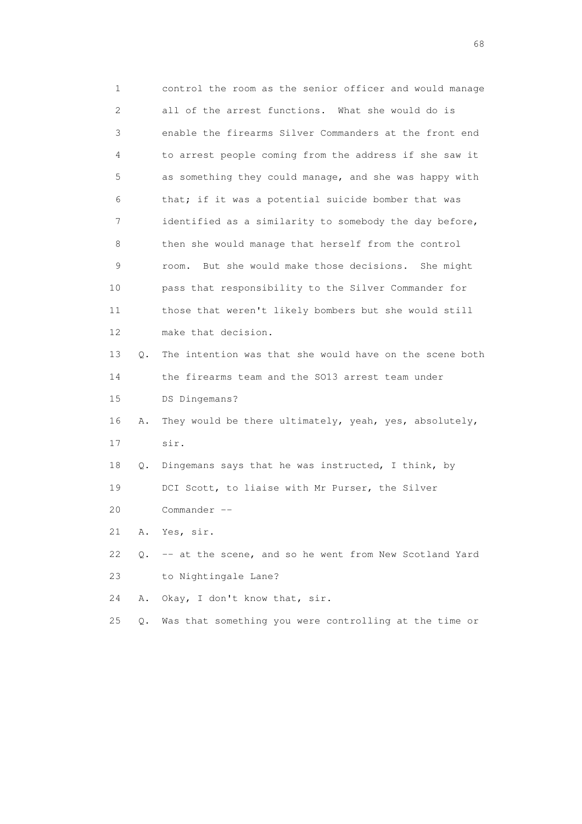1 control the room as the senior officer and would manage 2 all of the arrest functions. What she would do is 3 enable the firearms Silver Commanders at the front end 4 to arrest people coming from the address if she saw it 5 as something they could manage, and she was happy with 6 that; if it was a potential suicide bomber that was 7 identified as a similarity to somebody the day before, 8 then she would manage that herself from the control 9 room. But she would make those decisions. She might 10 pass that responsibility to the Silver Commander for 11 those that weren't likely bombers but she would still 12 make that decision. 13 Q. The intention was that she would have on the scene both 14 the firearms team and the SO13 arrest team under 15 DS Dingemans? 16 A. They would be there ultimately, yeah, yes, absolutely, 17 sir. 18 Q. Dingemans says that he was instructed, I think, by 19 DCI Scott, to liaise with Mr Purser, the Silver 20 Commander -- 21 A. Yes, sir. 22 Q. -- at the scene, and so he went from New Scotland Yard 23 to Nightingale Lane? 24 A. Okay, I don't know that, sir. 25 Q. Was that something you were controlling at the time or

entration of the contract of the contract of the contract of the contract of the contract of the contract of the contract of the contract of the contract of the contract of the contract of the contract of the contract of t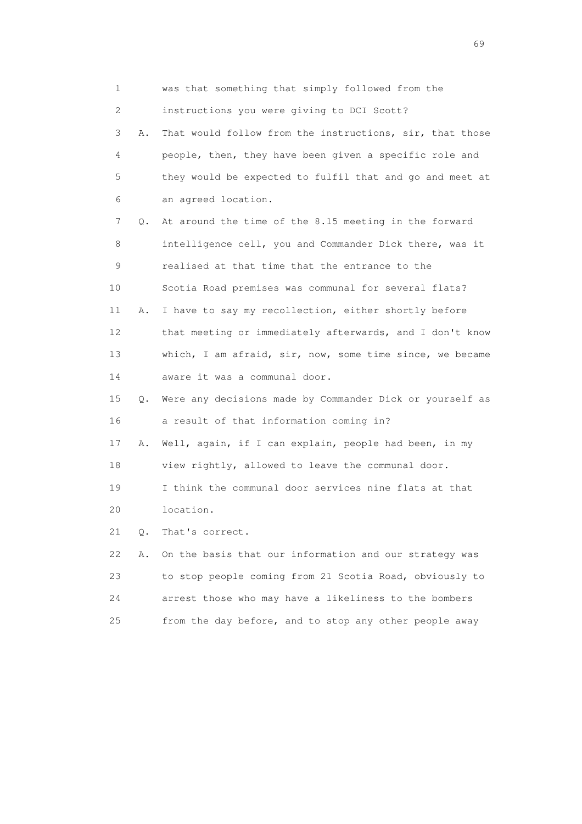1 was that something that simply followed from the 2 instructions you were giving to DCI Scott? 3 A. That would follow from the instructions, sir, that those 4 people, then, they have been given a specific role and 5 they would be expected to fulfil that and go and meet at 6 an agreed location. 7 Q. At around the time of the 8.15 meeting in the forward 8 intelligence cell, you and Commander Dick there, was it 9 realised at that time that the entrance to the 10 Scotia Road premises was communal for several flats? 11 A. I have to say my recollection, either shortly before 12 that meeting or immediately afterwards, and I don't know 13 which, I am afraid, sir, now, some time since, we became 14 aware it was a communal door. 15 Q. Were any decisions made by Commander Dick or yourself as 16 a result of that information coming in? 17 A. Well, again, if I can explain, people had been, in my 18 view rightly, allowed to leave the communal door. 19 I think the communal door services nine flats at that 20 location. 21 Q. That's correct. 22 A. On the basis that our information and our strategy was 23 to stop people coming from 21 Scotia Road, obviously to 24 arrest those who may have a likeliness to the bombers 25 from the day before, and to stop any other people away

entral de la construction de la construction de la construction de la construction de la construction de la co<br>1990 : la construction de la construction de la construction de la construction de la construction de la const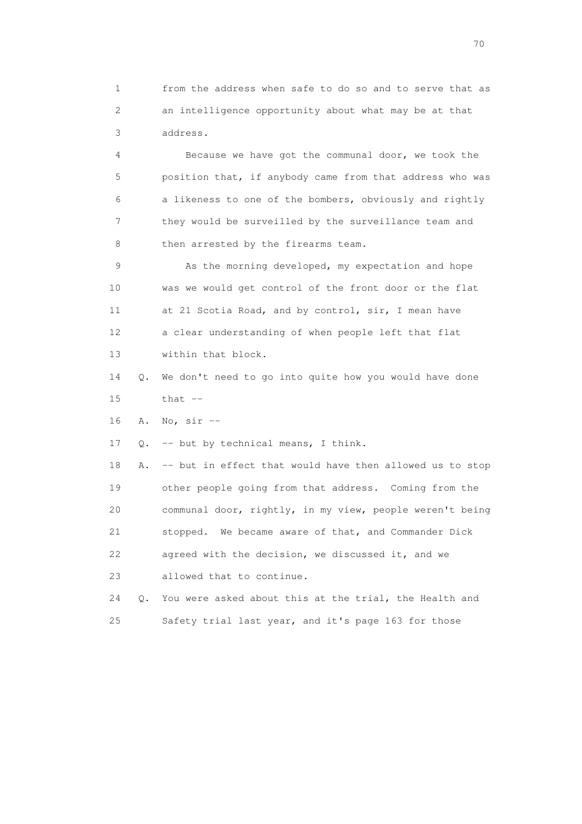1 from the address when safe to do so and to serve that as 2 an intelligence opportunity about what may be at that 3 address.

 4 Because we have got the communal door, we took the 5 position that, if anybody came from that address who was 6 a likeness to one of the bombers, obviously and rightly 7 they would be surveilled by the surveillance team and 8 then arrested by the firearms team.

 9 As the morning developed, my expectation and hope 10 was we would get control of the front door or the flat 11 at 21 Scotia Road, and by control, sir, I mean have 12 a clear understanding of when people left that flat 13 within that block.

 14 Q. We don't need to go into quite how you would have done 15 that --

16 A. No, sir --

17 Q. -- but by technical means, I think.

 18 A. -- but in effect that would have then allowed us to stop 19 other people going from that address. Coming from the 20 communal door, rightly, in my view, people weren't being 21 stopped. We became aware of that, and Commander Dick 22 agreed with the decision, we discussed it, and we 23 allowed that to continue.

 24 Q. You were asked about this at the trial, the Health and 25 Safety trial last year, and it's page 163 for those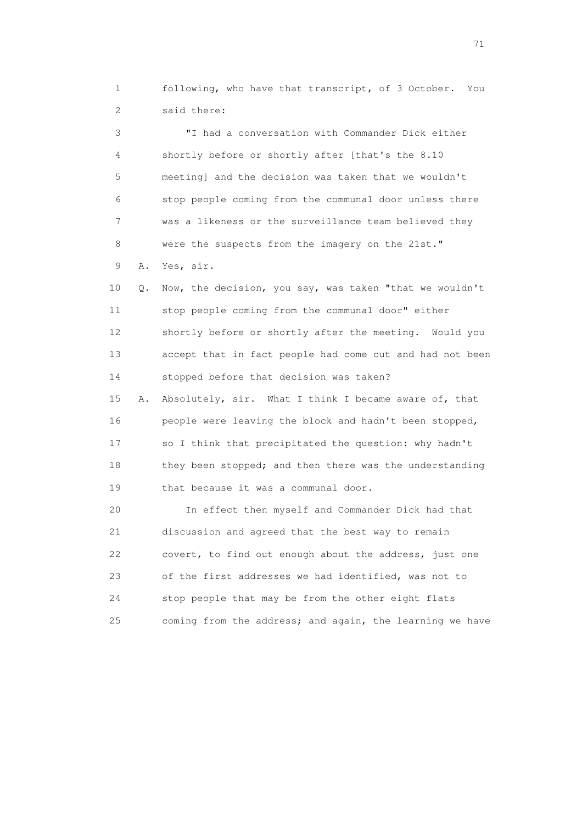1 following, who have that transcript, of 3 October. You 2 said there:

 3 "I had a conversation with Commander Dick either 4 shortly before or shortly after [that's the 8.10 5 meeting] and the decision was taken that we wouldn't 6 stop people coming from the communal door unless there 7 was a likeness or the surveillance team believed they 8 were the suspects from the imagery on the 21st." 9 A. Yes, sir.

 10 Q. Now, the decision, you say, was taken "that we wouldn't 11 stop people coming from the communal door" either 12 shortly before or shortly after the meeting. Would you 13 accept that in fact people had come out and had not been 14 stopped before that decision was taken?

 15 A. Absolutely, sir. What I think I became aware of, that 16 people were leaving the block and hadn't been stopped, 17 so I think that precipitated the question: why hadn't 18 they been stopped; and then there was the understanding 19 that because it was a communal door.

 20 In effect then myself and Commander Dick had that 21 discussion and agreed that the best way to remain 22 covert, to find out enough about the address, just one 23 of the first addresses we had identified, was not to 24 stop people that may be from the other eight flats 25 coming from the address; and again, the learning we have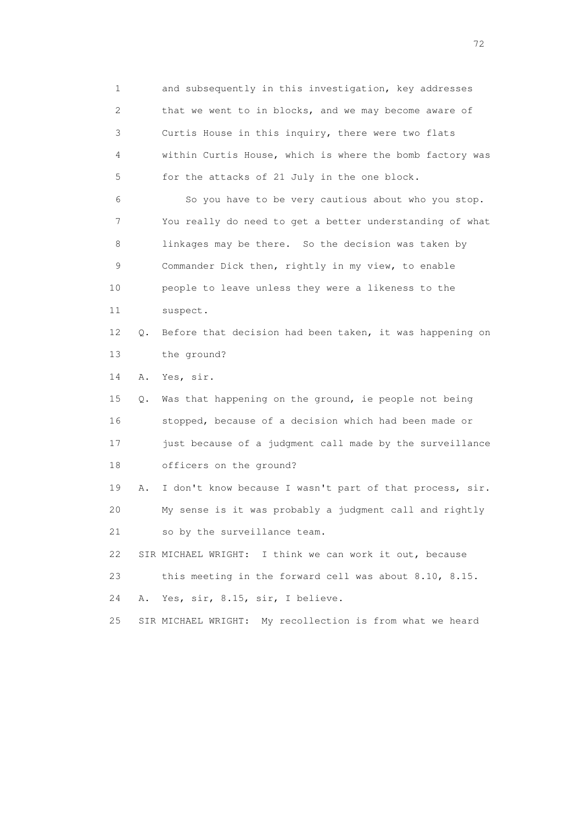1 and subsequently in this investigation, key addresses 2 that we went to in blocks, and we may become aware of 3 Curtis House in this inquiry, there were two flats 4 within Curtis House, which is where the bomb factory was 5 for the attacks of 21 July in the one block. 6 So you have to be very cautious about who you stop. 7 You really do need to get a better understanding of what 8 linkages may be there. So the decision was taken by 9 Commander Dick then, rightly in my view, to enable 10 people to leave unless they were a likeness to the 11 suspect. 12 Q. Before that decision had been taken, it was happening on 13 the ground? 14 A. Yes, sir. 15 Q. Was that happening on the ground, ie people not being 16 stopped, because of a decision which had been made or 17 just because of a judgment call made by the surveillance 18 officers on the ground? 19 A. I don't know because I wasn't part of that process, sir. 20 My sense is it was probably a judgment call and rightly 21 so by the surveillance team. 22 SIR MICHAEL WRIGHT: I think we can work it out, because 23 this meeting in the forward cell was about 8.10, 8.15. 24 A. Yes, sir, 8.15, sir, I believe.

25 SIR MICHAEL WRIGHT: My recollection is from what we heard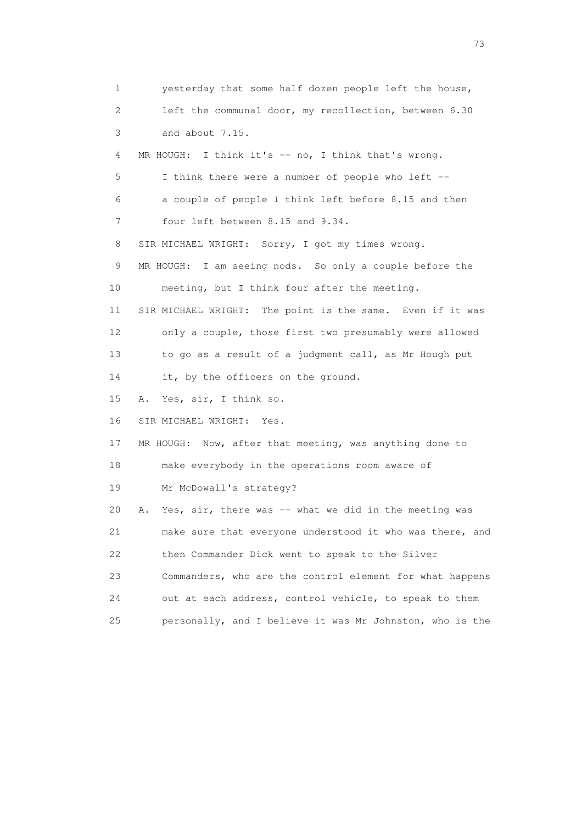1 yesterday that some half dozen people left the house, 2 left the communal door, my recollection, between 6.30 3 and about 7.15. 4 MR HOUGH: I think it's -- no, I think that's wrong. 5 I think there were a number of people who left -- 6 a couple of people I think left before 8.15 and then 7 four left between 8.15 and 9.34. 8 SIR MICHAEL WRIGHT: Sorry, I got my times wrong. 9 MR HOUGH: I am seeing nods. So only a couple before the 10 meeting, but I think four after the meeting. 11 SIR MICHAEL WRIGHT: The point is the same. Even if it was 12 only a couple, those first two presumably were allowed 13 to go as a result of a judgment call, as Mr Hough put 14 it, by the officers on the ground. 15 A. Yes, sir, I think so. 16 SIR MICHAEL WRIGHT: Yes. 17 MR HOUGH: Now, after that meeting, was anything done to 18 make everybody in the operations room aware of 19 Mr McDowall's strategy? 20 A. Yes, sir, there was -- what we did in the meeting was 21 make sure that everyone understood it who was there, and 22 then Commander Dick went to speak to the Silver 23 Commanders, who are the control element for what happens 24 out at each address, control vehicle, to speak to them 25 personally, and I believe it was Mr Johnston, who is the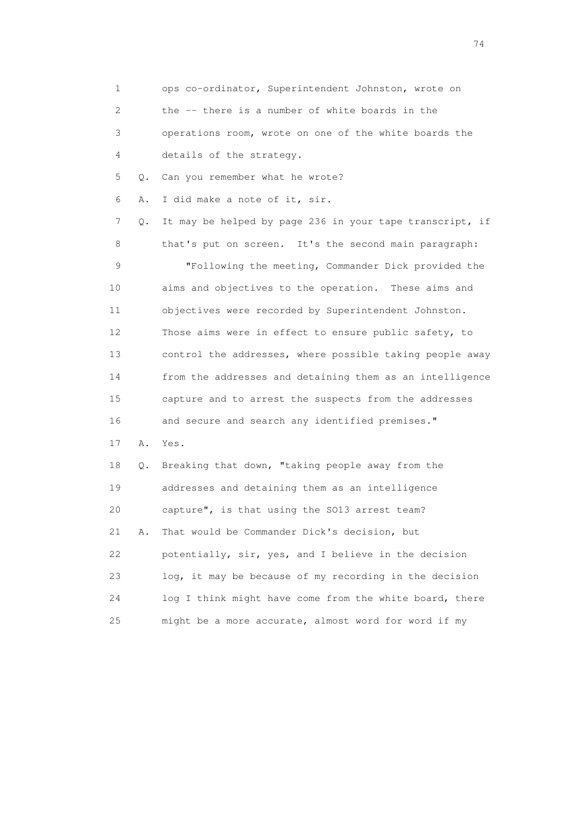1 ops co-ordinator, Superintendent Johnston, wrote on 2 the -- there is a number of white boards in the 3 operations room, wrote on one of the white boards the 4 details of the strategy. 5 Q. Can you remember what he wrote? 6 A. I did make a note of it, sir. 7 Q. It may be helped by page 236 in your tape transcript, if 8 that's put on screen. It's the second main paragraph: 9 "Following the meeting, Commander Dick provided the 10 aims and objectives to the operation. These aims and 11 objectives were recorded by Superintendent Johnston. 12 Those aims were in effect to ensure public safety, to 13 control the addresses, where possible taking people away 14 from the addresses and detaining them as an intelligence 15 capture and to arrest the suspects from the addresses 16 and secure and search any identified premises." 17 A. Yes. 18 Q. Breaking that down, "taking people away from the 19 addresses and detaining them as an intelligence 20 capture", is that using the SO13 arrest team? 21 A. That would be Commander Dick's decision, but 22 potentially, sir, yes, and I believe in the decision 23 log, it may be because of my recording in the decision 24 log I think might have come from the white board, there 25 might be a more accurate, almost word for word if my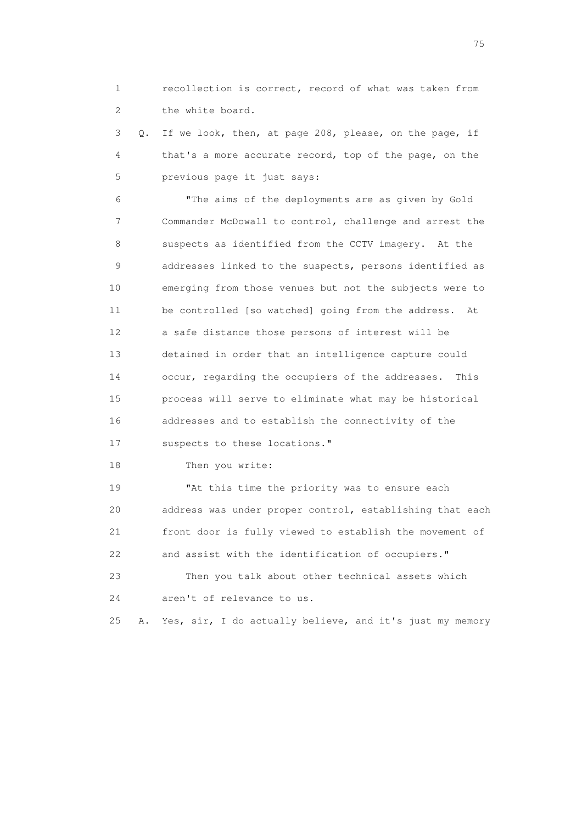1 recollection is correct, record of what was taken from 2 the white board.

 3 Q. If we look, then, at page 208, please, on the page, if 4 that's a more accurate record, top of the page, on the 5 previous page it just says:

 6 "The aims of the deployments are as given by Gold 7 Commander McDowall to control, challenge and arrest the 8 suspects as identified from the CCTV imagery. At the 9 addresses linked to the suspects, persons identified as 10 emerging from those venues but not the subjects were to 11 be controlled [so watched] going from the address. At 12 a safe distance those persons of interest will be 13 detained in order that an intelligence capture could 14 occur, regarding the occupiers of the addresses. This 15 process will serve to eliminate what may be historical 16 addresses and to establish the connectivity of the 17 suspects to these locations."

18 Then you write:

 19 "At this time the priority was to ensure each 20 address was under proper control, establishing that each 21 front door is fully viewed to establish the movement of 22 and assist with the identification of occupiers." 23 Then you talk about other technical assets which

24 aren't of relevance to us.

25 A. Yes, sir, I do actually believe, and it's just my memory

na matsay na katalog as na kasang na mga 175 may 2008. Ang isang isang nagsang nagsang nagsang nagsang nagsang<br>Tagapang nagsang nagsang nagsang nagsang nagsang nagsang nagsang nagsang nagsang nagsang nagsang nagsang nagsa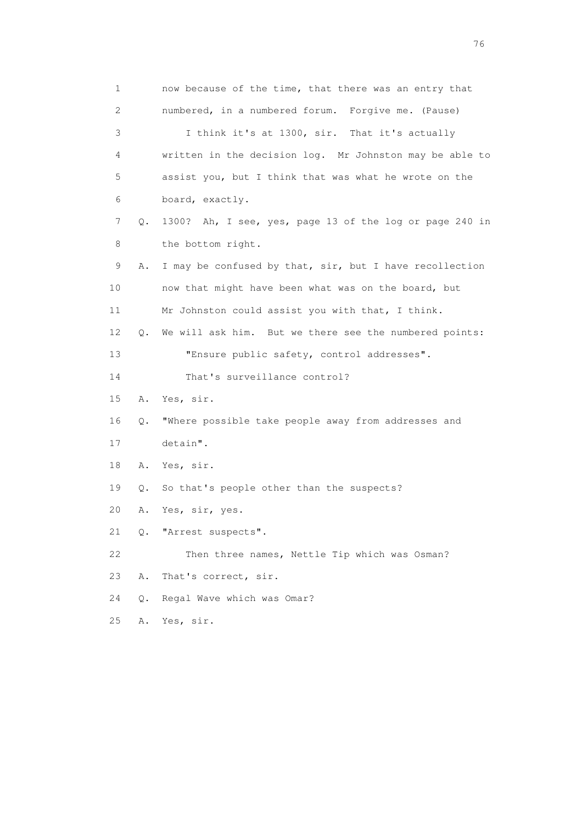1 now because of the time, that there was an entry that 2 numbered, in a numbered forum. Forgive me. (Pause) 3 I think it's at 1300, sir. That it's actually 4 written in the decision log. Mr Johnston may be able to 5 assist you, but I think that was what he wrote on the 6 board, exactly. 7 Q. 1300? Ah, I see, yes, page 13 of the log or page 240 in 8 the bottom right. 9 A. I may be confused by that, sir, but I have recollection 10 now that might have been what was on the board, but 11 Mr Johnston could assist you with that, I think. 12 Q. We will ask him. But we there see the numbered points: 13 "Ensure public safety, control addresses". 14 That's surveillance control? 15 A. Yes, sir. 16 Q. "Where possible take people away from addresses and 17 detain". 18 A. Yes, sir. 19 Q. So that's people other than the suspects? 20 A. Yes, sir, yes. 21 Q. "Arrest suspects". 22 Then three names, Nettle Tip which was Osman? 23 A. That's correct, sir. 24 Q. Regal Wave which was Omar? 25 A. Yes, sir.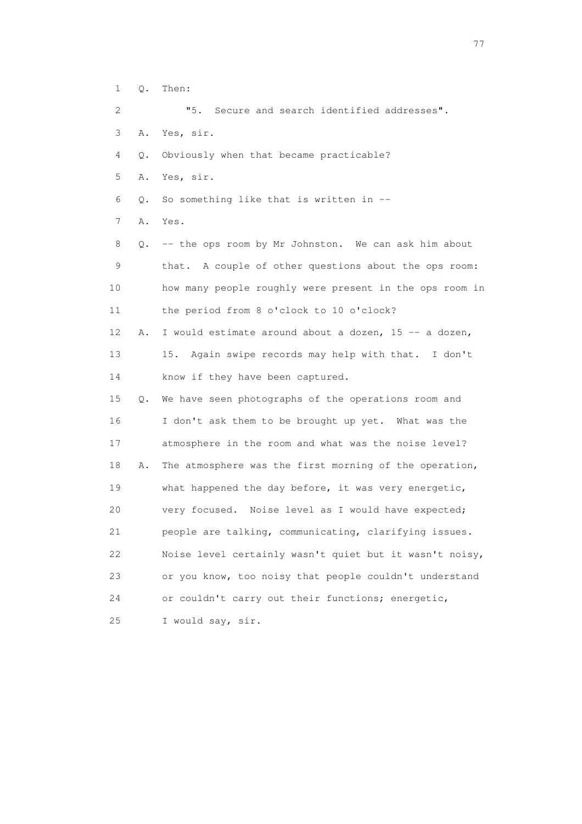| $\mathbf{1}$ | Q. | Then:                                                   |
|--------------|----|---------------------------------------------------------|
| 2            |    | "5.<br>Secure and search identified addresses".         |
| 3            | Α. | Yes, sir.                                               |
| 4            | Q. | Obviously when that became practicable?                 |
| 5            | Α. | Yes, sir.                                               |
| 6            | Q. | So something like that is written in --                 |
| 7            | Α. | Yes.                                                    |
| 8            | О. | -- the ops room by Mr Johnston. We can ask him about    |
| 9            |    | that. A couple of other questions about the ops room:   |
| 10           |    | how many people roughly were present in the ops room in |
| 11           |    | the period from 8 o'clock to 10 o'clock?                |
| 12           | Α. | I would estimate around about a dozen, 15 -- a dozen,   |
| 13           |    | Again swipe records may help with that. I don't<br>15.  |
| 14           |    | know if they have been captured.                        |
| 15           | Q. | We have seen photographs of the operations room and     |
| 16           |    | I don't ask them to be brought up yet. What was the     |
| 17           |    | atmosphere in the room and what was the noise level?    |
| 18           | Α. | The atmosphere was the first morning of the operation,  |
| 19           |    | what happened the day before, it was very energetic,    |
| 20           |    | very focused. Noise level as I would have expected;     |
| 21           |    | people are talking, communicating, clarifying issues.   |
| 22           |    | Noise level certainly wasn't quiet but it wasn't noisy, |
| 23           |    | or you know, too noisy that people couldn't understand  |
| 24           |    | or couldn't carry out their functions; energetic,       |
| 25           |    | I would say, sir.                                       |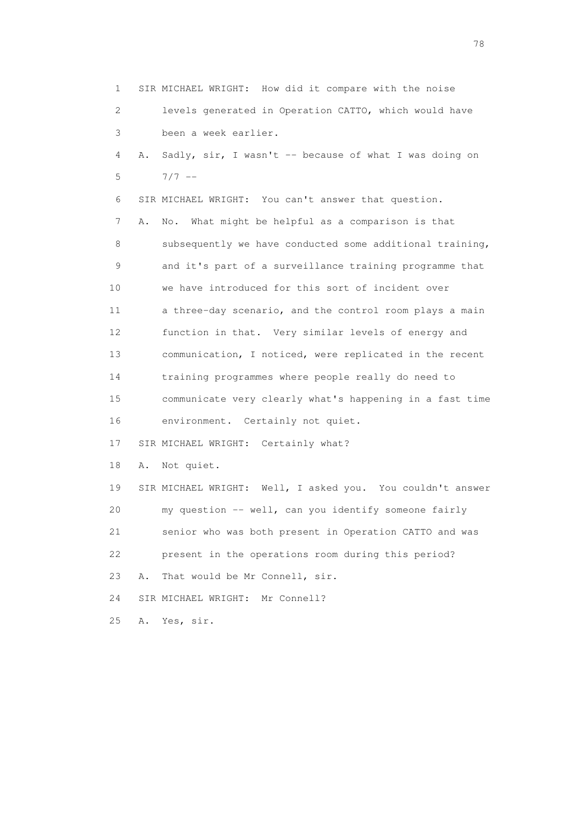1 SIR MICHAEL WRIGHT: How did it compare with the noise 2 levels generated in Operation CATTO, which would have 3 been a week earlier. 4 A. Sadly, sir, I wasn't -- because of what I was doing on  $5 \t 7/7 -$  6 SIR MICHAEL WRIGHT: You can't answer that question. 7 A. No. What might be helpful as a comparison is that 8 subsequently we have conducted some additional training, 9 and it's part of a surveillance training programme that 10 we have introduced for this sort of incident over 11 a three-day scenario, and the control room plays a main 12 function in that. Very similar levels of energy and 13 communication, I noticed, were replicated in the recent 14 training programmes where people really do need to 15 communicate very clearly what's happening in a fast time 16 environment. Certainly not quiet. 17 SIR MICHAEL WRIGHT: Certainly what? 18 A. Not quiet. 19 SIR MICHAEL WRIGHT: Well, I asked you. You couldn't answer 20 my question -- well, can you identify someone fairly 21 senior who was both present in Operation CATTO and was 22 present in the operations room during this period? 23 A. That would be Mr Connell, sir. 24 SIR MICHAEL WRIGHT: Mr Connell? 25 A. Yes, sir.

na na matsayang mga kasang mga kalendaryon ng mga kasang mga kasang mga kasang mga kasang mga kasang mga kasan<br>Mga kasang mga kasang mga kasang mga kasang mga kasang mga kasang mga kasang mga kasang mga kasang mga kasang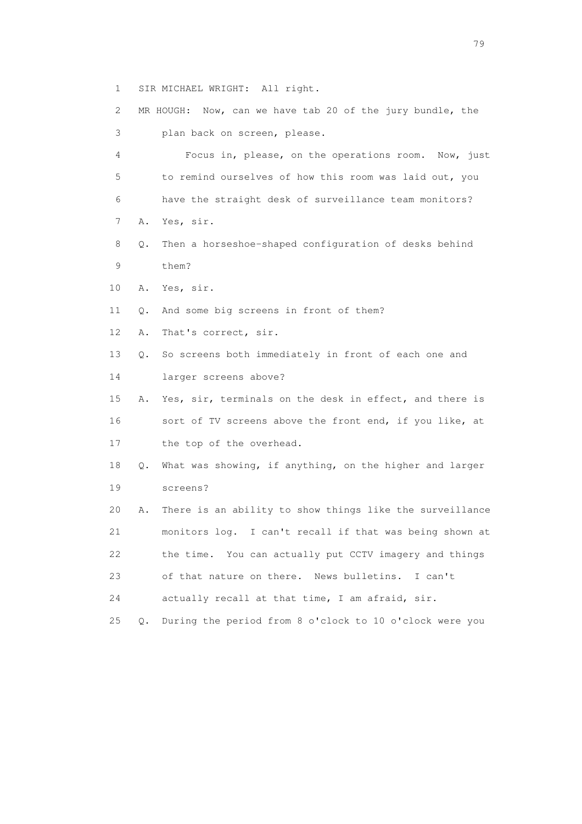1 SIR MICHAEL WRIGHT: All right.

 2 MR HOUGH: Now, can we have tab 20 of the jury bundle, the 3 plan back on screen, please. 4 Focus in, please, on the operations room. Now, just 5 to remind ourselves of how this room was laid out, you 6 have the straight desk of surveillance team monitors? 7 A. Yes, sir. 8 Q. Then a horseshoe-shaped configuration of desks behind 9 them? 10 A. Yes, sir. 11 Q. And some big screens in front of them? 12 A. That's correct, sir. 13 Q. So screens both immediately in front of each one and 14 larger screens above? 15 A. Yes, sir, terminals on the desk in effect, and there is 16 sort of TV screens above the front end, if you like, at 17 the top of the overhead. 18 Q. What was showing, if anything, on the higher and larger 19 screens? 20 A. There is an ability to show things like the surveillance 21 monitors log. I can't recall if that was being shown at 22 the time. You can actually put CCTV imagery and things 23 of that nature on there. News bulletins. I can't 24 actually recall at that time, I am afraid, sir. 25 Q. During the period from 8 o'clock to 10 o'clock were you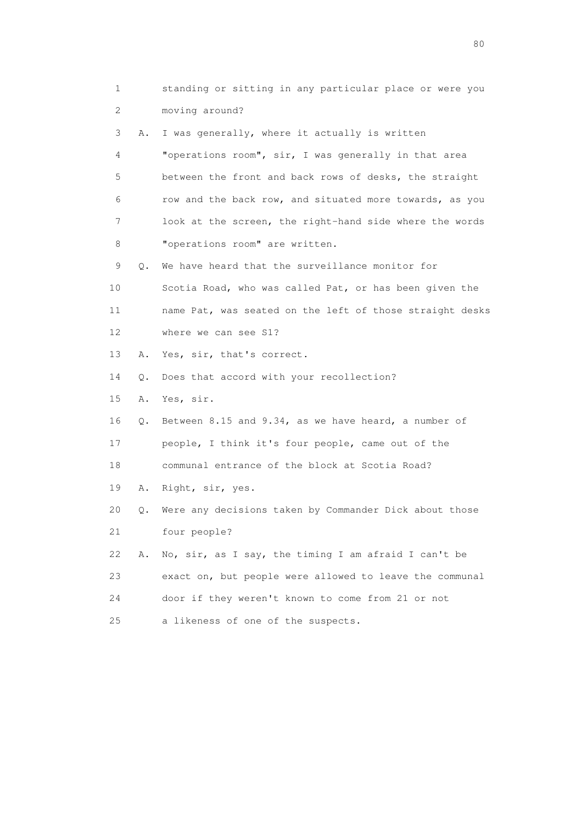1 standing or sitting in any particular place or were you 2 moving around? 3 A. I was generally, where it actually is written 4 "operations room", sir, I was generally in that area 5 between the front and back rows of desks, the straight 6 row and the back row, and situated more towards, as you 7 look at the screen, the right-hand side where the words 8 "operations room" are written. 9 Q. We have heard that the surveillance monitor for 10 Scotia Road, who was called Pat, or has been given the 11 name Pat, was seated on the left of those straight desks 12 where we can see S1? 13 A. Yes, sir, that's correct. 14 Q. Does that accord with your recollection? 15 A. Yes, sir. 16 Q. Between 8.15 and 9.34, as we have heard, a number of 17 people, I think it's four people, came out of the 18 communal entrance of the block at Scotia Road? 19 A. Right, sir, yes. 20 Q. Were any decisions taken by Commander Dick about those 21 four people? 22 A. No, sir, as I say, the timing I am afraid I can't be 23 exact on, but people were allowed to leave the communal 24 door if they weren't known to come from 21 or not 25 a likeness of one of the suspects.

entration of the state of the state of the state of the state of the state of the state of the state of the state of the state of the state of the state of the state of the state of the state of the state of the state of t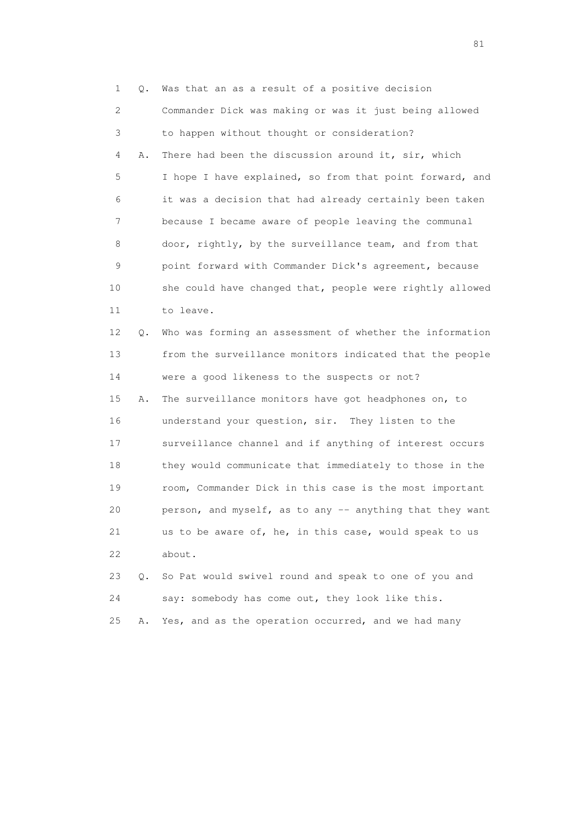1 Q. Was that an as a result of a positive decision 2 Commander Dick was making or was it just being allowed 3 to happen without thought or consideration? 4 A. There had been the discussion around it, sir, which 5 I hope I have explained, so from that point forward, and 6 it was a decision that had already certainly been taken 7 because I became aware of people leaving the communal 8 door, rightly, by the surveillance team, and from that 9 point forward with Commander Dick's agreement, because 10 she could have changed that, people were rightly allowed 11 to leave.

 12 Q. Who was forming an assessment of whether the information 13 from the surveillance monitors indicated that the people 14 were a good likeness to the suspects or not?

 15 A. The surveillance monitors have got headphones on, to 16 understand your question, sir. They listen to the 17 surveillance channel and if anything of interest occurs 18 they would communicate that immediately to those in the 19 room, Commander Dick in this case is the most important 20 person, and myself, as to any -- anything that they want 21 us to be aware of, he, in this case, would speak to us 22 about.

 23 Q. So Pat would swivel round and speak to one of you and 24 say: somebody has come out, they look like this. 25 A. Yes, and as the operation occurred, and we had many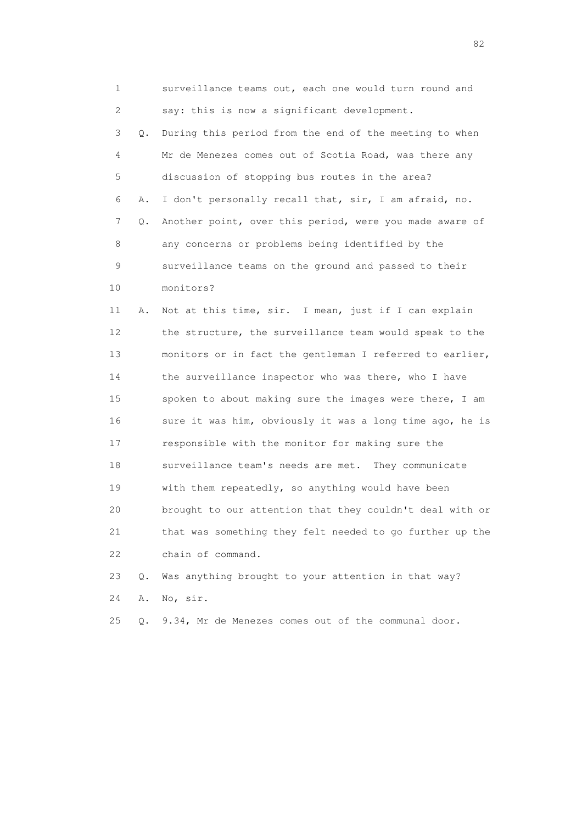1 surveillance teams out, each one would turn round and 2 say: this is now a significant development. 3 Q. During this period from the end of the meeting to when 4 Mr de Menezes comes out of Scotia Road, was there any 5 discussion of stopping bus routes in the area? 6 A. I don't personally recall that, sir, I am afraid, no. 7 Q. Another point, over this period, were you made aware of 8 any concerns or problems being identified by the 9 surveillance teams on the ground and passed to their 10 monitors? 11 A. Not at this time, sir. I mean, just if I can explain 12 the structure, the surveillance team would speak to the 13 monitors or in fact the gentleman I referred to earlier, 14 the surveillance inspector who was there, who I have 15 spoken to about making sure the images were there, I am 16 sure it was him, obviously it was a long time ago, he is 17 responsible with the monitor for making sure the 18 surveillance team's needs are met. They communicate 19 with them repeatedly, so anything would have been 20 brought to our attention that they couldn't deal with or 21 that was something they felt needed to go further up the 22 chain of command. 23 Q. Was anything brought to your attention in that way?

24 A. No, sir.

25 Q. 9.34, Mr de Menezes comes out of the communal door.

experience of the state of the state of the state of the state of the state of the state of the state of the s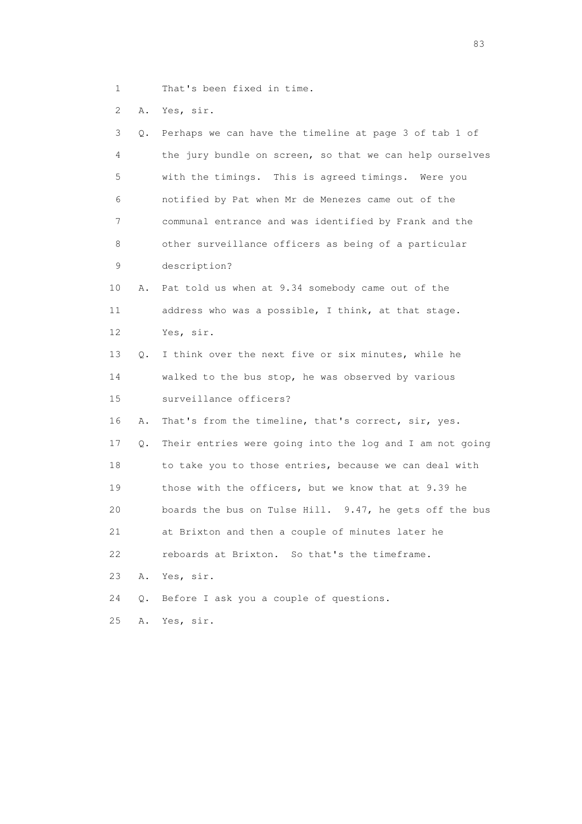1 That's been fixed in time.

2 A. Yes, sir.

| 3  | Q.        | Perhaps we can have the timeline at page 3 of tab 1 of   |
|----|-----------|----------------------------------------------------------|
| 4  |           | the jury bundle on screen, so that we can help ourselves |
| 5  |           | with the timings. This is agreed timings. Were you       |
| 6  |           | notified by Pat when Mr de Menezes came out of the       |
| 7  |           | communal entrance and was identified by Frank and the    |
| 8  |           | other surveillance officers as being of a particular     |
| 9  |           | description?                                             |
| 10 | Α.        | Pat told us when at 9.34 somebody came out of the        |
| 11 |           | address who was a possible, I think, at that stage.      |
| 12 |           | Yes, sir.                                                |
| 13 | Q.        | I think over the next five or six minutes, while he      |
| 14 |           | walked to the bus stop, he was observed by various       |
| 15 |           | surveillance officers?                                   |
| 16 | Α.        | That's from the timeline, that's correct, sir, yes.      |
| 17 | Q.        | Their entries were going into the log and I am not going |
| 18 |           | to take you to those entries, because we can deal with   |
| 19 |           | those with the officers, but we know that at 9.39 he     |
| 20 |           | boards the bus on Tulse Hill. 9.47, he gets off the bus  |
| 21 |           | at Brixton and then a couple of minutes later he         |
| 22 |           | reboards at Brixton. So that's the timeframe.            |
| 23 | Α.        | Yes, sir.                                                |
| 24 | $\circ$ . | Before I ask you a couple of questions.                  |
| 25 | Α.        | Yes, sir.                                                |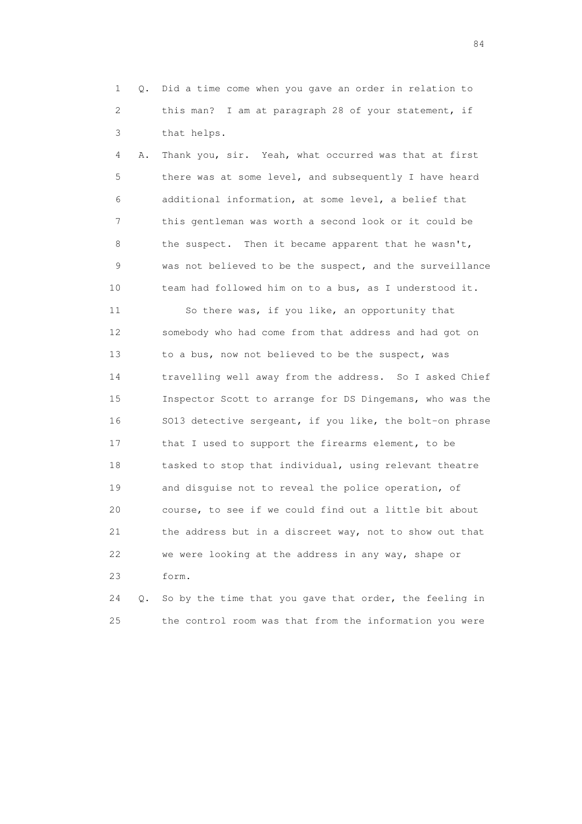1 Q. Did a time come when you gave an order in relation to 2 this man? I am at paragraph 28 of your statement, if 3 that helps.

 4 A. Thank you, sir. Yeah, what occurred was that at first 5 there was at some level, and subsequently I have heard 6 additional information, at some level, a belief that 7 this gentleman was worth a second look or it could be 8 the suspect. Then it became apparent that he wasn't, 9 was not believed to be the suspect, and the surveillance 10 team had followed him on to a bus, as I understood it.

 11 So there was, if you like, an opportunity that 12 somebody who had come from that address and had got on 13 to a bus, now not believed to be the suspect, was 14 travelling well away from the address. So I asked Chief 15 Inspector Scott to arrange for DS Dingemans, who was the 16 SO13 detective sergeant, if you like, the bolt-on phrase 17 that I used to support the firearms element, to be 18 tasked to stop that individual, using relevant theatre 19 and disguise not to reveal the police operation, of 20 course, to see if we could find out a little bit about 21 the address but in a discreet way, not to show out that 22 we were looking at the address in any way, shape or 23 form.

 24 Q. So by the time that you gave that order, the feeling in 25 the control room was that from the information you were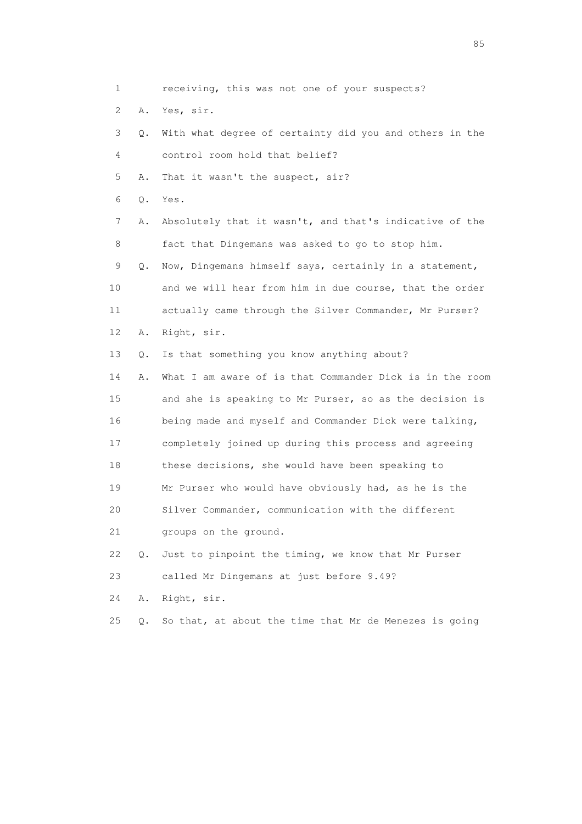1 receiving, this was not one of your suspects?

2 A. Yes, sir.

 3 Q. With what degree of certainty did you and others in the 4 control room hold that belief?

5 A. That it wasn't the suspect, sir?

6 Q. Yes.

 7 A. Absolutely that it wasn't, and that's indicative of the 8 fact that Dingemans was asked to go to stop him.

 9 Q. Now, Dingemans himself says, certainly in a statement, 10 and we will hear from him in due course, that the order 11 actually came through the Silver Commander, Mr Purser?

12 A. Right, sir.

13 Q. Is that something you know anything about?

 14 A. What I am aware of is that Commander Dick is in the room 15 and she is speaking to Mr Purser, so as the decision is 16 being made and myself and Commander Dick were talking, 17 completely joined up during this process and agreeing 18 these decisions, she would have been speaking to 19 Mr Purser who would have obviously had, as he is the 20 Silver Commander, communication with the different 21 groups on the ground.

 22 Q. Just to pinpoint the timing, we know that Mr Purser 23 called Mr Dingemans at just before 9.49?

24 A. Right, sir.

25 Q. So that, at about the time that Mr de Menezes is going

experience of the contract of the contract of the contract of the contract of the contract of the contract of the contract of the contract of the contract of the contract of the contract of the contract of the contract of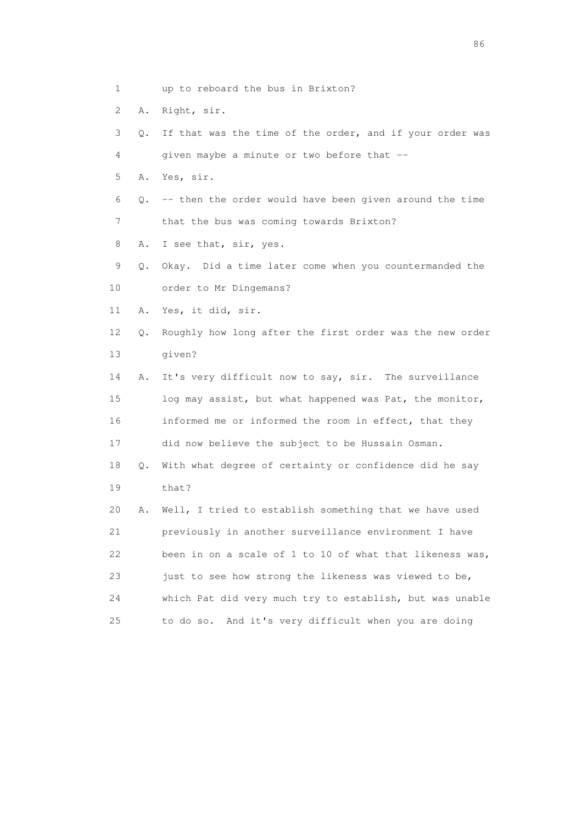- 1 up to reboard the bus in Brixton?
- 2 A. Right, sir.
- 3 Q. If that was the time of the order, and if your order was 4 given maybe a minute or two before that --
- 5 A. Yes, sir.
- $6$  Q. -- then the order would have been given around the time 7 that the bus was coming towards Brixton?
- 8 A. I see that, sir, yes.
- 9 Q. Okay. Did a time later come when you countermanded the
- 10 order to Mr Dingemans?
- 11 A. Yes, it did, sir.
- 12 Q. Roughly how long after the first order was the new order 13 given?
- 14 A. It's very difficult now to say, sir. The surveillance 15 log may assist, but what happened was Pat, the monitor, 16 informed me or informed the room in effect, that they 17 did now believe the subject to be Hussain Osman.
- 18 Q. With what degree of certainty or confidence did he say 19 that?
- 20 A. Well, I tried to establish something that we have used 21 previously in another surveillance environment I have 22 been in on a scale of 1 to 10 of what that likeness was, 23 just to see how strong the likeness was viewed to be, 24 which Pat did very much try to establish, but was unable 25 to do so. And it's very difficult when you are doing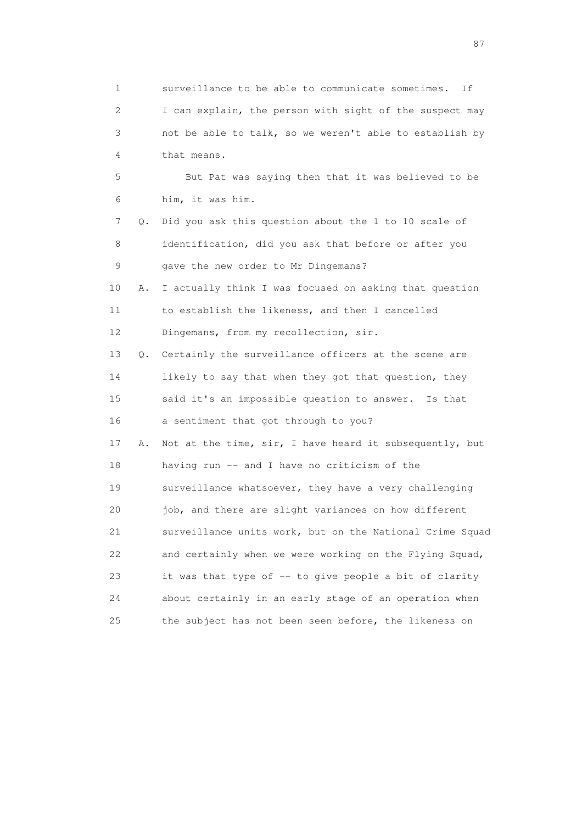1 surveillance to be able to communicate sometimes. If 2 I can explain, the person with sight of the suspect may 3 not be able to talk, so we weren't able to establish by 4 that means. 5 But Pat was saying then that it was believed to be 6 him, it was him. 7 Q. Did you ask this question about the 1 to 10 scale of 8 identification, did you ask that before or after you 9 gave the new order to Mr Dingemans? 10 A. I actually think I was focused on asking that question 11 to establish the likeness, and then I cancelled 12 Dingemans, from my recollection, sir. 13 Q. Certainly the surveillance officers at the scene are 14 likely to say that when they got that question, they 15 said it's an impossible question to answer. Is that 16 a sentiment that got through to you? 17 A. Not at the time, sir, I have heard it subsequently, but 18 having run -- and I have no criticism of the 19 surveillance whatsoever, they have a very challenging 20 job, and there are slight variances on how different 21 surveillance units work, but on the National Crime Squad 22 and certainly when we were working on the Flying Squad, 23 it was that type of -- to give people a bit of clarity 24 about certainly in an early stage of an operation when 25 the subject has not been seen before, the likeness on

experience of the state of the state of the state of the state of the state of the state of the state of the s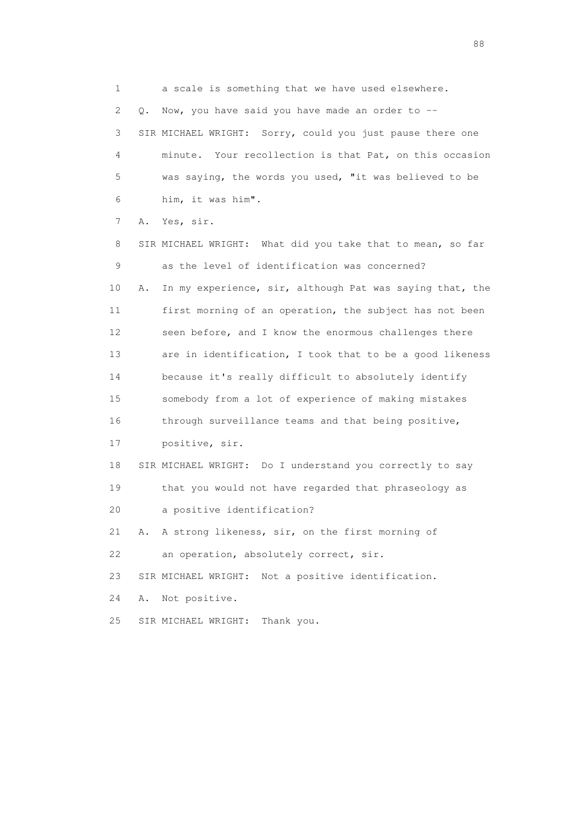1 a scale is something that we have used elsewhere. 2 Q. Now, you have said you have made an order to -- 3 SIR MICHAEL WRIGHT: Sorry, could you just pause there one 4 minute. Your recollection is that Pat, on this occasion 5 was saying, the words you used, "it was believed to be 6 him, it was him". 7 A. Yes, sir. 8 SIR MICHAEL WRIGHT: What did you take that to mean, so far

 9 as the level of identification was concerned? 10 A. In my experience, sir, although Pat was saying that, the 11 first morning of an operation, the subject has not been 12 seen before, and I know the enormous challenges there 13 are in identification, I took that to be a good likeness 14 because it's really difficult to absolutely identify 15 somebody from a lot of experience of making mistakes 16 through surveillance teams and that being positive, 17 positive, sir. 18 SIR MICHAEL WRIGHT: Do I understand you correctly to say 19 that you would not have regarded that phraseology as 20 a positive identification? 21 A. A strong likeness, sir, on the first morning of 22 an operation, absolutely correct, sir.

23 SIR MICHAEL WRIGHT: Not a positive identification.

24 A. Not positive.

25 SIR MICHAEL WRIGHT: Thank you.

en de la construction de la construction de la construction de la construction de la construction de la constr<br>1880 : le construction de la construction de la construction de la construction de la construction de la const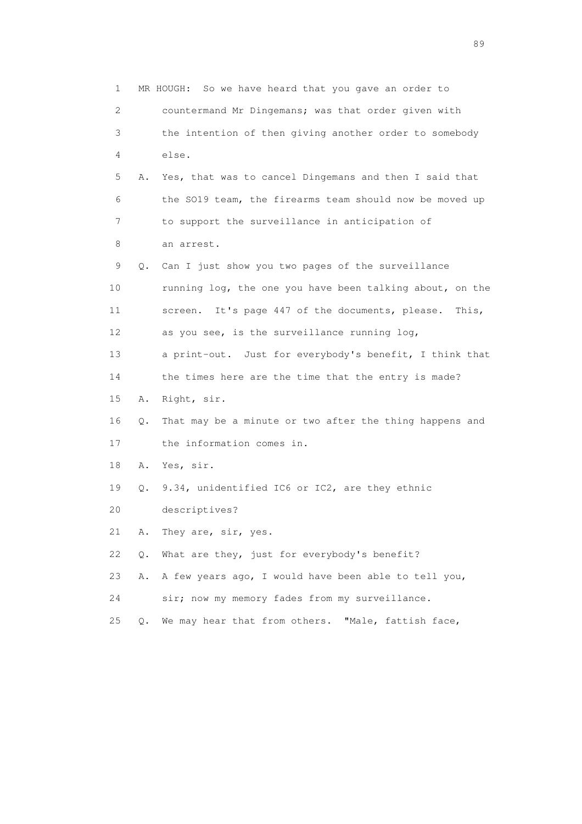1 MR HOUGH: So we have heard that you gave an order to 2 countermand Mr Dingemans; was that order given with 3 the intention of then giving another order to somebody 4 else. 5 A. Yes, that was to cancel Dingemans and then I said that 6 the SO19 team, the firearms team should now be moved up 7 to support the surveillance in anticipation of 8 an arrest. 9 Q. Can I just show you two pages of the surveillance 10 running log, the one you have been talking about, on the 11 screen. It's page 447 of the documents, please. This, 12 as you see, is the surveillance running log, 13 a print-out. Just for everybody's benefit, I think that 14 the times here are the time that the entry is made? 15 A. Right, sir. 16 Q. That may be a minute or two after the thing happens and 17 the information comes in. 18 A. Yes, sir. 19 Q. 9.34, unidentified IC6 or IC2, are they ethnic 20 descriptives? 21 A. They are, sir, yes. 22 Q. What are they, just for everybody's benefit? 23 A. A few years ago, I would have been able to tell you, 24 sir; now my memory fades from my surveillance. 25 Q. We may hear that from others. "Male, fattish face,

en andere de la provincia de la provincia de la provincia de la provincia de la provincia de la provincia de l<br>En 1910, en la provincia de la provincia de la provincia de la provincia de la provincia de la provincia de la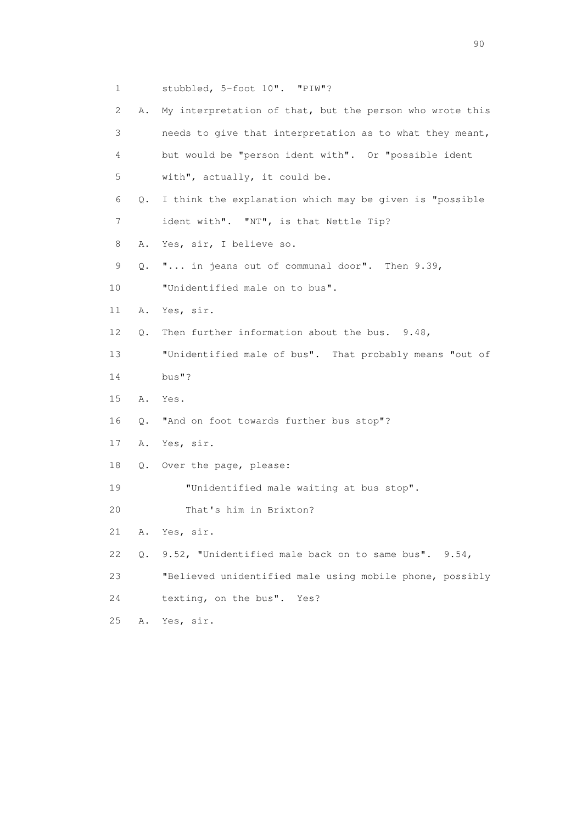1 stubbled, 5-foot 10". "PIW"? 2 A. My interpretation of that, but the person who wrote this 3 needs to give that interpretation as to what they meant, 4 but would be "person ident with". Or "possible ident 5 with", actually, it could be. 6 Q. I think the explanation which may be given is "possible 7 ident with". "NT", is that Nettle Tip? 8 A. Yes, sir, I believe so. 9 Q. "... in jeans out of communal door". Then 9.39, 10 "Unidentified male on to bus". 11 A. Yes, sir. 12 Q. Then further information about the bus. 9.48, 13 "Unidentified male of bus". That probably means "out of 14 bus"? 15 A. Yes. 16 Q. "And on foot towards further bus stop"? 17 A. Yes, sir. 18 Q. Over the page, please: 19 **"Unidentified male waiting at bus stop".**  20 That's him in Brixton? 21 A. Yes, sir. 22 Q. 9.52, "Unidentified male back on to same bus". 9.54, 23 "Believed unidentified male using mobile phone, possibly 24 texting, on the bus". Yes? 25 A. Yes, sir.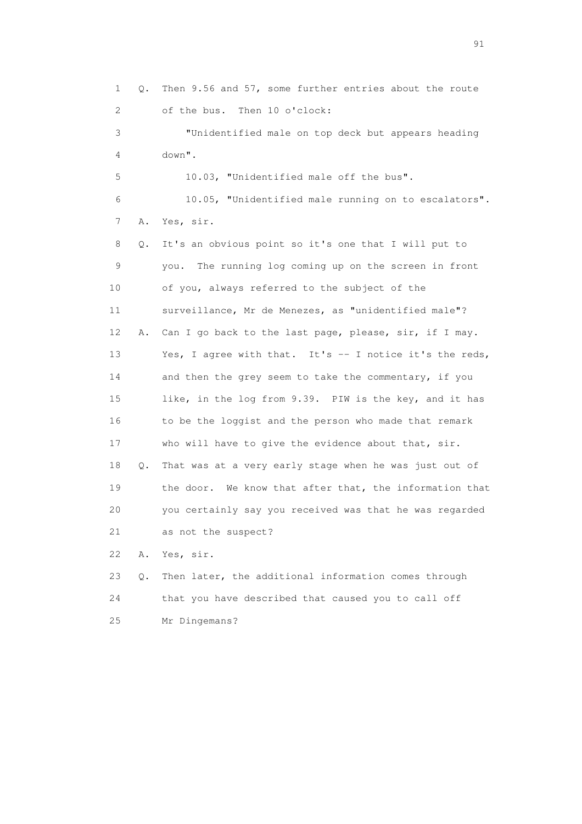1 Q. Then 9.56 and 57, some further entries about the route 2 of the bus. Then 10 o'clock: 3 "Unidentified male on top deck but appears heading 4 down". 5 10.03, "Unidentified male off the bus". 6 10.05, "Unidentified male running on to escalators". 7 A. Yes, sir. 8 Q. It's an obvious point so it's one that I will put to 9 you. The running log coming up on the screen in front 10 of you, always referred to the subject of the 11 surveillance, Mr de Menezes, as "unidentified male"? 12 A. Can I go back to the last page, please, sir, if I may. 13 Yes, I agree with that. It's -- I notice it's the reds, 14 and then the grey seem to take the commentary, if you 15 like, in the log from 9.39. PIW is the key, and it has 16 to be the loggist and the person who made that remark 17 who will have to give the evidence about that, sir. 18 Q. That was at a very early stage when he was just out of 19 the door. We know that after that, the information that 20 you certainly say you received was that he was regarded 21 as not the suspect? 22 A. Yes, sir. 23 Q. Then later, the additional information comes through 24 that you have described that caused you to call off

25 Mr Dingemans?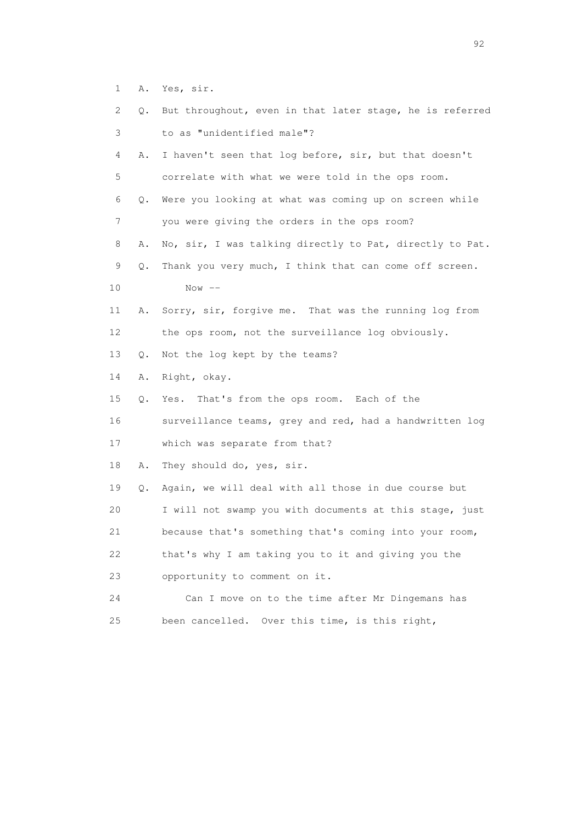1 A. Yes, sir.

| 2  | Q.        | But throughout, even in that later stage, he is referred |
|----|-----------|----------------------------------------------------------|
| 3  |           | to as "unidentified male"?                               |
| 4  | Α.        | I haven't seen that log before, sir, but that doesn't    |
| 5  |           | correlate with what we were told in the ops room.        |
| 6  | $\circ$ . | Were you looking at what was coming up on screen while   |
| 7  |           | you were giving the orders in the ops room?              |
| 8  | Α.        | No, sir, I was talking directly to Pat, directly to Pat. |
| 9  | Q.        | Thank you very much, I think that can come off screen.   |
| 10 |           | Now $--$                                                 |
| 11 | Α.        | Sorry, sir, forgive me. That was the running log from    |
| 12 |           | the ops room, not the surveillance log obviously.        |
| 13 | Q.        | Not the log kept by the teams?                           |
| 14 | Α.        | Right, okay.                                             |
| 15 | Q.        | Yes. That's from the ops room. Each of the               |
| 16 |           | surveillance teams, grey and red, had a handwritten log  |
| 17 |           | which was separate from that?                            |
| 18 | Α.        | They should do, yes, sir.                                |
| 19 | Q.        | Again, we will deal with all those in due course but     |
| 20 |           | I will not swamp you with documents at this stage, just  |
| 21 |           | because that's something that's coming into your room,   |
| 22 |           | that's why I am taking you to it and giving you the      |
| 23 |           | opportunity to comment on it.                            |
| 24 |           | Can I move on to the time after Mr Dingemans has         |
| 25 |           | Over this time, is this right,<br>been cancelled.        |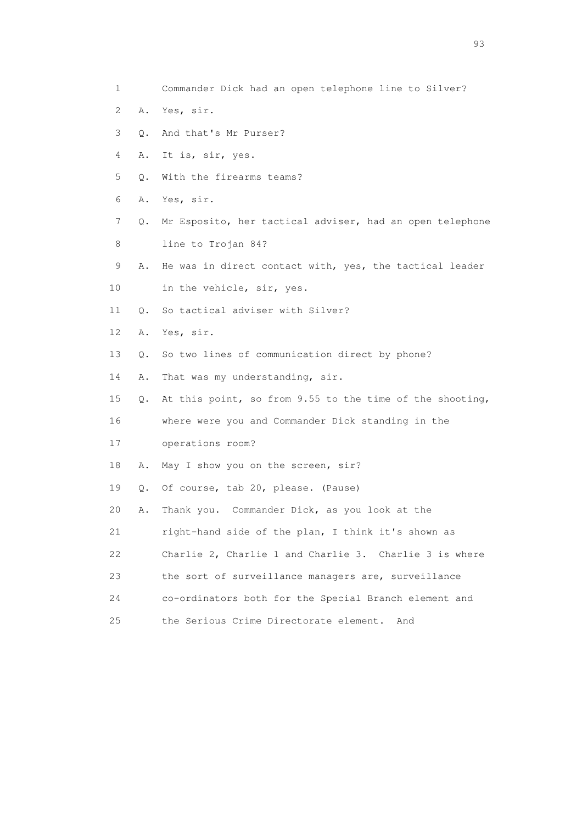- 1 Commander Dick had an open telephone line to Silver?
- 2 A. Yes, sir.
- 3 Q. And that's Mr Purser?
- 4 A. It is, sir, yes.
- 5 Q. With the firearms teams?
- 6 A. Yes, sir.
- 7 Q. Mr Esposito, her tactical adviser, had an open telephone 8 line to Trojan 84?
- 9 A. He was in direct contact with, yes, the tactical leader
- 10 in the vehicle, sir, yes.
- 11 Q. So tactical adviser with Silver?
- 12 A. Yes, sir.
- 13 Q. So two lines of communication direct by phone?
- 14 A. That was my understanding, sir.
- 15 Q. At this point, so from 9.55 to the time of the shooting,
- 16 where were you and Commander Dick standing in the
- 17 operations room?
- 18 A. May I show you on the screen, sir?
- 19 Q. Of course, tab 20, please. (Pause)
- 20 A. Thank you. Commander Dick, as you look at the
- 21 right-hand side of the plan, I think it's shown as
- 22 Charlie 2, Charlie 1 and Charlie 3. Charlie 3 is where
- 23 the sort of surveillance managers are, surveillance
- 24 co-ordinators both for the Special Branch element and
- 25 the Serious Crime Directorate element. And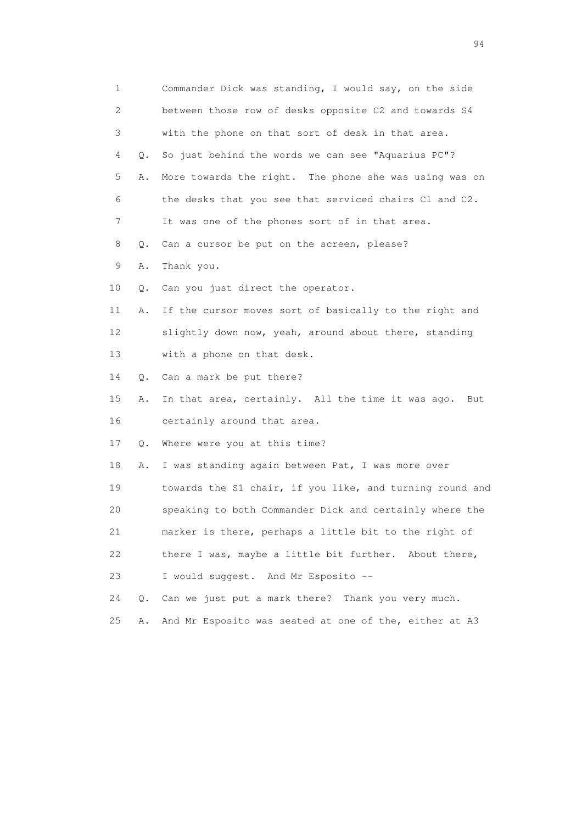| 1                         |    | Commander Dick was standing, I would say, on the side    |
|---------------------------|----|----------------------------------------------------------|
| $\mathbf{2}^{\mathsf{I}}$ |    | between those row of desks opposite C2 and towards S4    |
| 3                         |    | with the phone on that sort of desk in that area.        |
| 4                         | Q. | So just behind the words we can see "Aquarius PC"?       |
| 5                         | Α. | More towards the right. The phone she was using was on   |
| 6                         |    | the desks that you see that serviced chairs C1 and C2.   |
| 7                         |    | It was one of the phones sort of in that area.           |
| 8                         | Q. | Can a cursor be put on the screen, please?               |
| 9                         | Α. | Thank you.                                               |
| 10                        | Q. | Can you just direct the operator.                        |
| 11                        | Α. | If the cursor moves sort of basically to the right and   |
| 12                        |    | slightly down now, yeah, around about there, standing    |
| 13                        |    | with a phone on that desk.                               |
| 14                        | Q. | Can a mark be put there?                                 |
| 15                        | Α. | In that area, certainly. All the time it was ago.<br>But |
| 16                        |    | certainly around that area.                              |
| 17                        | Q. | Where were you at this time?                             |
| 18                        | Α. | I was standing again between Pat, I was more over        |
| 19                        |    | towards the S1 chair, if you like, and turning round and |
| 20                        |    | speaking to both Commander Dick and certainly where the  |
| 21                        |    | marker is there, perhaps a little bit to the right of    |
| 22                        |    | there I was, maybe a little bit further. About there,    |
| 23                        |    | I would suggest. And Mr Esposito --                      |
| 24                        | О. | Can we just put a mark there? Thank you very much.       |
| 25                        | Α. | And Mr Esposito was seated at one of the, either at A3   |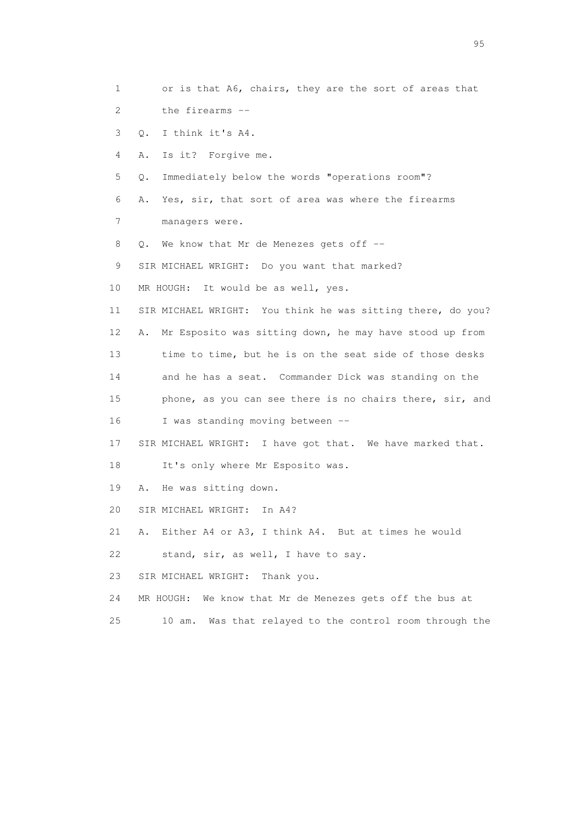1 or is that A6, chairs, they are the sort of areas that 2 the firearms -- 3 Q. I think it's A4. 4 A. Is it? Forgive me. 5 Q. Immediately below the words "operations room"? 6 A. Yes, sir, that sort of area was where the firearms 7 managers were. 8 Q. We know that Mr de Menezes gets off -- 9 SIR MICHAEL WRIGHT: Do you want that marked? 10 MR HOUGH: It would be as well, yes. 11 SIR MICHAEL WRIGHT: You think he was sitting there, do you? 12 A. Mr Esposito was sitting down, he may have stood up from 13 time to time, but he is on the seat side of those desks 14 and he has a seat. Commander Dick was standing on the 15 phone, as you can see there is no chairs there, sir, and 16 I was standing moving between -- 17 SIR MICHAEL WRIGHT: I have got that. We have marked that. 18 It's only where Mr Esposito was. 19 A. He was sitting down. 20 SIR MICHAEL WRIGHT: In A4? 21 A. Either A4 or A3, I think A4. But at times he would 22 stand, sir, as well, I have to say. 23 SIR MICHAEL WRIGHT: Thank you. 24 MR HOUGH: We know that Mr de Menezes gets off the bus at 25 10 am. Was that relayed to the control room through the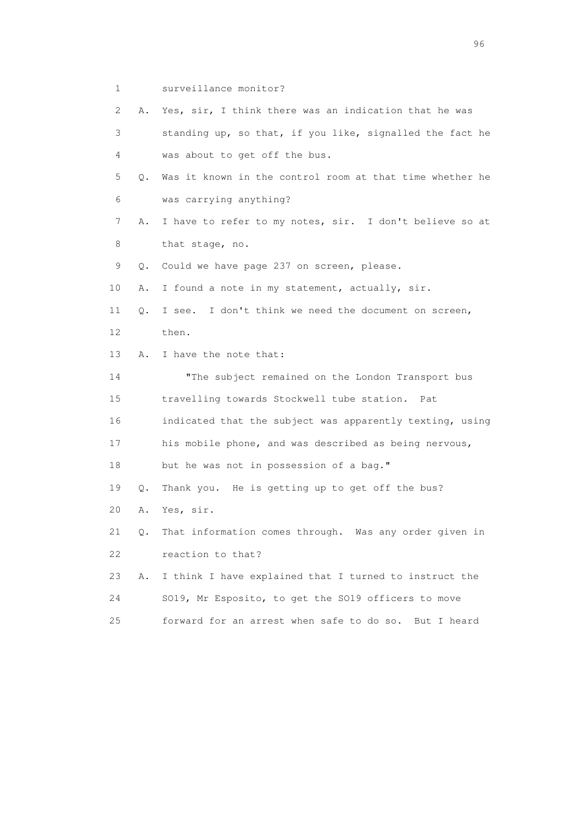1 surveillance monitor?

 2 A. Yes, sir, I think there was an indication that he was 3 standing up, so that, if you like, signalled the fact he 4 was about to get off the bus. 5 Q. Was it known in the control room at that time whether he 6 was carrying anything? 7 A. I have to refer to my notes, sir. I don't believe so at 8 that stage, no. 9 Q. Could we have page 237 on screen, please. 10 A. I found a note in my statement, actually, sir. 11 Q. I see. I don't think we need the document on screen, 12 then. 13 A. I have the note that: 14 **"The subject remained on the London Transport bus**  15 travelling towards Stockwell tube station. Pat 16 indicated that the subject was apparently texting, using 17 his mobile phone, and was described as being nervous, 18 but he was not in possession of a bag." 19 Q. Thank you. He is getting up to get off the bus? 20 A. Yes, sir. 21 Q. That information comes through. Was any order given in 22 reaction to that? 23 A. I think I have explained that I turned to instruct the 24 SO19, Mr Esposito, to get the SO19 officers to move

25 forward for an arrest when safe to do so. But I heard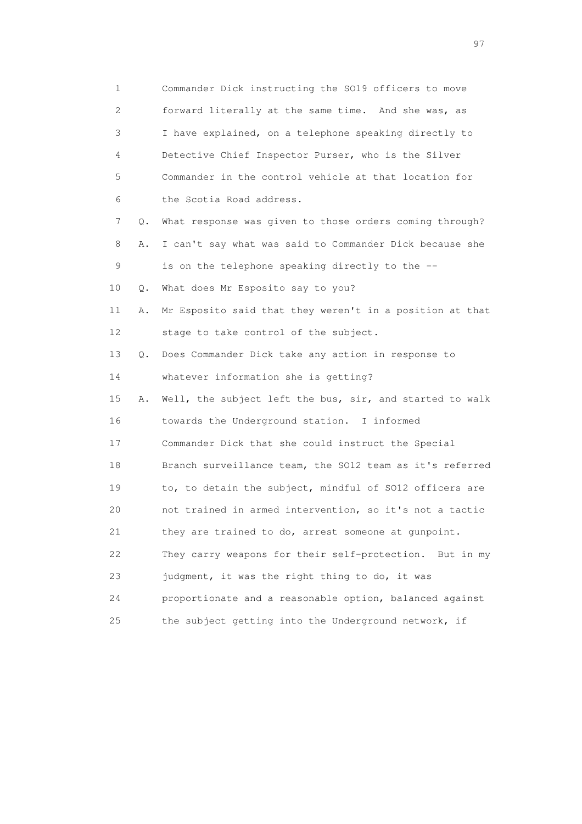| 1                         |    | Commander Dick instructing the SO19 officers to move     |
|---------------------------|----|----------------------------------------------------------|
| $\mathbf{2}^{\mathsf{I}}$ |    | forward literally at the same time. And she was, as      |
| 3                         |    | I have explained, on a telephone speaking directly to    |
| 4                         |    | Detective Chief Inspector Purser, who is the Silver      |
| 5                         |    | Commander in the control vehicle at that location for    |
| 6                         |    | the Scotia Road address.                                 |
| 7                         | Q. | What response was given to those orders coming through?  |
| 8                         | Α. | I can't say what was said to Commander Dick because she  |
| 9                         |    | is on the telephone speaking directly to the --          |
| 10                        | Q. | What does Mr Esposito say to you?                        |
| 11                        | Α. | Mr Esposito said that they weren't in a position at that |
| 12                        |    | stage to take control of the subject.                    |
| 13                        | Q. | Does Commander Dick take any action in response to       |
| 14                        |    | whatever information she is getting?                     |
| 15                        | Α. | Well, the subject left the bus, sir, and started to walk |
| 16                        |    | towards the Underground station. I informed              |
| 17                        |    | Commander Dick that she could instruct the Special       |
| 18                        |    | Branch surveillance team, the SO12 team as it's referred |
| 19                        |    | to, to detain the subject, mindful of SO12 officers are  |
| 20                        |    | not trained in armed intervention, so it's not a tactic  |
| 21                        |    | they are trained to do, arrest someone at gunpoint.      |
| 22                        |    | They carry weapons for their self-protection. But in my  |
| 23                        |    | judgment, it was the right thing to do, it was           |
| 24                        |    | proportionate and a reasonable option, balanced against  |
| 25                        |    | the subject getting into the Underground network, if     |

experience of the contract of the contract of the contract of the contract of the contract of the contract of the contract of the contract of the contract of the contract of the contract of the contract of the contract of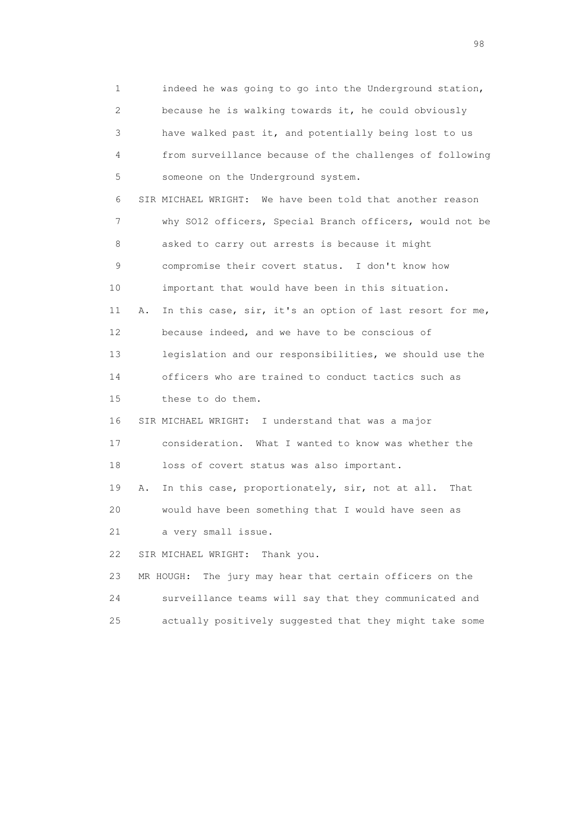1 indeed he was going to go into the Underground station, 2 because he is walking towards it, he could obviously 3 have walked past it, and potentially being lost to us 4 from surveillance because of the challenges of following 5 someone on the Underground system. 6 SIR MICHAEL WRIGHT: We have been told that another reason 7 why SO12 officers, Special Branch officers, would not be 8 asked to carry out arrests is because it might 9 compromise their covert status. I don't know how 10 important that would have been in this situation. 11 A. In this case, sir, it's an option of last resort for me, 12 because indeed, and we have to be conscious of 13 legislation and our responsibilities, we should use the 14 officers who are trained to conduct tactics such as 15 these to do them. 16 SIR MICHAEL WRIGHT: I understand that was a major 17 consideration. What I wanted to know was whether the 18 loss of covert status was also important. 19 A. In this case, proportionately, sir, not at all. That 20 would have been something that I would have seen as 21 a very small issue. 22 SIR MICHAEL WRIGHT: Thank you. 23 MR HOUGH: The jury may hear that certain officers on the 24 surveillance teams will say that they communicated and 25 actually positively suggested that they might take some

en 1988 en 1989 en 1989 en 1989 en 1989 en 1989 en 1989 en 1989 en 1989 en 1989 en 1989 en 1989 en 1989 en 19<br>De grote en 1989 en 1989 en 1989 en 1989 en 1989 en 1989 en 1989 en 1989 en 1989 en 1989 en 1989 en 1989 en 19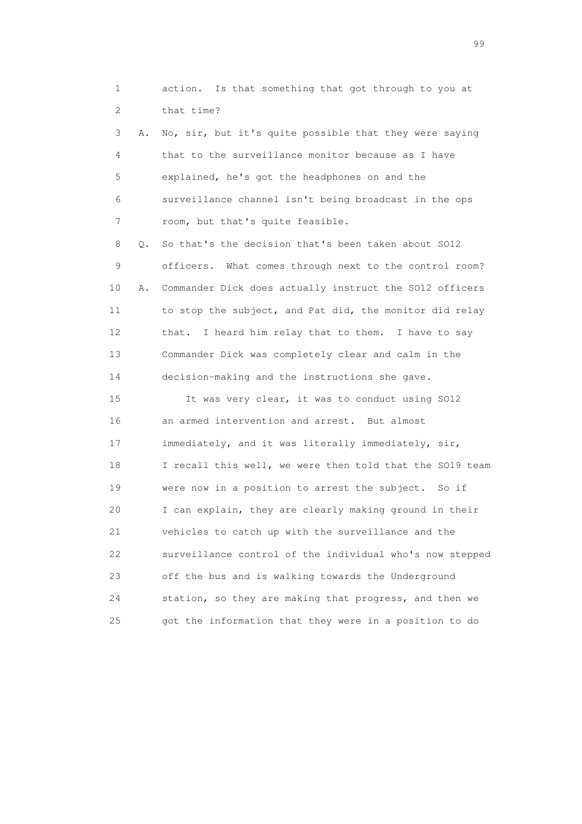1 action. Is that something that got through to you at 2 that time?

 3 A. No, sir, but it's quite possible that they were saying 4 that to the surveillance monitor because as I have 5 explained, he's got the headphones on and the 6 surveillance channel isn't being broadcast in the ops 7 room, but that's quite feasible.

 8 Q. So that's the decision that's been taken about SO12 9 officers. What comes through next to the control room? 10 A. Commander Dick does actually instruct the SO12 officers 11 to stop the subject, and Pat did, the monitor did relay 12 that. I heard him relay that to them. I have to say 13 Commander Dick was completely clear and calm in the 14 decision-making and the instructions she gave.

 15 It was very clear, it was to conduct using SO12 16 an armed intervention and arrest. But almost 17 immediately, and it was literally immediately, sir, 18 I recall this well, we were then told that the SO19 team 19 were now in a position to arrest the subject. So if 20 I can explain, they are clearly making ground in their 21 vehicles to catch up with the surveillance and the 22 surveillance control of the individual who's now stepped 23 off the bus and is walking towards the Underground 24 station, so they are making that progress, and then we 25 got the information that they were in a position to do

en de la construction de la construction de la construction de la construction de la construction de la constr<br>1990 : la construction de la construction de la construction de la construction de la construction de la const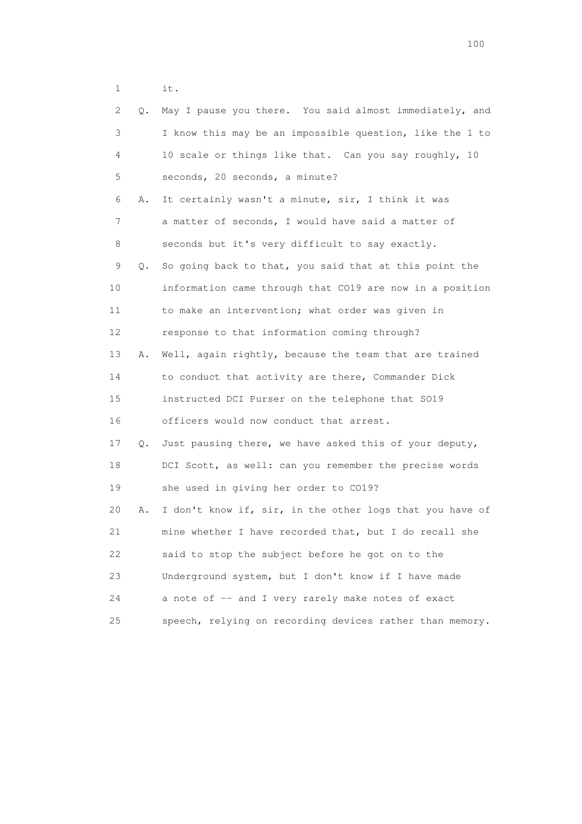1 it.

|    | 2<br>Q. | May I pause you there. You said almost immediately, and  |
|----|---------|----------------------------------------------------------|
|    | 3       | I know this may be an impossible question, like the 1 to |
|    | 4       | 10 scale or things like that. Can you say roughly, 10    |
|    | 5       | seconds, 20 seconds, a minute?                           |
|    | 6<br>Α. | It certainly wasn't a minute, sir, I think it was        |
|    | 7       | a matter of seconds, I would have said a matter of       |
|    | 8       | seconds but it's very difficult to say exactly.          |
|    | 9<br>Q. | So going back to that, you said that at this point the   |
| 10 |         | information came through that CO19 are now in a position |
| 11 |         | to make an intervention; what order was given in         |
| 12 |         | response to that information coming through?             |
| 13 | Α.      | Well, again rightly, because the team that are trained   |
| 14 |         | to conduct that activity are there, Commander Dick       |
| 15 |         | instructed DCI Purser on the telephone that SO19         |
| 16 |         | officers would now conduct that arrest.                  |
| 17 | Q.      | Just pausing there, we have asked this of your deputy,   |
| 18 |         | DCI Scott, as well: can you remember the precise words   |
| 19 |         | she used in giving her order to CO19?                    |
| 20 | Α.      | I don't know if, sir, in the other logs that you have of |
| 21 |         | mine whether I have recorded that, but I do recall she   |
| 22 |         | said to stop the subject before he got on to the         |
| 23 |         | Underground system, but I don't know if I have made      |
| 24 |         | a note of -- and I very rarely make notes of exact       |
| 25 |         | speech, relying on recording devices rather than memory. |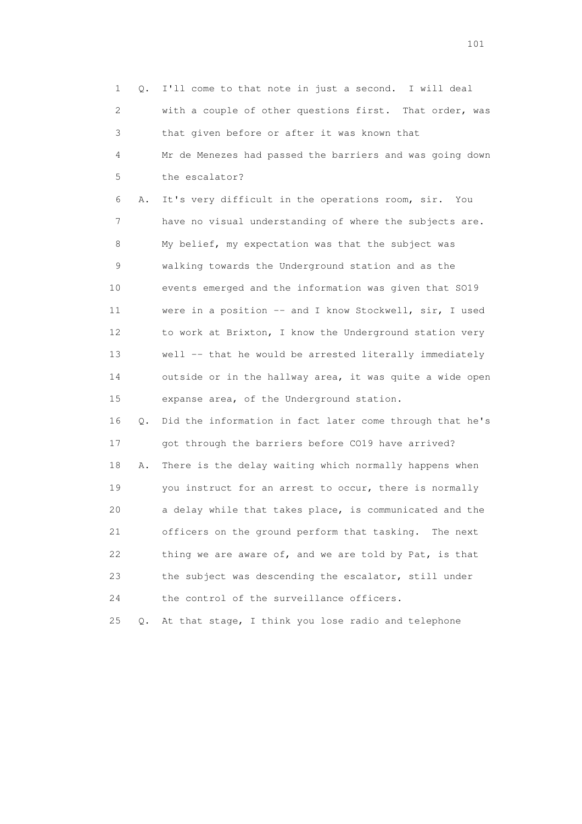1 Q. I'll come to that note in just a second. I will deal 2 with a couple of other questions first. That order, was 3 that given before or after it was known that 4 Mr de Menezes had passed the barriers and was going down 5 the escalator? 6 A. It's very difficult in the operations room, sir. You 7 have no visual understanding of where the subjects are. 8 My belief, my expectation was that the subject was 9 walking towards the Underground station and as the 10 events emerged and the information was given that SO19 11 were in a position -- and I know Stockwell, sir, I used 12 to work at Brixton, I know the Underground station very 13 well -- that he would be arrested literally immediately 14 outside or in the hallway area, it was quite a wide open 15 expanse area, of the Underground station. 16 Q. Did the information in fact later come through that he's 17 got through the barriers before CO19 have arrived? 18 A. There is the delay waiting which normally happens when 19 you instruct for an arrest to occur, there is normally 20 a delay while that takes place, is communicated and the 21 officers on the ground perform that tasking. The next 22 thing we are aware of, and we are told by Pat, is that 23 the subject was descending the escalator, still under 24 the control of the surveillance officers. 25 Q. At that stage, I think you lose radio and telephone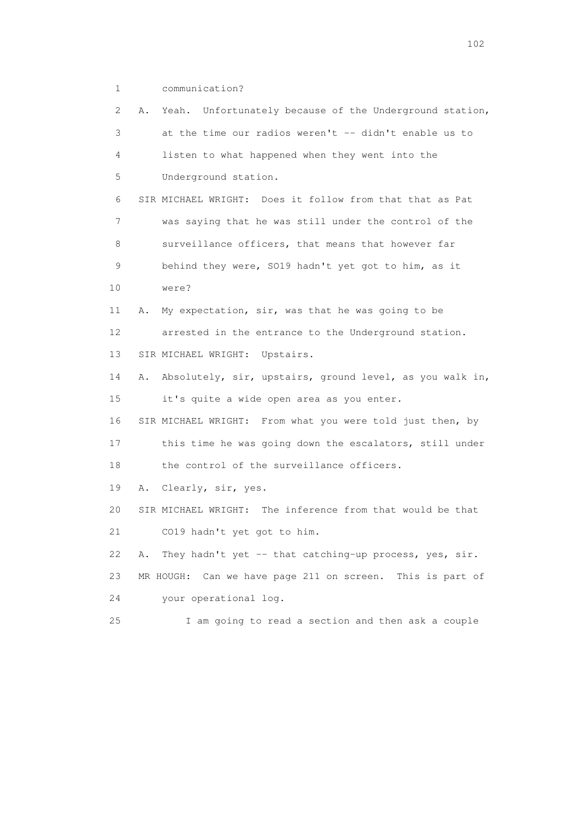1 communication?

 2 A. Yeah. Unfortunately because of the Underground station, 3 at the time our radios weren't -- didn't enable us to 4 listen to what happened when they went into the 5 Underground station. 6 SIR MICHAEL WRIGHT: Does it follow from that that as Pat 7 was saying that he was still under the control of the 8 surveillance officers, that means that however far 9 behind they were, SO19 hadn't yet got to him, as it 10 were? 11 A. My expectation, sir, was that he was going to be 12 arrested in the entrance to the Underground station. 13 SIR MICHAEL WRIGHT: Upstairs. 14 A. Absolutely, sir, upstairs, ground level, as you walk in, 15 it's quite a wide open area as you enter. 16 SIR MICHAEL WRIGHT: From what you were told just then, by 17 this time he was going down the escalators, still under 18 the control of the surveillance officers. 19 A. Clearly, sir, yes. 20 SIR MICHAEL WRIGHT: The inference from that would be that 21 CO19 hadn't yet got to him. 22 A. They hadn't yet -- that catching-up process, yes, sir. 23 MR HOUGH: Can we have page 211 on screen. This is part of 24 your operational log. 25 I am going to read a section and then ask a couple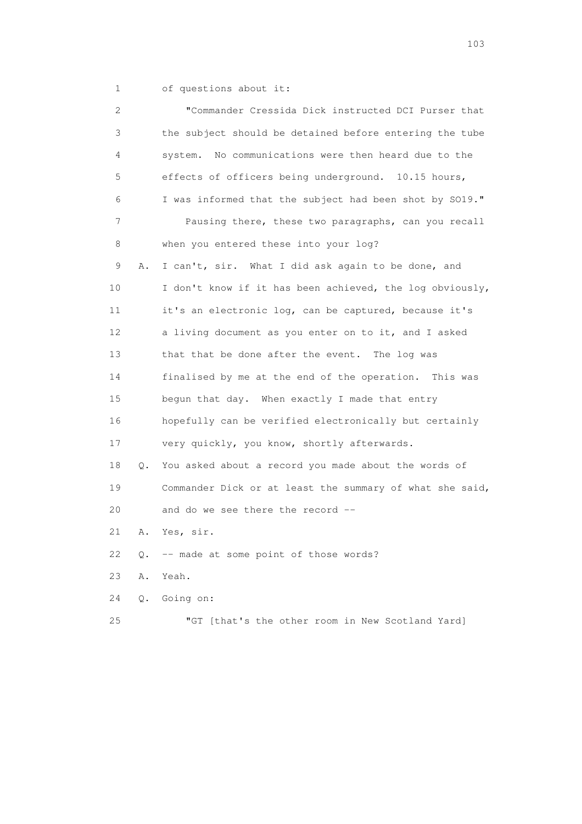1 of questions about it:

| 2  |    | "Commander Cressida Dick instructed DCI Purser that      |
|----|----|----------------------------------------------------------|
| 3  |    | the subject should be detained before entering the tube  |
| 4  |    | No communications were then heard due to the<br>system.  |
| 5  |    | effects of officers being underground. 10.15 hours,      |
| 6  |    | I was informed that the subject had been shot by SO19."  |
| 7  |    | Pausing there, these two paragraphs, can you recall      |
| 8  |    | when you entered these into your log?                    |
| 9  | Α. | I can't, sir. What I did ask again to be done, and       |
| 10 |    | I don't know if it has been achieved, the log obviously, |
| 11 |    | it's an electronic log, can be captured, because it's    |
| 12 |    | a living document as you enter on to it, and I asked     |
| 13 |    | that that be done after the event. The log was           |
| 14 |    | finalised by me at the end of the operation. This was    |
| 15 |    | begun that day. When exactly I made that entry           |
| 16 |    | hopefully can be verified electronically but certainly   |
| 17 |    | very quickly, you know, shortly afterwards.              |
| 18 | Q. | You asked about a record you made about the words of     |
| 19 |    | Commander Dick or at least the summary of what she said, |
| 20 |    | and do we see there the record --                        |
| 21 | Α. | Yes, sir.                                                |
| 22 |    | Q. -- made at some point of those words?                 |
| 23 | Α. | Yeah.                                                    |
| 24 | Q. | Going on:                                                |
| 25 |    | "GT [that's the other room in New Scotland Yard]         |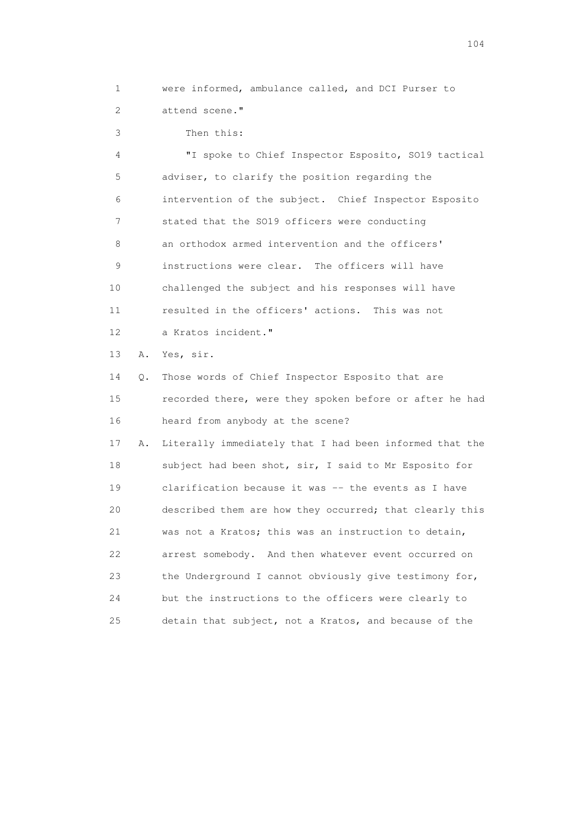1 were informed, ambulance called, and DCI Purser to 2 attend scene."

3 Then this:

 4 "I spoke to Chief Inspector Esposito, SO19 tactical 5 adviser, to clarify the position regarding the 6 intervention of the subject. Chief Inspector Esposito 7 stated that the SO19 officers were conducting 8 an orthodox armed intervention and the officers' 9 instructions were clear. The officers will have 10 challenged the subject and his responses will have 11 resulted in the officers' actions. This was not 12 a Kratos incident."

13 A. Yes, sir.

 14 Q. Those words of Chief Inspector Esposito that are 15 recorded there, were they spoken before or after he had 16 heard from anybody at the scene?

 17 A. Literally immediately that I had been informed that the 18 subject had been shot, sir, I said to Mr Esposito for 19 clarification because it was -- the events as I have 20 described them are how they occurred; that clearly this 21 was not a Kratos; this was an instruction to detain, 22 arrest somebody. And then whatever event occurred on 23 the Underground I cannot obviously give testimony for, 24 but the instructions to the officers were clearly to 25 detain that subject, not a Kratos, and because of the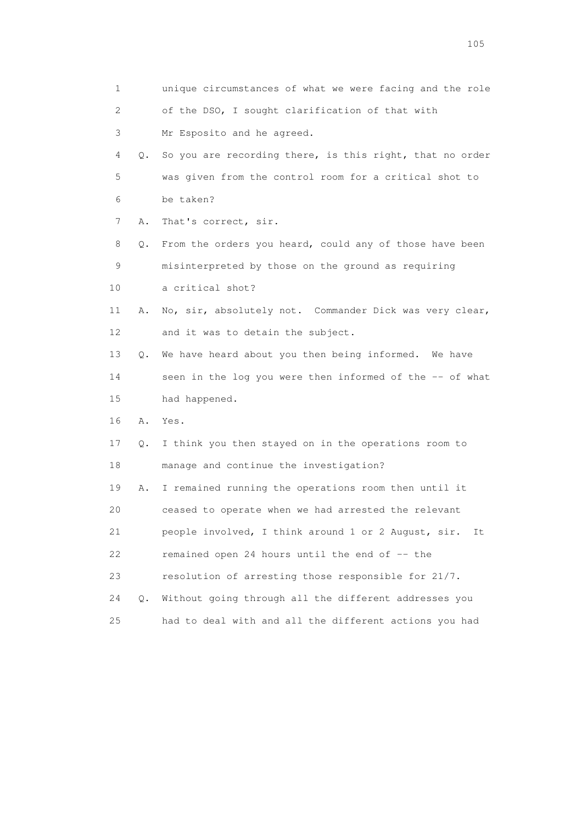| 1  |    | unique circumstances of what we were facing and the role  |
|----|----|-----------------------------------------------------------|
| 2  |    | of the DSO, I sought clarification of that with           |
| 3  |    | Mr Esposito and he agreed.                                |
| 4  | Q. | So you are recording there, is this right, that no order  |
| 5  |    | was given from the control room for a critical shot to    |
| 6  |    | be taken?                                                 |
| 7  | Α. | That's correct, sir.                                      |
| 8  | Q. | From the orders you heard, could any of those have been   |
| 9  |    | misinterpreted by those on the ground as requiring        |
| 10 |    | a critical shot?                                          |
| 11 | Α. | No, sir, absolutely not. Commander Dick was very clear,   |
| 12 |    | and it was to detain the subject.                         |
| 13 | Q. | We have heard about you then being informed. We have      |
| 14 |    | seen in the log you were then informed of the -- of what  |
| 15 |    | had happened.                                             |
| 16 | Α. | Yes.                                                      |
| 17 | Q. | I think you then stayed on in the operations room to      |
| 18 |    | manage and continue the investigation?                    |
| 19 | Α. | I remained running the operations room then until it      |
| 20 |    | ceased to operate when we had arrested the relevant       |
| 21 |    | people involved, I think around 1 or 2 August, sir.<br>It |
| 22 |    | remained open 24 hours until the end of -- the            |
| 23 |    | resolution of arresting those responsible for 21/7.       |
| 24 | Q. | Without going through all the different addresses you     |
| 25 |    | had to deal with and all the different actions you had    |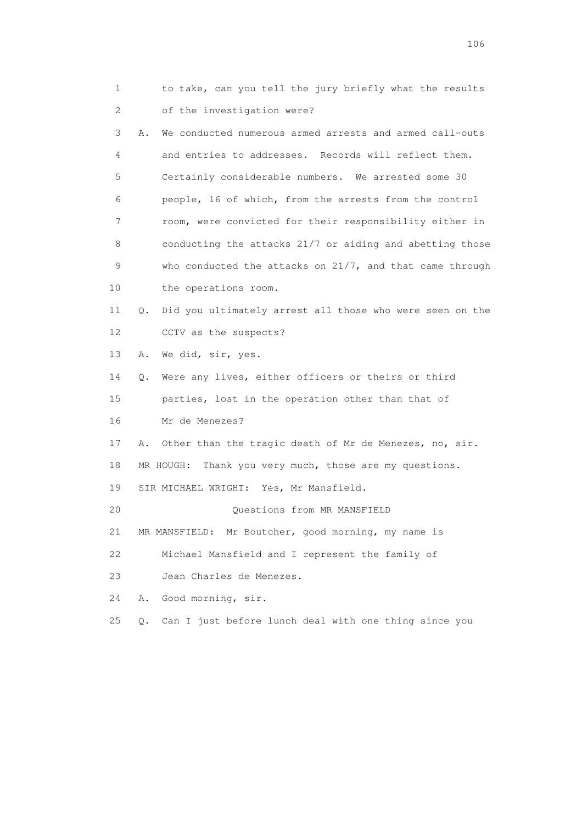1 to take, can you tell the jury briefly what the results 2 of the investigation were? 3 A. We conducted numerous armed arrests and armed call-outs 4 and entries to addresses. Records will reflect them. 5 Certainly considerable numbers. We arrested some 30 6 people, 16 of which, from the arrests from the control 7 room, were convicted for their responsibility either in 8 conducting the attacks 21/7 or aiding and abetting those 9 who conducted the attacks on 21/7, and that came through 10 the operations room. 11 Q. Did you ultimately arrest all those who were seen on the 12 CCTV as the suspects? 13 A. We did, sir, yes. 14 Q. Were any lives, either officers or theirs or third 15 parties, lost in the operation other than that of 16 Mr de Menezes? 17 A. Other than the tragic death of Mr de Menezes, no, sir. 18 MR HOUGH: Thank you very much, those are my questions. 19 SIR MICHAEL WRIGHT: Yes, Mr Mansfield. 20 Questions from MR MANSFIELD 21 MR MANSFIELD: Mr Boutcher, good morning, my name is 22 Michael Mansfield and I represent the family of 23 Jean Charles de Menezes. 24 A. Good morning, sir. 25 Q. Can I just before lunch deal with one thing since you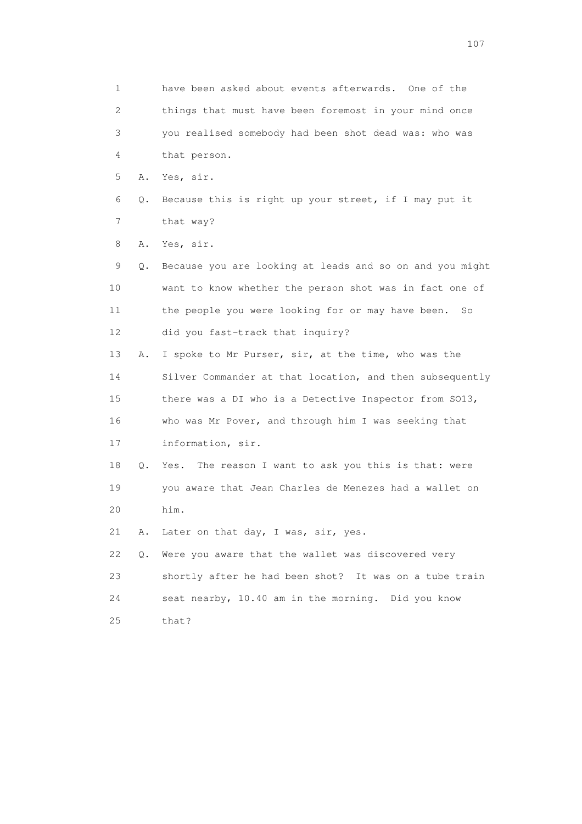1 have been asked about events afterwards. One of the 2 things that must have been foremost in your mind once 3 you realised somebody had been shot dead was: who was 4 that person. 5 A. Yes, sir. 6 Q. Because this is right up your street, if I may put it 7 that way? 8 A. Yes, sir. 9 Q. Because you are looking at leads and so on and you might 10 want to know whether the person shot was in fact one of 11 the people you were looking for or may have been. So 12 did you fast-track that inquiry? 13 A. I spoke to Mr Purser, sir, at the time, who was the 14 Silver Commander at that location, and then subsequently 15 there was a DI who is a Detective Inspector from SO13, 16 who was Mr Pover, and through him I was seeking that 17 information, sir. 18 Q. Yes. The reason I want to ask you this is that: were 19 you aware that Jean Charles de Menezes had a wallet on 20 him. 21 A. Later on that day, I was, sir, yes. 22 Q. Were you aware that the wallet was discovered very 23 shortly after he had been shot? It was on a tube train 24 seat nearby, 10.40 am in the morning. Did you know 25 that?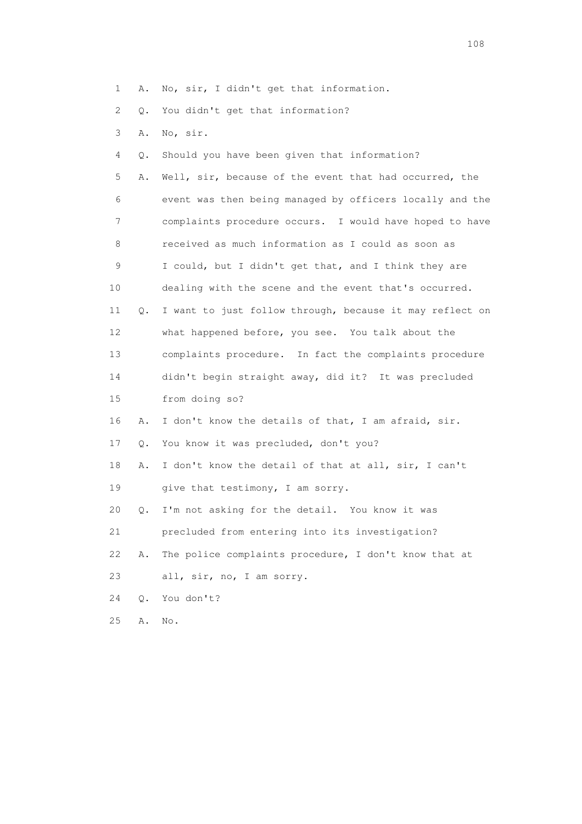1 A. No, sir, I didn't get that information.

2 Q. You didn't get that information?

3 A. No, sir.

4 Q. Should you have been given that information?

 5 A. Well, sir, because of the event that had occurred, the 6 event was then being managed by officers locally and the 7 complaints procedure occurs. I would have hoped to have 8 received as much information as I could as soon as 9 I could, but I didn't get that, and I think they are 10 dealing with the scene and the event that's occurred. 11 Q. I want to just follow through, because it may reflect on 12 what happened before, you see. You talk about the 13 complaints procedure. In fact the complaints procedure 14 didn't begin straight away, did it? It was precluded 15 from doing so? 16 A. I don't know the details of that, I am afraid, sir. 17 Q. You know it was precluded, don't you? 18 A. I don't know the detail of that at all, sir, I can't 19 give that testimony, I am sorry. 20 Q. I'm not asking for the detail. You know it was 21 precluded from entering into its investigation? 22 A. The police complaints procedure, I don't know that at

23 all, sir, no, I am sorry.

24 Q. You don't?

25 A. No.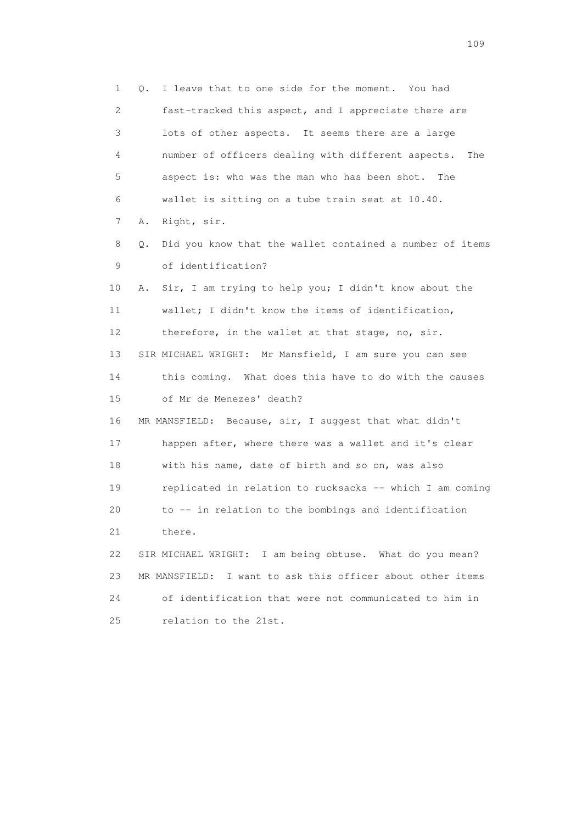1 Q. I leave that to one side for the moment. You had 2 fast-tracked this aspect, and I appreciate there are 3 lots of other aspects. It seems there are a large 4 number of officers dealing with different aspects. The 5 aspect is: who was the man who has been shot. The 6 wallet is sitting on a tube train seat at 10.40. 7 A. Right, sir. 8 Q. Did you know that the wallet contained a number of items 9 of identification? 10 A. Sir, I am trying to help you; I didn't know about the 11 wallet; I didn't know the items of identification, 12 therefore, in the wallet at that stage, no, sir. 13 SIR MICHAEL WRIGHT: Mr Mansfield, I am sure you can see 14 this coming. What does this have to do with the causes 15 of Mr de Menezes' death? 16 MR MANSFIELD: Because, sir, I suggest that what didn't 17 happen after, where there was a wallet and it's clear 18 with his name, date of birth and so on, was also 19 replicated in relation to rucksacks -- which I am coming 20 to -- in relation to the bombings and identification 21 there. 22 SIR MICHAEL WRIGHT: I am being obtuse. What do you mean? 23 MR MANSFIELD: I want to ask this officer about other items 24 of identification that were not communicated to him in 25 relation to the 21st.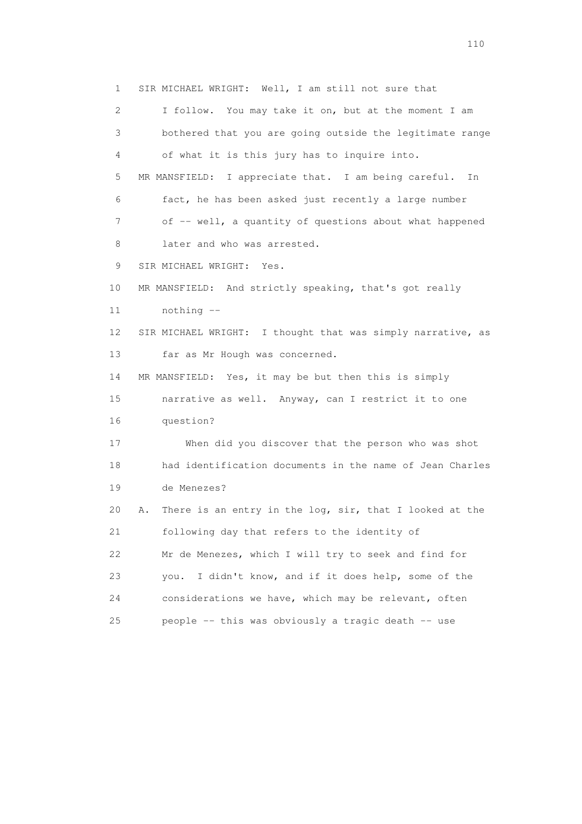1 SIR MICHAEL WRIGHT: Well, I am still not sure that 2 I follow. You may take it on, but at the moment I am 3 bothered that you are going outside the legitimate range 4 of what it is this jury has to inquire into. 5 MR MANSFIELD: I appreciate that. I am being careful. In 6 fact, he has been asked just recently a large number 7 of -- well, a quantity of questions about what happened 8 later and who was arrested. 9 SIR MICHAEL WRIGHT: Yes. 10 MR MANSFIELD: And strictly speaking, that's got really 11 nothing -- 12 SIR MICHAEL WRIGHT: I thought that was simply narrative, as 13 far as Mr Hough was concerned. 14 MR MANSFIELD: Yes, it may be but then this is simply 15 narrative as well. Anyway, can I restrict it to one 16 question? 17 When did you discover that the person who was shot 18 had identification documents in the name of Jean Charles 19 de Menezes? 20 A. There is an entry in the log, sir, that I looked at the 21 following day that refers to the identity of 22 Mr de Menezes, which I will try to seek and find for 23 you. I didn't know, and if it does help, some of the 24 considerations we have, which may be relevant, often 25 people -- this was obviously a tragic death -- use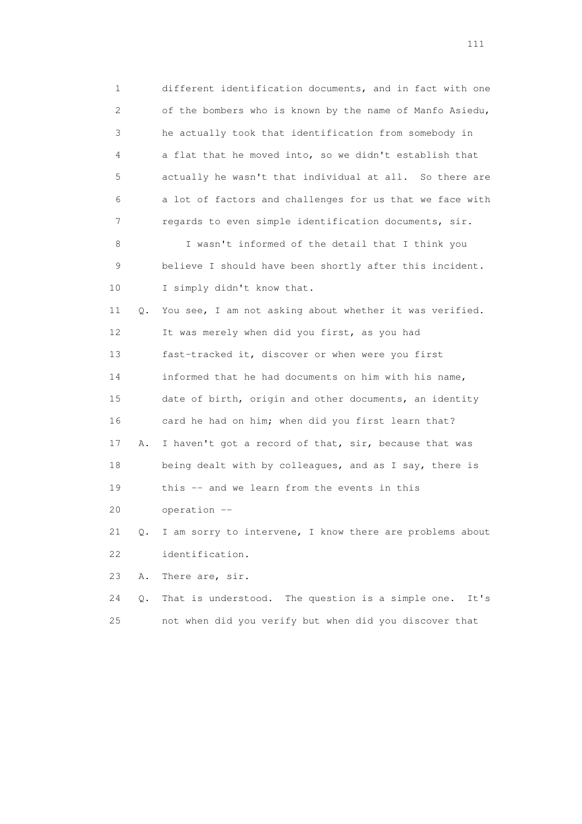1 different identification documents, and in fact with one 2 of the bombers who is known by the name of Manfo Asiedu, 3 he actually took that identification from somebody in 4 a flat that he moved into, so we didn't establish that 5 actually he wasn't that individual at all. So there are 6 a lot of factors and challenges for us that we face with 7 regards to even simple identification documents, sir. 8 I wasn't informed of the detail that I think you 9 believe I should have been shortly after this incident. 10 I simply didn't know that. 11 Q. You see, I am not asking about whether it was verified. 12 It was merely when did you first, as you had 13 fast-tracked it, discover or when were you first 14 informed that he had documents on him with his name, 15 date of birth, origin and other documents, an identity 16 card he had on him; when did you first learn that? 17 A. I haven't got a record of that, sir, because that was 18 being dealt with by colleagues, and as I say, there is 19 this -- and we learn from the events in this 20 operation -- 21 Q. I am sorry to intervene, I know there are problems about 22 identification. 23 A. There are, sir.

 24 Q. That is understood. The question is a simple one. It's 25 not when did you verify but when did you discover that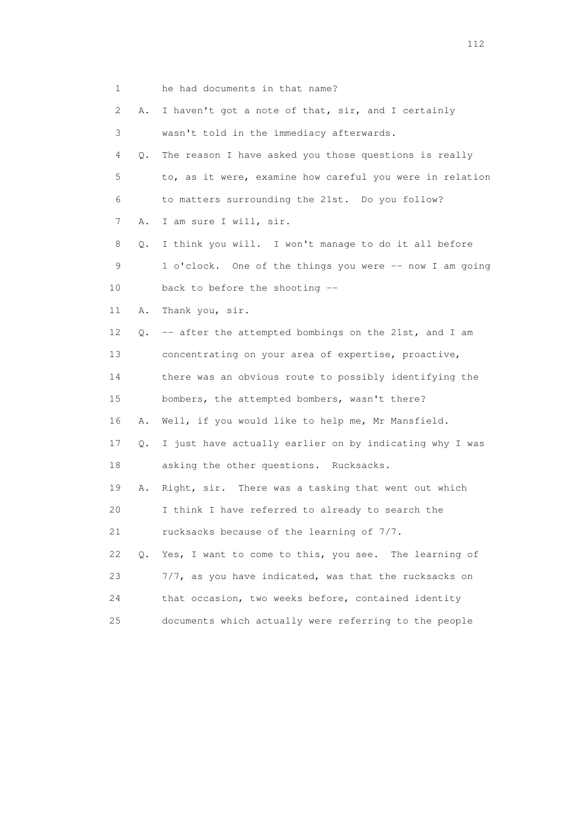| 1    |           | he had documents in that name?                           |
|------|-----------|----------------------------------------------------------|
| 2    | Α.        | I haven't got a note of that, sir, and I certainly       |
| 3    |           | wasn't told in the immediacy afterwards.                 |
| 4    | Q.        | The reason I have asked you those questions is really    |
| 5    |           | to, as it were, examine how careful you were in relation |
| 6    |           | to matters surrounding the 21st. Do you follow?          |
| 7    | Α.        | I am sure I will, sir.                                   |
| 8    | Q.        | I think you will. I won't manage to do it all before     |
| 9    |           | 1 o'clock. One of the things you were -- now I am going  |
| 10   |           | back to before the shooting --                           |
| 11   | Α.        | Thank you, sir.                                          |
| 12   | Q.        | -- after the attempted bombings on the 21st, and I am    |
| 13   |           | concentrating on your area of expertise, proactive,      |
| 14   |           | there was an obvious route to possibly identifying the   |
| 15   |           | bombers, the attempted bombers, wasn't there?            |
| 16   | Α.        | Well, if you would like to help me, Mr Mansfield.        |
| 17   | Q.        | I just have actually earlier on by indicating why I was  |
| 18   |           | asking the other questions. Rucksacks.                   |
| 19   | Α.        | Right, sir. There was a tasking that went out which      |
| 20   |           | I think I have referred to already to search the         |
| 21   |           | rucksacks because of the learning of 7/7.                |
| 22   | $\circ$ . | Yes, I want to come to this, you see. The learning of    |
| 23   |           | 7/7, as you have indicated, was that the rucksacks on    |
| 24   |           | that occasion, two weeks before, contained identity      |
| $25$ |           | documents which actually were referring to the people    |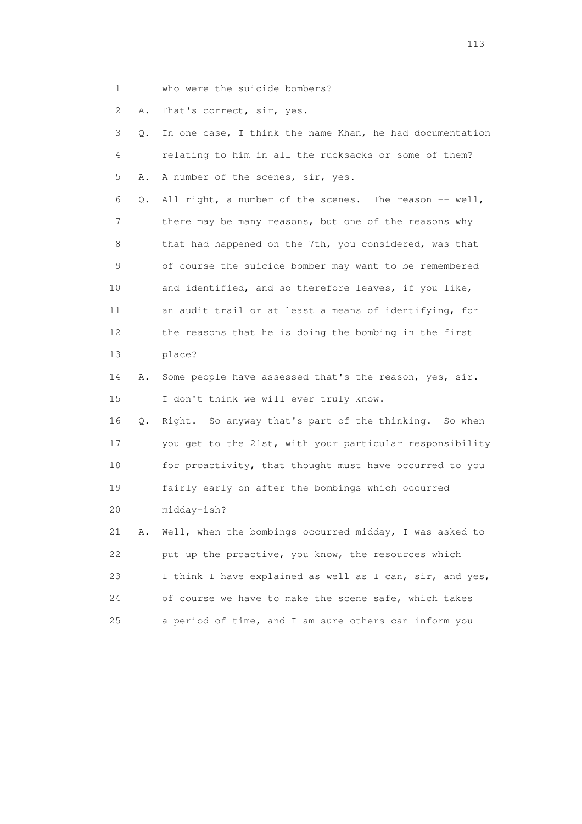1 who were the suicide bombers?

2 A. That's correct, sir, yes.

| 3  | Q. | In one case, I think the name Khan, he had documentation |
|----|----|----------------------------------------------------------|
| 4  |    | relating to him in all the rucksacks or some of them?    |
| 5  | Α. | A number of the scenes, sir, yes.                        |
| 6  | Q. | All right, a number of the scenes. The reason -- well,   |
| 7  |    | there may be many reasons, but one of the reasons why    |
| 8  |    | that had happened on the 7th, you considered, was that   |
| 9  |    | of course the suicide bomber may want to be remembered   |
| 10 |    | and identified, and so therefore leaves, if you like,    |
| 11 |    | an audit trail or at least a means of identifying, for   |
| 12 |    | the reasons that he is doing the bombing in the first    |
| 13 |    | place?                                                   |
| 14 | Α. | Some people have assessed that's the reason, yes, sir.   |
| 15 |    | I don't think we will ever truly know.                   |
| 16 | Q. | Right. So anyway that's part of the thinking. So when    |
| 17 |    | you get to the 21st, with your particular responsibility |
| 18 |    | for proactivity, that thought must have occurred to you  |
| 19 |    | fairly early on after the bombings which occurred        |
| 20 |    | midday-ish?                                              |
| 21 | Α. | Well, when the bombings occurred midday, I was asked to  |
| 22 |    | put up the proactive, you know, the resources which      |
| 23 |    | I think I have explained as well as I can, sir, and yes, |
| 24 |    | of course we have to make the scene safe, which takes    |
| 25 |    | a period of time, and I am sure others can inform you    |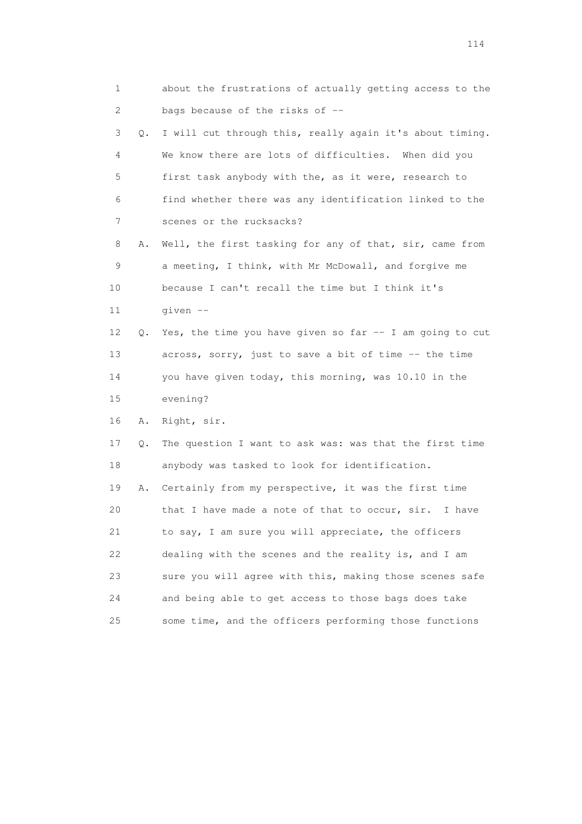| 1  |    | about the frustrations of actually getting access to the |
|----|----|----------------------------------------------------------|
| 2  |    | bags because of the risks of --                          |
| 3  | Q. | I will cut through this, really again it's about timing. |
| 4  |    | We know there are lots of difficulties. When did you     |
| 5  |    | first task anybody with the, as it were, research to     |
| 6  |    | find whether there was any identification linked to the  |
| 7  |    | scenes or the rucksacks?                                 |
| 8  | Α. | Well, the first tasking for any of that, sir, came from  |
| 9  |    | a meeting, I think, with Mr McDowall, and forgive me     |
| 10 |    | because I can't recall the time but I think it's         |
| 11 |    | given --                                                 |
| 12 | 0. | Yes, the time you have given so far -- I am going to cut |
| 13 |    | across, sorry, just to save a bit of time -- the time    |
| 14 |    | you have given today, this morning, was 10.10 in the     |
| 15 |    | evening?                                                 |
| 16 | Α. | Right, sir.                                              |
| 17 | Q. | The question I want to ask was: was that the first time  |
| 18 |    | anybody was tasked to look for identification.           |
| 19 | Α. | Certainly from my perspective, it was the first time     |
| 20 |    | that I have made a note of that to occur, sir.<br>I have |
| 21 |    | to say, I am sure you will appreciate, the officers      |
| 22 |    | dealing with the scenes and the reality is, and I am     |
| 23 |    | sure you will agree with this, making those scenes safe  |
| 24 |    | and being able to get access to those bags does take     |
| 25 |    | some time, and the officers performing those functions   |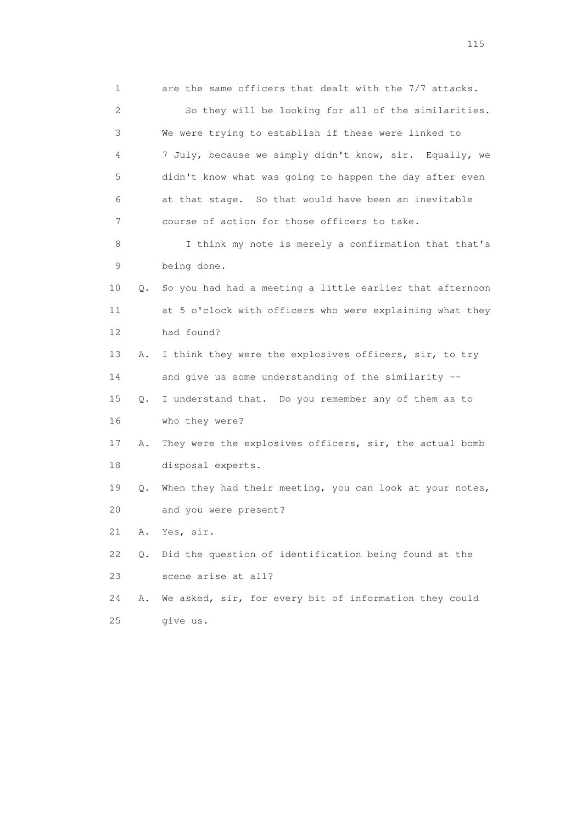1 are the same officers that dealt with the 7/7 attacks. 2 So they will be looking for all of the similarities. 3 We were trying to establish if these were linked to 4 7 July, because we simply didn't know, sir. Equally, we 5 didn't know what was going to happen the day after even 6 at that stage. So that would have been an inevitable 7 course of action for those officers to take. 8 I think my note is merely a confirmation that that's 9 being done. 10 Q. So you had had a meeting a little earlier that afternoon 11 at 5 o'clock with officers who were explaining what they 12 had found? 13 A. I think they were the explosives officers, sir, to try 14 and give us some understanding of the similarity -- 15 Q. I understand that. Do you remember any of them as to 16 who they were? 17 A. They were the explosives officers, sir, the actual bomb 18 disposal experts. 19 Q. When they had their meeting, you can look at your notes, 20 and you were present? 21 A. Yes, sir. 22 Q. Did the question of identification being found at the 23 scene arise at all? 24 A. We asked, sir, for every bit of information they could 25 give us.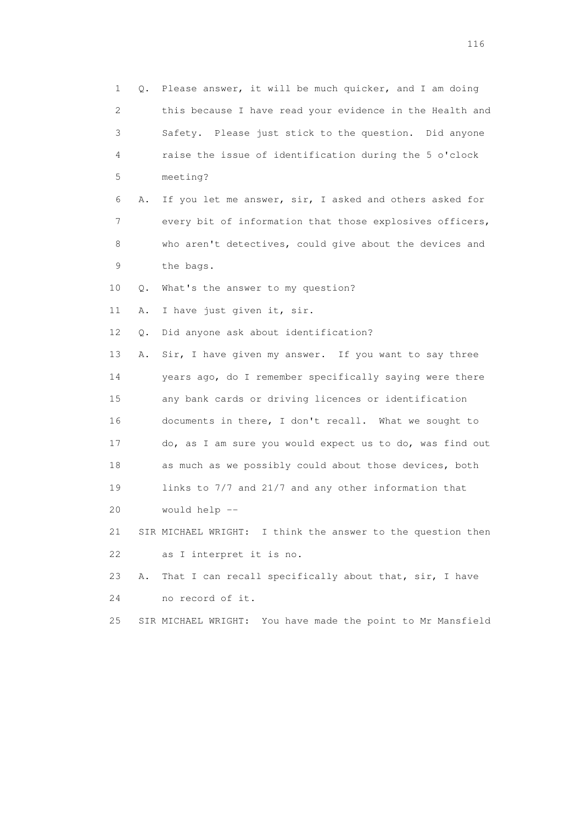| 1  |    | Q. Please answer, it will be much quicker, and I am doing      |
|----|----|----------------------------------------------------------------|
| 2  |    | this because I have read your evidence in the Health and       |
| 3  |    | Safety. Please just stick to the question. Did anyone          |
| 4  |    | raise the issue of identification during the 5 o'clock         |
| 5  |    | meeting?                                                       |
| 6  | Α. | If you let me answer, sir, I asked and others asked for        |
| 7  |    | every bit of information that those explosives officers,       |
| 8  |    | who aren't detectives, could give about the devices and        |
| 9  |    | the bags.                                                      |
| 10 | Q. | What's the answer to my question?                              |
| 11 | Α. | I have just given it, sir.                                     |
| 12 | Q. | Did anyone ask about identification?                           |
| 13 | Α. | Sir, I have given my answer. If you want to say three          |
| 14 |    | years ago, do I remember specifically saying were there        |
| 15 |    | any bank cards or driving licences or identification           |
| 16 |    | documents in there, I don't recall. What we sought to          |
| 17 |    | do, as I am sure you would expect us to do, was find out       |
| 18 |    | as much as we possibly could about those devices, both         |
| 19 |    | links to 7/7 and 21/7 and any other information that           |
| 20 |    | would help --                                                  |
| 21 |    | SIR MICHAEL WRIGHT: I think the answer to the question then    |
| 22 |    | as I interpret it is no.                                       |
| 23 | Α. | That I can recall specifically about that, sir, I have         |
| 24 |    | no record of it.                                               |
| 25 |    | You have made the point to Mr Mansfield<br>SIR MICHAEL WRIGHT: |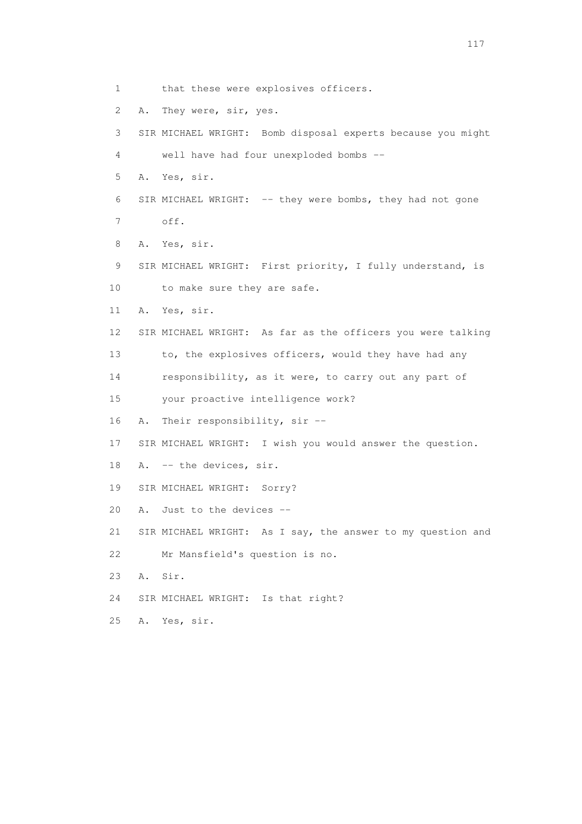1 that these were explosives officers. 2 A. They were, sir, yes. 3 SIR MICHAEL WRIGHT: Bomb disposal experts because you might 4 well have had four unexploded bombs -- 5 A. Yes, sir. 6 SIR MICHAEL WRIGHT: -- they were bombs, they had not gone 7 off. 8 A. Yes, sir. 9 SIR MICHAEL WRIGHT: First priority, I fully understand, is 10 to make sure they are safe. 11 A. Yes, sir. 12 SIR MICHAEL WRIGHT: As far as the officers you were talking 13 to, the explosives officers, would they have had any 14 responsibility, as it were, to carry out any part of 15 your proactive intelligence work? 16 A. Their responsibility, sir -- 17 SIR MICHAEL WRIGHT: I wish you would answer the question. 18 A. -- the devices, sir. 19 SIR MICHAEL WRIGHT: Sorry? 20 A. Just to the devices -- 21 SIR MICHAEL WRIGHT: As I say, the answer to my question and 22 Mr Mansfield's question is no. 23 A. Sir. 24 SIR MICHAEL WRIGHT: Is that right? 25 A. Yes, sir.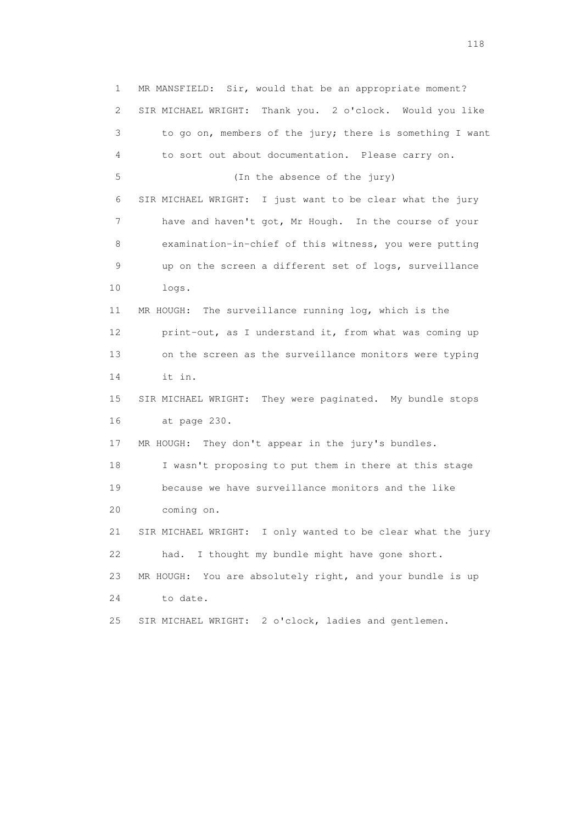1 MR MANSFIELD: Sir, would that be an appropriate moment? 2 SIR MICHAEL WRIGHT: Thank you. 2 o'clock. Would you like 3 to go on, members of the jury; there is something I want 4 to sort out about documentation. Please carry on. 5 (In the absence of the jury) 6 SIR MICHAEL WRIGHT: I just want to be clear what the jury 7 have and haven't got, Mr Hough. In the course of your 8 examination-in-chief of this witness, you were putting 9 up on the screen a different set of logs, surveillance 10 logs. 11 MR HOUGH: The surveillance running log, which is the 12 print-out, as I understand it, from what was coming up 13 on the screen as the surveillance monitors were typing 14 it in. 15 SIR MICHAEL WRIGHT: They were paginated. My bundle stops 16 at page 230. 17 MR HOUGH: They don't appear in the jury's bundles. 18 I wasn't proposing to put them in there at this stage 19 because we have surveillance monitors and the like 20 coming on. 21 SIR MICHAEL WRIGHT: I only wanted to be clear what the jury 22 had. I thought my bundle might have gone short. 23 MR HOUGH: You are absolutely right, and your bundle is up 24 to date. 25 SIR MICHAEL WRIGHT: 2 o'clock, ladies and gentlemen.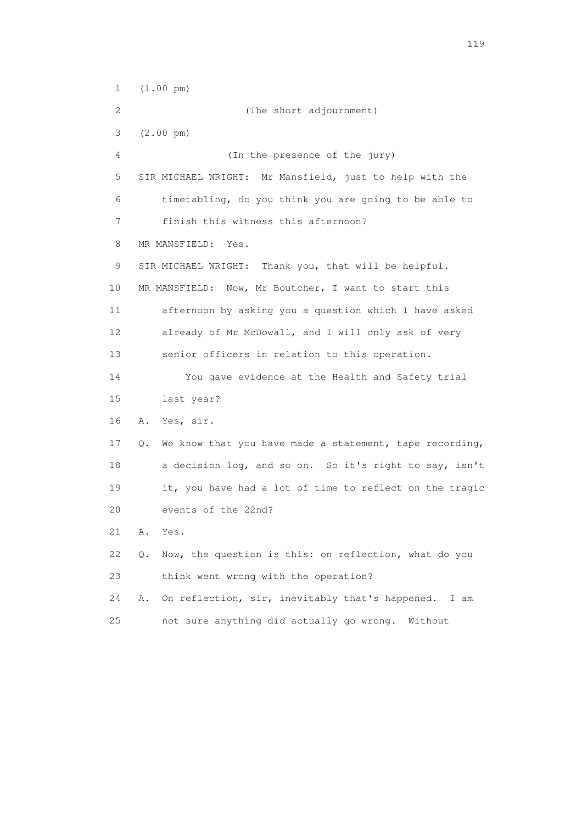1 (1.00 pm) 2 (The short adjournment) 3 (2.00 pm) 4 (In the presence of the jury) 5 SIR MICHAEL WRIGHT: Mr Mansfield, just to help with the 6 timetabling, do you think you are going to be able to 7 finish this witness this afternoon? 8 MR MANSFIELD: Yes. 9 SIR MICHAEL WRIGHT: Thank you, that will be helpful. 10 MR MANSFIELD: Now, Mr Boutcher, I want to start this 11 afternoon by asking you a question which I have asked 12 already of Mr McDowall, and I will only ask of very 13 senior officers in relation to this operation. 14 You gave evidence at the Health and Safety trial 15 last year? 16 A. Yes, sir. 17 Q. We know that you have made a statement, tape recording, 18 a decision log, and so on. So it's right to say, isn't 19 it, you have had a lot of time to reflect on the tragic 20 events of the 22nd? 21 A. Yes. 22 Q. Now, the question is this: on reflection, what do you 23 think went wrong with the operation? 24 A. On reflection, sir, inevitably that's happened. I am 25 not sure anything did actually go wrong. Without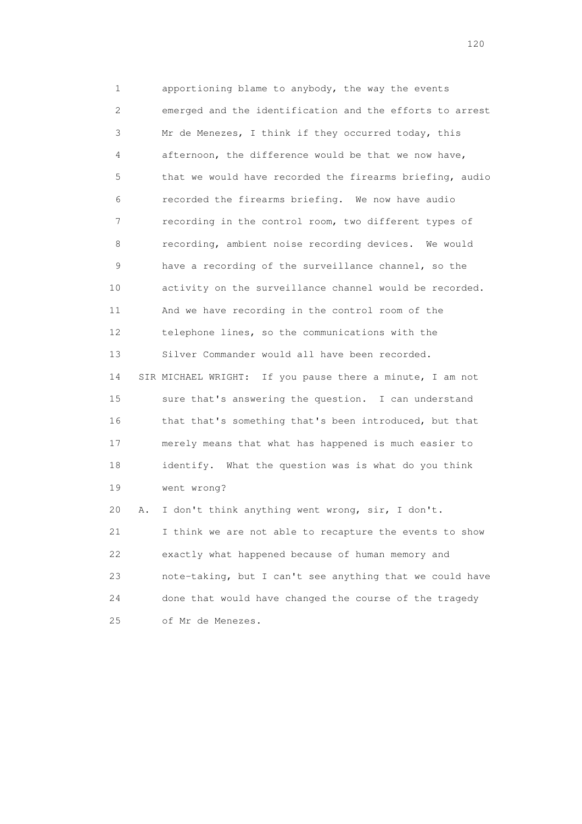1 apportioning blame to anybody, the way the events 2 emerged and the identification and the efforts to arrest 3 Mr de Menezes, I think if they occurred today, this 4 afternoon, the difference would be that we now have, 5 that we would have recorded the firearms briefing, audio 6 recorded the firearms briefing. We now have audio 7 recording in the control room, two different types of 8 recording, ambient noise recording devices. We would 9 have a recording of the surveillance channel, so the 10 activity on the surveillance channel would be recorded. 11 And we have recording in the control room of the 12 telephone lines, so the communications with the 13 Silver Commander would all have been recorded. 14 SIR MICHAEL WRIGHT: If you pause there a minute, I am not 15 sure that's answering the question. I can understand 16 that that's something that's been introduced, but that 17 merely means that what has happened is much easier to 18 identify. What the question was is what do you think 19 went wrong? 20 A. I don't think anything went wrong, sir, I don't. 21 I think we are not able to recapture the events to show 22 exactly what happened because of human memory and 23 note-taking, but I can't see anything that we could have

 24 done that would have changed the course of the tragedy 25 of Mr de Menezes.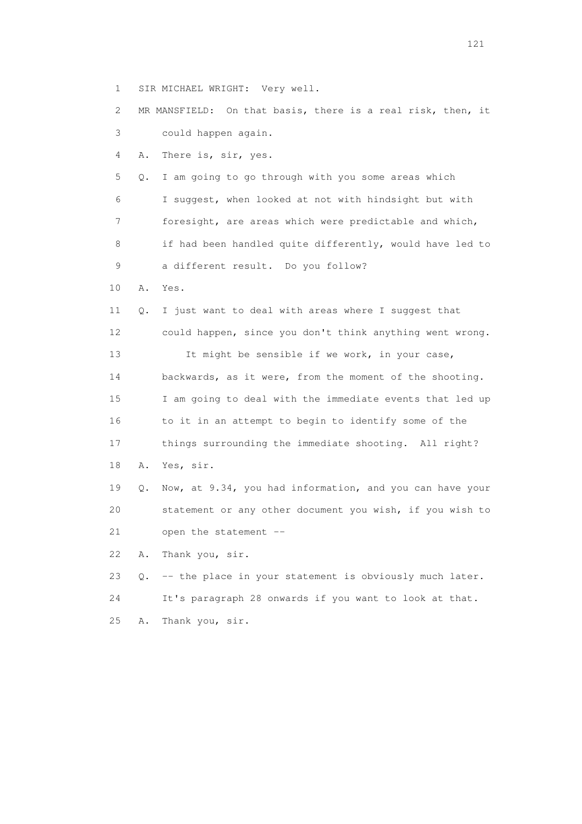1 SIR MICHAEL WRIGHT: Very well.

 2 MR MANSFIELD: On that basis, there is a real risk, then, it 3 could happen again. 4 A. There is, sir, yes. 5 Q. I am going to go through with you some areas which 6 I suggest, when looked at not with hindsight but with 7 foresight, are areas which were predictable and which, 8 if had been handled quite differently, would have led to 9 a different result. Do you follow? 10 A. Yes. 11 Q. I just want to deal with areas where I suggest that 12 could happen, since you don't think anything went wrong. 13 It might be sensible if we work, in your case, 14 backwards, as it were, from the moment of the shooting. 15 I am going to deal with the immediate events that led up 16 to it in an attempt to begin to identify some of the 17 things surrounding the immediate shooting. All right? 18 A. Yes, sir. 19 Q. Now, at 9.34, you had information, and you can have your 20 statement or any other document you wish, if you wish to 21 open the statement -- 22 A. Thank you, sir. 23 Q. -- the place in your statement is obviously much later. 24 It's paragraph 28 onwards if you want to look at that. 25 A. Thank you, sir.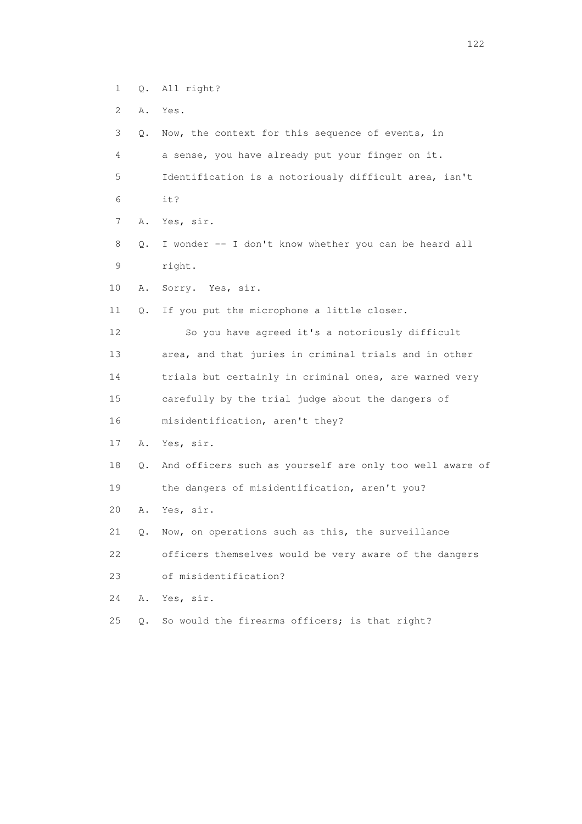- 1 Q. All right?
- 2 A. Yes.
- 3 Q. Now, the context for this sequence of events, in 4 a sense, you have already put your finger on it. 5 Identification is a notoriously difficult area, isn't 6 it? 7 A. Yes, sir. 8 Q. I wonder -- I don't know whether you can be heard all 9 right. 10 A. Sorry. Yes, sir. 11 Q. If you put the microphone a little closer. 12 So you have agreed it's a notoriously difficult 13 area, and that juries in criminal trials and in other 14 trials but certainly in criminal ones, are warned very 15 carefully by the trial judge about the dangers of 16 misidentification, aren't they? 17 A. Yes, sir. 18 Q. And officers such as yourself are only too well aware of 19 the dangers of misidentification, aren't you? 20 A. Yes, sir. 21 Q. Now, on operations such as this, the surveillance 22 officers themselves would be very aware of the dangers 23 of misidentification?
- 24 A. Yes, sir.
- 25 Q. So would the firearms officers; is that right?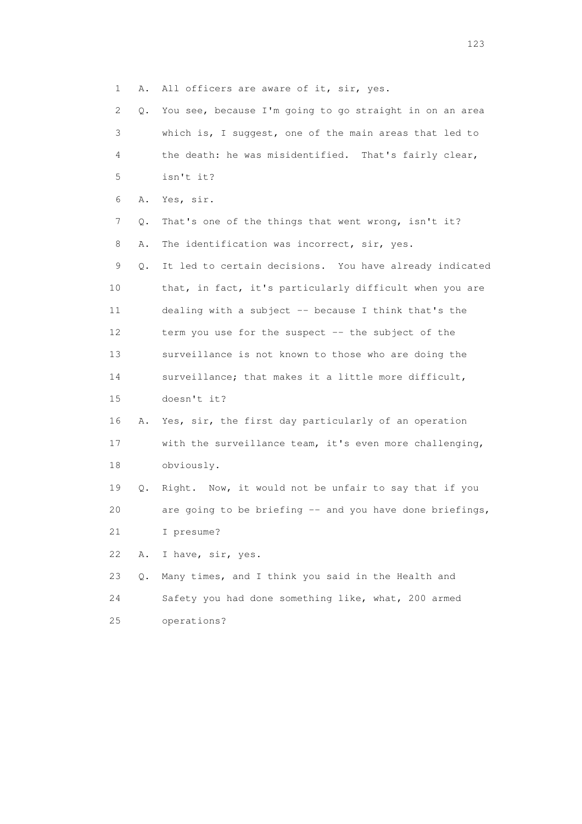1 A. All officers are aware of it, sir, yes.

| 2  | 0. | You see, because I'm going to go straight in on an area  |
|----|----|----------------------------------------------------------|
| 3  |    | which is, I suggest, one of the main areas that led to   |
| 4  |    | the death: he was misidentified. That's fairly clear,    |
| 5  |    | isn't it?                                                |
| 6  | Α. | Yes, sir.                                                |
| 7  | Q. | That's one of the things that went wrong, isn't it?      |
| 8  | Α. | The identification was incorrect, sir, yes.              |
| 9  | Q. | It led to certain decisions. You have already indicated  |
| 10 |    | that, in fact, it's particularly difficult when you are  |
| 11 |    | dealing with a subject -- because I think that's the     |
| 12 |    | term you use for the suspect -- the subject of the       |
| 13 |    | surveillance is not known to those who are doing the     |
| 14 |    | surveillance; that makes it a little more difficult,     |
| 15 |    | doesn't it?                                              |
| 16 | Α. | Yes, sir, the first day particularly of an operation     |
| 17 |    | with the surveillance team, it's even more challenging,  |
| 18 |    | obviously.                                               |
| 19 | Q. | Right. Now, it would not be unfair to say that if you    |
| 20 |    | are going to be briefing -- and you have done briefings, |
| 21 |    | I presume?                                               |
| 22 | Α. | I have, sir, yes.                                        |
| 23 | Q. | Many times, and I think you said in the Health and       |
| 24 |    | Safety you had done something like, what, 200 armed      |
| 25 |    | operations?                                              |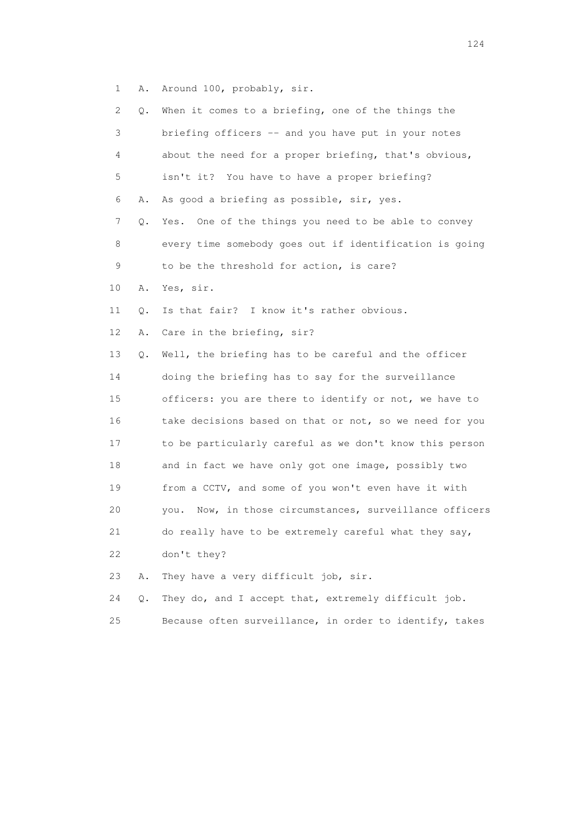1 A. Around 100, probably, sir.

| 2  | Q. | When it comes to a briefing, one of the things the         |
|----|----|------------------------------------------------------------|
| 3  |    | briefing officers -- and you have put in your notes        |
| 4  |    | about the need for a proper briefing, that's obvious,      |
| 5  |    | isn't it? You have to have a proper briefing?              |
| 6  | Α. | As good a briefing as possible, sir, yes.                  |
| 7  | Q. | Yes. One of the things you need to be able to convey       |
| 8  |    | every time somebody goes out if identification is going    |
| 9  |    | to be the threshold for action, is care?                   |
| 10 | Α. | Yes, sir.                                                  |
| 11 | Q. | Is that fair? I know it's rather obvious.                  |
| 12 | Α. | Care in the briefing, sir?                                 |
| 13 | Q. | Well, the briefing has to be careful and the officer       |
| 14 |    | doing the briefing has to say for the surveillance         |
| 15 |    | officers: you are there to identify or not, we have to     |
| 16 |    | take decisions based on that or not, so we need for you    |
| 17 |    | to be particularly careful as we don't know this person    |
| 18 |    | and in fact we have only got one image, possibly two       |
| 19 |    | from a CCTV, and some of you won't even have it with       |
| 20 |    | Now, in those circumstances, surveillance officers<br>vou. |
| 21 |    | do really have to be extremely careful what they say,      |
| 22 |    | don't they?                                                |
| 23 | Α. | They have a very difficult job, sir.                       |
| 24 | Q. | They do, and I accept that, extremely difficult job.       |
| 25 |    | Because often surveillance, in order to identify, takes    |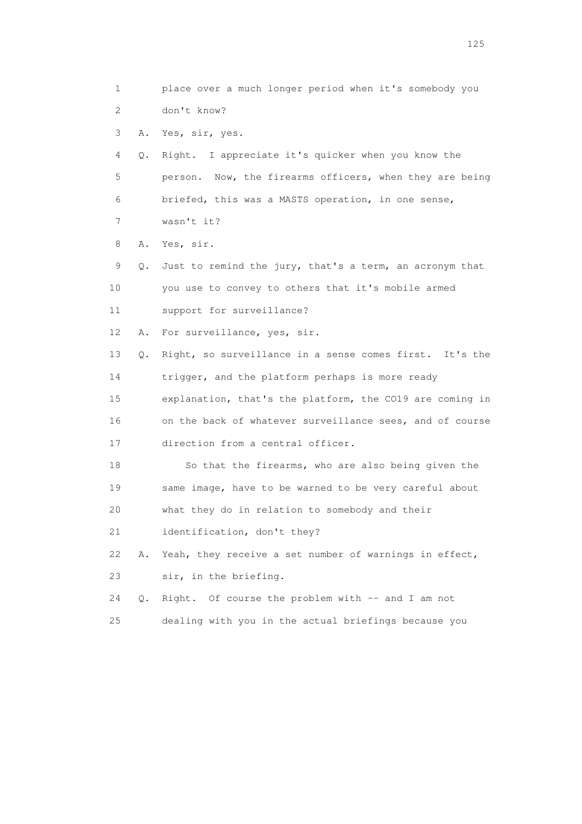1 place over a much longer period when it's somebody you 2 don't know? 3 A. Yes, sir, yes. 4 Q. Right. I appreciate it's quicker when you know the 5 person. Now, the firearms officers, when they are being 6 briefed, this was a MASTS operation, in one sense, 7 wasn't it? 8 A. Yes, sir. 9 Q. Just to remind the jury, that's a term, an acronym that 10 you use to convey to others that it's mobile armed 11 support for surveillance? 12 A. For surveillance, yes, sir. 13 Q. Right, so surveillance in a sense comes first. It's the 14 trigger, and the platform perhaps is more ready 15 explanation, that's the platform, the CO19 are coming in 16 on the back of whatever surveillance sees, and of course 17 direction from a central officer. 18 So that the firearms, who are also being given the 19 same image, have to be warned to be very careful about 20 what they do in relation to somebody and their 21 identification, don't they? 22 A. Yeah, they receive a set number of warnings in effect, 23 sir, in the briefing. 24 Q. Right. Of course the problem with -- and I am not 25 dealing with you in the actual briefings because you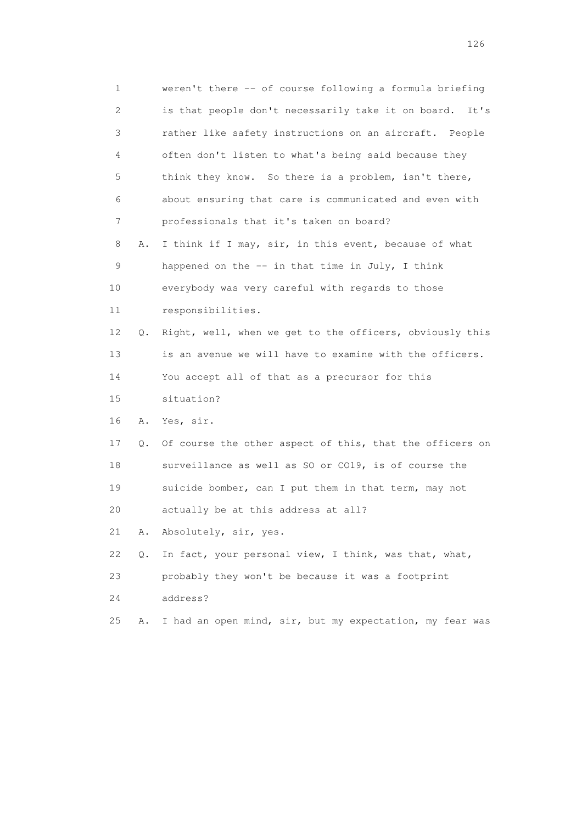| 1                         |    | weren't there -- of course following a formula briefing    |
|---------------------------|----|------------------------------------------------------------|
| $\mathbf{2}^{\mathsf{I}}$ |    | is that people don't necessarily take it on board.<br>It's |
| 3                         |    | rather like safety instructions on an aircraft. People     |
| 4                         |    | often don't listen to what's being said because they       |
| 5                         |    | think they know. So there is a problem, isn't there,       |
| 6                         |    | about ensuring that care is communicated and even with     |
| 7                         |    | professionals that it's taken on board?                    |
| 8                         | Α. | I think if I may, sir, in this event, because of what      |
| 9                         |    | happened on the $-$ in that time in July, I think          |
| 10                        |    | everybody was very careful with regards to those           |
| 11                        |    | responsibilities.                                          |
| 12                        | Q. | Right, well, when we get to the officers, obviously this   |
| 13                        |    | is an avenue we will have to examine with the officers.    |
| 14                        |    | You accept all of that as a precursor for this             |
| 15                        |    | situation?                                                 |
| 16                        | Α. | Yes, sir.                                                  |
| 17                        | Q. | Of course the other aspect of this, that the officers on   |
| 18                        |    | surveillance as well as SO or CO19, is of course the       |
| 19                        |    | suicide bomber, can I put them in that term, may not       |
| 20                        |    | actually be at this address at all?                        |
| 21                        | Α. | Absolutely, sir, yes.                                      |
| 22                        | Q. | In fact, your personal view, I think, was that, what,      |
| 23                        |    | probably they won't be because it was a footprint          |
| 24                        |    | address?                                                   |
| 25                        | Α. | I had an open mind, sir, but my expectation, my fear was   |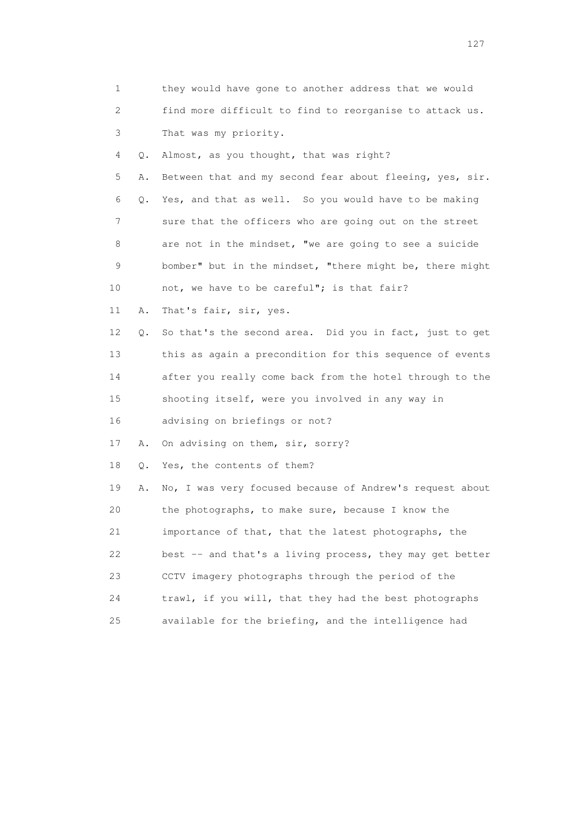| 1  |    | they would have gone to another address that we would    |
|----|----|----------------------------------------------------------|
| 2  |    | find more difficult to find to reorganise to attack us.  |
| 3  |    | That was my priority.                                    |
| 4  | Q. | Almost, as you thought, that was right?                  |
| 5  | Α. | Between that and my second fear about fleeing, yes, sir. |
| 6  | Q. | Yes, and that as well. So you would have to be making    |
| 7  |    | sure that the officers who are going out on the street   |
| 8  |    | are not in the mindset, "we are going to see a suicide   |
| 9  |    | bomber" but in the mindset, "there might be, there might |
| 10 |    | not, we have to be careful"; is that fair?               |
| 11 | Α. | That's fair, sir, yes.                                   |
| 12 | Q. | So that's the second area. Did you in fact, just to get  |
| 13 |    | this as again a precondition for this sequence of events |
| 14 |    | after you really come back from the hotel through to the |
| 15 |    | shooting itself, were you involved in any way in         |
| 16 |    | advising on briefings or not?                            |
| 17 | Α. | On advising on them, sir, sorry?                         |
| 18 | Q. | Yes, the contents of them?                               |
| 19 | Α. | No, I was very focused because of Andrew's request about |
| 20 |    | the photographs, to make sure, because I know the        |
| 21 |    | importance of that, that the latest photographs, the     |
| 22 |    | best -- and that's a living process, they may get better |
| 23 |    | CCTV imagery photographs through the period of the       |
| 24 |    | trawl, if you will, that they had the best photographs   |
| 25 |    | available for the briefing, and the intelligence had     |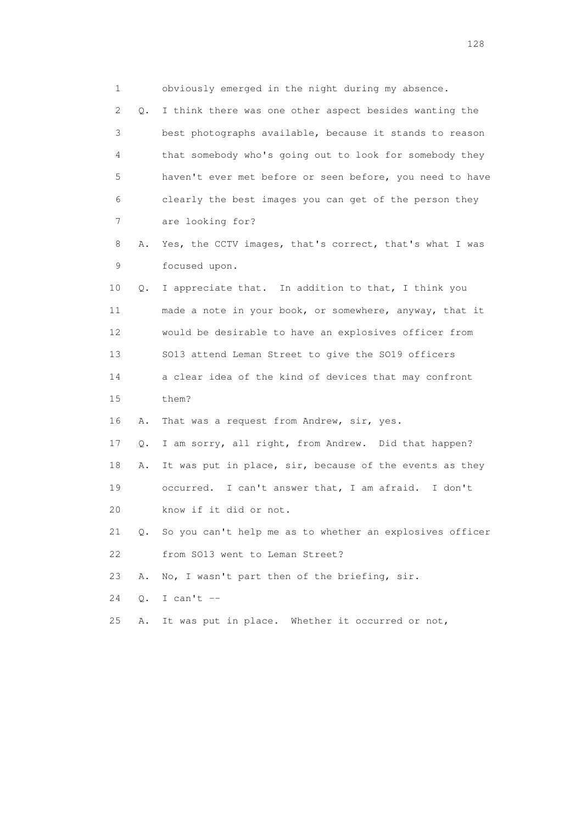1 obviously emerged in the night during my absence. 2 Q. I think there was one other aspect besides wanting the 3 best photographs available, because it stands to reason 4 that somebody who's going out to look for somebody they 5 haven't ever met before or seen before, you need to have 6 clearly the best images you can get of the person they 7 are looking for? 8 A. Yes, the CCTV images, that's correct, that's what I was 9 focused upon. 10 Q. I appreciate that. In addition to that, I think you 11 made a note in your book, or somewhere, anyway, that it 12 would be desirable to have an explosives officer from 13 SO13 attend Leman Street to give the SO19 officers 14 a clear idea of the kind of devices that may confront 15 them? 16 A. That was a request from Andrew, sir, yes. 17 Q. I am sorry, all right, from Andrew. Did that happen? 18 A. It was put in place, sir, because of the events as they 19 occurred. I can't answer that, I am afraid. I don't 20 know if it did or not. 21 Q. So you can't help me as to whether an explosives officer 22 from SO13 went to Leman Street? 23 A. No, I wasn't part then of the briefing, sir. 24 Q. I can't -- 25 A. It was put in place. Whether it occurred or not,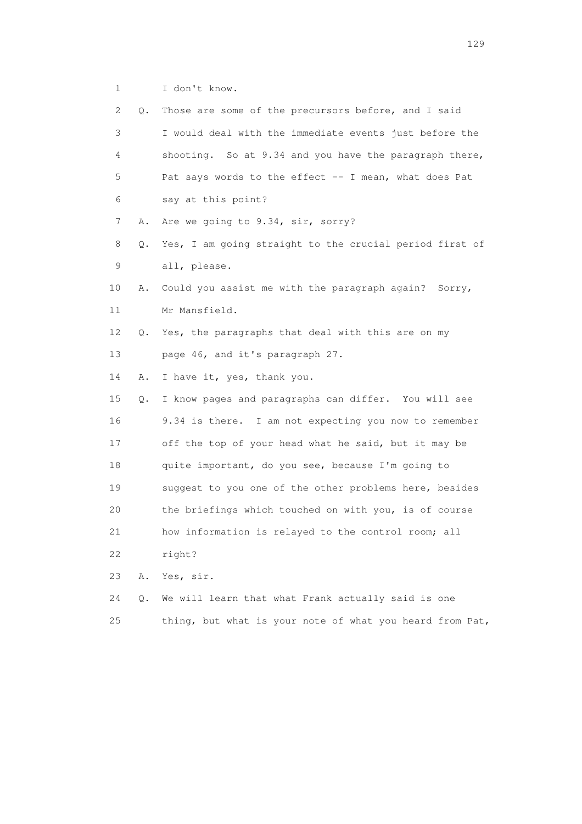1 I don't know.

| 2  | Q. | Those are some of the precursors before, and I said      |
|----|----|----------------------------------------------------------|
| 3  |    | I would deal with the immediate events just before the   |
| 4  |    | shooting. So at 9.34 and you have the paragraph there,   |
| 5  |    | Pat says words to the effect -- I mean, what does Pat    |
| 6  |    | say at this point?                                       |
| 7  | Α. | Are we going to 9.34, sir, sorry?                        |
| 8  | Q. | Yes, I am going straight to the crucial period first of  |
| 9  |    | all, please.                                             |
| 10 | Α. | Could you assist me with the paragraph again? Sorry,     |
| 11 |    | Mr Mansfield.                                            |
| 12 | Q. | Yes, the paragraphs that deal with this are on my        |
| 13 |    | page 46, and it's paragraph 27.                          |
| 14 | Α. | I have it, yes, thank you.                               |
| 15 | Q. | I know pages and paragraphs can differ. You will see     |
| 16 |    | 9.34 is there. I am not expecting you now to remember    |
| 17 |    | off the top of your head what he said, but it may be     |
| 18 |    | quite important, do you see, because I'm going to        |
| 19 |    | suggest to you one of the other problems here, besides   |
| 20 |    | the briefings which touched on with you, is of course    |
| 21 |    | how information is relayed to the control room; all      |
| 22 |    | right?                                                   |
| 23 | Α. | Yes, sir.                                                |
| 24 | Q. | We will learn that what Frank actually said is one       |
| 25 |    | thing, but what is your note of what you heard from Pat, |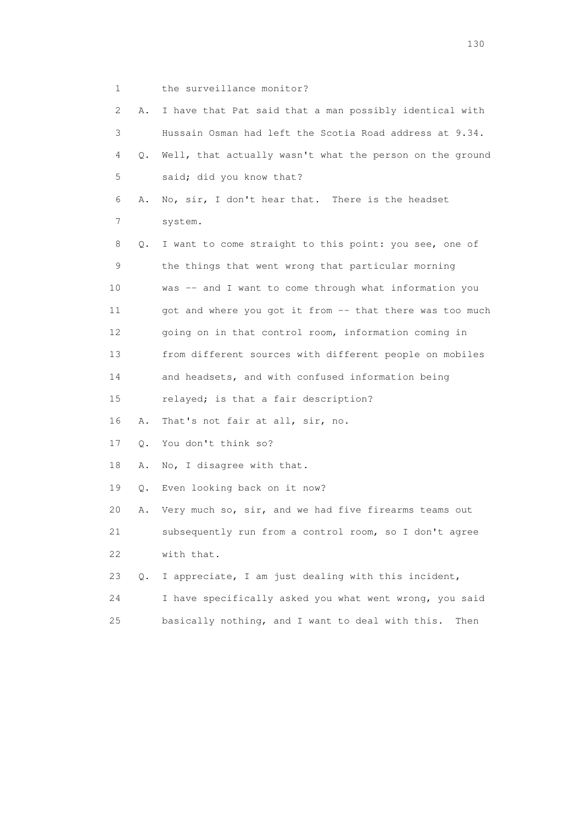1 the surveillance monitor?

| 2  | Α.        | I have that Pat said that a man possibly identical with  |
|----|-----------|----------------------------------------------------------|
| 3  |           | Hussain Osman had left the Scotia Road address at 9.34.  |
| 4  | $\circ$ . | Well, that actually wasn't what the person on the ground |
| 5  |           | said; did you know that?                                 |
| 6  | Α.        | No, sir, I don't hear that. There is the headset         |
| 7  |           | system.                                                  |
| 8  | Q.        | I want to come straight to this point: you see, one of   |
| 9  |           | the things that went wrong that particular morning       |
| 10 |           | was -- and I want to come through what information you   |
| 11 |           | got and where you got it from -- that there was too much |
| 12 |           | going on in that control room, information coming in     |
| 13 |           | from different sources with different people on mobiles  |
| 14 |           | and headsets, and with confused information being        |
| 15 |           | relayed; is that a fair description?                     |
| 16 | Α.        | That's not fair at all, sir, no.                         |
| 17 | 0.        | You don't think so?                                      |
| 18 | Α.        | No, I disagree with that.                                |
| 19 | Q.        | Even looking back on it now?                             |
| 20 | Α.        | Very much so, sir, and we had five firearms teams out    |
| 21 |           | subsequently run from a control room, so I don't agree   |
| 22 |           | with that.                                               |
| 23 | $Q$ .     | I appreciate, I am just dealing with this incident,      |
| 24 |           | I have specifically asked you what went wrong, you said  |
| 25 |           | basically nothing, and I want to deal with this.<br>Then |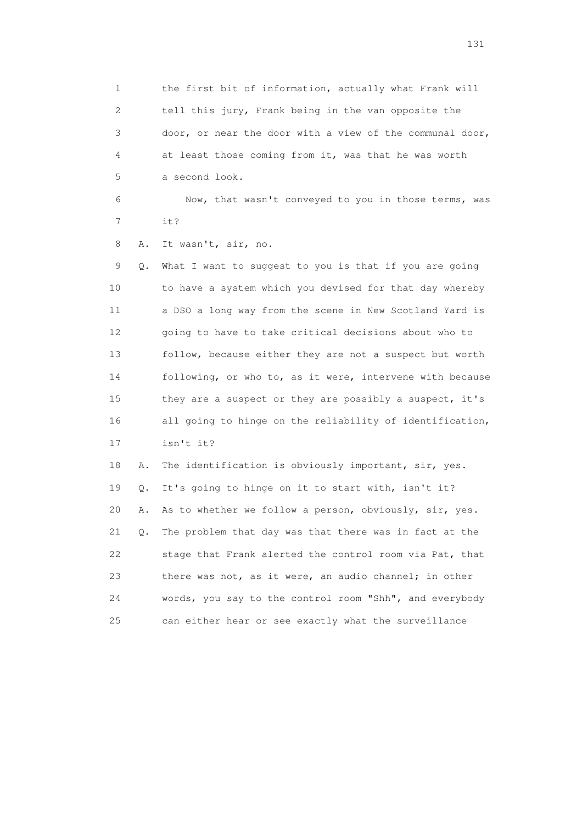1 the first bit of information, actually what Frank will 2 tell this jury, Frank being in the van opposite the 3 door, or near the door with a view of the communal door, 4 at least those coming from it, was that he was worth 5 a second look.

 6 Now, that wasn't conveyed to you in those terms, was 7 it?

8 A. It wasn't, sir, no.

 9 Q. What I want to suggest to you is that if you are going 10 to have a system which you devised for that day whereby 11 a DSO a long way from the scene in New Scotland Yard is 12 going to have to take critical decisions about who to 13 follow, because either they are not a suspect but worth 14 following, or who to, as it were, intervene with because 15 they are a suspect or they are possibly a suspect, it's 16 all going to hinge on the reliability of identification, 17 isn't it?

 18 A. The identification is obviously important, sir, yes. 19 Q. It's going to hinge on it to start with, isn't it? 20 A. As to whether we follow a person, obviously, sir, yes. 21 Q. The problem that day was that there was in fact at the 22 stage that Frank alerted the control room via Pat, that 23 there was not, as it were, an audio channel; in other 24 words, you say to the control room "Shh", and everybody 25 can either hear or see exactly what the surveillance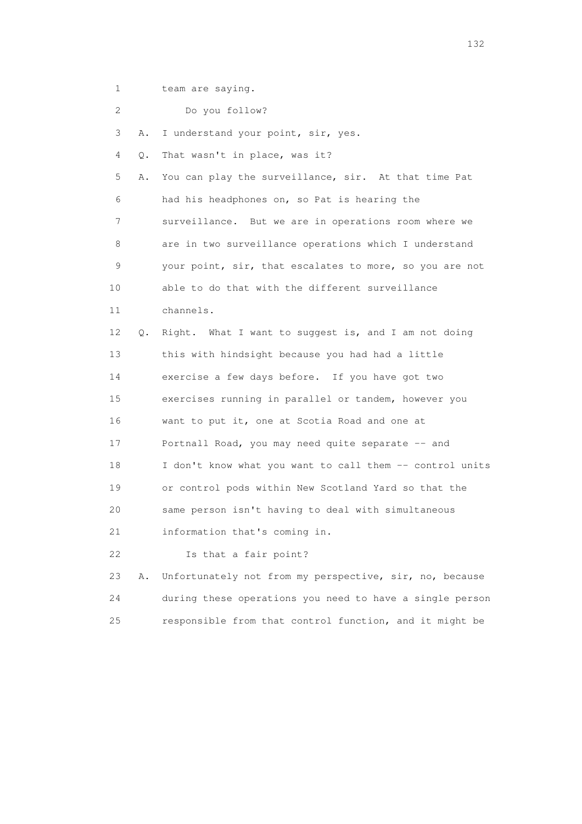1 team are saying.

| $\mathbf{2}^{\mathsf{I}}$ |    | Do you follow?                                           |
|---------------------------|----|----------------------------------------------------------|
| 3                         | Α. | I understand your point, sir, yes.                       |
| 4                         | Q. | That wasn't in place, was it?                            |
| 5                         | Α. | You can play the surveillance, sir. At that time Pat     |
| 6                         |    | had his headphones on, so Pat is hearing the             |
| 7                         |    | surveillance. But we are in operations room where we     |
| 8                         |    | are in two surveillance operations which I understand    |
| 9                         |    | your point, sir, that escalates to more, so you are not  |
| 10                        |    | able to do that with the different surveillance          |
| 11                        |    | channels.                                                |
| 12 <sup>°</sup>           | Q. | Right. What I want to suggest is, and I am not doing     |
| 13                        |    | this with hindsight because you had had a little         |
| 14                        |    | exercise a few days before. If you have got two          |
| 15                        |    | exercises running in parallel or tandem, however you     |
| 16                        |    | want to put it, one at Scotia Road and one at            |
| 17                        |    | Portnall Road, you may need quite separate -- and        |
| 18                        |    | I don't know what you want to call them -- control units |
| 19                        |    | or control pods within New Scotland Yard so that the     |
| 20                        |    | same person isn't having to deal with simultaneous       |
| 21                        |    | information that's coming in.                            |
| 22                        |    | Is that a fair point?                                    |
| 23                        | Α. | Unfortunately not from my perspective, sir, no, because  |
| 24                        |    | during these operations you need to have a single person |
| 25                        |    | responsible from that control function, and it might be  |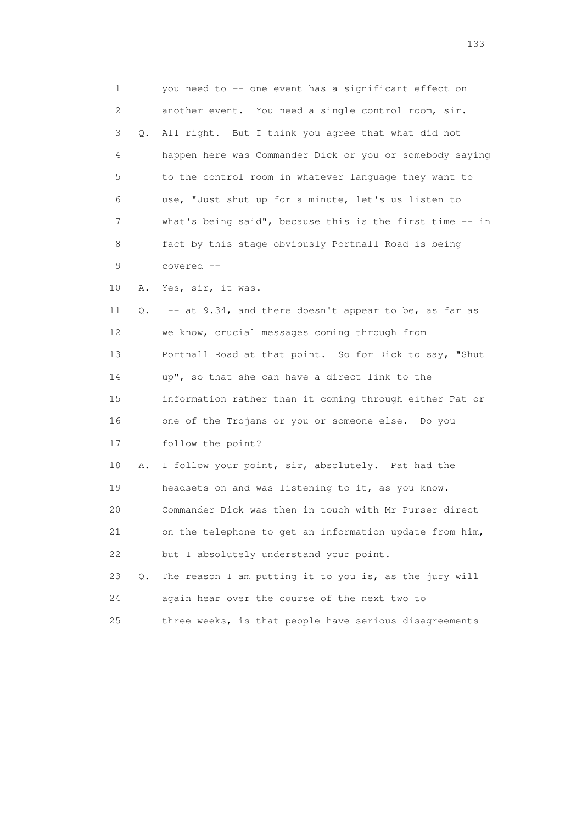1 you need to -- one event has a significant effect on 2 another event. You need a single control room, sir. 3 Q. All right. But I think you agree that what did not 4 happen here was Commander Dick or you or somebody saying 5 to the control room in whatever language they want to 6 use, "Just shut up for a minute, let's us listen to 7 what's being said", because this is the first time -- in 8 fact by this stage obviously Portnall Road is being 9 covered -- 10 A. Yes, sir, it was. 11 Q. -- at 9.34, and there doesn't appear to be, as far as 12 we know, crucial messages coming through from 13 Portnall Road at that point. So for Dick to say, "Shut 14 up", so that she can have a direct link to the 15 information rather than it coming through either Pat or 16 one of the Trojans or you or someone else. Do you 17 follow the point? 18 A. I follow your point, sir, absolutely. Pat had the 19 headsets on and was listening to it, as you know. 20 Commander Dick was then in touch with Mr Purser direct 21 on the telephone to get an information update from him, 22 but I absolutely understand your point. 23 Q. The reason I am putting it to you is, as the jury will 24 again hear over the course of the next two to 25 three weeks, is that people have serious disagreements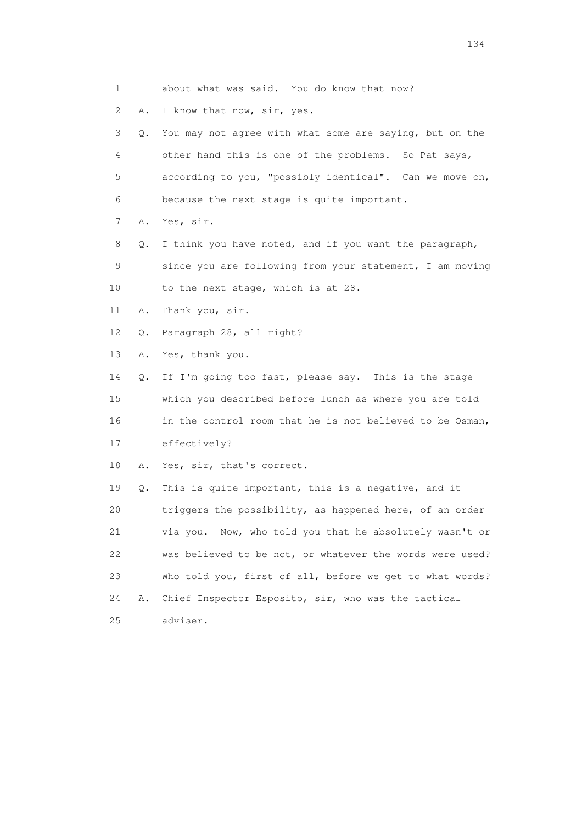1 about what was said. You do know that now? 2 A. I know that now, sir, yes. 3 Q. You may not agree with what some are saying, but on the 4 other hand this is one of the problems. So Pat says, 5 according to you, "possibly identical". Can we move on, 6 because the next stage is quite important. 7 A. Yes, sir. 8 Q. I think you have noted, and if you want the paragraph, 9 since you are following from your statement, I am moving 10 to the next stage, which is at 28. 11 A. Thank you, sir. 12 Q. Paragraph 28, all right? 13 A. Yes, thank you. 14 Q. If I'm going too fast, please say. This is the stage 15 which you described before lunch as where you are told 16 in the control room that he is not believed to be Osman, 17 effectively? 18 A. Yes, sir, that's correct. 19 Q. This is quite important, this is a negative, and it 20 triggers the possibility, as happened here, of an order 21 via you. Now, who told you that he absolutely wasn't or 22 was believed to be not, or whatever the words were used? 23 Who told you, first of all, before we get to what words? 24 A. Chief Inspector Esposito, sir, who was the tactical 25 adviser.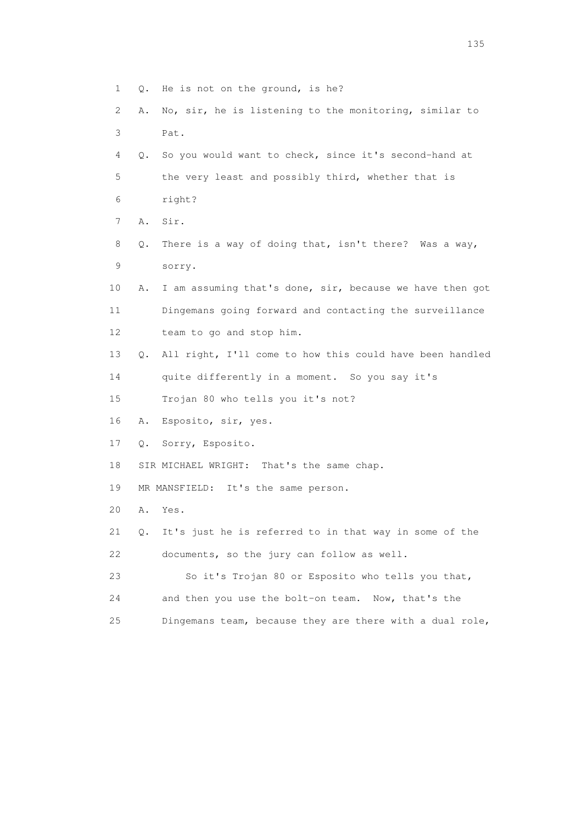1 Q. He is not on the ground, is he? 2 A. No, sir, he is listening to the monitoring, similar to 3 Pat. 4 Q. So you would want to check, since it's second-hand at 5 the very least and possibly third, whether that is 6 right? 7 A. Sir. 8 Q. There is a way of doing that, isn't there? Was a way, 9 sorry. 10 A. I am assuming that's done, sir, because we have then got 11 Dingemans going forward and contacting the surveillance 12 team to go and stop him. 13 Q. All right, I'll come to how this could have been handled 14 quite differently in a moment. So you say it's 15 Trojan 80 who tells you it's not? 16 A. Esposito, sir, yes. 17 Q. Sorry, Esposito. 18 SIR MICHAEL WRIGHT: That's the same chap. 19 MR MANSFIELD: It's the same person. 20 A. Yes. 21 Q. It's just he is referred to in that way in some of the 22 documents, so the jury can follow as well. 23 So it's Trojan 80 or Esposito who tells you that, 24 and then you use the bolt-on team. Now, that's the 25 Dingemans team, because they are there with a dual role,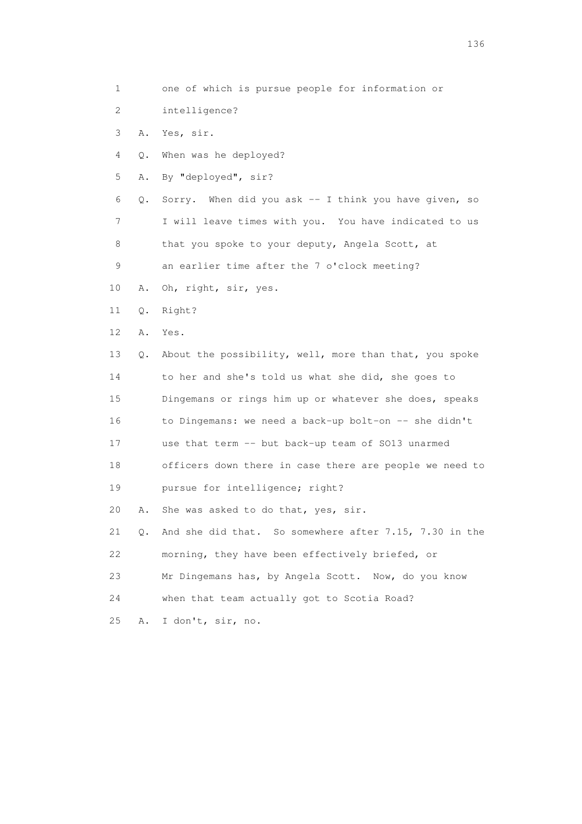1 one of which is pursue people for information or 2 intelligence? 3 A. Yes, sir. 4 Q. When was he deployed? 5 A. By "deployed", sir? 6 Q. Sorry. When did you ask -- I think you have given, so 7 I will leave times with you. You have indicated to us 8 that you spoke to your deputy, Angela Scott, at 9 an earlier time after the 7 o'clock meeting? 10 A. Oh, right, sir, yes. 11 Q. Right? 12 A. Yes. 13 Q. About the possibility, well, more than that, you spoke 14 to her and she's told us what she did, she goes to 15 Dingemans or rings him up or whatever she does, speaks 16 to Dingemans: we need a back-up bolt-on -- she didn't 17 use that term -- but back-up team of SO13 unarmed 18 officers down there in case there are people we need to 19 pursue for intelligence; right? 20 A. She was asked to do that, yes, sir. 21 Q. And she did that. So somewhere after 7.15, 7.30 in the 22 morning, they have been effectively briefed, or 23 Mr Dingemans has, by Angela Scott. Now, do you know 24 when that team actually got to Scotia Road? 25 A. I don't, sir, no.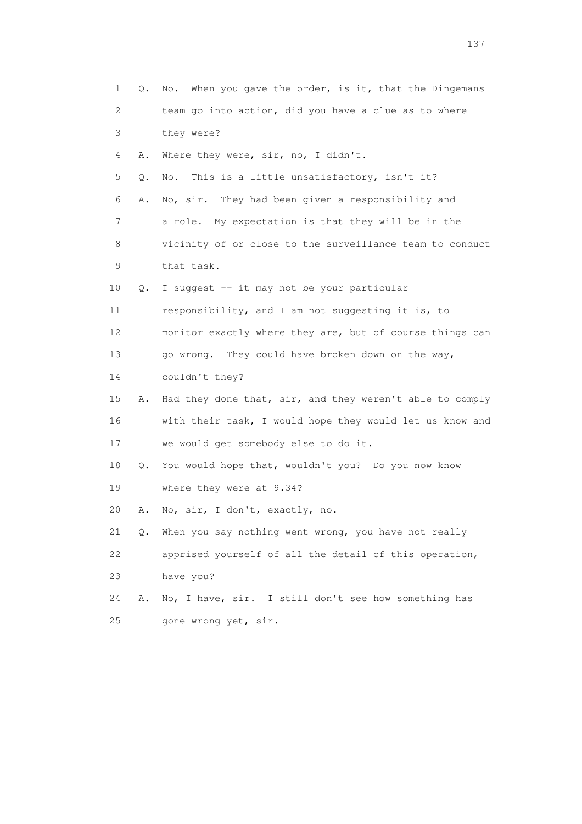| 1                         | Q. | When you gave the order, is it, that the Dingemans<br>No. |
|---------------------------|----|-----------------------------------------------------------|
| $\mathbf{2}^{\mathsf{I}}$ |    | team go into action, did you have a clue as to where      |
| 3                         |    | they were?                                                |
| 4                         | Α. | Where they were, sir, no, I didn't.                       |
| 5                         | Q. | This is a little unsatisfactory, isn't it?<br>No.         |
| 6                         | Α. | No, sir. They had been given a responsibility and         |
| 7                         |    | a role. My expectation is that they will be in the        |
| 8                         |    | vicinity of or close to the surveillance team to conduct  |
| 9                         |    | that task.                                                |
| 10                        | Q. | I suggest -- it may not be your particular                |
| 11                        |    | responsibility, and I am not suggesting it is, to         |
| 12                        |    | monitor exactly where they are, but of course things can  |
| 13                        |    | go wrong. They could have broken down on the way,         |
| 14                        |    | couldn't they?                                            |
| 15                        | Α. | Had they done that, sir, and they weren't able to comply  |
| 16                        |    | with their task, I would hope they would let us know and  |
| 17                        |    | we would get somebody else to do it.                      |
| 18                        | Q. | You would hope that, wouldn't you? Do you now know        |
| 19                        |    | where they were at 9.34?                                  |
| 20                        | Α. | No, sir, I don't, exactly, no.                            |
| 21                        |    | Q. When you say nothing went wrong, you have not really   |
| 22                        |    | apprised yourself of all the detail of this operation,    |
| 23                        |    | have you?                                                 |
| 24                        | Α. | No, I have, sir. I still don't see how something has      |
| 25                        |    | gone wrong yet, sir.                                      |
|                           |    |                                                           |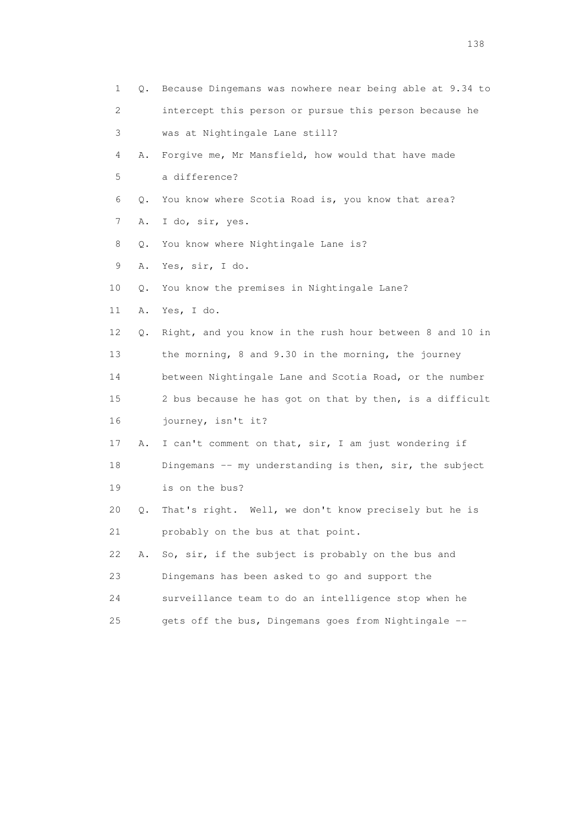1 Q. Because Dingemans was nowhere near being able at 9.34 to 2 intercept this person or pursue this person because he 3 was at Nightingale Lane still? 4 A. Forgive me, Mr Mansfield, how would that have made 5 a difference? 6 Q. You know where Scotia Road is, you know that area? 7 A. I do, sir, yes. 8 Q. You know where Nightingale Lane is? 9 A. Yes, sir, I do. 10 Q. You know the premises in Nightingale Lane? 11 A. Yes, I do. 12 Q. Right, and you know in the rush hour between 8 and 10 in 13 the morning, 8 and 9.30 in the morning, the journey 14 between Nightingale Lane and Scotia Road, or the number 15 2 bus because he has got on that by then, is a difficult 16 journey, isn't it? 17 A. I can't comment on that, sir, I am just wondering if 18 Dingemans -- my understanding is then, sir, the subject 19 is on the bus? 20 Q. That's right. Well, we don't know precisely but he is 21 probably on the bus at that point. 22 A. So, sir, if the subject is probably on the bus and 23 Dingemans has been asked to go and support the 24 surveillance team to do an intelligence stop when he 25 gets off the bus, Dingemans goes from Nightingale --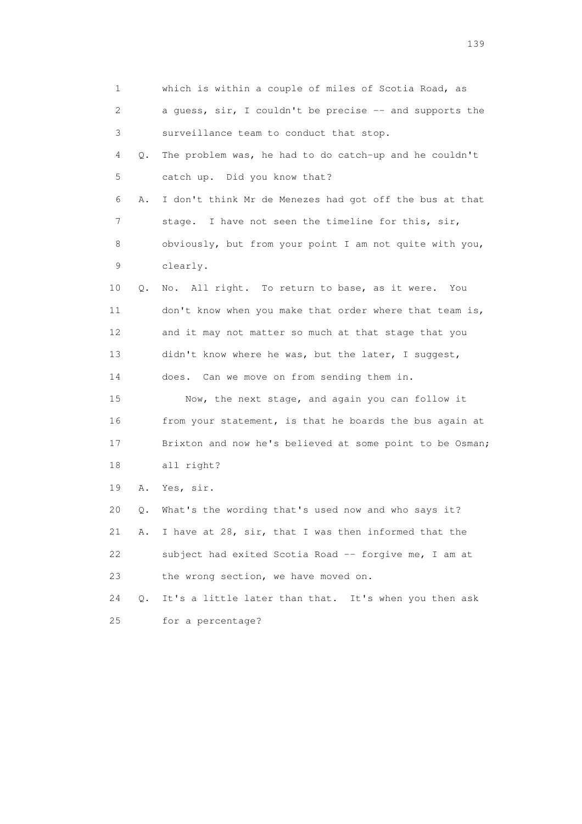1 which is within a couple of miles of Scotia Road, as 2 a guess, sir, I couldn't be precise -- and supports the 3 surveillance team to conduct that stop. 4 Q. The problem was, he had to do catch-up and he couldn't 5 catch up. Did you know that? 6 A. I don't think Mr de Menezes had got off the bus at that 7 stage. I have not seen the timeline for this, sir, 8 obviously, but from your point I am not quite with you, 9 clearly. 10 Q. No. All right. To return to base, as it were. You 11 don't know when you make that order where that team is, 12 and it may not matter so much at that stage that you 13 didn't know where he was, but the later, I suggest, 14 does. Can we move on from sending them in. 15 Now, the next stage, and again you can follow it 16 from your statement, is that he boards the bus again at 17 Brixton and now he's believed at some point to be Osman; 18 all right? 19 A. Yes, sir. 20 Q. What's the wording that's used now and who says it? 21 A. I have at 28, sir, that I was then informed that the 22 subject had exited Scotia Road -- forgive me, I am at 23 the wrong section, we have moved on. 24 Q. It's a little later than that. It's when you then ask 25 for a percentage?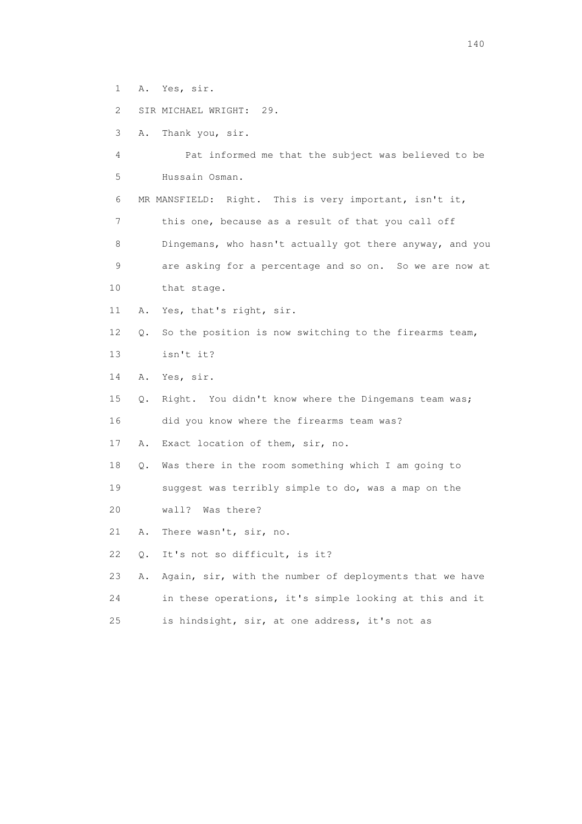- 1 A. Yes, sir.
- 2 SIR MICHAEL WRIGHT: 29.
- 3 A. Thank you, sir.

 4 Pat informed me that the subject was believed to be 5 Hussain Osman.

6 MR MANSFIELD: Right. This is very important, isn't it,

 7 this one, because as a result of that you call off 8 Dingemans, who hasn't actually got there anyway, and you 9 are asking for a percentage and so on. So we are now at 10 that stage.

- 11 A. Yes, that's right, sir.
- 12 Q. So the position is now switching to the firearms team, 13 isn't it?
- 14 A. Yes, sir.
- 15 Q. Right. You didn't know where the Dingemans team was; 16 did you know where the firearms team was?
- 17 A. Exact location of them, sir, no.
- 18 Q. Was there in the room something which I am going to
- 19 suggest was terribly simple to do, was a map on the
- 20 wall? Was there?
- 21 A. There wasn't, sir, no.
- 22 Q. It's not so difficult, is it?
- 23 A. Again, sir, with the number of deployments that we have 24 in these operations, it's simple looking at this and it
- 25 is hindsight, sir, at one address, it's not as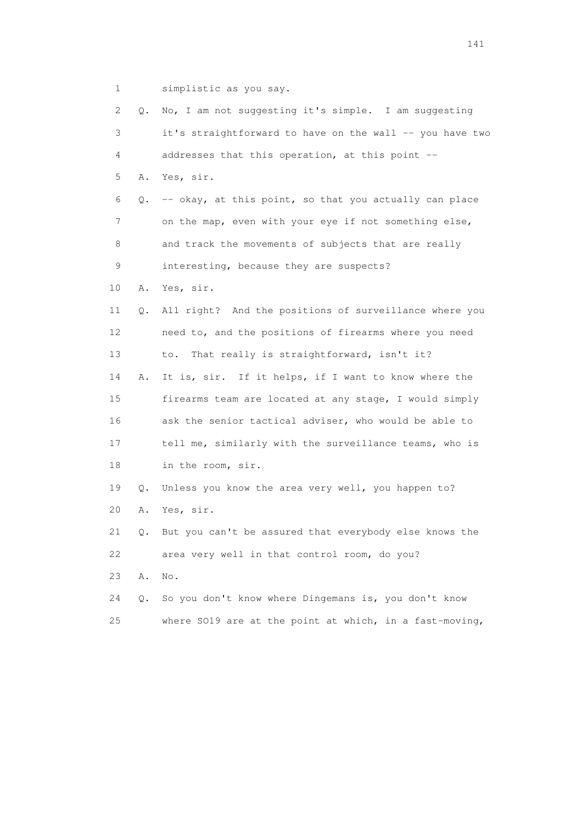1 simplistic as you say.

| 2  | Q. | No, I am not suggesting it's simple. I am suggesting     |
|----|----|----------------------------------------------------------|
| 3  |    | it's straightforward to have on the wall -- you have two |
| 4  |    | addresses that this operation, at this point --          |
| 5  | Α. | Yes, sir.                                                |
| 6  | Q. | -- okay, at this point, so that you actually can place   |
| 7  |    | on the map, even with your eye if not something else,    |
| 8  |    | and track the movements of subjects that are really      |
| 9  |    | interesting, because they are suspects?                  |
| 10 | Α. | Yes, sir.                                                |
| 11 | Q. | All right? And the positions of surveillance where you   |
| 12 |    | need to, and the positions of firearms where you need    |
| 13 |    | That really is straightforward, isn't it?<br>to.         |
| 14 | Α. | It is, sir. If it helps, if I want to know where the     |
| 15 |    | firearms team are located at any stage, I would simply   |
| 16 |    | ask the senior tactical adviser, who would be able to    |
| 17 |    | tell me, similarly with the surveillance teams, who is   |
| 18 |    | in the room, sir.                                        |
| 19 | Q. | Unless you know the area very well, you happen to?       |
| 20 | Α. | Yes, sir.                                                |
| 21 | Q. | But you can't be assured that everybody else knows the   |
| 22 |    | area very well in that control room, do you?             |
| 23 | Α. | No.                                                      |
| 24 | Q. | So you don't know where Dingemans is, you don't know     |
| 25 |    | where SO19 are at the point at which, in a fast-moving,  |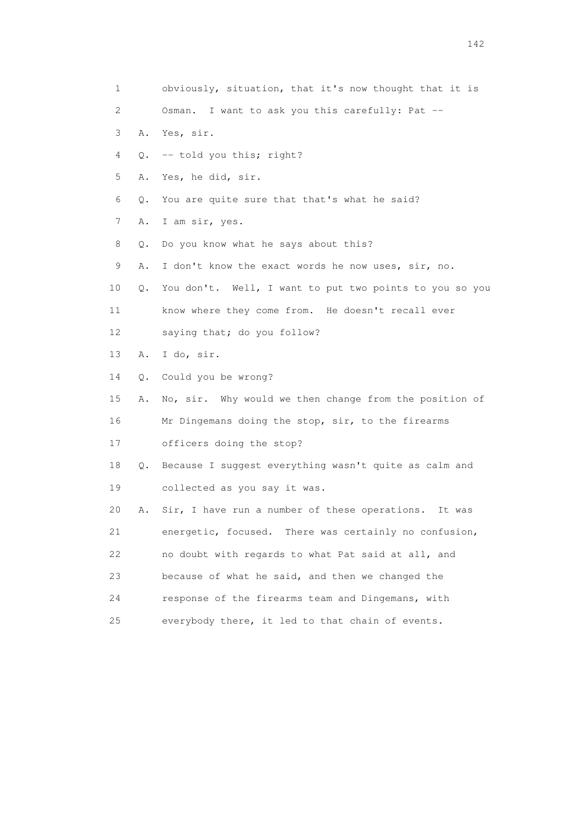| 1               |    | obviously, situation, that it's now thought that it is  |
|-----------------|----|---------------------------------------------------------|
| 2               |    | Osman. I want to ask you this carefully: Pat --         |
| 3               | Α. | Yes, sir.                                               |
| 4               | Q. | -- told you this; right?                                |
| 5               | Α. | Yes, he did, sir.                                       |
| 6               | Q. | You are quite sure that that's what he said?            |
| 7               | Α. | I am sir, yes.                                          |
| 8               | Q. | Do you know what he says about this?                    |
| 9               | Α. | I don't know the exact words he now uses, sir, no.      |
| 10              | Q. | You don't. Well, I want to put two points to you so you |
| 11              |    | know where they come from. He doesn't recall ever       |
| 12 <sup>°</sup> |    | saying that; do you follow?                             |
| 13              | Α. | I do, sir.                                              |
| 14              | Q. | Could you be wrong?                                     |
| 15              | Α. | No, sir. Why would we then change from the position of  |
| 16              |    | Mr Dingemans doing the stop, sir, to the firearms       |
| 17              |    | officers doing the stop?                                |
| 18              | Q. | Because I suggest everything wasn't quite as calm and   |
| 19              |    | collected as you say it was.                            |
| 20              | Α. | Sir, I have run a number of these operations.<br>It was |
| 21              |    | energetic, focused. There was certainly no confusion,   |
| 22              |    | no doubt with regards to what Pat said at all, and      |
| 23              |    | because of what he said, and then we changed the        |
| 24              |    | response of the firearms team and Dingemans, with       |
| 25              |    | everybody there, it led to that chain of events.        |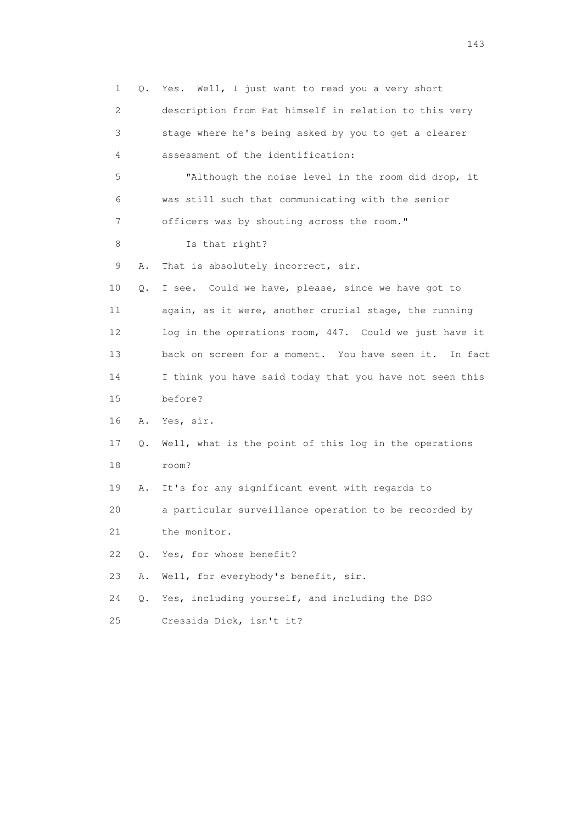| 1               | Q.    | Yes. Well, I just want to read you a very short         |
|-----------------|-------|---------------------------------------------------------|
| 2               |       | description from Pat himself in relation to this very   |
| 3               |       | stage where he's being asked by you to get a clearer    |
| 4               |       | assessment of the identification:                       |
| 5               |       | "Although the noise level in the room did drop, it      |
| 6               |       | was still such that communicating with the senior       |
| 7               |       | officers was by shouting across the room."              |
| 8               |       | Is that right?                                          |
| 9               | Α.    | That is absolutely incorrect, sir.                      |
| 10              | Q.    | I see. Could we have, please, since we have got to      |
| 11              |       | again, as it were, another crucial stage, the running   |
| 12 <sup>°</sup> |       | log in the operations room, 447. Could we just have it  |
| 13              |       | back on screen for a moment. You have seen it. In fact  |
| 14              |       | I think you have said today that you have not seen this |
| 15              |       | before?                                                 |
| 16              | A.    | Yes, sir.                                               |
| 17              | Q.    | Well, what is the point of this log in the operations   |
| 18              |       | room?                                                   |
| 19              | Α.    | It's for any significant event with regards to          |
| 20              |       | a particular surveillance operation to be recorded by   |
| 21              |       | the monitor.                                            |
| 22              | $Q$ . | Yes, for whose benefit?                                 |
| 23              | Α.    | Well, for everybody's benefit, sir.                     |
| 24              | Q.    | Yes, including yourself, and including the DSO          |
| 25              |       | Cressida Dick, isn't it?                                |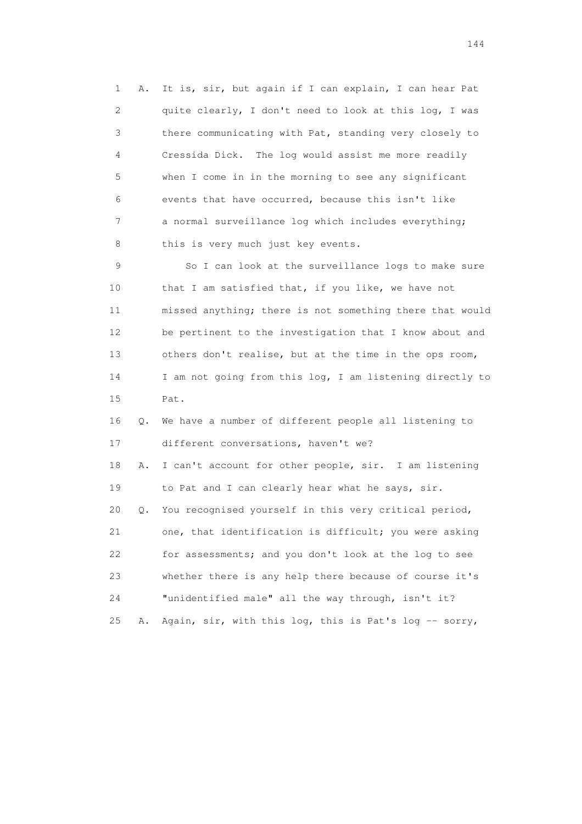1 A. It is, sir, but again if I can explain, I can hear Pat 2 quite clearly, I don't need to look at this log, I was 3 there communicating with Pat, standing very closely to 4 Cressida Dick. The log would assist me more readily 5 when I come in in the morning to see any significant 6 events that have occurred, because this isn't like 7 a normal surveillance log which includes everything; 8 this is very much just key events.

 9 So I can look at the surveillance logs to make sure 10 that I am satisfied that, if you like, we have not 11 missed anything; there is not something there that would 12 be pertinent to the investigation that I know about and 13 others don't realise, but at the time in the ops room, 14 I am not going from this log, I am listening directly to 15 Pat.

 16 Q. We have a number of different people all listening to 17 different conversations, haven't we?

 18 A. I can't account for other people, sir. I am listening 19 to Pat and I can clearly hear what he says, sir. 20 Q. You recognised yourself in this very critical period, 21 one, that identification is difficult; you were asking 22 for assessments; and you don't look at the log to see 23 whether there is any help there because of course it's

 24 "unidentified male" all the way through, isn't it? 25 A. Again, sir, with this log, this is Pat's log -- sorry,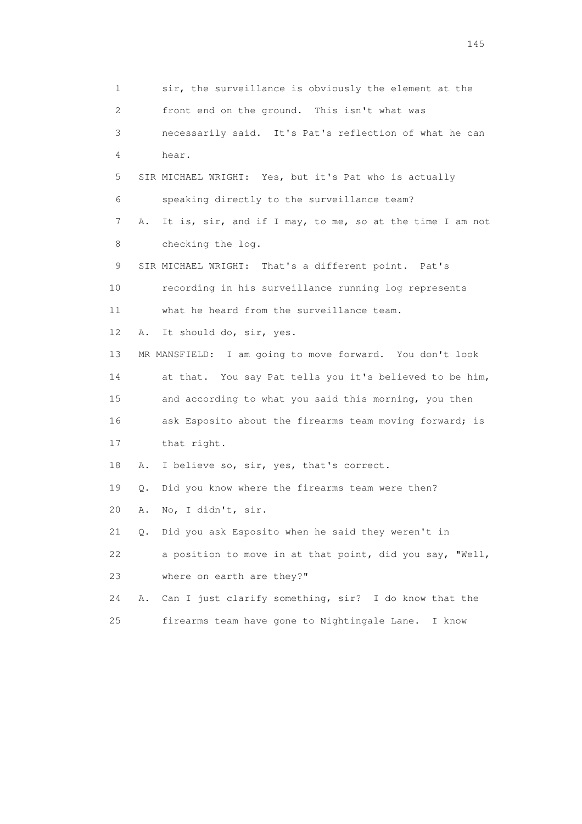1 sir, the surveillance is obviously the element at the 2 front end on the ground. This isn't what was 3 necessarily said. It's Pat's reflection of what he can 4 hear. 5 SIR MICHAEL WRIGHT: Yes, but it's Pat who is actually 6 speaking directly to the surveillance team? 7 A. It is, sir, and if I may, to me, so at the time I am not 8 checking the log. 9 SIR MICHAEL WRIGHT: That's a different point. Pat's 10 recording in his surveillance running log represents 11 what he heard from the surveillance team. 12 A. It should do, sir, yes. 13 MR MANSFIELD: I am going to move forward. You don't look 14 at that. You say Pat tells you it's believed to be him, 15 and according to what you said this morning, you then 16 ask Esposito about the firearms team moving forward; is 17 that right. 18 A. I believe so, sir, yes, that's correct. 19 Q. Did you know where the firearms team were then? 20 A. No, I didn't, sir. 21 Q. Did you ask Esposito when he said they weren't in 22 a position to move in at that point, did you say, "Well, 23 where on earth are they?" 24 A. Can I just clarify something, sir? I do know that the 25 firearms team have gone to Nightingale Lane. I know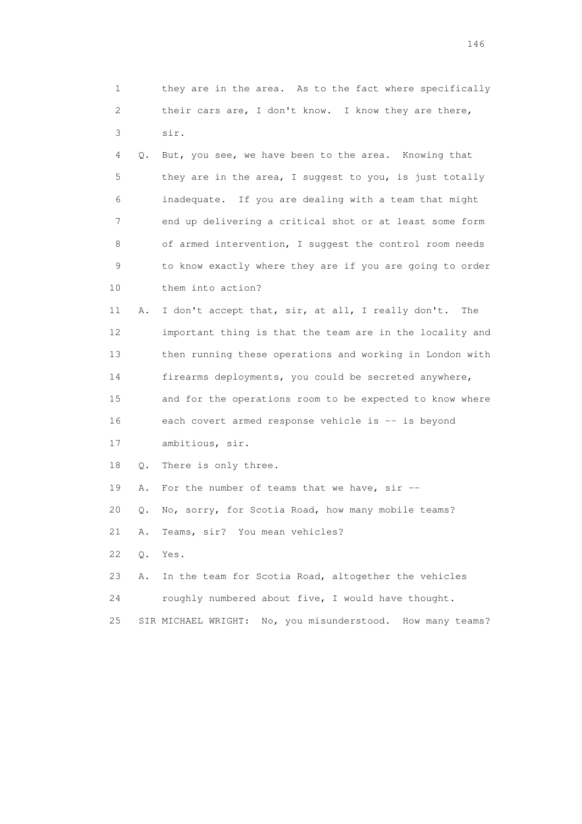| 1  |    | they are in the area. As to the fact where specifically    |
|----|----|------------------------------------------------------------|
| 2  |    | their cars are, I don't know. I know they are there,       |
| 3  |    | sir.                                                       |
| 4  | Q. | But, you see, we have been to the area. Knowing that       |
| 5  |    | they are in the area, I suggest to you, is just totally    |
| 6  |    | inadequate. If you are dealing with a team that might      |
| 7  |    | end up delivering a critical shot or at least some form    |
| 8  |    | of armed intervention, I suggest the control room needs    |
| 9  |    | to know exactly where they are if you are going to order   |
| 10 |    | them into action?                                          |
| 11 | Α. | I don't accept that, sir, at all, I really don't.<br>The   |
| 12 |    | important thing is that the team are in the locality and   |
| 13 |    | then running these operations and working in London with   |
| 14 |    | firearms deployments, you could be secreted anywhere,      |
| 15 |    | and for the operations room to be expected to know where   |
| 16 |    | each covert armed response vehicle is -- is beyond         |
| 17 |    | ambitious, sir.                                            |
| 18 | Q. | There is only three.                                       |
| 19 | Α. | For the number of teams that we have, $\sin$ --            |
| 20 | Q. | No, sorry, for Scotia Road, how many mobile teams?         |
| 21 | Α. | Teams, sir? You mean vehicles?                             |
| 22 | Q. | Yes.                                                       |
| 23 | Α. | In the team for Scotia Road, altogether the vehicles       |
| 24 |    | roughly numbered about five, I would have thought.         |
| 25 |    | SIR MICHAEL WRIGHT: No, you misunderstood. How many teams? |
|    |    |                                                            |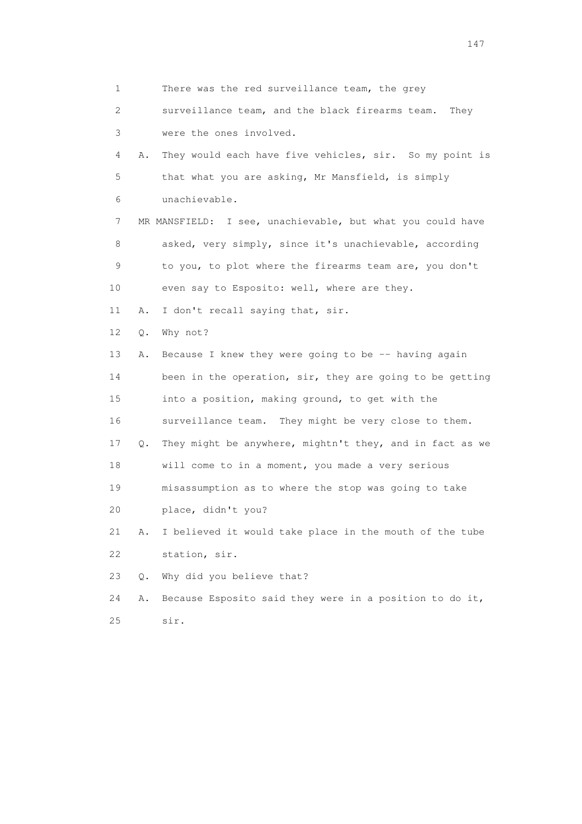1 There was the red surveillance team, the grey 2 surveillance team, and the black firearms team. They 3 were the ones involved. 4 A. They would each have five vehicles, sir. So my point is 5 that what you are asking, Mr Mansfield, is simply 6 unachievable. 7 MR MANSFIELD: I see, unachievable, but what you could have 8 asked, very simply, since it's unachievable, according 9 to you, to plot where the firearms team are, you don't 10 even say to Esposito: well, where are they. 11 A. I don't recall saying that, sir. 12 Q. Why not? 13 A. Because I knew they were going to be -- having again 14 been in the operation, sir, they are going to be getting 15 into a position, making ground, to get with the 16 surveillance team. They might be very close to them. 17 Q. They might be anywhere, mightn't they, and in fact as we 18 will come to in a moment, you made a very serious 19 misassumption as to where the stop was going to take 20 place, didn't you? 21 A. I believed it would take place in the mouth of the tube 22 station, sir. 23 Q. Why did you believe that? 24 A. Because Esposito said they were in a position to do it, 25 sir.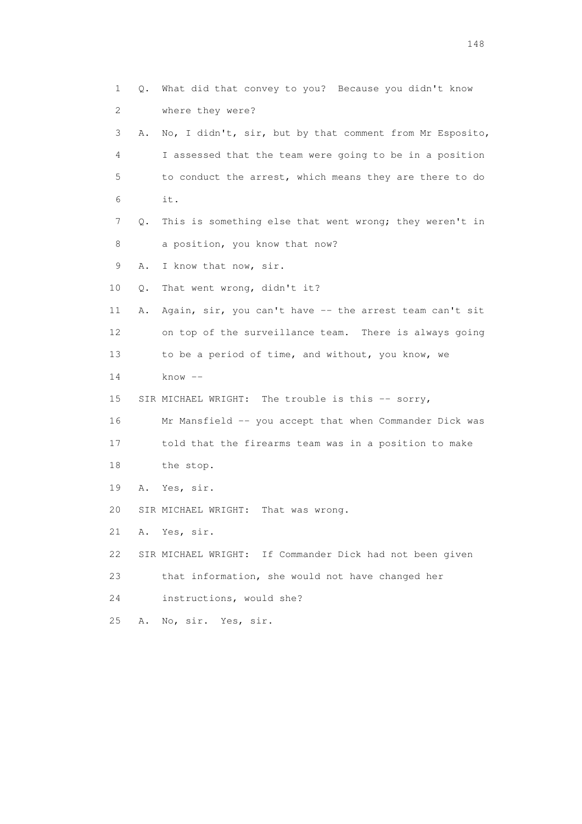1 Q. What did that convey to you? Because you didn't know 2 where they were? 3 A. No, I didn't, sir, but by that comment from Mr Esposito, 4 I assessed that the team were going to be in a position 5 to conduct the arrest, which means they are there to do 6 it. 7 Q. This is something else that went wrong; they weren't in 8 a position, you know that now? 9 A. I know that now, sir. 10 Q. That went wrong, didn't it? 11 A. Again, sir, you can't have -- the arrest team can't sit 12 on top of the surveillance team. There is always going 13 to be a period of time, and without, you know, we 14 know -- 15 SIR MICHAEL WRIGHT: The trouble is this -- sorry, 16 Mr Mansfield -- you accept that when Commander Dick was 17 told that the firearms team was in a position to make 18 the stop. 19 A. Yes, sir. 20 SIR MICHAEL WRIGHT: That was wrong. 21 A. Yes, sir. 22 SIR MICHAEL WRIGHT: If Commander Dick had not been given 23 that information, she would not have changed her 24 instructions, would she? 25 A. No, sir. Yes, sir.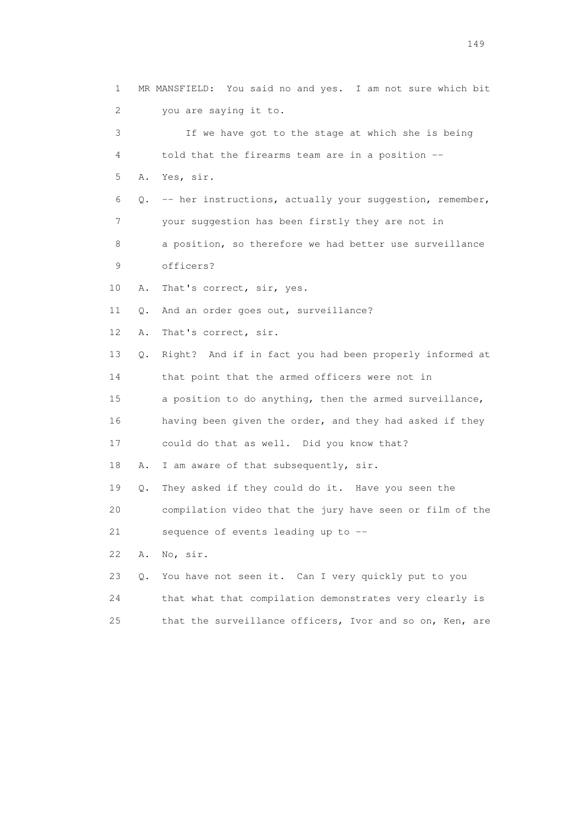1 MR MANSFIELD: You said no and yes. I am not sure which bit 2 you are saying it to. 3 If we have got to the stage at which she is being 4 told that the firearms team are in a position -- 5 A. Yes, sir. 6 Q. -- her instructions, actually your suggestion, remember, 7 your suggestion has been firstly they are not in 8 a position, so therefore we had better use surveillance 9 officers? 10 A. That's correct, sir, yes. 11 Q. And an order goes out, surveillance? 12 A. That's correct, sir. 13 Q. Right? And if in fact you had been properly informed at 14 that point that the armed officers were not in 15 a position to do anything, then the armed surveillance, 16 having been given the order, and they had asked if they 17 could do that as well. Did you know that? 18 A. I am aware of that subsequently, sir. 19 Q. They asked if they could do it. Have you seen the 20 compilation video that the jury have seen or film of the 21 sequence of events leading up to -- 22 A. No, sir. 23 Q. You have not seen it. Can I very quickly put to you 24 that what that compilation demonstrates very clearly is 25 that the surveillance officers, Ivor and so on, Ken, are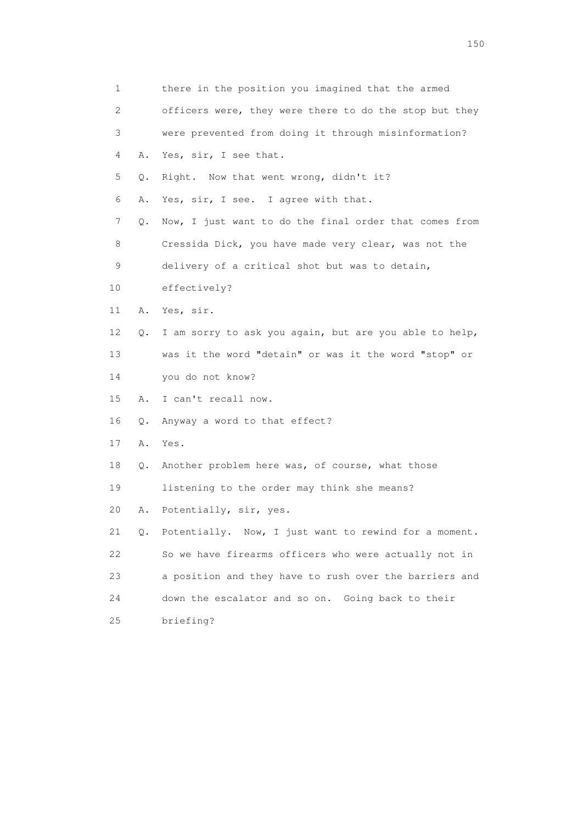| 1  |           | there in the position you imagined that the armed        |
|----|-----------|----------------------------------------------------------|
| 2  |           | officers were, they were there to do the stop but they   |
| 3  |           | were prevented from doing it through misinformation?     |
| 4  | Α.        | Yes, sir, I see that.                                    |
| 5  | Q.        | Right. Now that went wrong, didn't it?                   |
| 6  | Α.        | Yes, sir, I see. I agree with that.                      |
| 7  | Q.        | Now, I just want to do the final order that comes from   |
| 8  |           | Cressida Dick, you have made very clear, was not the     |
| 9  |           | delivery of a critical shot but was to detain,           |
| 10 |           | effectively?                                             |
| 11 |           | A. Yes, sir.                                             |
| 12 | Q.        | I am sorry to ask you again, but are you able to help,   |
| 13 |           | was it the word "detain" or was it the word "stop" or    |
| 14 |           | you do not know?                                         |
| 15 | Α.        | I can't recall now.                                      |
| 16 | $\circ$ . | Anyway a word to that effect?                            |
| 17 | Α.        | Yes.                                                     |
| 18 | Q.        | Another problem here was, of course, what those          |
| 19 |           | listening to the order may think she means?              |
| 20 | Α.        | Potentially, sir, yes.                                   |
| 21 |           | Q. Potentially. Now, I just want to rewind for a moment. |
| 22 |           | So we have firearms officers who were actually not in    |
| 23 |           | a position and they have to rush over the barriers and   |
| 24 |           | down the escalator and so on. Going back to their        |
| 25 |           | briefing?                                                |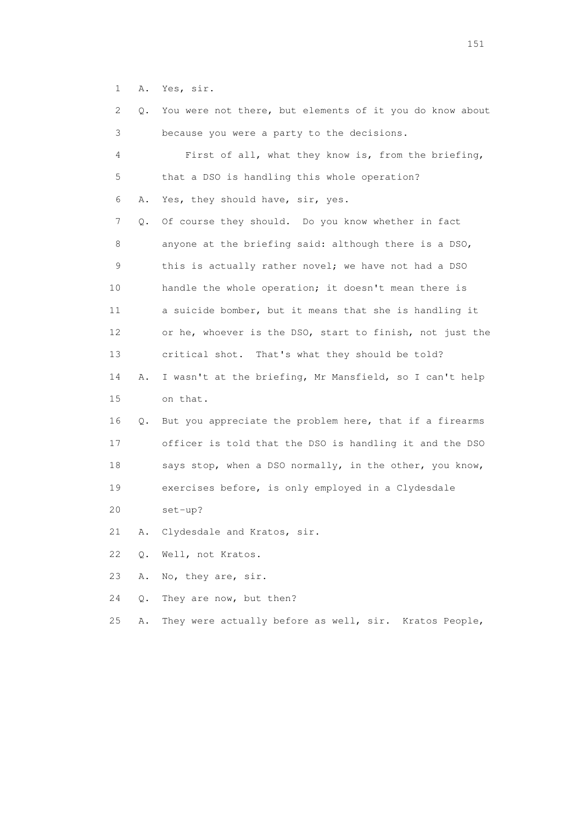1 A. Yes, sir.

| 2  | Q.    | You were not there, but elements of it you do know about   |
|----|-------|------------------------------------------------------------|
| 3  |       | because you were a party to the decisions.                 |
| 4  |       | First of all, what they know is, from the briefing,        |
| 5  |       | that a DSO is handling this whole operation?               |
| 6  | Α.    | Yes, they should have, sir, yes.                           |
| 7  | Q.    | Of course they should. Do you know whether in fact         |
| 8  |       | anyone at the briefing said: although there is a DSO,      |
| 9  |       | this is actually rather novel; we have not had a DSO       |
| 10 |       | handle the whole operation; it doesn't mean there is       |
| 11 |       | a suicide bomber, but it means that she is handling it     |
| 12 |       | or he, whoever is the DSO, start to finish, not just the   |
| 13 |       | critical shot. That's what they should be told?            |
| 14 | Α.    | I wasn't at the briefing, Mr Mansfield, so I can't help    |
| 15 |       | on that.                                                   |
| 16 |       | Q. But you appreciate the problem here, that if a firearms |
| 17 |       | officer is told that the DSO is handling it and the DSO    |
| 18 |       | says stop, when a DSO normally, in the other, you know,    |
| 19 |       | exercises before, is only employed in a Clydesdale         |
| 20 |       | $set-up?$                                                  |
| 21 | Α.    | Clydesdale and Kratos, sir.                                |
| 22 | $Q$ . | Well, not Kratos.                                          |
| 23 | Α.    | No, they are, sir.                                         |
| 24 | Q.    | They are now, but then?                                    |
| 25 | Α.    | They were actually before as well, sir. Kratos People,     |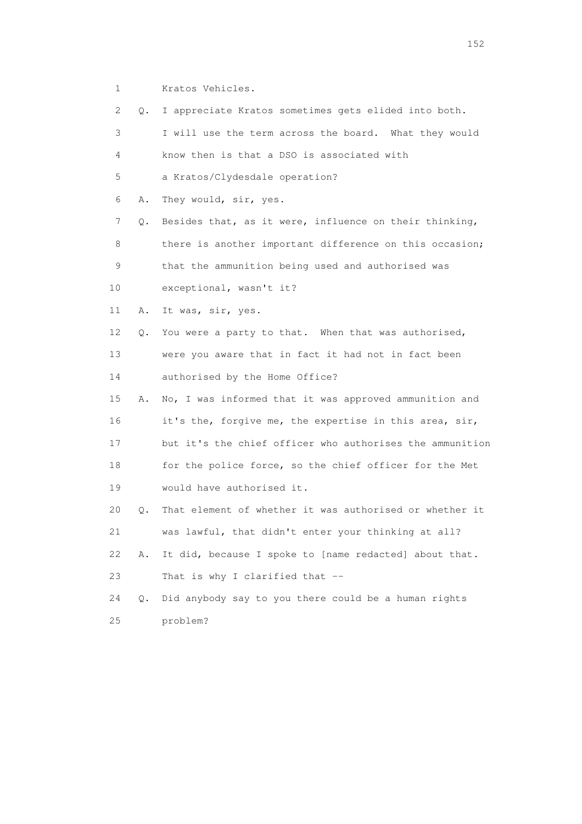1 Kratos Vehicles.

 2 Q. I appreciate Kratos sometimes gets elided into both. 3 I will use the term across the board. What they would 4 know then is that a DSO is associated with 5 a Kratos/Clydesdale operation? 6 A. They would, sir, yes. 7 Q. Besides that, as it were, influence on their thinking, 8 there is another important difference on this occasion; 9 that the ammunition being used and authorised was 10 exceptional, wasn't it? 11 A. It was, sir, yes. 12 Q. You were a party to that. When that was authorised, 13 were you aware that in fact it had not in fact been 14 authorised by the Home Office? 15 A. No, I was informed that it was approved ammunition and 16 it's the, forgive me, the expertise in this area, sir, 17 but it's the chief officer who authorises the ammunition 18 for the police force, so the chief officer for the Met 19 would have authorised it. 20 Q. That element of whether it was authorised or whether it 21 was lawful, that didn't enter your thinking at all? 22 A. It did, because I spoke to [name redacted] about that. 23 That is why I clarified that -- 24 Q. Did anybody say to you there could be a human rights 25 problem?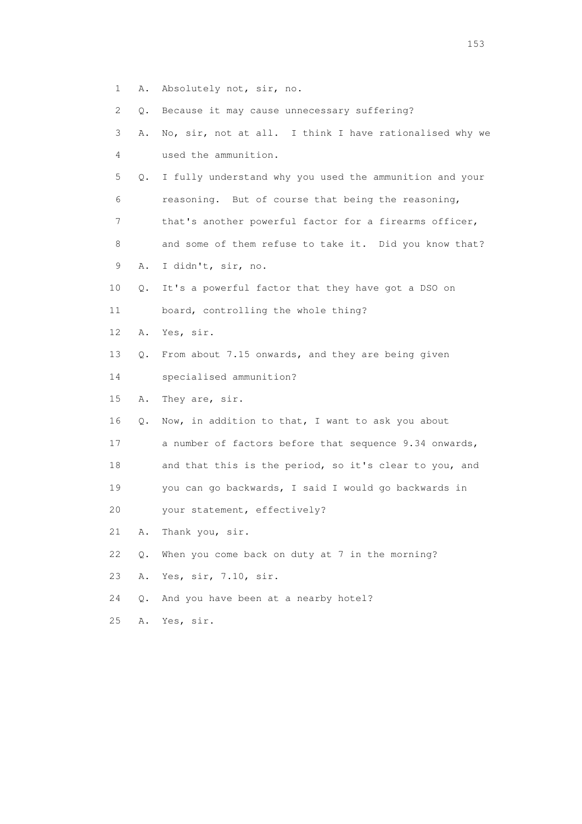1 A. Absolutely not, sir, no.

2 Q. Because it may cause unnecessary suffering?

|  |  |  |                      |  |  | 3 A. No, sir, not at all. I think I have rationalised why we |  |
|--|--|--|----------------------|--|--|--------------------------------------------------------------|--|
|  |  |  | used the ammunition. |  |  |                                                              |  |

 5 Q. I fully understand why you used the ammunition and your 6 reasoning. But of course that being the reasoning, 7 that's another powerful factor for a firearms officer,

8 and some of them refuse to take it. Did you know that?

- 9 A. I didn't, sir, no.
- 10 Q. It's a powerful factor that they have got a DSO on
- 11 board, controlling the whole thing?
- 12 A. Yes, sir.
- 13 Q. From about 7.15 onwards, and they are being given
- 14 specialised ammunition?
- 15 A. They are, sir.
- 16 Q. Now, in addition to that, I want to ask you about
- 17 a number of factors before that sequence 9.34 onwards,
- 18 and that this is the period, so it's clear to you, and
- 19 you can go backwards, I said I would go backwards in
- 20 your statement, effectively?
- 21 A. Thank you, sir.
- 22 Q. When you come back on duty at 7 in the morning?
- 23 A. Yes, sir, 7.10, sir.
- 24 Q. And you have been at a nearby hotel?
- 25 A. Yes, sir.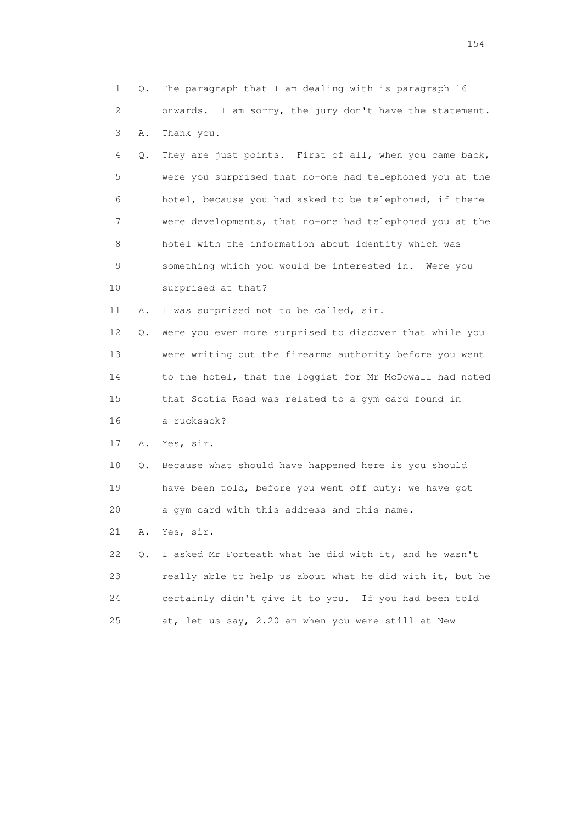| $\mathbf 1$ | Q. | The paragraph that I am dealing with is paragraph 16     |
|-------------|----|----------------------------------------------------------|
| 2           |    | onwards. I am sorry, the jury don't have the statement.  |
| 3           | Α. | Thank you.                                               |
| 4           | Q. | They are just points. First of all, when you came back,  |
| 5           |    | were you surprised that no-one had telephoned you at the |
| 6           |    | hotel, because you had asked to be telephoned, if there  |
| 7           |    | were developments, that no-one had telephoned you at the |
| 8           |    | hotel with the information about identity which was      |
| 9           |    | something which you would be interested in. Were you     |
| 10          |    | surprised at that?                                       |
| 11          | Α. | I was surprised not to be called, sir.                   |
| 12          | Q. | Were you even more surprised to discover that while you  |
| 13          |    | were writing out the firearms authority before you went  |
| 14          |    | to the hotel, that the loggist for Mr McDowall had noted |
| 15          |    | that Scotia Road was related to a gym card found in      |
| 16          |    | a rucksack?                                              |
| 17          | Α. | Yes, sir.                                                |
| 18          | Q. | Because what should have happened here is you should     |
| 19          |    | have been told, before you went off duty: we have got    |
| 20          |    | a gym card with this address and this name.              |
| 21          | Α. | Yes, sir.                                                |
| 22          | Q. | I asked Mr Forteath what he did with it, and he wasn't   |
| 23          |    | really able to help us about what he did with it, but he |
| 24          |    | certainly didn't give it to you. If you had been told    |
| 25          |    | at, let us say, 2.20 am when you were still at New       |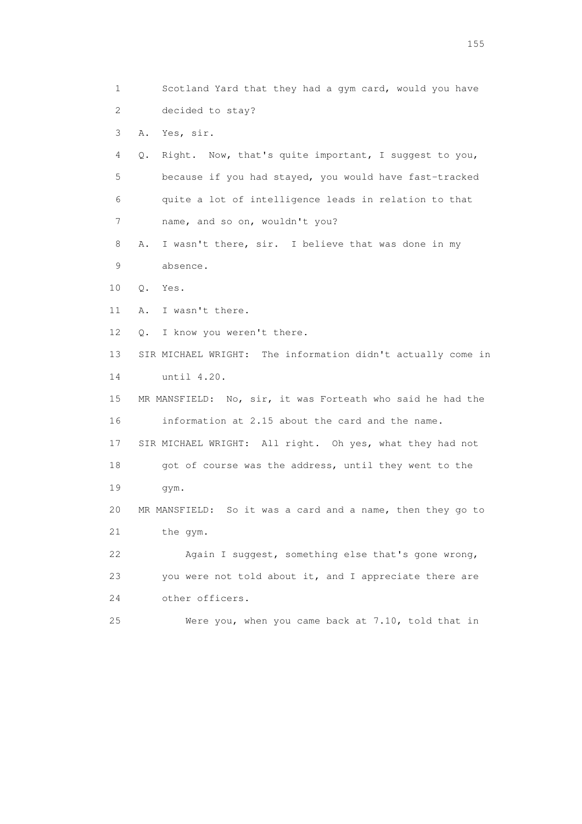1 Scotland Yard that they had a gym card, would you have 2 decided to stay? 3 A. Yes, sir. 4 Q. Right. Now, that's quite important, I suggest to you, 5 because if you had stayed, you would have fast-tracked 6 quite a lot of intelligence leads in relation to that 7 name, and so on, wouldn't you? 8 A. I wasn't there, sir. I believe that was done in my 9 absence. 10 Q. Yes. 11 A. I wasn't there. 12 Q. I know you weren't there. 13 SIR MICHAEL WRIGHT: The information didn't actually come in 14 until 4.20. 15 MR MANSFIELD: No, sir, it was Forteath who said he had the 16 information at 2.15 about the card and the name. 17 SIR MICHAEL WRIGHT: All right. Oh yes, what they had not 18 got of course was the address, until they went to the 19 gym. 20 MR MANSFIELD: So it was a card and a name, then they go to 21 the gym. 22 Again I suggest, something else that's gone wrong, 23 you were not told about it, and I appreciate there are 24 other officers. 25 Were you, when you came back at 7.10, told that in

n 155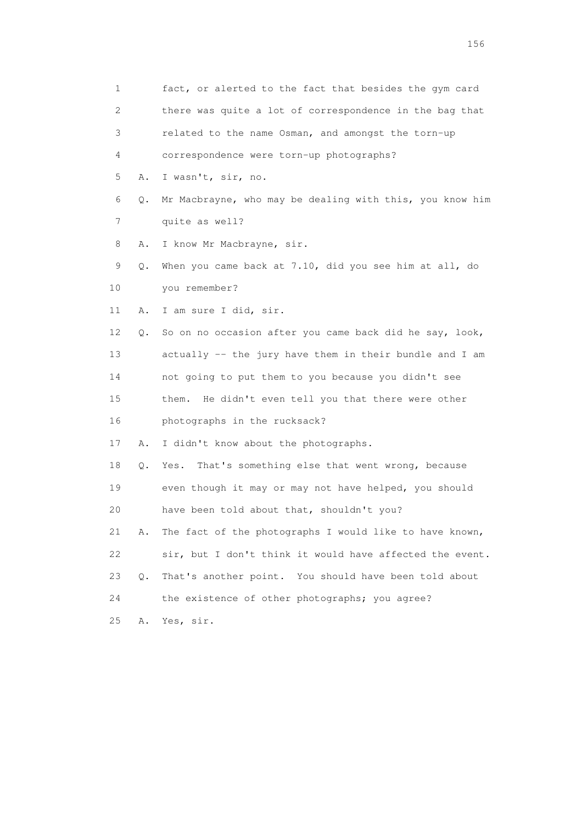1 fact, or alerted to the fact that besides the gym card 2 there was quite a lot of correspondence in the bag that 3 related to the name Osman, and amongst the torn-up 4 correspondence were torn-up photographs? 5 A. I wasn't, sir, no. 6 Q. Mr Macbrayne, who may be dealing with this, you know him 7 quite as well? 8 A. I know Mr Macbrayne, sir. 9 Q. When you came back at 7.10, did you see him at all, do 10 you remember? 11 A. I am sure I did, sir. 12 Q. So on no occasion after you came back did he say, look, 13 actually -- the jury have them in their bundle and I am 14 not going to put them to you because you didn't see 15 them. He didn't even tell you that there were other 16 photographs in the rucksack? 17 A. I didn't know about the photographs. 18 Q. Yes. That's something else that went wrong, because 19 even though it may or may not have helped, you should 20 have been told about that, shouldn't you? 21 A. The fact of the photographs I would like to have known, 22 sir, but I don't think it would have affected the event. 23 Q. That's another point. You should have been told about 24 the existence of other photographs; you agree? 25 A. Yes, sir.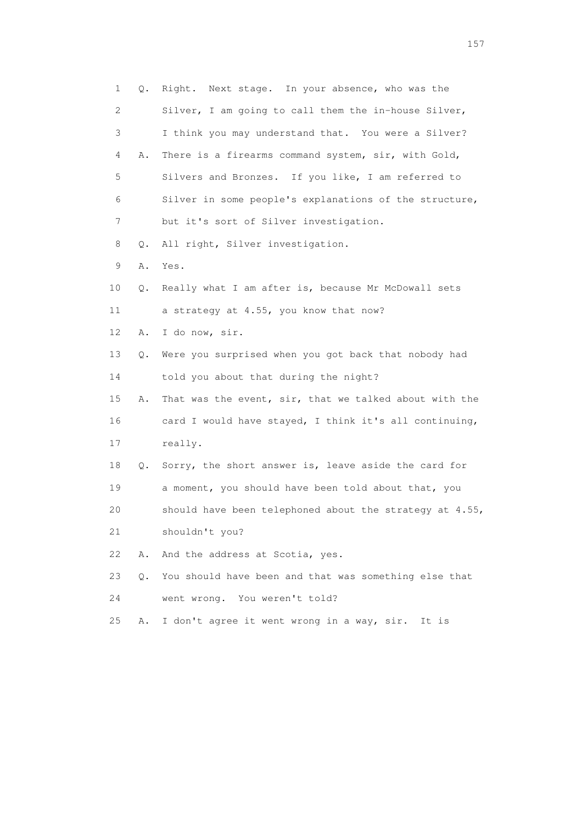| $\mathbf{1}$ | Q. | Right. Next stage. In your absence, who was the         |
|--------------|----|---------------------------------------------------------|
| 2            |    | Silver, I am going to call them the in-house Silver,    |
| 3            |    | I think you may understand that. You were a Silver?     |
| 4            | Α. | There is a firearms command system, sir, with Gold,     |
| 5            |    | Silvers and Bronzes. If you like, I am referred to      |
| 6            |    | Silver in some people's explanations of the structure,  |
| 7            |    | but it's sort of Silver investigation.                  |
| 8            | Q. | All right, Silver investigation.                        |
| 9            | Α. | Yes.                                                    |
| 10           | Q. | Really what I am after is, because Mr McDowall sets     |
| 11           |    | a strategy at 4.55, you know that now?                  |
| 12           | Α. | I do now, sir.                                          |
| 13           | Q. | Were you surprised when you got back that nobody had    |
| 14           |    | told you about that during the night?                   |
| 15           | Α. | That was the event, sir, that we talked about with the  |
| 16           |    | card I would have stayed, I think it's all continuing,  |
| 17           |    | really.                                                 |
| 18           | Q. | Sorry, the short answer is, leave aside the card for    |
| 19           |    | a moment, you should have been told about that, you     |
| 20           |    | should have been telephoned about the strategy at 4.55, |
| 21           |    | shouldn't you?                                          |
| 22           | Α. | And the address at Scotia, yes.                         |
| 23           | О. | You should have been and that was something else that   |
| 24           |    | went wrong. You weren't told?                           |
| 25           | Α. | I don't agree it went wrong in a way, sir. It is        |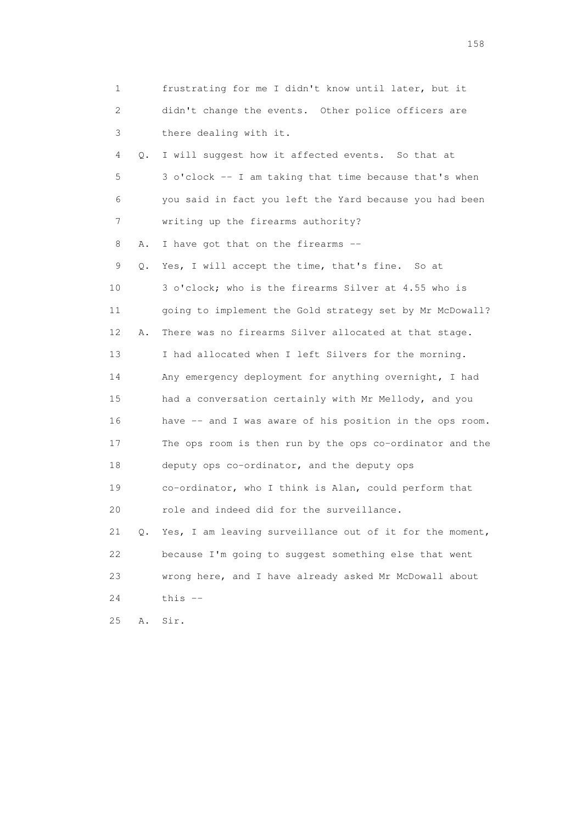| 1  |    | frustrating for me I didn't know until later, but it        |
|----|----|-------------------------------------------------------------|
| 2  |    | didn't change the events. Other police officers are         |
| 3  |    | there dealing with it.                                      |
| 4  | Q. | I will suggest how it affected events. So that at           |
| 5  |    | 3 o'clock -- I am taking that time because that's when      |
| 6  |    | you said in fact you left the Yard because you had been     |
| 7  |    | writing up the firearms authority?                          |
| 8  | Α. | I have got that on the firearms --                          |
| 9  | Q. | Yes, I will accept the time, that's fine. So at             |
| 10 |    | 3 o'clock; who is the firearms Silver at 4.55 who is        |
| 11 |    | going to implement the Gold strategy set by Mr McDowall?    |
| 12 | Α. | There was no firearms Silver allocated at that stage.       |
| 13 |    | I had allocated when I left Silvers for the morning.        |
| 14 |    | Any emergency deployment for anything overnight, I had      |
| 15 |    | had a conversation certainly with Mr Mellody, and you       |
| 16 |    | have -- and I was aware of his position in the ops room.    |
| 17 |    | The ops room is then run by the ops co-ordinator and the    |
| 18 |    | deputy ops co-ordinator, and the deputy ops                 |
| 19 |    | co-ordinator, who I think is Alan, could perform that       |
| 20 |    | role and indeed did for the surveillance.                   |
| 21 |    | Q. Yes, I am leaving surveillance out of it for the moment, |
| 22 |    | because I'm going to suggest something else that went       |
| 23 |    | wrong here, and I have already asked Mr McDowall about      |
| 24 |    | this $--$                                                   |
| 25 | Α. | Sir.                                                        |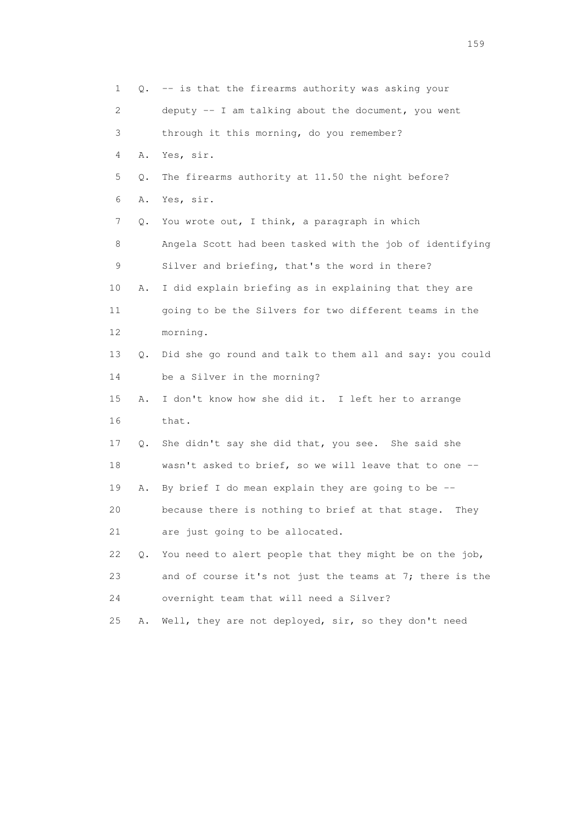1 Q. -- is that the firearms authority was asking your 2 deputy -- I am talking about the document, you went 3 through it this morning, do you remember? 4 A. Yes, sir. 5 Q. The firearms authority at 11.50 the night before? 6 A. Yes, sir. 7 Q. You wrote out, I think, a paragraph in which 8 Angela Scott had been tasked with the job of identifying 9 Silver and briefing, that's the word in there? 10 A. I did explain briefing as in explaining that they are 11 going to be the Silvers for two different teams in the 12 morning. 13 Q. Did she go round and talk to them all and say: you could 14 be a Silver in the morning? 15 A. I don't know how she did it. I left her to arrange 16 that. 17 Q. She didn't say she did that, you see. She said she 18 wasn't asked to brief, so we will leave that to one -- 19 A. By brief I do mean explain they are going to be -- 20 because there is nothing to brief at that stage. They 21 are just going to be allocated. 22 Q. You need to alert people that they might be on the job, 23 and of course it's not just the teams at 7; there is the 24 overnight team that will need a Silver? 25 A. Well, they are not deployed, sir, so they don't need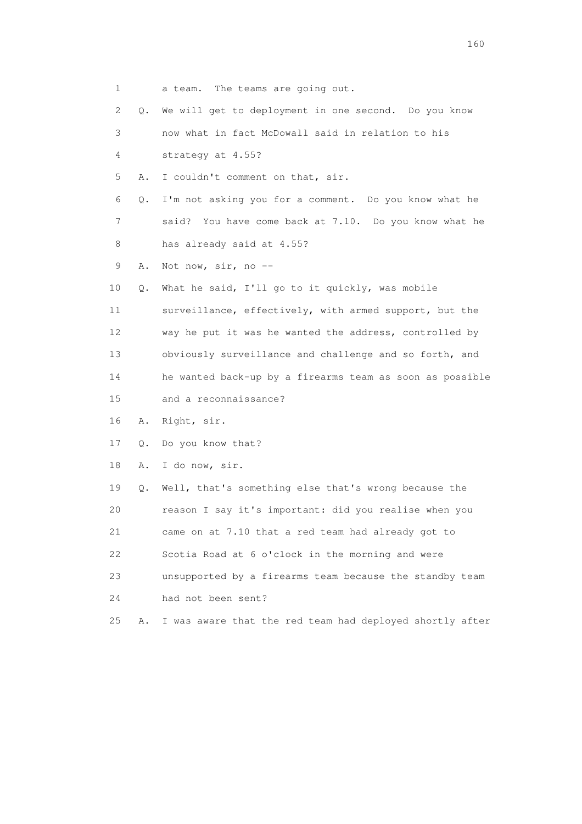| 1  |           | a team. The teams are going out.                         |
|----|-----------|----------------------------------------------------------|
| 2  | Q.        | We will get to deployment in one second. Do you know     |
| 3  |           | now what in fact McDowall said in relation to his        |
| 4  |           | strategy at 4.55?                                        |
| 5  | Α.        | I couldn't comment on that, sir.                         |
| 6  | Q.        | I'm not asking you for a comment. Do you know what he    |
| 7  |           | You have come back at 7.10. Do you know what he<br>said? |
| 8  |           | has already said at 4.55?                                |
| 9  | Α.        | Not now, sir, no --                                      |
| 10 | Q.        | What he said, I'll go to it quickly, was mobile          |
| 11 |           | surveillance, effectively, with armed support, but the   |
| 12 |           | way he put it was he wanted the address, controlled by   |
| 13 |           | obviously surveillance and challenge and so forth, and   |
| 14 |           | he wanted back-up by a firearms team as soon as possible |
| 15 |           | and a reconnaissance?                                    |
| 16 | Α.        | Right, sir.                                              |
| 17 | Q.        | Do you know that?                                        |
| 18 | Α.        | I do now, sir.                                           |
| 19 | $\circ$ . | Well, that's something else that's wrong because the     |
| 20 |           | reason I say it's important: did you realise when you    |
| 21 |           | came on at 7.10 that a red team had already got to       |
| 22 |           | Scotia Road at 6 o'clock in the morning and were         |
| 23 |           | unsupported by a firearms team because the standby team  |
| 24 |           | had not been sent?                                       |
| 25 | Α.        | I was aware that the red team had deployed shortly after |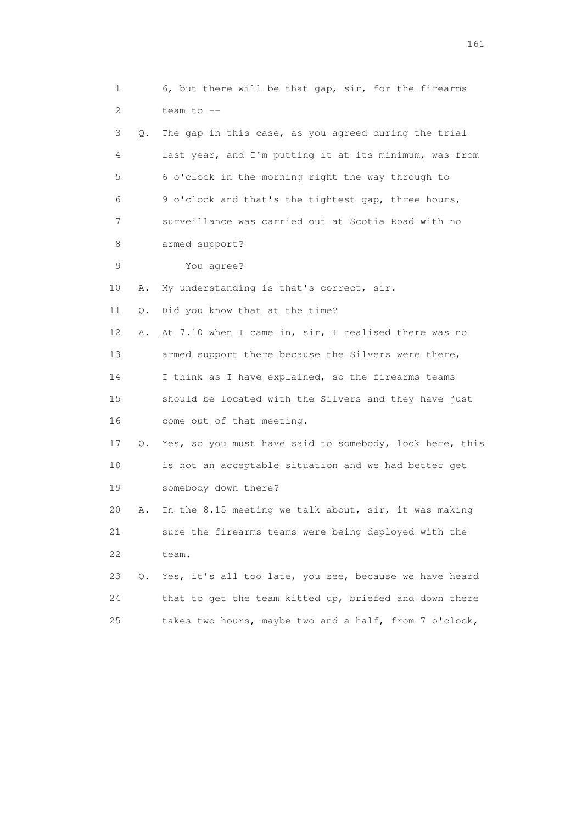1 6, but there will be that gap, sir, for the firearms 2 team to -- 3 Q. The gap in this case, as you agreed during the trial 4 last year, and I'm putting it at its minimum, was from 5 6 o'clock in the morning right the way through to 6 9 o'clock and that's the tightest gap, three hours, 7 surveillance was carried out at Scotia Road with no 8 armed support? 9 You agree? 10 A. My understanding is that's correct, sir. 11 Q. Did you know that at the time? 12 A. At 7.10 when I came in, sir, I realised there was no 13 armed support there because the Silvers were there, 14 I think as I have explained, so the firearms teams 15 should be located with the Silvers and they have just 16 come out of that meeting. 17 Q. Yes, so you must have said to somebody, look here, this 18 is not an acceptable situation and we had better get 19 somebody down there? 20 A. In the 8.15 meeting we talk about, sir, it was making 21 sure the firearms teams were being deployed with the 22 team. 23 Q. Yes, it's all too late, you see, because we have heard 24 that to get the team kitted up, briefed and down there 25 takes two hours, maybe two and a half, from 7 o'clock,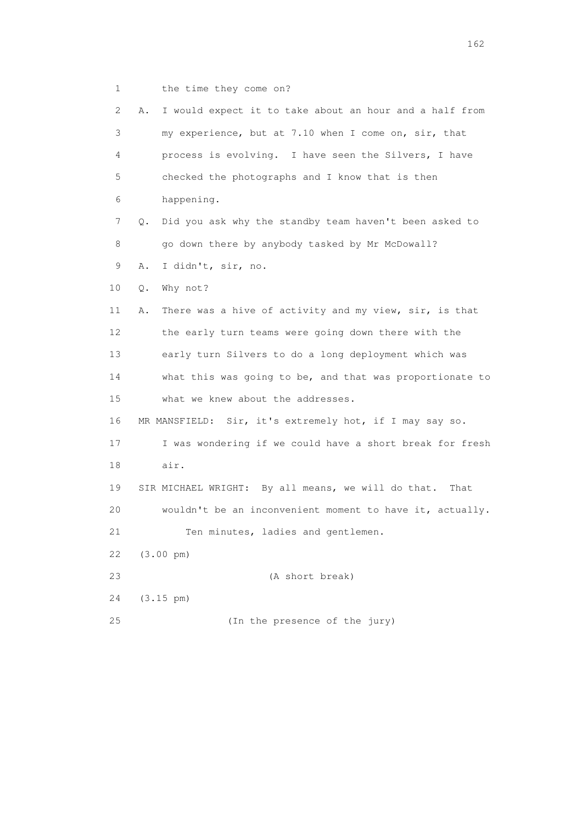1 the time they come on?

| 2. | I would expect it to take about an hour and a half from<br>Α. |
|----|---------------------------------------------------------------|
| 3  | my experience, but at 7.10 when I come on, sir, that          |
| 4  | process is evolving. I have seen the Silvers, I have          |
| 5  | checked the photographs and I know that is then               |
| 6  | happening.                                                    |
| 7  | Did you ask why the standby team haven't been asked to<br>Q.  |
| 8  | go down there by anybody tasked by Mr McDowall?               |
| 9  | I didn't, sir, no.<br>Α.                                      |
| 10 | Why not?<br>$Q$ .                                             |
| 11 | There was a hive of activity and my view, sir, is that<br>Α.  |
| 12 | the early turn teams were going down there with the           |
| 13 | early turn Silvers to do a long deployment which was          |
| 14 | what this was going to be, and that was proportionate to      |
| 15 | what we knew about the addresses.                             |
| 16 | MR MANSFIELD: Sir, it's extremely hot, if I may say so.       |
| 17 | I was wondering if we could have a short break for fresh      |
| 18 | air.                                                          |
| 19 | SIR MICHAEL WRIGHT: By all means, we will do that.<br>That    |
| 20 | wouldn't be an inconvenient moment to have it, actually.      |
| 21 | Ten minutes, ladies and gentlemen.                            |
| 22 | $(3.00 \text{ pm})$                                           |
| 23 | (A short break)                                               |
| 24 | $(3.15 \text{ pm})$                                           |
| 25 | (In the presence of the jury)                                 |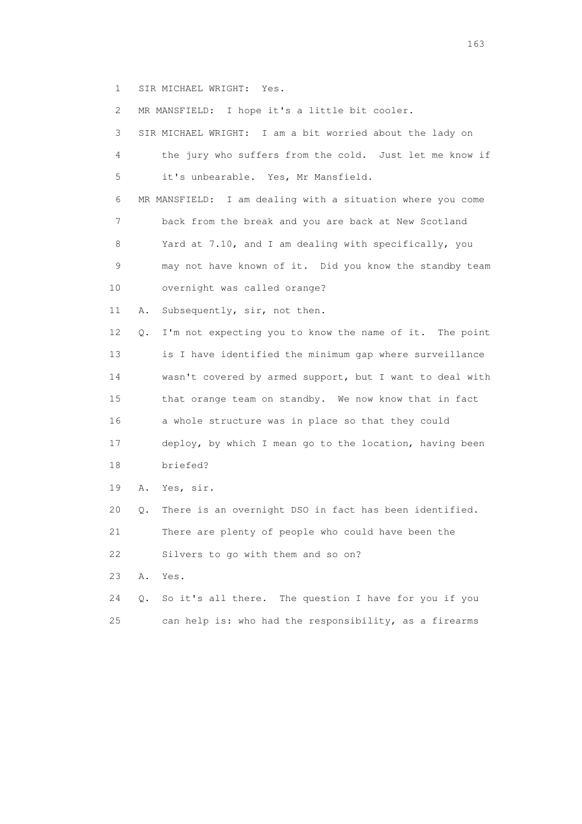1 SIR MICHAEL WRIGHT: Yes.

| $\mathbf{2}^{\mathsf{I}}$ |    | MR MANSFIELD: I hope it's a little bit cooler.             |
|---------------------------|----|------------------------------------------------------------|
| 3                         |    | SIR MICHAEL WRIGHT: I am a bit worried about the lady on   |
| 4                         |    | the jury who suffers from the cold. Just let me know if    |
| 5                         |    | it's unbearable. Yes, Mr Mansfield.                        |
| 6                         |    | MR MANSFIELD: I am dealing with a situation where you come |
| 7                         |    | back from the break and you are back at New Scotland       |
| 8                         |    | Yard at 7.10, and I am dealing with specifically, you      |
| 9                         |    | may not have known of it. Did you know the standby team    |
| 10                        |    | overnight was called orange?                               |
| 11                        | Α. | Subsequently, sir, not then.                               |
| 12                        | Q. | I'm not expecting you to know the name of it. The point    |
| 13                        |    | is I have identified the minimum gap where surveillance    |
| 14                        |    | wasn't covered by armed support, but I want to deal with   |
| 15                        |    | that orange team on standby. We now know that in fact      |
| 16                        |    | a whole structure was in place so that they could          |
| 17                        |    | deploy, by which I mean go to the location, having been    |
| 18                        |    | briefed?                                                   |
| 19                        | Α. | Yes, sir.                                                  |
| 20                        | Q. | There is an overnight DSO in fact has been identified.     |
| 21                        |    | There are plenty of people who could have been the         |
| 22                        |    | Silvers to go with them and so on?                         |
| 23                        | Α. | Yes.                                                       |
| 24                        | Q. | The question I have for you if you<br>So it's all there.   |
| 25                        |    | can help is: who had the responsibility, as a firearms     |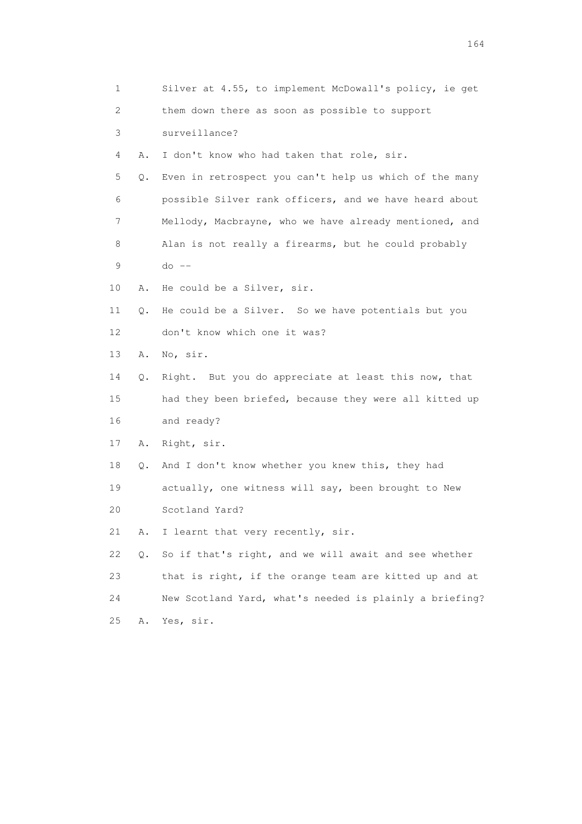| 1  |    | Silver at 4.55, to implement McDowall's policy, ie get  |
|----|----|---------------------------------------------------------|
| 2  |    | them down there as soon as possible to support          |
| 3  |    | surveillance?                                           |
| 4  | Α. | I don't know who had taken that role, sir.              |
| 5  | Q. | Even in retrospect you can't help us which of the many  |
| 6  |    | possible Silver rank officers, and we have heard about  |
| 7  |    | Mellody, Macbrayne, who we have already mentioned, and  |
| 8  |    | Alan is not really a firearms, but he could probably    |
| 9  |    | $do --$                                                 |
| 10 | Α. | He could be a Silver, sir.                              |
| 11 | Q. | He could be a Silver. So we have potentials but you     |
| 12 |    | don't know which one it was?                            |
| 13 | Α. | No, sir.                                                |
| 14 | Q. | Right. But you do appreciate at least this now, that    |
| 15 |    | had they been briefed, because they were all kitted up  |
| 16 |    | and ready?                                              |
| 17 | Α. | Right, sir.                                             |
| 18 | Q. | And I don't know whether you knew this, they had        |
| 19 |    | actually, one witness will say, been brought to New     |
| 20 |    | Scotland Yard?                                          |
| 21 | Α. | I learnt that very recently, sir.                       |
| 22 | Q. | So if that's right, and we will await and see whether   |
| 23 |    | that is right, if the orange team are kitted up and at  |
| 24 |    | New Scotland Yard, what's needed is plainly a briefing? |
| 25 | Α. | Yes, sir.                                               |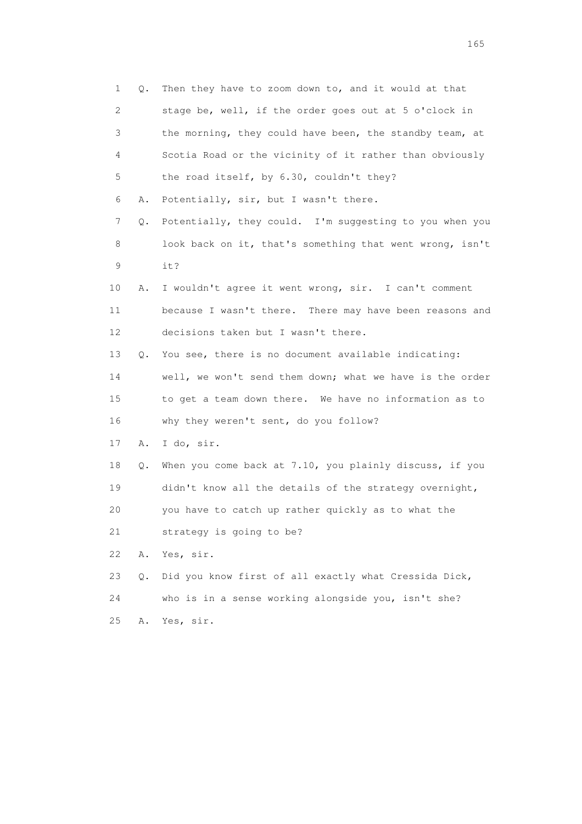1 Q. Then they have to zoom down to, and it would at that 2 stage be, well, if the order goes out at 5 o'clock in 3 the morning, they could have been, the standby team, at 4 Scotia Road or the vicinity of it rather than obviously 5 the road itself, by 6.30, couldn't they? 6 A. Potentially, sir, but I wasn't there. 7 Q. Potentially, they could. I'm suggesting to you when you 8 look back on it, that's something that went wrong, isn't 9 it? 10 A. I wouldn't agree it went wrong, sir. I can't comment 11 because I wasn't there. There may have been reasons and 12 decisions taken but I wasn't there. 13 Q. You see, there is no document available indicating: 14 well, we won't send them down; what we have is the order 15 to get a team down there. We have no information as to 16 why they weren't sent, do you follow? 17 A. I do, sir. 18 Q. When you come back at 7.10, you plainly discuss, if you 19 didn't know all the details of the strategy overnight, 20 you have to catch up rather quickly as to what the 21 strategy is going to be? 22 A. Yes, sir. 23 Q. Did you know first of all exactly what Cressida Dick, 24 who is in a sense working alongside you, isn't she? 25 A. Yes, sir.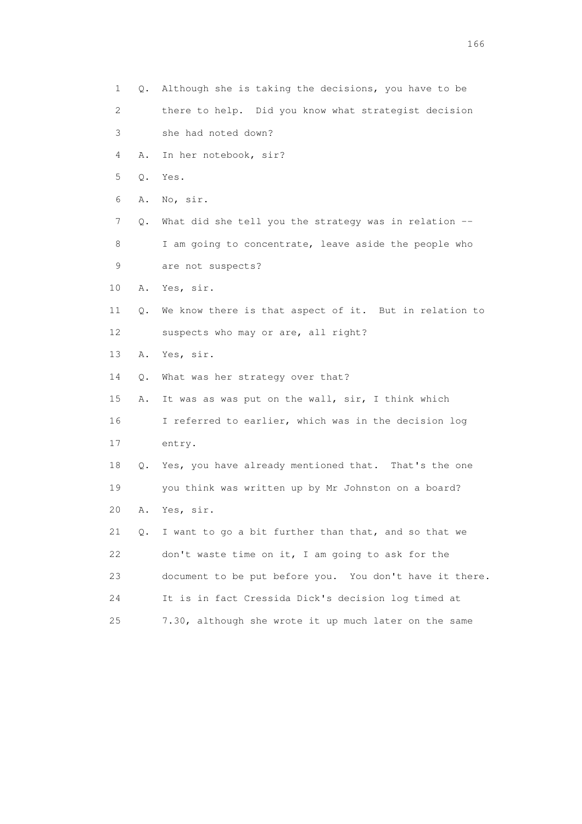1 Q. Although she is taking the decisions, you have to be 2 there to help. Did you know what strategist decision 3 she had noted down? 4 A. In her notebook, sir? 5 Q. Yes. 6 A. No, sir. 7 Q. What did she tell you the strategy was in relation -- 8 I am going to concentrate, leave aside the people who 9 are not suspects? 10 A. Yes, sir. 11 Q. We know there is that aspect of it. But in relation to 12 suspects who may or are, all right? 13 A. Yes, sir. 14 Q. What was her strategy over that? 15 A. It was as was put on the wall, sir, I think which 16 I referred to earlier, which was in the decision log 17 entry. 18 Q. Yes, you have already mentioned that. That's the one 19 you think was written up by Mr Johnston on a board? 20 A. Yes, sir. 21 Q. I want to go a bit further than that, and so that we 22 don't waste time on it, I am going to ask for the 23 document to be put before you. You don't have it there. 24 It is in fact Cressida Dick's decision log timed at 25 7.30, although she wrote it up much later on the same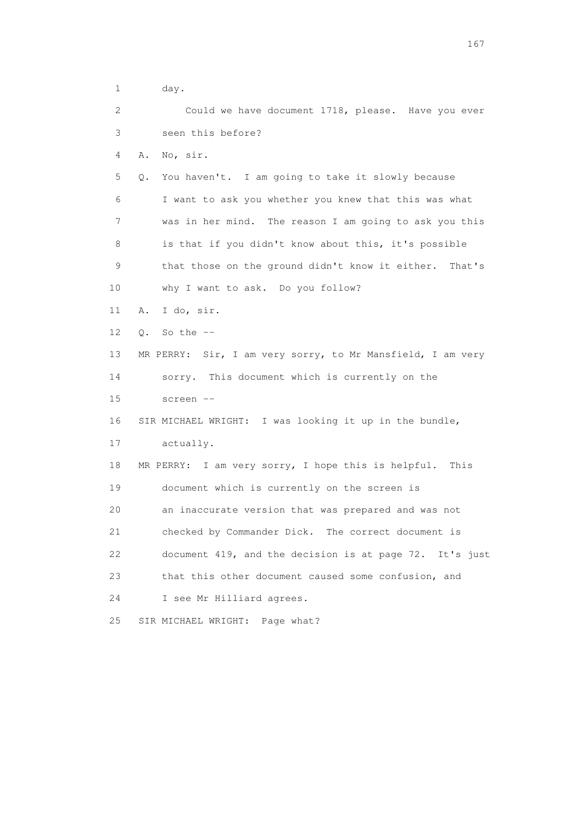1 day. 2 Could we have document 1718, please. Have you ever 3 seen this before? 4 A. No, sir. 5 Q. You haven't. I am going to take it slowly because 6 I want to ask you whether you knew that this was what 7 was in her mind. The reason I am going to ask you this 8 is that if you didn't know about this, it's possible 9 that those on the ground didn't know it either. That's 10 why I want to ask. Do you follow? 11 A. I do, sir. 12 Q. So the -- 13 MR PERRY: Sir, I am very sorry, to Mr Mansfield, I am very 14 sorry. This document which is currently on the 15 screen -- 16 SIR MICHAEL WRIGHT: I was looking it up in the bundle, 17 actually. 18 MR PERRY: I am very sorry, I hope this is helpful. This 19 document which is currently on the screen is 20 an inaccurate version that was prepared and was not 21 checked by Commander Dick. The correct document is 22 document 419, and the decision is at page 72. It's just 23 that this other document caused some confusion, and 24 I see Mr Hilliard agrees. 25 SIR MICHAEL WRIGHT: Page what?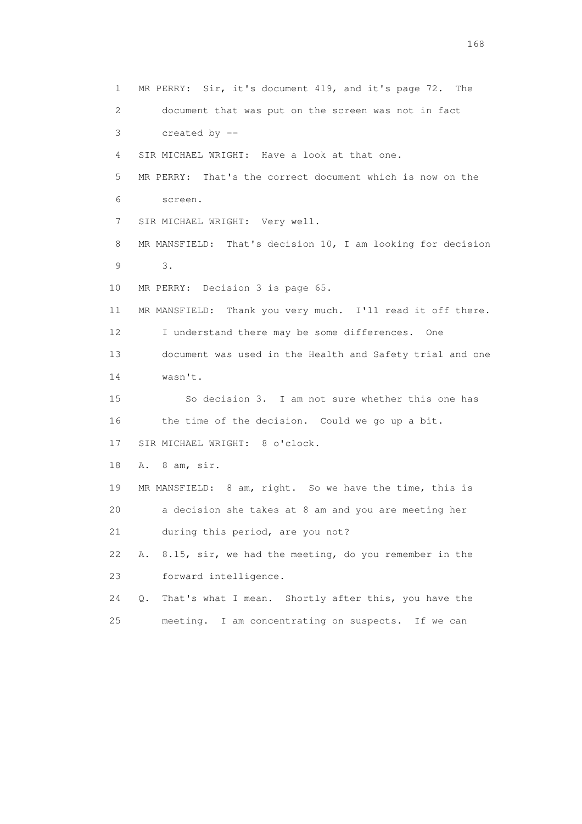1 MR PERRY: Sir, it's document 419, and it's page 72. The 2 document that was put on the screen was not in fact 3 created by -- 4 SIR MICHAEL WRIGHT: Have a look at that one. 5 MR PERRY: That's the correct document which is now on the 6 screen. 7 SIR MICHAEL WRIGHT: Very well. 8 MR MANSFIELD: That's decision 10, I am looking for decision 9 3. 10 MR PERRY: Decision 3 is page 65. 11 MR MANSFIELD: Thank you very much. I'll read it off there. 12 I understand there may be some differences. One 13 document was used in the Health and Safety trial and one 14 wasn't. 15 So decision 3. I am not sure whether this one has 16 the time of the decision. Could we go up a bit. 17 SIR MICHAEL WRIGHT: 8 o'clock. 18 A. 8 am, sir. 19 MR MANSFIELD: 8 am, right. So we have the time, this is 20 a decision she takes at 8 am and you are meeting her 21 during this period, are you not? 22 A. 8.15, sir, we had the meeting, do you remember in the 23 forward intelligence. 24 Q. That's what I mean. Shortly after this, you have the 25 meeting. I am concentrating on suspects. If we can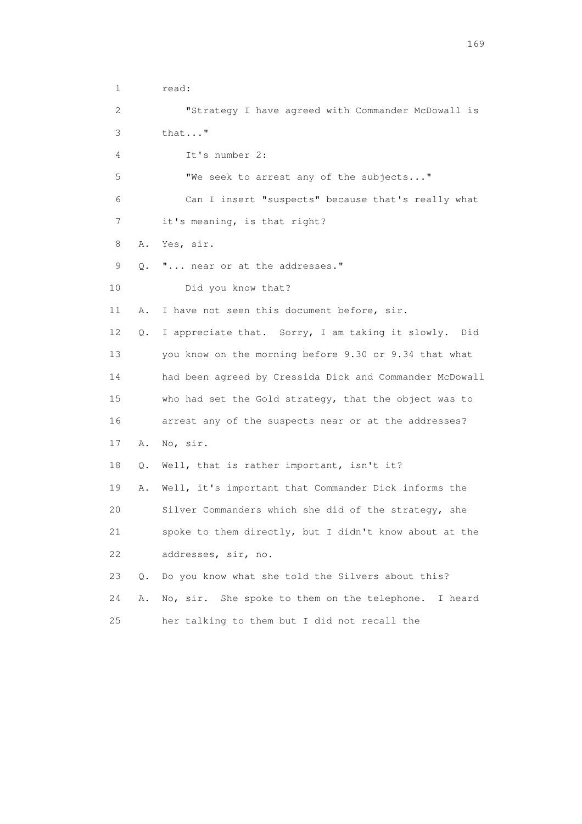1 read: 2 "Strategy I have agreed with Commander McDowall is 3 that..." 4 It's number 2: 5 "We seek to arrest any of the subjects..." 6 Can I insert "suspects" because that's really what 7 it's meaning, is that right? 8 A. Yes, sir. 9 Q. "... near or at the addresses." 10 Did you know that? 11 A. I have not seen this document before, sir. 12 Q. I appreciate that. Sorry, I am taking it slowly. Did 13 you know on the morning before 9.30 or 9.34 that what 14 had been agreed by Cressida Dick and Commander McDowall 15 who had set the Gold strategy, that the object was to 16 arrest any of the suspects near or at the addresses? 17 A. No, sir. 18 Q. Well, that is rather important, isn't it? 19 A. Well, it's important that Commander Dick informs the 20 Silver Commanders which she did of the strategy, she 21 spoke to them directly, but I didn't know about at the 22 addresses, sir, no. 23 Q. Do you know what she told the Silvers about this? 24 A. No, sir. She spoke to them on the telephone. I heard 25 her talking to them but I did not recall the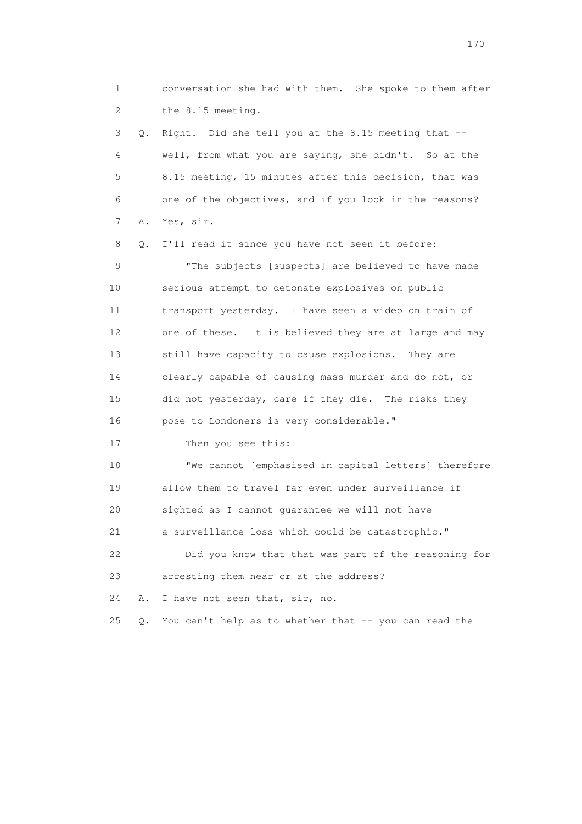1 conversation she had with them. She spoke to them after 2 the 8.15 meeting.

 3 Q. Right. Did she tell you at the 8.15 meeting that -- 4 well, from what you are saying, she didn't. So at the 5 8.15 meeting, 15 minutes after this decision, that was 6 one of the objectives, and if you look in the reasons? 7 A. Yes, sir.

 8 Q. I'll read it since you have not seen it before: 9 "The subjects [suspects] are believed to have made 10 serious attempt to detonate explosives on public 11 transport yesterday. I have seen a video on train of 12 one of these. It is believed they are at large and may 13 still have capacity to cause explosions. They are 14 clearly capable of causing mass murder and do not, or 15 did not yesterday, care if they die. The risks they 16 pose to Londoners is very considerable."

17 Then you see this:

 18 "We cannot [emphasised in capital letters] therefore 19 allow them to travel far even under surveillance if 20 sighted as I cannot guarantee we will not have 21 a surveillance loss which could be catastrophic." 22 Did you know that that was part of the reasoning for

23 arresting them near or at the address?

24 A. I have not seen that, sir, no.

25 Q. You can't help as to whether that -- you can read the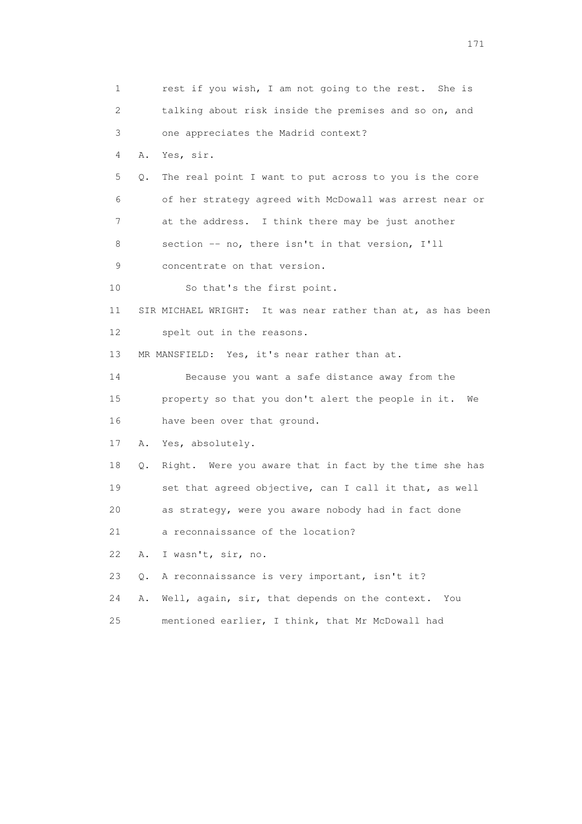1 rest if you wish, I am not going to the rest. She is 2 talking about risk inside the premises and so on, and 3 one appreciates the Madrid context? 4 A. Yes, sir. 5 Q. The real point I want to put across to you is the core 6 of her strategy agreed with McDowall was arrest near or 7 at the address. I think there may be just another 8 section -- no, there isn't in that version, I'll 9 concentrate on that version. 10 So that's the first point. 11 SIR MICHAEL WRIGHT: It was near rather than at, as has been 12 spelt out in the reasons. 13 MR MANSFIELD: Yes, it's near rather than at. 14 Because you want a safe distance away from the 15 property so that you don't alert the people in it. We 16 have been over that ground. 17 A. Yes, absolutely. 18 Q. Right. Were you aware that in fact by the time she has 19 set that agreed objective, can I call it that, as well 20 as strategy, were you aware nobody had in fact done 21 a reconnaissance of the location? 22 A. I wasn't, sir, no. 23 Q. A reconnaissance is very important, isn't it? 24 A. Well, again, sir, that depends on the context. You 25 mentioned earlier, I think, that Mr McDowall had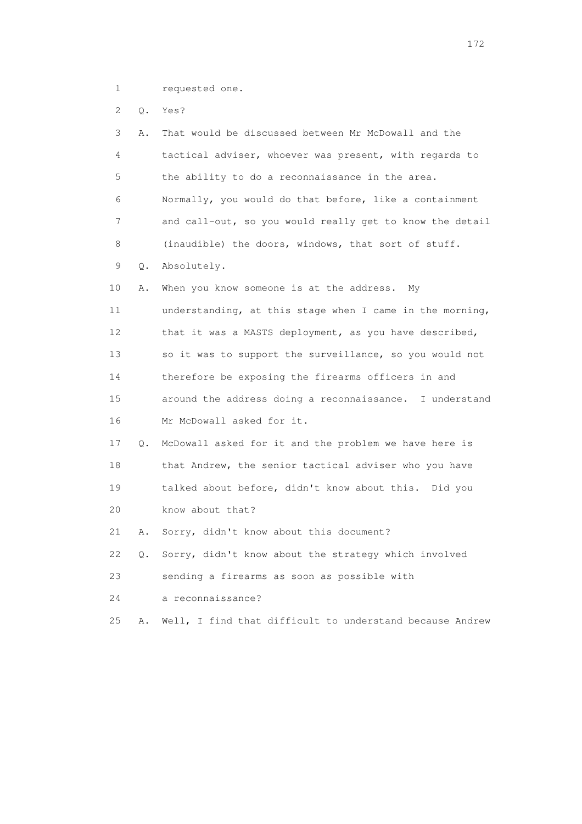1 requested one.

2 Q. Yes?

| 3  | Α. | That would be discussed between Mr McDowall and the      |
|----|----|----------------------------------------------------------|
| 4  |    | tactical adviser, whoever was present, with regards to   |
| 5  |    | the ability to do a reconnaissance in the area.          |
| 6  |    | Normally, you would do that before, like a containment   |
| 7  |    | and call-out, so you would really get to know the detail |
| 8  |    | (inaudible) the doors, windows, that sort of stuff.      |
| 9  | Q. | Absolutely.                                              |
| 10 | Α. | When you know someone is at the address.<br>Mv           |
| 11 |    | understanding, at this stage when I came in the morning, |
| 12 |    | that it was a MASTS deployment, as you have described,   |
| 13 |    | so it was to support the surveillance, so you would not  |
| 14 |    | therefore be exposing the firearms officers in and       |
| 15 |    | around the address doing a reconnaissance. I understand  |
| 16 |    | Mr McDowall asked for it.                                |
| 17 | Q. | McDowall asked for it and the problem we have here is    |
| 18 |    | that Andrew, the senior tactical adviser who you have    |
| 19 |    | talked about before, didn't know about this. Did you     |
| 20 |    | know about that?                                         |
| 21 | Α. | Sorry, didn't know about this document?                  |
| 22 | Q. | Sorry, didn't know about the strategy which involved     |
| 23 |    | sending a firearms as soon as possible with              |
| 24 |    | a reconnaissance?                                        |
| 25 | Α. | Well, I find that difficult to understand because Andrew |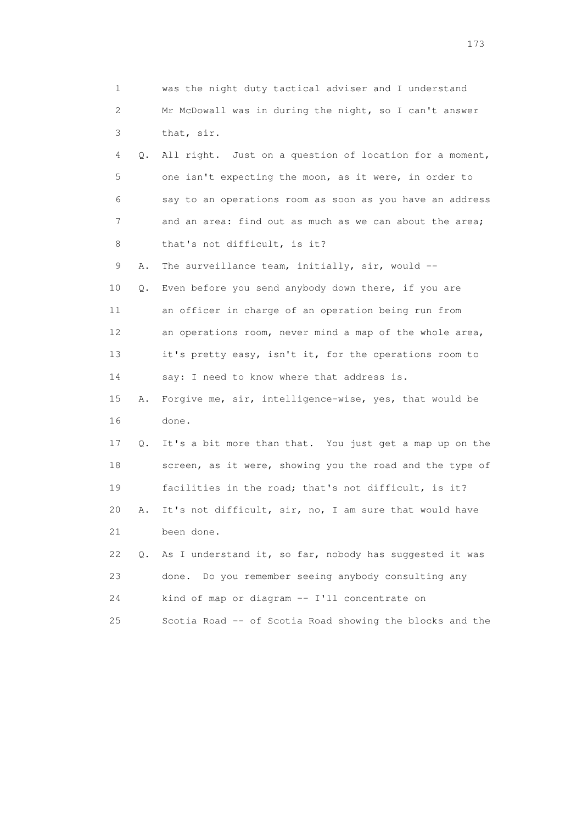| 1                         |    | was the night duty tactical adviser and I understand     |
|---------------------------|----|----------------------------------------------------------|
| $\mathbf{2}^{\mathsf{I}}$ |    | Mr McDowall was in during the night, so I can't answer   |
| 3                         |    | that, sir.                                               |
| 4                         | Q. | All right. Just on a question of location for a moment,  |
| 5                         |    | one isn't expecting the moon, as it were, in order to    |
| 6                         |    | say to an operations room as soon as you have an address |
| 7                         |    | and an area: find out as much as we can about the area;  |
| 8                         |    | that's not difficult, is it?                             |
| 9                         | Α. | The surveillance team, initially, sir, would --          |
| 10                        | Q. | Even before you send anybody down there, if you are      |
| 11                        |    | an officer in charge of an operation being run from      |
| 12                        |    | an operations room, never mind a map of the whole area,  |
| 13                        |    | it's pretty easy, isn't it, for the operations room to   |
| 14                        |    | say: I need to know where that address is.               |
| 15                        | Α. | Forgive me, sir, intelligence-wise, yes, that would be   |
| 16                        |    | done.                                                    |
| 17                        | Q. | It's a bit more than that. You just get a map up on the  |
| 18                        |    | screen, as it were, showing you the road and the type of |
| 19                        |    | facilities in the road; that's not difficult, is it?     |
| 20                        | Α. | It's not difficult, sir, no, I am sure that would have   |
| 21                        |    | been done.                                               |
| 22                        | Q. | As I understand it, so far, nobody has suggested it was  |
| 23                        |    | Do you remember seeing anybody consulting any<br>done.   |
| 24                        |    | kind of map or diagram -- I'll concentrate on            |
| 25                        |    | Scotia Road -- of Scotia Road showing the blocks and the |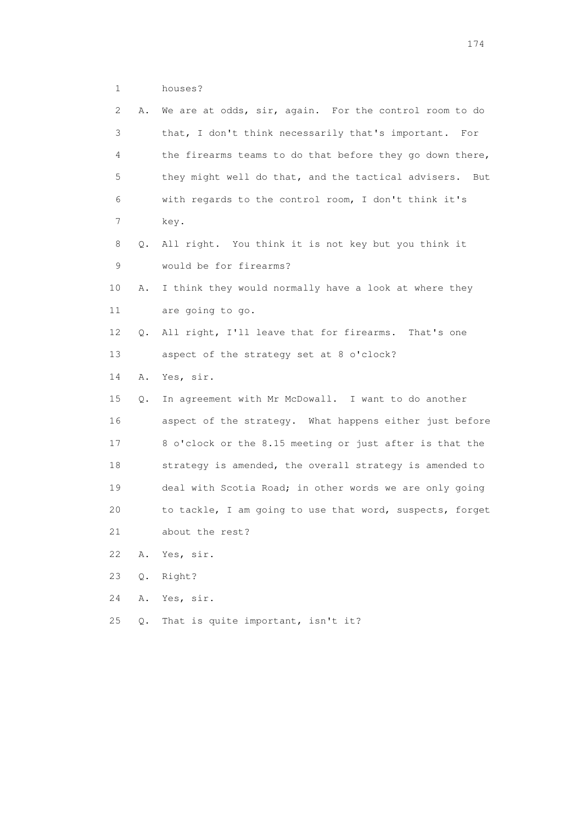| houses? |
|---------|
|         |

| 2  | Α. | We are at odds, sir, again. For the control room to do     |
|----|----|------------------------------------------------------------|
| 3  |    | that, I don't think necessarily that's important. For      |
| 4  |    | the firearms teams to do that before they go down there,   |
| 5  |    | they might well do that, and the tactical advisers.<br>But |
| 6  |    | with regards to the control room, I don't think it's       |
| 7  |    | key.                                                       |
| 8  | Q. | All right. You think it is not key but you think it        |
| 9  |    | would be for firearms?                                     |
| 10 | Α. | I think they would normally have a look at where they      |
| 11 |    | are going to go.                                           |
| 12 | Q. | All right, I'll leave that for firearms. That's one        |
| 13 |    | aspect of the strategy set at 8 o'clock?                   |
| 14 | Α. | Yes, sir.                                                  |
| 15 | Q. | In agreement with Mr McDowall. I want to do another        |
| 16 |    | aspect of the strategy. What happens either just before    |
| 17 |    | 8 o'clock or the 8.15 meeting or just after is that the    |
| 18 |    | strategy is amended, the overall strategy is amended to    |
| 19 |    | deal with Scotia Road; in other words we are only going    |
| 20 |    | to tackle, I am going to use that word, suspects, forget   |
| 21 |    | about the rest?                                            |
| 22 | Α. | Yes, sir.                                                  |
|    |    |                                                            |
| 23 | Q. | Right?                                                     |
| 24 | Α. | Yes, sir.                                                  |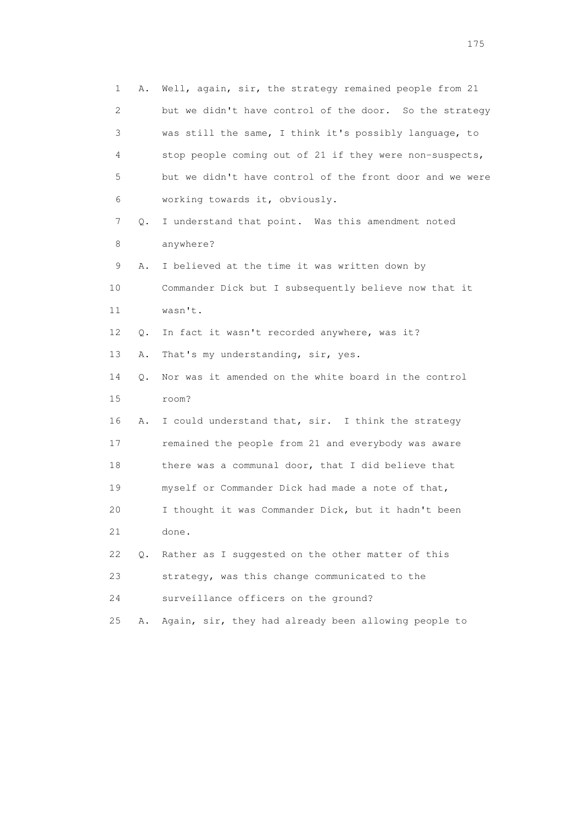| 1<br>Α.  | Well, again, sir, the strategy remained people from 21   |  |
|----------|----------------------------------------------------------|--|
| 2        | but we didn't have control of the door. So the strategy  |  |
| 3        | was still the same, I think it's possibly language, to   |  |
| 4        | stop people coming out of 21 if they were non-suspects,  |  |
| 5        | but we didn't have control of the front door and we were |  |
| 6        | working towards it, obviously.                           |  |
| 7<br>Q.  | I understand that point. Was this amendment noted        |  |
| 8        | anywhere?                                                |  |
| 9<br>Α.  | I believed at the time it was written down by            |  |
| 10       | Commander Dick but I subsequently believe now that it    |  |
| 11       | wasn't.                                                  |  |
| 12<br>Q. | In fact it wasn't recorded anywhere, was it?             |  |
| 13<br>Α. | That's my understanding, sir, yes.                       |  |
| 14<br>Q. | Nor was it amended on the white board in the control     |  |
| 15       | room?                                                    |  |
| 16<br>Α. | I could understand that, sir. I think the strategy       |  |
| 17       | remained the people from 21 and everybody was aware      |  |
| 18       | there was a communal door, that I did believe that       |  |
| 19       | myself or Commander Dick had made a note of that,        |  |
| 20       | I thought it was Commander Dick, but it hadn't been      |  |
| 21       | done.                                                    |  |
| 22<br>О. | Rather as I suggested on the other matter of this        |  |
| 23       | strategy, was this change communicated to the            |  |
| 24       | surveillance officers on the ground?                     |  |
| 25<br>Α. | Again, sir, they had already been allowing people to     |  |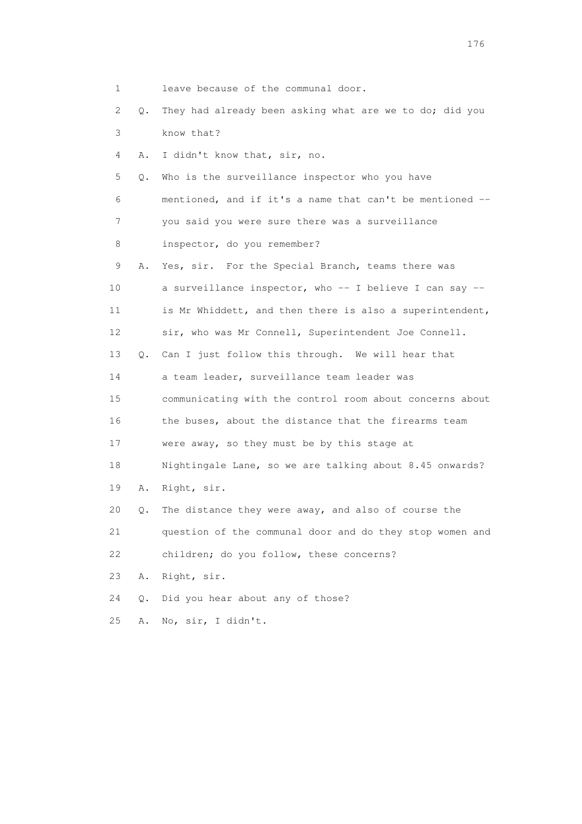| 1               |    | leave because of the communal door.                       |
|-----------------|----|-----------------------------------------------------------|
| 2               | Q. | They had already been asking what are we to do; did you   |
| 3               |    | know that?                                                |
| 4               | Α. | I didn't know that, sir, no.                              |
| 5               | Q. | Who is the surveillance inspector who you have            |
| 6               |    | mentioned, and if it's a name that can't be mentioned --  |
| 7               |    | you said you were sure there was a surveillance           |
| 8               |    | inspector, do you remember?                               |
| 9               | Α. | Yes, sir. For the Special Branch, teams there was         |
| 10              |    | a surveillance inspector, who $-$ I believe I can say $-$ |
| 11              |    | is Mr Whiddett, and then there is also a superintendent,  |
| 12 <sup>°</sup> |    | sir, who was Mr Connell, Superintendent Joe Connell.      |
| 13              | Q. | Can I just follow this through. We will hear that         |
| 14              |    | a team leader, surveillance team leader was               |
| 15              |    | communicating with the control room about concerns about  |
| 16              |    | the buses, about the distance that the firearms team      |
| 17              |    | were away, so they must be by this stage at               |
| 18              |    | Nightingale Lane, so we are talking about 8.45 onwards?   |
| 19              | Α. | Right, sir.                                               |
| 20              | Q. | The distance they were away, and also of course the       |
| 21              |    | question of the communal door and do they stop women and  |
| 22              |    | children; do you follow, these concerns?                  |
| 23              | Α. | Right, sir.                                               |
| 24              | Q. | Did you hear about any of those?                          |
| 25              | Α. | No, sir, I didn't.                                        |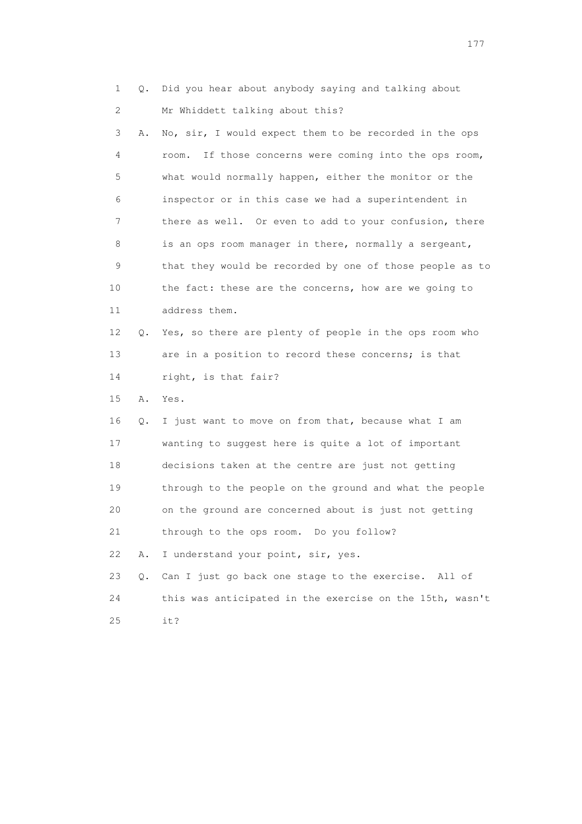1 Q. Did you hear about anybody saying and talking about 2 Mr Whiddett talking about this?

| 3  | Α. | No, sir, I would expect them to be recorded in the ops    |
|----|----|-----------------------------------------------------------|
| 4  |    | If those concerns were coming into the ops room,<br>room. |
| 5  |    | what would normally happen, either the monitor or the     |
| 6  |    | inspector or in this case we had a superintendent in      |
| 7  |    | there as well. Or even to add to your confusion, there    |
| 8  |    | is an ops room manager in there, normally a sergeant,     |
| 9  |    | that they would be recorded by one of those people as to  |
| 10 |    | the fact: these are the concerns, how are we going to     |
| 11 |    | address them.                                             |
| 12 | 0. | Yes, so there are plenty of people in the ops room who    |
| 13 |    | are in a position to record these concerns; is that       |
| 14 |    | right, is that fair?                                      |
| 15 | Α. | Yes.                                                      |
| 16 | Q. | I just want to move on from that, because what I am       |
| 17 |    | wanting to suggest here is quite a lot of important       |
| 18 |    | decisions taken at the centre are just not getting        |
| 19 |    | through to the people on the ground and what the people   |
| 20 |    | on the ground are concerned about is just not getting     |
| 21 |    | through to the ops room. Do you follow?                   |
| 22 | Α. | I understand your point, sir, yes.                        |
| 23 | О. | Can I just go back one stage to the exercise. All of      |
| 24 |    | this was anticipated in the exercise on the 15th, wasn't  |

25 it?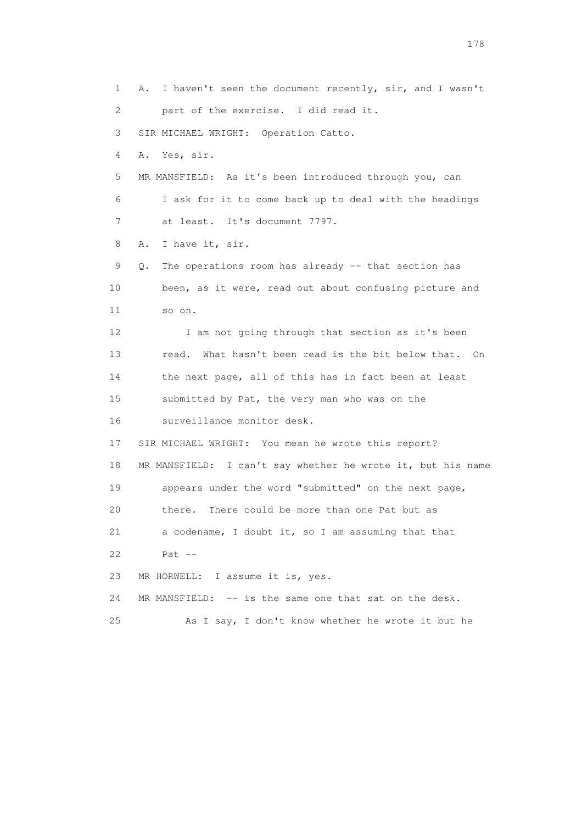1 A. I haven't seen the document recently, sir, and I wasn't 2 part of the exercise. I did read it. 3 SIR MICHAEL WRIGHT: Operation Catto. 4 A. Yes, sir. 5 MR MANSFIELD: As it's been introduced through you, can 6 I ask for it to come back up to deal with the headings 7 at least. It's document 7797. 8 A. I have it, sir. 9 Q. The operations room has already -- that section has 10 been, as it were, read out about confusing picture and 11 so on. 12 I am not going through that section as it's been 13 read. What hasn't been read is the bit below that. On 14 the next page, all of this has in fact been at least 15 submitted by Pat, the very man who was on the 16 surveillance monitor desk. 17 SIR MICHAEL WRIGHT: You mean he wrote this report? 18 MR MANSFIELD: I can't say whether he wrote it, but his name 19 appears under the word "submitted" on the next page, 20 there. There could be more than one Pat but as 21 a codename, I doubt it, so I am assuming that that 22 Pat -- 23 MR HORWELL: I assume it is, yes. 24 MR MANSFIELD: -- is the same one that sat on the desk. 25 As I say, I don't know whether he wrote it but he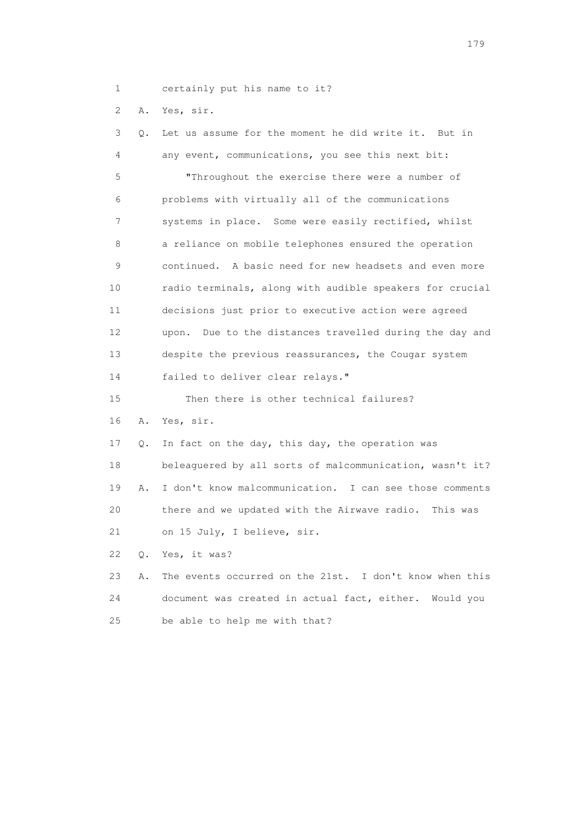1 certainly put his name to it?

2 A. Yes, sir.

| 3               | Q.    | Let us assume for the moment he did write it. But in      |
|-----------------|-------|-----------------------------------------------------------|
| 4               |       | any event, communications, you see this next bit:         |
| 5               |       | "Throughout the exercise there were a number of           |
| 6               |       | problems with virtually all of the communications         |
| 7               |       | systems in place. Some were easily rectified, whilst      |
| 8               |       | a reliance on mobile telephones ensured the operation     |
| 9               |       | continued. A basic need for new headsets and even more    |
| 10              |       | radio terminals, along with audible speakers for crucial  |
| 11              |       | decisions just prior to executive action were agreed      |
| 12 <sup>°</sup> |       | upon. Due to the distances travelled during the day and   |
| 13              |       | despite the previous reassurances, the Cougar system      |
| 14              |       | failed to deliver clear relays."                          |
| 15              |       | Then there is other technical failures?                   |
| 16              | Α.    | Yes, sir.                                                 |
| 17              | Q.    | In fact on the day, this day, the operation was           |
| 18              |       | beleaguered by all sorts of malcommunication, wasn't it?  |
| 19              | Α.    | I don't know malcommunication. I can see those comments   |
| 20              |       | there and we updated with the Airwave radio.<br>This was  |
| 21              |       | on 15 July, I believe, sir.                               |
| 22              | $Q$ . | Yes, it was?                                              |
| 23              | Α.    | The events occurred on the 21st. I don't know when this   |
| 24              |       | document was created in actual fact, either.<br>Would you |
| 25              |       | be able to help me with that?                             |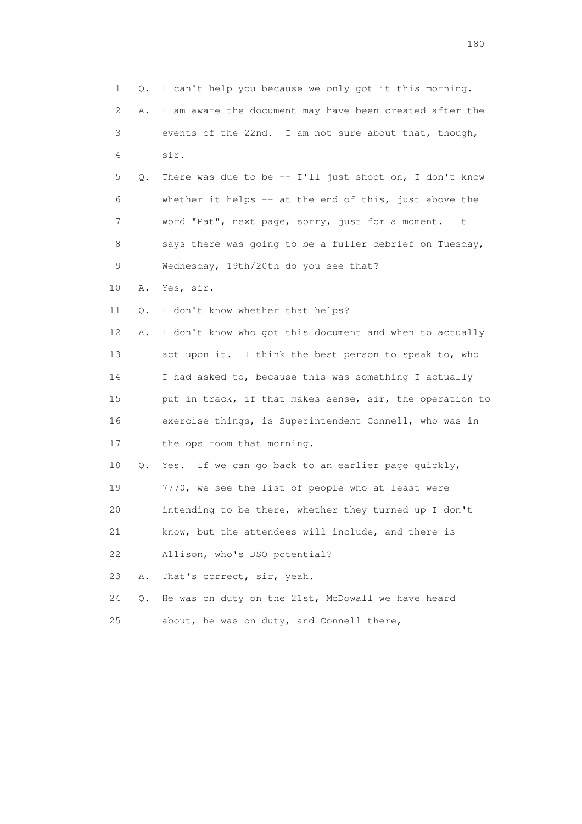1 Q. I can't help you because we only got it this morning. 2 A. I am aware the document may have been created after the 3 events of the 22nd. I am not sure about that, though, 4 sir. 5 Q. There was due to be -- I'll just shoot on, I don't know 6 whether it helps -- at the end of this, just above the 7 word "Pat", next page, sorry, just for a moment. It 8 says there was going to be a fuller debrief on Tuesday, 9 Wednesday, 19th/20th do you see that? 10 A. Yes, sir. 11 Q. I don't know whether that helps? 12 A. I don't know who got this document and when to actually 13 act upon it. I think the best person to speak to, who 14 I had asked to, because this was something I actually 15 put in track, if that makes sense, sir, the operation to 16 exercise things, is Superintendent Connell, who was in 17 the ops room that morning. 18 Q. Yes. If we can go back to an earlier page quickly, 19 7770, we see the list of people who at least were 20 intending to be there, whether they turned up I don't 21 know, but the attendees will include, and there is 22 Allison, who's DSO potential? 23 A. That's correct, sir, yeah. 24 Q. He was on duty on the 21st, McDowall we have heard 25 about, he was on duty, and Connell there,

180 and 180 and 180 and 180 and 180 and 180 and 180 and 180 and 180 and 180 and 180 and 180 and 180 and 180 and 180 and 180 and 180 and 180 and 180 and 180 and 180 and 180 and 180 and 180 and 180 and 180 and 180 and 180 an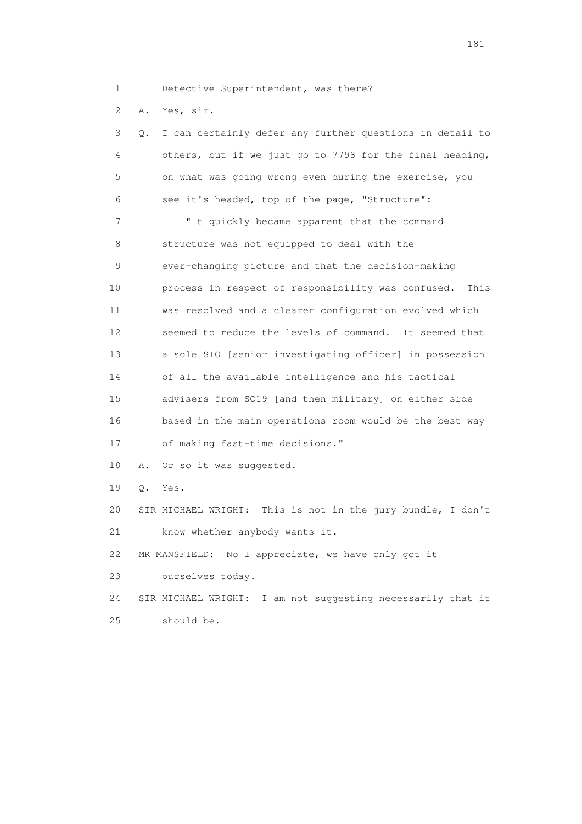1 Detective Superintendent, was there?

2 A. Yes, sir.

| 3               | Q.        | I can certainly defer any further questions in detail to    |
|-----------------|-----------|-------------------------------------------------------------|
| 4               |           | others, but if we just go to 7798 for the final heading,    |
| 5               |           | on what was going wrong even during the exercise, you       |
| 6               |           | see it's headed, top of the page, "Structure":              |
| 7               |           | "It quickly became apparent that the command                |
| 8               |           | structure was not equipped to deal with the                 |
| 9               |           | ever-changing picture and that the decision-making          |
| 10              |           | process in respect of responsibility was confused.<br>This  |
| 11              |           | was resolved and a clearer configuration evolved which      |
| 12 <sup>°</sup> |           | seemed to reduce the levels of command. It seemed that      |
| 13              |           | a sole SIO [senior investigating officer] in possession     |
| 14              |           | of all the available intelligence and his tactical          |
| 15              |           | advisers from SO19 [and then military] on either side       |
| 16              |           | based in the main operations room would be the best way     |
| 17              |           | of making fast-time decisions."                             |
| 18              | Α.        | Or so it was suggested.                                     |
| 19              | $\circ$ . | Yes.                                                        |
| 20              |           | SIR MICHAEL WRIGHT: This is not in the jury bundle, I don't |
| 21              |           | know whether anybody wants it.                              |
| 22              |           | MR MANSFIELD: No I appreciate, we have only got it          |
| 23              |           | ourselves today.                                            |
| 24              |           | SIR MICHAEL WRIGHT: I am not suggesting necessarily that it |
| 25              |           | should be.                                                  |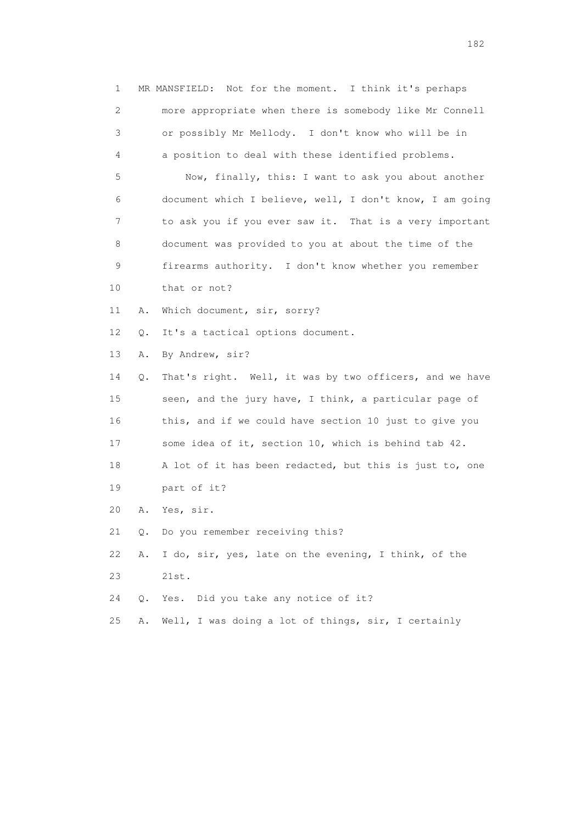1 MR MANSFIELD: Not for the moment. I think it's perhaps 2 more appropriate when there is somebody like Mr Connell 3 or possibly Mr Mellody. I don't know who will be in 4 a position to deal with these identified problems. 5 Now, finally, this: I want to ask you about another 6 document which I believe, well, I don't know, I am going 7 to ask you if you ever saw it. That is a very important 8 document was provided to you at about the time of the 9 firearms authority. I don't know whether you remember 10 that or not? 11 A. Which document, sir, sorry? 12 Q. It's a tactical options document. 13 A. By Andrew, sir? 14 Q. That's right. Well, it was by two officers, and we have 15 seen, and the jury have, I think, a particular page of 16 this, and if we could have section 10 just to give you 17 some idea of it, section 10, which is behind tab 42. 18 A lot of it has been redacted, but this is just to, one 19 part of it? 20 A. Yes, sir. 21 Q. Do you remember receiving this? 22 A. I do, sir, yes, late on the evening, I think, of the 23 21st. 24 Q. Yes. Did you take any notice of it? 25 A. Well, I was doing a lot of things, sir, I certainly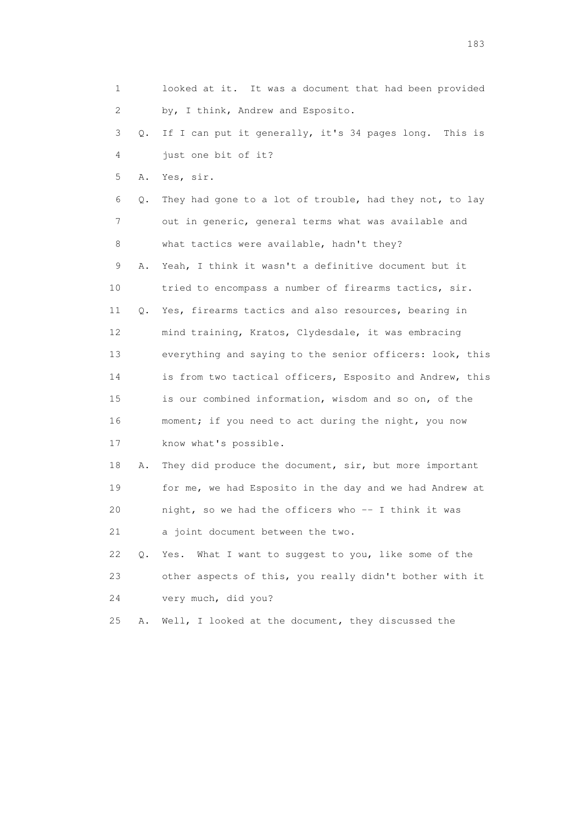|    | 1       | looked at it. It was a document that had been provided   |
|----|---------|----------------------------------------------------------|
|    | 2       | by, I think, Andrew and Esposito.                        |
|    | 3<br>Q. | If I can put it generally, it's 34 pages long. This is   |
|    | 4       | just one bit of it?                                      |
|    | 5<br>Α. | Yes, sir.                                                |
|    | 6<br>Q. | They had gone to a lot of trouble, had they not, to lay  |
|    | 7       | out in generic, general terms what was available and     |
|    | 8       | what tactics were available, hadn't they?                |
|    | 9<br>Α. | Yeah, I think it wasn't a definitive document but it     |
| 10 |         | tried to encompass a number of firearms tactics, sir.    |
| 11 | Q.      | Yes, firearms tactics and also resources, bearing in     |
| 12 |         | mind training, Kratos, Clydesdale, it was embracing      |
| 13 |         | everything and saying to the senior officers: look, this |
| 14 |         | is from two tactical officers, Esposito and Andrew, this |
| 15 |         | is our combined information, wisdom and so on, of the    |
| 16 |         | moment; if you need to act during the night, you now     |
| 17 |         | know what's possible.                                    |
| 18 | Α.      | They did produce the document, sir, but more important   |
|    | 19      | for me, we had Esposito in the day and we had Andrew at  |
| 20 |         | night, so we had the officers who -- I think it was      |
| 21 |         | a joint document between the two.                        |
| 22 | $Q$ .   | What I want to suggest to you, like some of the<br>Yes.  |
| 23 |         | other aspects of this, you really didn't bother with it  |
| 24 |         | very much, did you?                                      |
| 25 | Α.      | Well, I looked at the document, they discussed the       |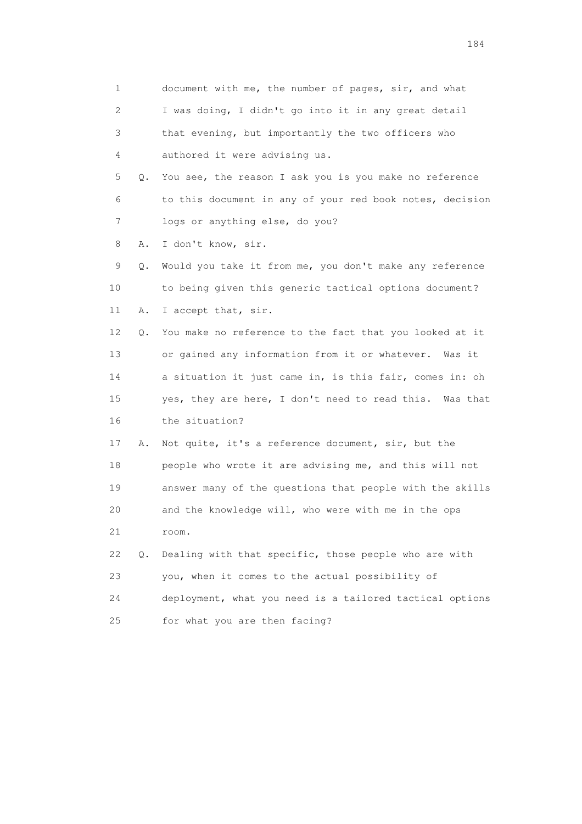1 document with me, the number of pages, sir, and what 2 I was doing, I didn't go into it in any great detail 3 that evening, but importantly the two officers who 4 authored it were advising us. 5 Q. You see, the reason I ask you is you make no reference 6 to this document in any of your red book notes, decision 7 logs or anything else, do you? 8 A. I don't know, sir. 9 Q. Would you take it from me, you don't make any reference 10 to being given this generic tactical options document? 11 A. I accept that, sir. 12 Q. You make no reference to the fact that you looked at it 13 or gained any information from it or whatever. Was it 14 a situation it just came in, is this fair, comes in: oh 15 yes, they are here, I don't need to read this. Was that 16 the situation? 17 A. Not quite, it's a reference document, sir, but the 18 people who wrote it are advising me, and this will not 19 answer many of the questions that people with the skills 20 and the knowledge will, who were with me in the ops 21 room. 22 Q. Dealing with that specific, those people who are with 23 you, when it comes to the actual possibility of 24 deployment, what you need is a tailored tactical options 25 for what you are then facing?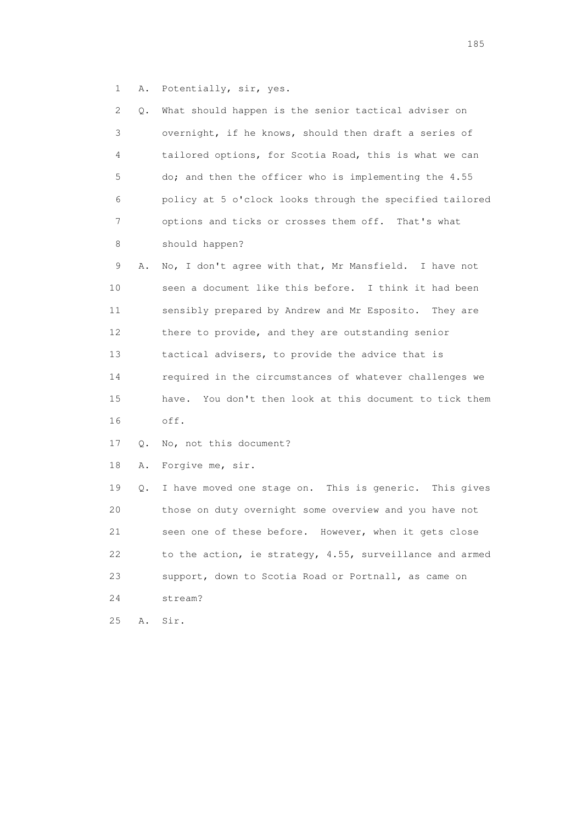1 A. Potentially, sir, yes.

| 2  | Q. | What should happen is the senior tactical adviser on       |
|----|----|------------------------------------------------------------|
| 3  |    | overnight, if he knows, should then draft a series of      |
| 4  |    | tailored options, for Scotia Road, this is what we can     |
| 5  |    | do; and then the officer who is implementing the 4.55      |
| 6  |    | policy at 5 o'clock looks through the specified tailored   |
| 7  |    | options and ticks or crosses them off. That's what         |
| 8  |    | should happen?                                             |
| 9  | Α. | No, I don't agree with that, Mr Mansfield. I have not      |
| 10 |    | seen a document like this before. I think it had been      |
| 11 |    | sensibly prepared by Andrew and Mr Esposito.<br>They are   |
| 12 |    | there to provide, and they are outstanding senior          |
| 13 |    | tactical advisers, to provide the advice that is           |
| 14 |    | required in the circumstances of whatever challenges we    |
| 15 |    | You don't then look at this document to tick them<br>have. |
| 16 |    | off.                                                       |
| 17 | Q. | No, not this document?                                     |
| 18 | Α. | Forgive me, sir.                                           |
| 19 | Q. | I have moved one stage on. This is generic. This gives     |
| 20 |    | those on duty overnight some overview and you have not     |
| 21 |    | seen one of these before. However, when it gets close      |
| 22 |    | to the action, ie strategy, 4.55, surveillance and armed   |
| 23 |    | support, down to Scotia Road or Portnall, as came on       |
| 24 |    | stream?                                                    |
| 25 | Α. | Sir.                                                       |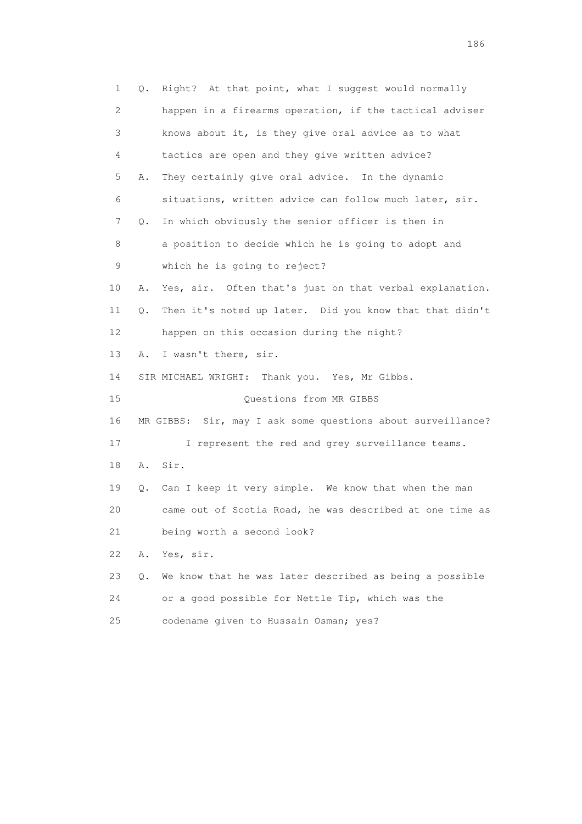1 Q. Right? At that point, what I suggest would normally 2 happen in a firearms operation, if the tactical adviser 3 knows about it, is they give oral advice as to what 4 tactics are open and they give written advice? 5 A. They certainly give oral advice. In the dynamic 6 situations, written advice can follow much later, sir. 7 Q. In which obviously the senior officer is then in 8 a position to decide which he is going to adopt and 9 which he is going to reject? 10 A. Yes, sir. Often that's just on that verbal explanation. 11 Q. Then it's noted up later. Did you know that that didn't 12 happen on this occasion during the night? 13 A. I wasn't there, sir. 14 SIR MICHAEL WRIGHT: Thank you. Yes, Mr Gibbs. 15 Questions from MR GIBBS 16 MR GIBBS: Sir, may I ask some questions about surveillance? 17 I represent the red and grey surveillance teams. 18 A. Sir. 19 Q. Can I keep it very simple. We know that when the man 20 came out of Scotia Road, he was described at one time as 21 being worth a second look? 22 A. Yes, sir. 23 Q. We know that he was later described as being a possible 24 or a good possible for Nettle Tip, which was the 25 codename given to Hussain Osman; yes?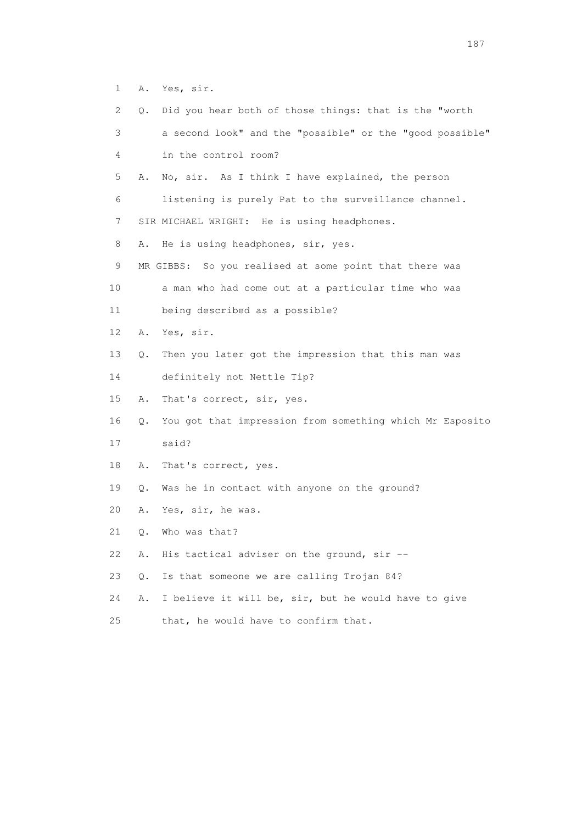1 A. Yes, sir.

| $\mathbf{2}^{\mathsf{I}}$ | О. | Did you hear both of those things: that is the "worth    |
|---------------------------|----|----------------------------------------------------------|
| 3                         |    | a second look" and the "possible" or the "good possible" |
| 4                         |    | in the control room?                                     |
| 5                         | Α. | No, sir. As I think I have explained, the person         |
| 6                         |    | listening is purely Pat to the surveillance channel.     |
| 7                         |    | SIR MICHAEL WRIGHT: He is using headphones.              |
| 8                         | Α. | He is using headphones, sir, yes.                        |
| 9                         |    | MR GIBBS: So you realised at some point that there was   |
| 10                        |    | a man who had come out at a particular time who was      |
| 11                        |    | being described as a possible?                           |
| 12                        | Α. | Yes, sir.                                                |
| 13                        | О. | Then you later got the impression that this man was      |
| 14                        |    | definitely not Nettle Tip?                               |
| 15                        | Α. | That's correct, sir, yes.                                |
| 16                        | Q. | You got that impression from something which Mr Esposito |
| 17                        |    | said?                                                    |
| 18                        | Α. | That's correct, yes.                                     |
| 19                        | Q. | Was he in contact with anyone on the ground?             |
| 20                        | Α. | Yes, sir, he was.                                        |
| 21                        | Q. | Who was that?                                            |
| 22                        | Α. | His tactical adviser on the ground, sir --               |
| 23                        | Q. | Is that someone we are calling Trojan 84?                |
| 24                        | Α. | I believe it will be, sir, but he would have to give     |
| 25                        |    | that, he would have to confirm that.                     |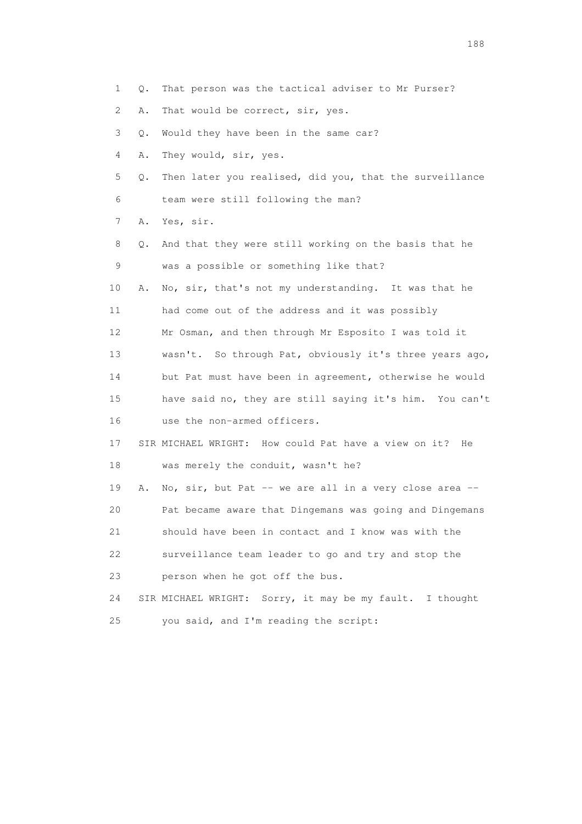- 1 Q. That person was the tactical adviser to Mr Purser?
- 2 A. That would be correct, sir, yes.
- 3 Q. Would they have been in the same car?
- 4 A. They would, sir, yes.
- 5 Q. Then later you realised, did you, that the surveillance 6 team were still following the man?
- 7 A. Yes, sir.
- 8 Q. And that they were still working on the basis that he 9 was a possible or something like that?
- 10 A. No, sir, that's not my understanding. It was that he 11 had come out of the address and it was possibly
- 12 Mr Osman, and then through Mr Esposito I was told it
- 13 wasn't. So through Pat, obviously it's three years ago, 14 but Pat must have been in agreement, otherwise he would
- 15 have said no, they are still saying it's him. You can't 16 use the non-armed officers.
- 17 SIR MICHAEL WRIGHT: How could Pat have a view on it? He 18 was merely the conduit, wasn't he?
- 19 A. No, sir, but Pat -- we are all in a very close area -- 20 Pat became aware that Dingemans was going and Dingemans 21 should have been in contact and I know was with the 22 surveillance team leader to go and try and stop the 23 person when he got off the bus.
- 24 SIR MICHAEL WRIGHT: Sorry, it may be my fault. I thought 25 you said, and I'm reading the script: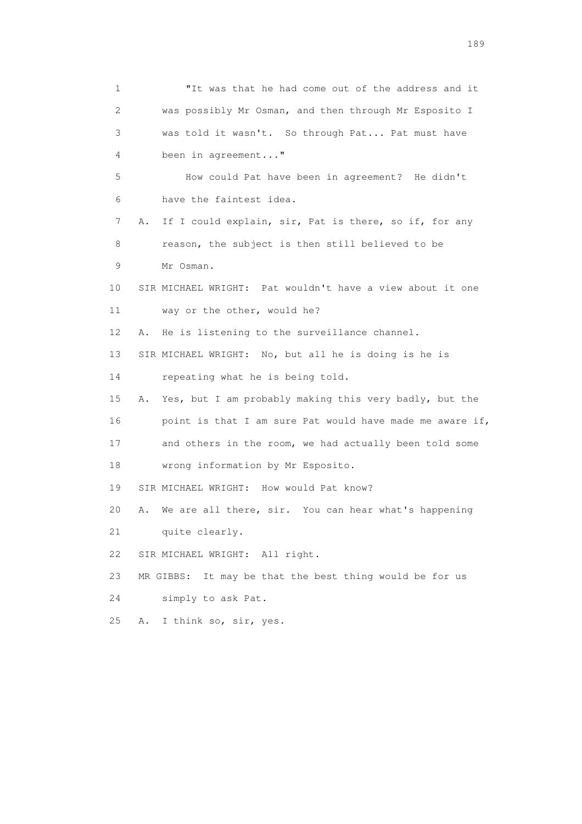1 "It was that he had come out of the address and it 2 was possibly Mr Osman, and then through Mr Esposito I 3 was told it wasn't. So through Pat... Pat must have 4 been in agreement..." 5 How could Pat have been in agreement? He didn't 6 have the faintest idea. 7 A. If I could explain, sir, Pat is there, so if, for any 8 reason, the subject is then still believed to be 9 Mr Osman. 10 SIR MICHAEL WRIGHT: Pat wouldn't have a view about it one 11 way or the other, would he? 12 A. He is listening to the surveillance channel. 13 SIR MICHAEL WRIGHT: No, but all he is doing is he is 14 repeating what he is being told. 15 A. Yes, but I am probably making this very badly, but the 16 point is that I am sure Pat would have made me aware if, 17 and others in the room, we had actually been told some 18 wrong information by Mr Esposito. 19 SIR MICHAEL WRIGHT: How would Pat know? 20 A. We are all there, sir. You can hear what's happening 21 quite clearly. 22 SIR MICHAEL WRIGHT: All right. 23 MR GIBBS: It may be that the best thing would be for us 24 simply to ask Pat. 25 A. I think so, sir, yes.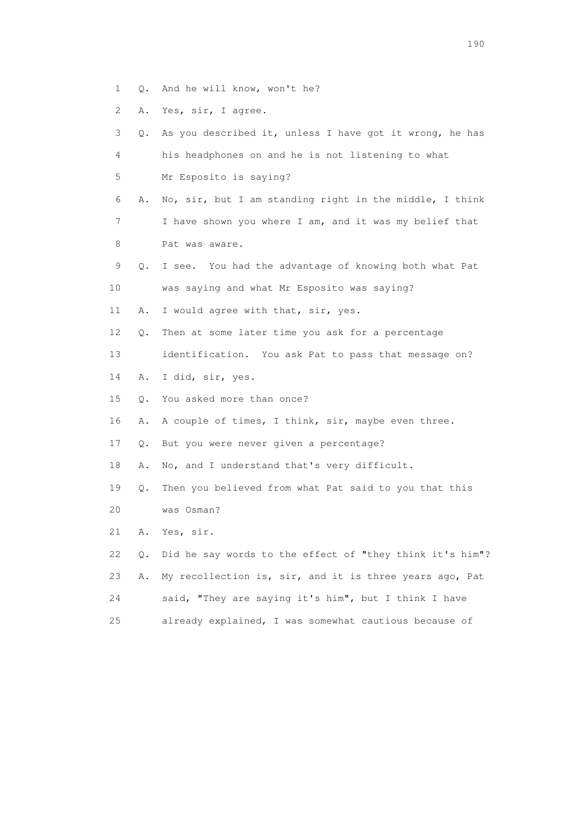- 1 Q. And he will know, won't he?
- 2 A. Yes, sir, I agree.

| 3  | Q. | As you described it, unless I have got it wrong, he has  |
|----|----|----------------------------------------------------------|
| 4  |    | his headphones on and he is not listening to what        |
| 5  |    | Mr Esposito is saying?                                   |
| 6  | Α. | No, sir, but I am standing right in the middle, I think  |
| 7  |    | I have shown you where I am, and it was my belief that   |
| 8  |    | Pat was aware.                                           |
| 9  | Q. | I see. You had the advantage of knowing both what Pat    |
| 10 |    | was saying and what Mr Esposito was saying?              |
| 11 | Α. | I would agree with that, sir, yes.                       |
| 12 | Q. | Then at some later time you ask for a percentage         |
| 13 |    | identification. You ask Pat to pass that message on?     |
| 14 | Α. | I did, sir, yes.                                         |
| 15 | Q. | You asked more than once?                                |
| 16 | Α. | A couple of times, I think, sir, maybe even three.       |
| 17 | Q. | But you were never given a percentage?                   |
| 18 | Α. | No, and I understand that's very difficult.              |
| 19 | Q. | Then you believed from what Pat said to you that this    |
| 20 |    | was Osman?                                               |
| 21 | Α. | Yes, sir.                                                |
| 22 | Q. | Did he say words to the effect of "they think it's him"? |
| 23 | Α. | My recollection is, sir, and it is three years ago, Pat  |
| 24 |    | said, "They are saying it's him", but I think I have     |
| 25 |    | already explained, I was somewhat cautious because of    |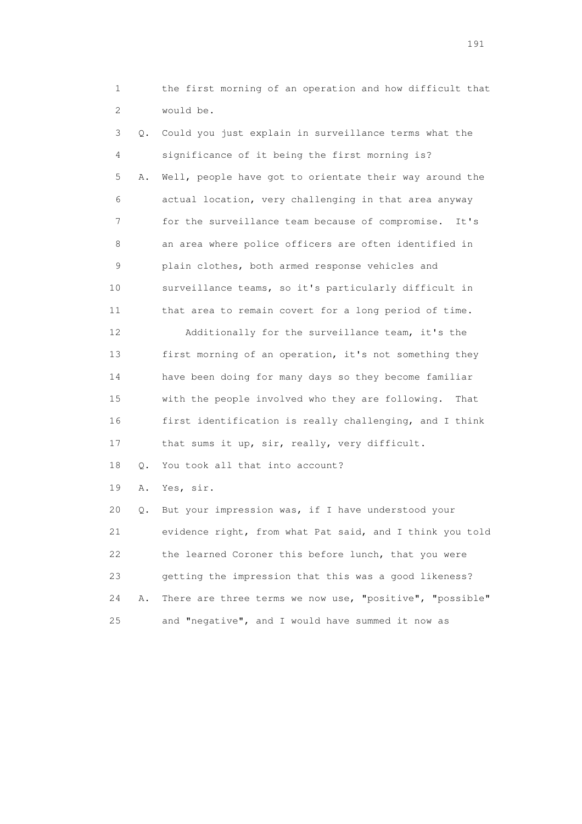1 the first morning of an operation and how difficult that 2 would be.

 3 Q. Could you just explain in surveillance terms what the 4 significance of it being the first morning is? 5 A. Well, people have got to orientate their way around the 6 actual location, very challenging in that area anyway 7 for the surveillance team because of compromise. It's 8 an area where police officers are often identified in 9 plain clothes, both armed response vehicles and 10 surveillance teams, so it's particularly difficult in 11 that area to remain covert for a long period of time. 12 Additionally for the surveillance team, it's the 13 first morning of an operation, it's not something they 14 have been doing for many days so they become familiar 15 with the people involved who they are following. That 16 first identification is really challenging, and I think 17 that sums it up, sir, really, very difficult. 18 O. You took all that into account? 19 A. Yes, sir. 20 Q. But your impression was, if I have understood your 21 evidence right, from what Pat said, and I think you told 22 the learned Coroner this before lunch, that you were 23 getting the impression that this was a good likeness? 24 A. There are three terms we now use, "positive", "possible"

25 and "negative", and I would have summed it now as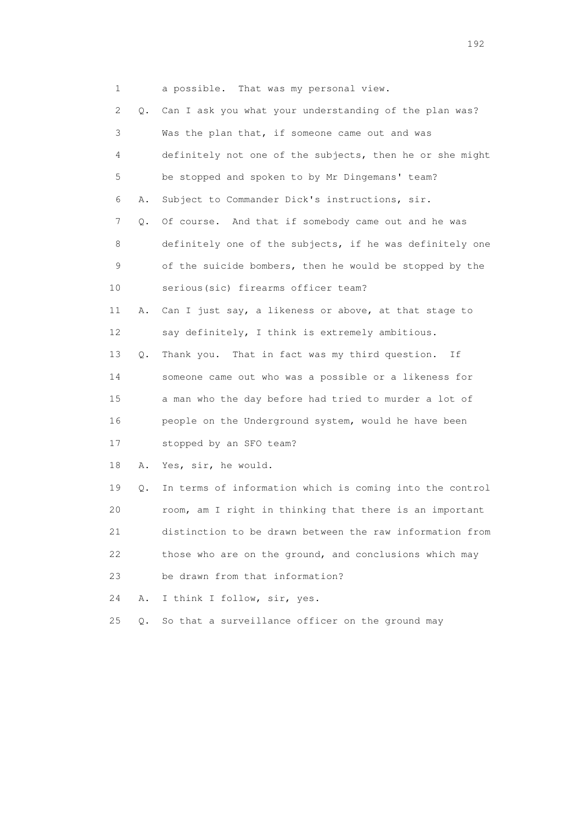1 a possible. That was my personal view.

 2 Q. Can I ask you what your understanding of the plan was? 3 Was the plan that, if someone came out and was 4 definitely not one of the subjects, then he or she might 5 be stopped and spoken to by Mr Dingemans' team? 6 A. Subject to Commander Dick's instructions, sir. 7 Q. Of course. And that if somebody came out and he was 8 definitely one of the subjects, if he was definitely one 9 of the suicide bombers, then he would be stopped by the 10 serious(sic) firearms officer team? 11 A. Can I just say, a likeness or above, at that stage to 12 say definitely, I think is extremely ambitious. 13 Q. Thank you. That in fact was my third question. If 14 someone came out who was a possible or a likeness for 15 a man who the day before had tried to murder a lot of 16 people on the Underground system, would he have been 17 stopped by an SFO team? 18 A. Yes, sir, he would. 19 Q. In terms of information which is coming into the control 20 room, am I right in thinking that there is an important 21 distinction to be drawn between the raw information from 22 those who are on the ground, and conclusions which may 23 be drawn from that information? 24 A. I think I follow, sir, yes. 25 Q. So that a surveillance officer on the ground may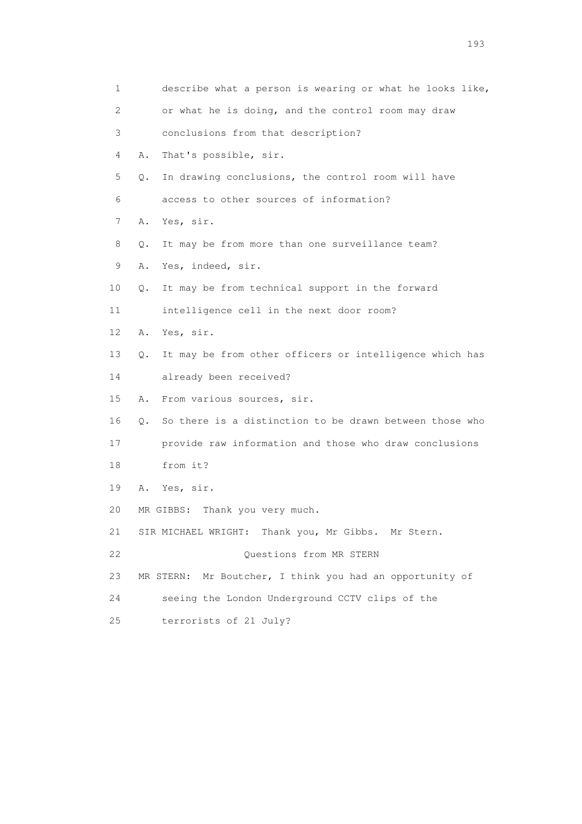| 1  | describe what a person is wearing or what he looks like,      |
|----|---------------------------------------------------------------|
| 2  | or what he is doing, and the control room may draw            |
| 3  | conclusions from that description?                            |
| 4  | That's possible, sir.<br>Α.                                   |
| 5  | In drawing conclusions, the control room will have<br>Q.      |
| 6  | access to other sources of information?                       |
| 7  | Yes, sir.<br>Α.                                               |
| 8  | It may be from more than one surveillance team?<br>Q.         |
| 9  | Yes, indeed, sir.<br>Α.                                       |
| 10 | It may be from technical support in the forward<br>Q.         |
| 11 | intelligence cell in the next door room?                      |
| 12 | Yes, sir.<br>Α.                                               |
| 13 | It may be from other officers or intelligence which has<br>О. |
| 14 | already been received?                                        |
| 15 | From various sources, sir.<br>Α.                              |
| 16 | So there is a distinction to be drawn between those who<br>Q. |
| 17 | provide raw information and those who draw conclusions        |
| 18 | from it?                                                      |
| 19 | Yes, sir.<br>Α.                                               |
| 20 | Thank you very much.<br>MR GIBBS:                             |
| 21 | SIR MICHAEL WRIGHT: Thank you, Mr Gibbs. Mr Stern.            |
| 22 | Questions from MR STERN                                       |
| 23 | Mr Boutcher, I think you had an opportunity of<br>MR STERN:   |
| 24 | seeing the London Underground CCTV clips of the               |
| 25 | terrorists of 21 July?                                        |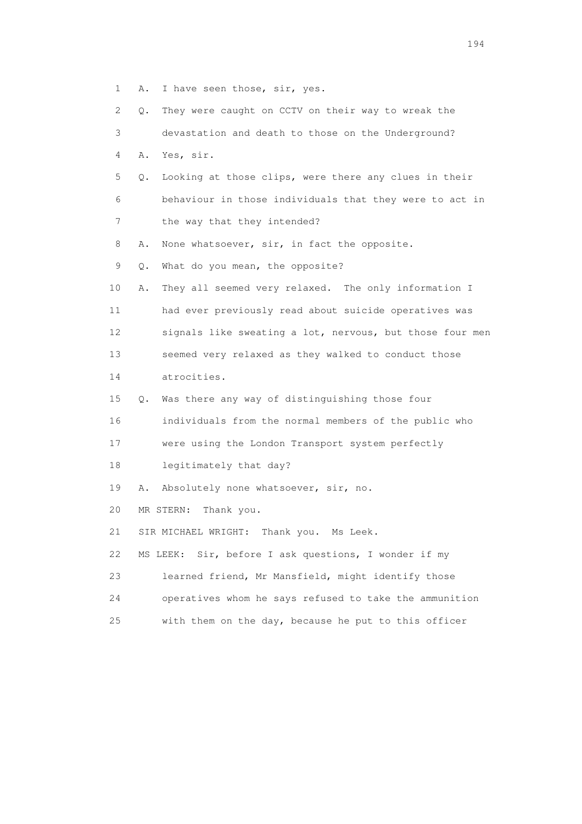1 A. I have seen those, sir, yes.

| $\mathbf{2}^{\mathsf{I}}$ | 0. | They were caught on CCTV on their way to wreak the       |
|---------------------------|----|----------------------------------------------------------|
| 3                         |    | devastation and death to those on the Underground?       |
| 4                         | Α. | Yes, sir.                                                |
| 5                         | Q. | Looking at those clips, were there any clues in their    |
| 6                         |    | behaviour in those individuals that they were to act in  |
| 7                         |    | the way that they intended?                              |
| 8                         | Α. | None whatsoever, sir, in fact the opposite.              |
| 9                         | Q. | What do you mean, the opposite?                          |
| 10                        | Α. | They all seemed very relaxed. The only information I     |
| 11                        |    | had ever previously read about suicide operatives was    |
| 12 <sup>°</sup>           |    | signals like sweating a lot, nervous, but those four men |
| 13                        |    | seemed very relaxed as they walked to conduct those      |
| 14                        |    | atrocities.                                              |
| 15                        | Q. | Was there any way of distinguishing those four           |
| 16                        |    | individuals from the normal members of the public who    |
| 17                        |    | were using the London Transport system perfectly         |
| 18                        |    | legitimately that day?                                   |
| 19                        | Α. | Absolutely none whatsoever, sir, no.                     |
| 20                        |    | MR STERN:<br>Thank you.                                  |
| 21                        |    | SIR MICHAEL WRIGHT:<br>Thank you. Ms Leek.               |
| 22                        |    | Sir, before I ask questions, I wonder if my<br>MS LEEK:  |
| 23                        |    | learned friend, Mr Mansfield, might identify those       |
| 24                        |    | operatives whom he says refused to take the ammunition   |
| 25                        |    | with them on the day, because he put to this officer     |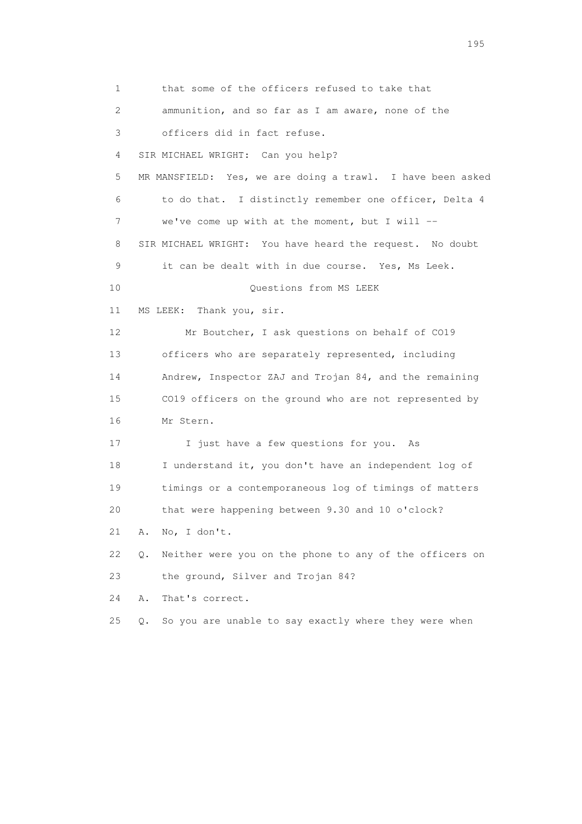1 that some of the officers refused to take that 2 ammunition, and so far as I am aware, none of the 3 officers did in fact refuse. 4 SIR MICHAEL WRIGHT: Can you help? 5 MR MANSFIELD: Yes, we are doing a trawl. I have been asked 6 to do that. I distinctly remember one officer, Delta 4 7 we've come up with at the moment, but I will -- 8 SIR MICHAEL WRIGHT: You have heard the request. No doubt 9 it can be dealt with in due course. Yes, Ms Leek. 10 Questions from MS LEEK 11 MS LEEK: Thank you, sir. 12 Mr Boutcher, I ask questions on behalf of CO19 13 officers who are separately represented, including 14 Andrew, Inspector ZAJ and Trojan 84, and the remaining 15 CO19 officers on the ground who are not represented by 16 Mr Stern. 17 I just have a few questions for you. As 18 I understand it, you don't have an independent log of 19 timings or a contemporaneous log of timings of matters 20 that were happening between 9.30 and 10 o'clock? 21 A. No, I don't. 22 Q. Neither were you on the phone to any of the officers on 23 the ground, Silver and Trojan 84? 24 A. That's correct. 25 Q. So you are unable to say exactly where they were when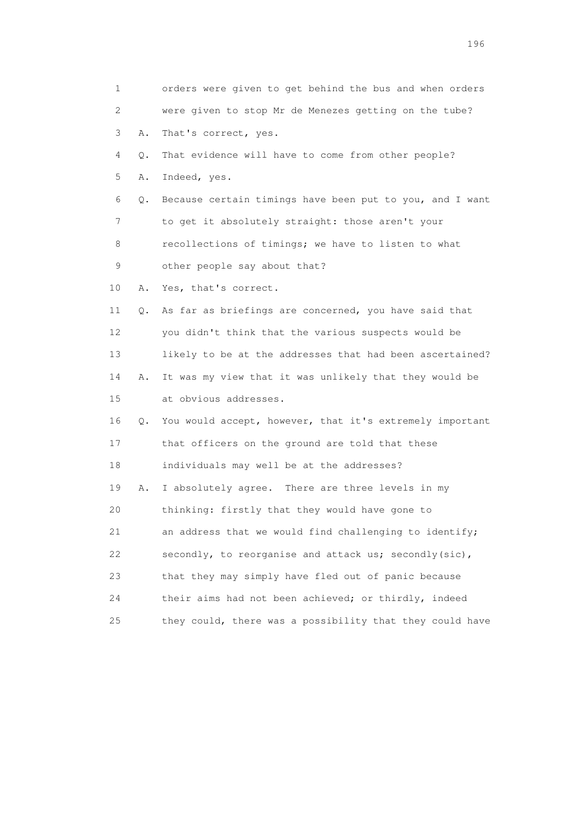| 1               |       | orders were given to get behind the bus and when orders     |
|-----------------|-------|-------------------------------------------------------------|
| 2               |       | were given to stop Mr de Menezes getting on the tube?       |
| 3               | Α.    | That's correct, yes.                                        |
| 4               | $Q$ . | That evidence will have to come from other people?          |
| 5               | Α.    | Indeed, yes.                                                |
| 6               | Q.    | Because certain timings have been put to you, and I want    |
| 7               |       | to get it absolutely straight: those aren't your            |
| 8               |       | recollections of timings; we have to listen to what         |
| 9               |       | other people say about that?                                |
| 10              | Α.    | Yes, that's correct.                                        |
| 11              | Q.    | As far as briefings are concerned, you have said that       |
| 12 <sup>°</sup> |       | you didn't think that the various suspects would be         |
| 13              |       | likely to be at the addresses that had been ascertained?    |
| 14              | Α.    | It was my view that it was unlikely that they would be      |
| 15              |       | at obvious addresses.                                       |
| 16              |       | Q. You would accept, however, that it's extremely important |
| 17              |       | that officers on the ground are told that these             |
| 18              |       | individuals may well be at the addresses?                   |
| 19              | Α.    | I absolutely agree. There are three levels in my            |
| 20              |       | thinking: firstly that they would have gone to              |
| 21              |       | an address that we would find challenging to identify;      |
| 22              |       | secondly, to reorganise and attack us; secondly(sic),       |
| 23              |       | that they may simply have fled out of panic because         |
| 24              |       | their aims had not been achieved; or thirdly, indeed        |
| 25              |       | they could, there was a possibility that they could have    |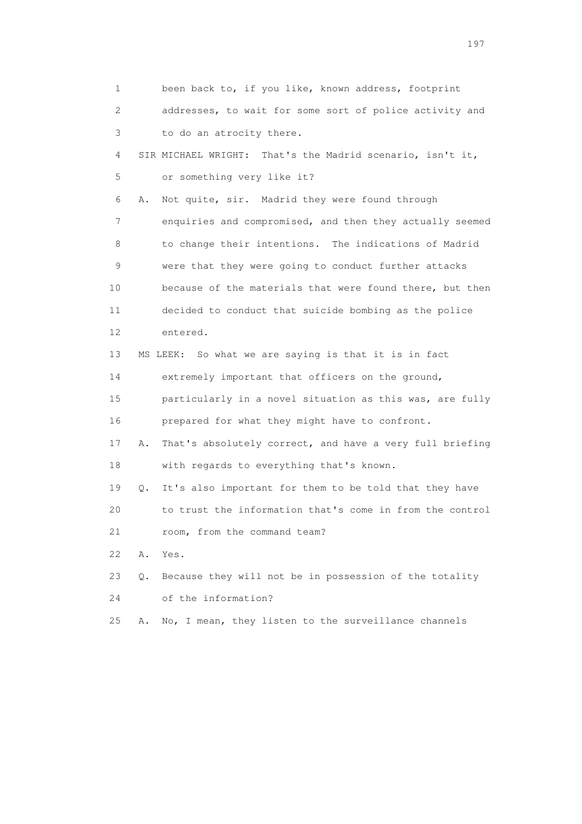1 been back to, if you like, known address, footprint 2 addresses, to wait for some sort of police activity and 3 to do an atrocity there. 4 SIR MICHAEL WRIGHT: That's the Madrid scenario, isn't it, 5 or something very like it? 6 A. Not quite, sir. Madrid they were found through 7 enquiries and compromised, and then they actually seemed 8 to change their intentions. The indications of Madrid 9 were that they were going to conduct further attacks 10 because of the materials that were found there, but then 11 decided to conduct that suicide bombing as the police 12 entered. 13 MS LEEK: So what we are saying is that it is in fact 14 extremely important that officers on the ground, 15 particularly in a novel situation as this was, are fully 16 prepared for what they might have to confront. 17 A. That's absolutely correct, and have a very full briefing 18 with regards to everything that's known. 19 Q. It's also important for them to be told that they have 20 to trust the information that's come in from the control 21 room, from the command team? 22 A. Yes. 23 Q. Because they will not be in possession of the totality 24 of the information? 25 A. No, I mean, they listen to the surveillance channels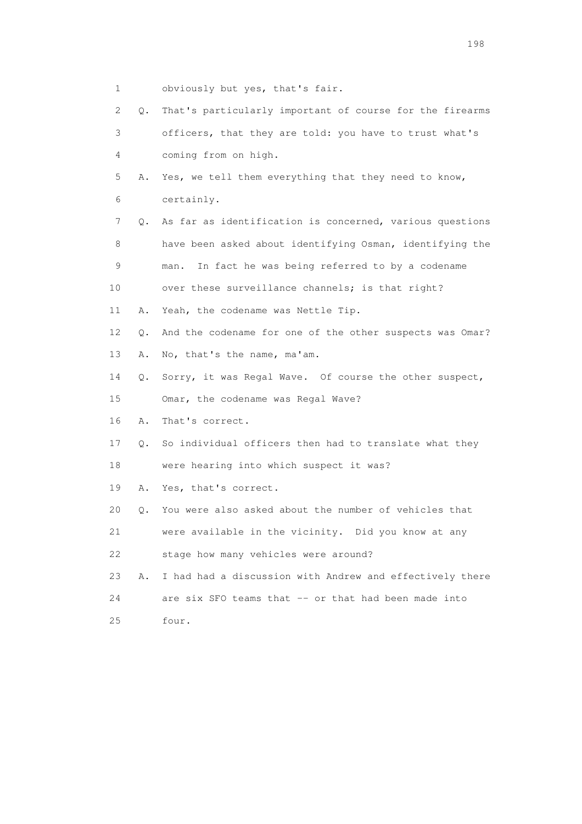- 1 obviously but yes, that's fair.
- 2 Q. That's particularly important of course for the firearms 3 officers, that they are told: you have to trust what's 4 coming from on high. 5 A. Yes, we tell them everything that they need to know, 6 certainly. 7 Q. As far as identification is concerned, various questions 8 have been asked about identifying Osman, identifying the 9 man. In fact he was being referred to by a codename 10 over these surveillance channels; is that right? 11 A. Yeah, the codename was Nettle Tip. 12 Q. And the codename for one of the other suspects was Omar? 13 A. No, that's the name, ma'am. 14 Q. Sorry, it was Regal Wave. Of course the other suspect, 15 Omar, the codename was Regal Wave? 16 A. That's correct. 17 Q. So individual officers then had to translate what they 18 were hearing into which suspect it was? 19 A. Yes, that's correct. 20 Q. You were also asked about the number of vehicles that 21 were available in the vicinity. Did you know at any 22 stage how many vehicles were around? 23 A. I had had a discussion with Andrew and effectively there 24 are six SFO teams that -- or that had been made into 25 four.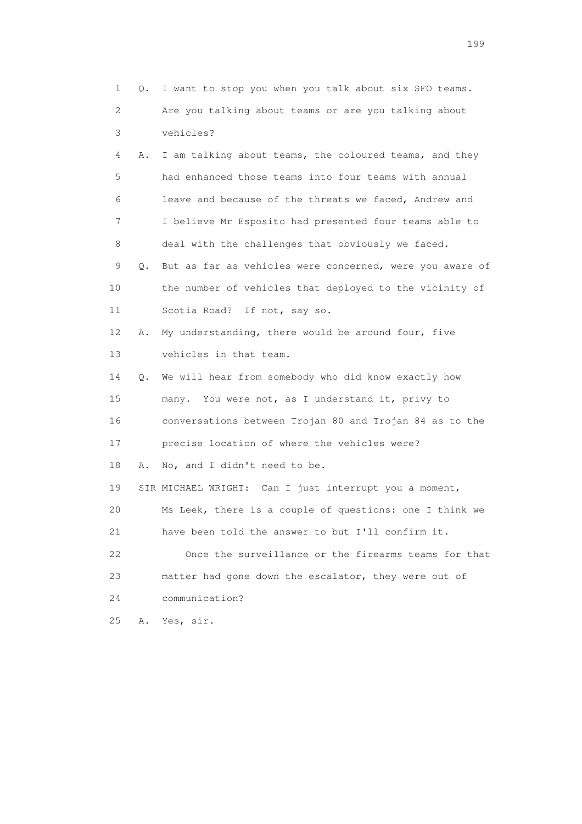| 1  | Q. | I want to stop you when you talk about six SFO teams.    |
|----|----|----------------------------------------------------------|
| 2  |    | Are you talking about teams or are you talking about     |
| 3  |    | vehicles?                                                |
| 4  | Α. | I am talking about teams, the coloured teams, and they   |
| 5  |    | had enhanced those teams into four teams with annual     |
| 6  |    | leave and because of the threats we faced, Andrew and    |
| 7  |    | I believe Mr Esposito had presented four teams able to   |
| 8  |    | deal with the challenges that obviously we faced.        |
| 9  | Q. | But as far as vehicles were concerned, were you aware of |
| 10 |    | the number of vehicles that deployed to the vicinity of  |
| 11 |    | Scotia Road? If not, say so.                             |
| 12 | Α. | My understanding, there would be around four, five       |
| 13 |    | vehicles in that team.                                   |
| 14 | Q. | We will hear from somebody who did know exactly how      |
| 15 |    | many. You were not, as I understand it, privy to         |
| 16 |    | conversations between Trojan 80 and Trojan 84 as to the  |
| 17 |    | precise location of where the vehicles were?             |
| 18 | Α. | No, and I didn't need to be.                             |
| 19 |    | SIR MICHAEL WRIGHT: Can I just interrupt you a moment,   |
| 20 |    | Ms Leek, there is a couple of questions: one I think we  |
| 21 |    | have been told the answer to but I'll confirm it.        |
| 22 |    | Once the surveillance or the firearms teams for that     |
| 23 |    | matter had gone down the escalator, they were out of     |
| 24 |    | communication?                                           |
| 25 | Α. | Yes, sir.                                                |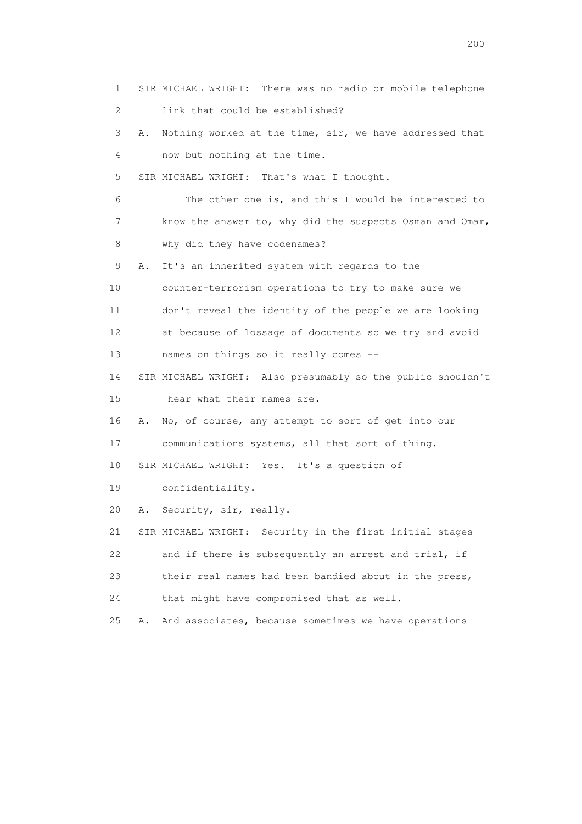1 SIR MICHAEL WRIGHT: There was no radio or mobile telephone 2 link that could be established? 3 A. Nothing worked at the time, sir, we have addressed that 4 now but nothing at the time. 5 SIR MICHAEL WRIGHT: That's what I thought. 6 The other one is, and this I would be interested to 7 know the answer to, why did the suspects Osman and Omar, 8 why did they have codenames? 9 A. It's an inherited system with regards to the 10 counter-terrorism operations to try to make sure we 11 don't reveal the identity of the people we are looking 12 at because of lossage of documents so we try and avoid 13 names on things so it really comes -- 14 SIR MICHAEL WRIGHT: Also presumably so the public shouldn't 15 hear what their names are. 16 A. No, of course, any attempt to sort of get into our 17 communications systems, all that sort of thing. 18 SIR MICHAEL WRIGHT: Yes. It's a question of 19 confidentiality. 20 A. Security, sir, really. 21 SIR MICHAEL WRIGHT: Security in the first initial stages 22 and if there is subsequently an arrest and trial, if 23 their real names had been bandied about in the press, 24 that might have compromised that as well. 25 A. And associates, because sometimes we have operations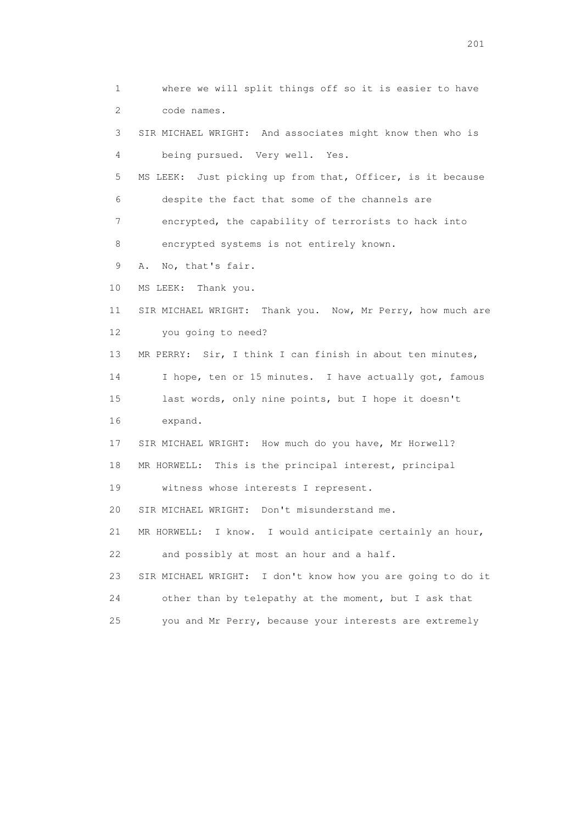1 where we will split things off so it is easier to have 2 code names. 3 SIR MICHAEL WRIGHT: And associates might know then who is 4 being pursued. Very well. Yes. 5 MS LEEK: Just picking up from that, Officer, is it because 6 despite the fact that some of the channels are 7 encrypted, the capability of terrorists to hack into 8 encrypted systems is not entirely known. 9 A. No, that's fair. 10 MS LEEK: Thank you. 11 SIR MICHAEL WRIGHT: Thank you. Now, Mr Perry, how much are 12 you going to need? 13 MR PERRY: Sir, I think I can finish in about ten minutes, 14 I hope, ten or 15 minutes. I have actually got, famous 15 last words, only nine points, but I hope it doesn't 16 expand. 17 SIR MICHAEL WRIGHT: How much do you have, Mr Horwell? 18 MR HORWELL: This is the principal interest, principal 19 witness whose interests I represent. 20 SIR MICHAEL WRIGHT: Don't misunderstand me. 21 MR HORWELL: I know. I would anticipate certainly an hour, 22 and possibly at most an hour and a half. 23 SIR MICHAEL WRIGHT: I don't know how you are going to do it 24 other than by telepathy at the moment, but I ask that 25 you and Mr Perry, because your interests are extremely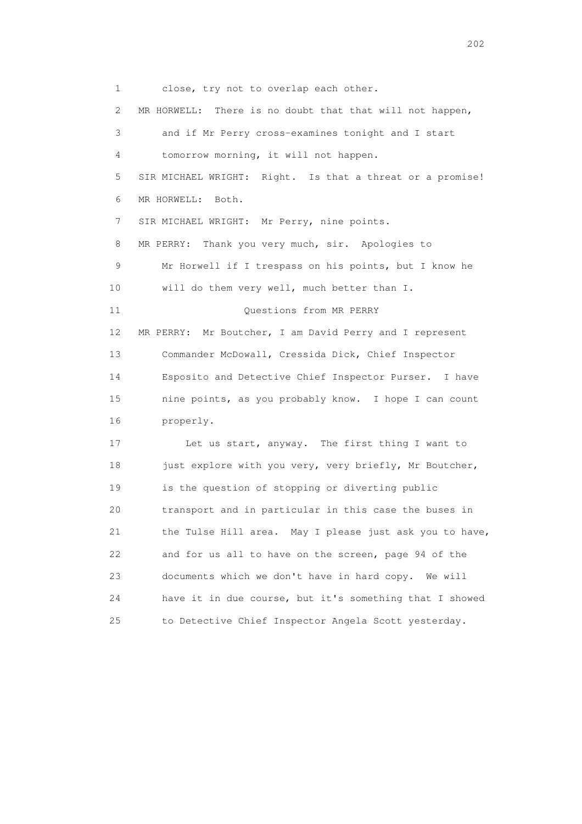1 close, try not to overlap each other. 2 MR HORWELL: There is no doubt that that will not happen, 3 and if Mr Perry cross-examines tonight and I start 4 tomorrow morning, it will not happen. 5 SIR MICHAEL WRIGHT: Right. Is that a threat or a promise! 6 MR HORWELL: Both. 7 SIR MICHAEL WRIGHT: Mr Perry, nine points. 8 MR PERRY: Thank you very much, sir. Apologies to 9 Mr Horwell if I trespass on his points, but I know he 10 will do them very well, much better than I. 11 Ouestions from MR PERRY 12 MR PERRY: Mr Boutcher, I am David Perry and I represent 13 Commander McDowall, Cressida Dick, Chief Inspector 14 Esposito and Detective Chief Inspector Purser. I have 15 nine points, as you probably know. I hope I can count 16 properly. 17 Let us start, anyway. The first thing I want to 18 just explore with you very, very briefly, Mr Boutcher, 19 is the question of stopping or diverting public 20 transport and in particular in this case the buses in 21 the Tulse Hill area. May I please just ask you to have, 22 and for us all to have on the screen, page 94 of the 23 documents which we don't have in hard copy. We will 24 have it in due course, but it's something that I showed 25 to Detective Chief Inspector Angela Scott yesterday.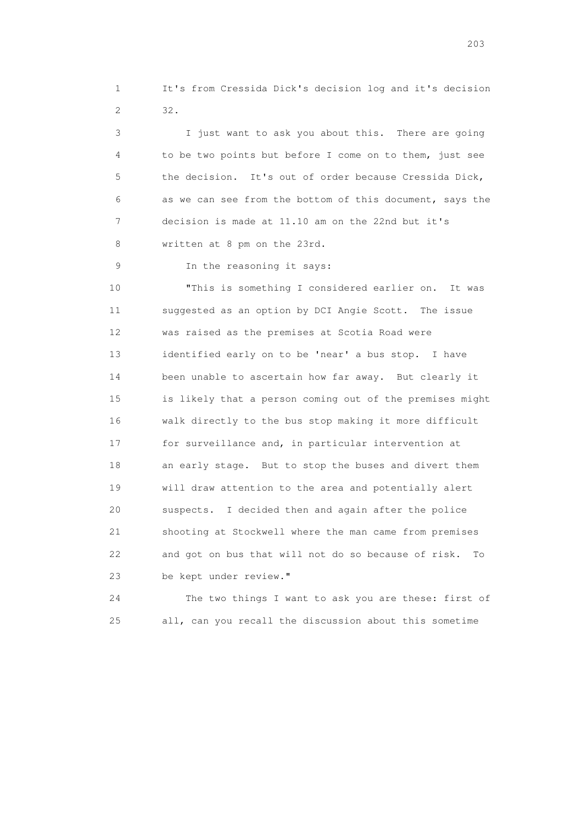1 It's from Cressida Dick's decision log and it's decision 2 32.

 3 I just want to ask you about this. There are going 4 to be two points but before I come on to them, just see 5 the decision. It's out of order because Cressida Dick, 6 as we can see from the bottom of this document, says the 7 decision is made at 11.10 am on the 22nd but it's 8 written at 8 pm on the 23rd.

9 In the reasoning it says:

 10 "This is something I considered earlier on. It was 11 suggested as an option by DCI Angie Scott. The issue 12 was raised as the premises at Scotia Road were 13 identified early on to be 'near' a bus stop. I have 14 been unable to ascertain how far away. But clearly it 15 is likely that a person coming out of the premises might 16 walk directly to the bus stop making it more difficult 17 for surveillance and, in particular intervention at 18 an early stage. But to stop the buses and divert them 19 will draw attention to the area and potentially alert 20 suspects. I decided then and again after the police 21 shooting at Stockwell where the man came from premises 22 and got on bus that will not do so because of risk. To 23 be kept under review."

 24 The two things I want to ask you are these: first of 25 all, can you recall the discussion about this sometime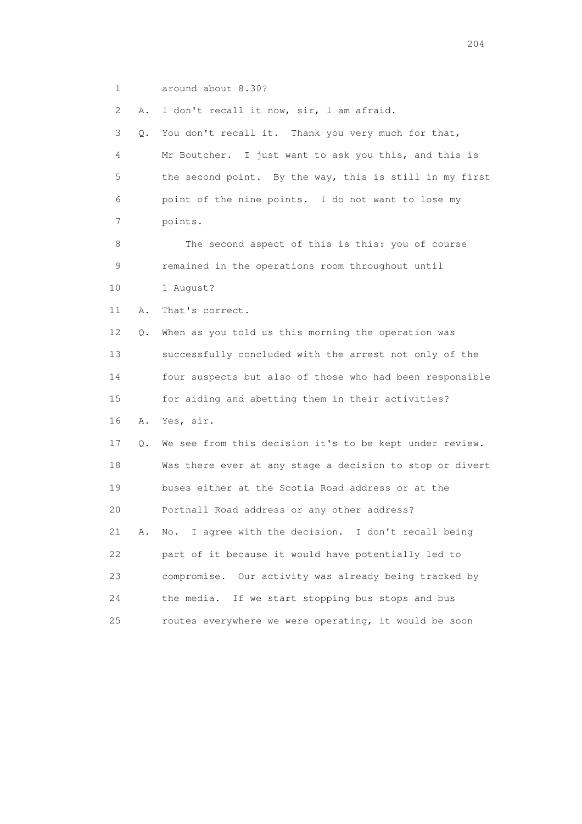1 around about 8.30?

2 A. I don't recall it now, sir, I am afraid.

 3 Q. You don't recall it. Thank you very much for that, 4 Mr Boutcher. I just want to ask you this, and this is 5 the second point. By the way, this is still in my first 6 point of the nine points. I do not want to lose my 7 points.

 8 The second aspect of this is this: you of course 9 remained in the operations room throughout until 10 1 August?

11 A. That's correct.

 12 Q. When as you told us this morning the operation was 13 successfully concluded with the arrest not only of the 14 four suspects but also of those who had been responsible 15 for aiding and abetting them in their activities?

 16 A. Yes, sir. 17 Q. We see from this decision it's to be kept under review. 18 Was there ever at any stage a decision to stop or divert 19 buses either at the Scotia Road address or at the 20 Portnall Road address or any other address? 21 A. No. I agree with the decision. I don't recall being 22 part of it because it would have potentially led to 23 compromise. Our activity was already being tracked by 24 the media. If we start stopping bus stops and bus 25 routes everywhere we were operating, it would be soon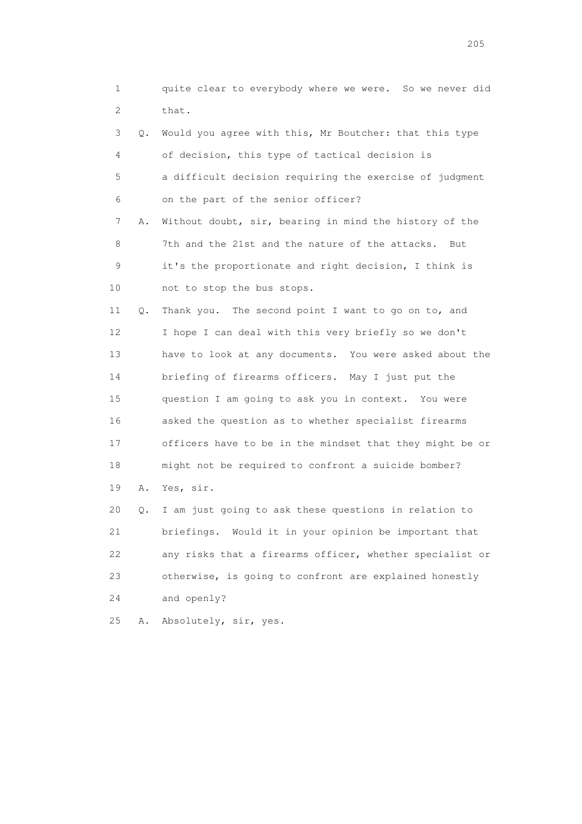1 quite clear to everybody where we were. So we never did 2 that. 3 Q. Would you agree with this, Mr Boutcher: that this type 4 of decision, this type of tactical decision is 5 a difficult decision requiring the exercise of judgment 6 on the part of the senior officer? 7 A. Without doubt, sir, bearing in mind the history of the 8 7th and the 21st and the nature of the attacks. But 9 it's the proportionate and right decision, I think is 10 not to stop the bus stops. 11 Q. Thank you. The second point I want to go on to, and 12 I hope I can deal with this very briefly so we don't 13 have to look at any documents. You were asked about the 14 briefing of firearms officers. May I just put the 15 question I am going to ask you in context. You were 16 asked the question as to whether specialist firearms 17 officers have to be in the mindset that they might be or 18 might not be required to confront a suicide bomber? 19 A. Yes, sir. 20 Q. I am just going to ask these questions in relation to 21 briefings. Would it in your opinion be important that 22 any risks that a firearms officer, whether specialist or 23 otherwise, is going to confront are explained honestly 24 and openly?

25 A. Absolutely, sir, yes.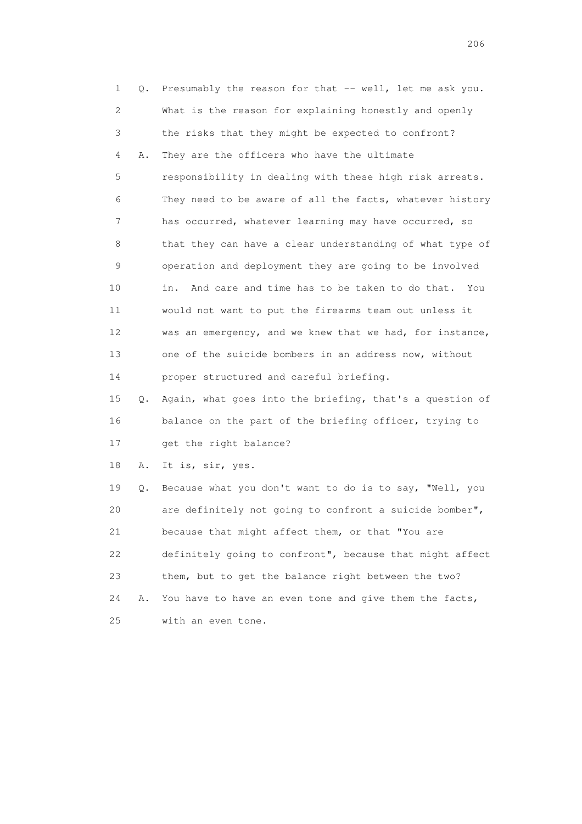| 1  | Q. | Presumably the reason for that -- well, let me ask you.     |
|----|----|-------------------------------------------------------------|
| 2  |    | What is the reason for explaining honestly and openly       |
| 3  |    | the risks that they might be expected to confront?          |
| 4  | Α. | They are the officers who have the ultimate                 |
| 5  |    | responsibility in dealing with these high risk arrests.     |
| 6  |    | They need to be aware of all the facts, whatever history    |
| 7  |    | has occurred, whatever learning may have occurred, so       |
| 8  |    | that they can have a clear understanding of what type of    |
| 9  |    | operation and deployment they are going to be involved      |
| 10 |    | And care and time has to be taken to do that.<br>in.<br>You |
| 11 |    | would not want to put the firearms team out unless it       |
| 12 |    | was an emergency, and we knew that we had, for instance,    |
| 13 |    | one of the suicide bombers in an address now, without       |
| 14 |    | proper structured and careful briefing.                     |
| 15 | Q. | Again, what goes into the briefing, that's a question of    |
| 16 |    | balance on the part of the briefing officer, trying to      |
| 17 |    | get the right balance?                                      |
| 18 | Α. | It is, sir, yes.                                            |
| 19 | Q. | Because what you don't want to do is to say, "Well, you     |
| 20 |    | are definitely not going to confront a suicide bomber",     |
| 21 |    | because that might affect them, or that "You are            |
| 22 |    | definitely going to confront", because that might affect    |
| 23 |    | them, but to get the balance right between the two?         |
| 24 | Α. | You have to have an even tone and give them the facts,      |
|    |    |                                                             |

25 with an even tone.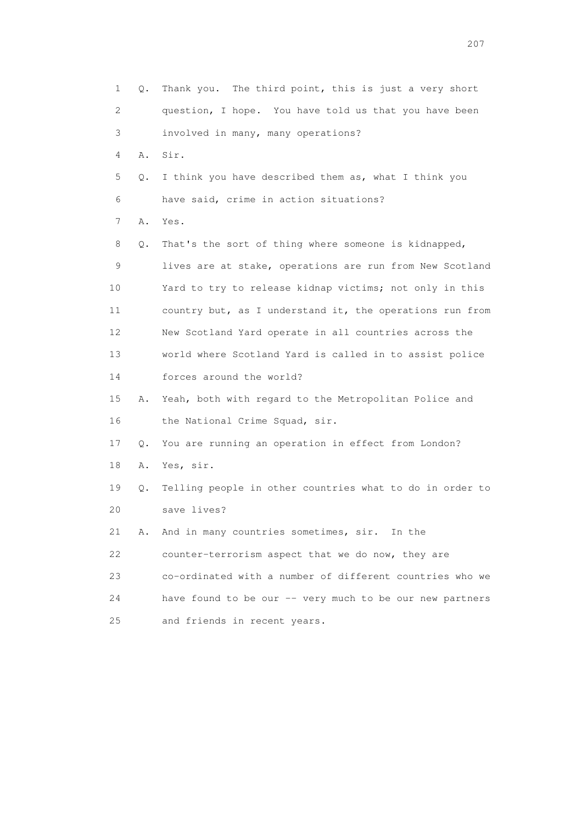1 Q. Thank you. The third point, this is just a very short 2 question, I hope. You have told us that you have been 3 involved in many, many operations? 4 A. Sir. 5 Q. I think you have described them as, what I think you 6 have said, crime in action situations? 7 A. Yes. 8 Q. That's the sort of thing where someone is kidnapped, 9 lives are at stake, operations are run from New Scotland 10 Yard to try to release kidnap victims; not only in this 11 country but, as I understand it, the operations run from 12 New Scotland Yard operate in all countries across the 13 world where Scotland Yard is called in to assist police 14 forces around the world? 15 A. Yeah, both with regard to the Metropolitan Police and 16 the National Crime Squad, sir. 17 Q. You are running an operation in effect from London? 18 A. Yes, sir. 19 Q. Telling people in other countries what to do in order to 20 save lives? 21 A. And in many countries sometimes, sir. In the 22 counter-terrorism aspect that we do now, they are 23 co-ordinated with a number of different countries who we 24 have found to be our -- very much to be our new partners 25 and friends in recent years.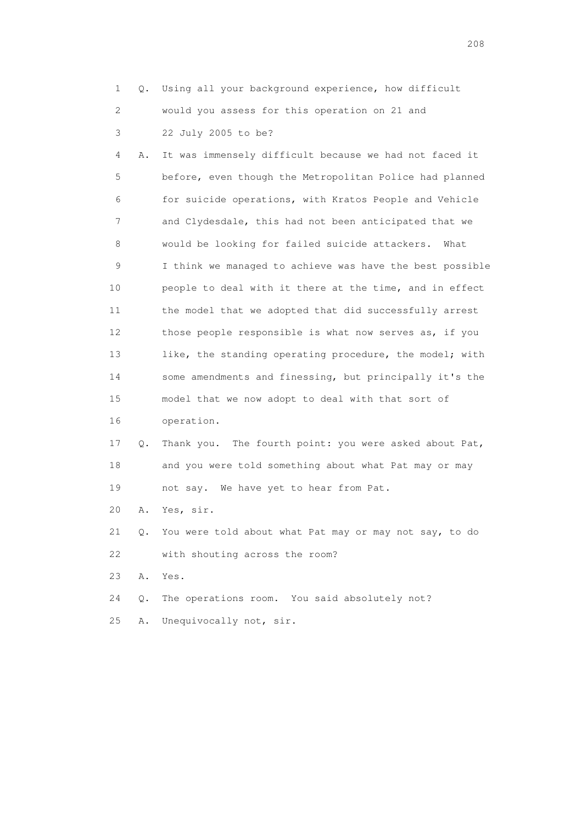- 1 Q. Using all your background experience, how difficult 2 would you assess for this operation on 21 and 3 22 July 2005 to be?
- 4 A. It was immensely difficult because we had not faced it 5 before, even though the Metropolitan Police had planned 6 for suicide operations, with Kratos People and Vehicle 7 and Clydesdale, this had not been anticipated that we 8 would be looking for failed suicide attackers. What 9 I think we managed to achieve was have the best possible 10 people to deal with it there at the time, and in effect 11 the model that we adopted that did successfully arrest 12 those people responsible is what now serves as, if you 13 like, the standing operating procedure, the model; with 14 some amendments and finessing, but principally it's the 15 model that we now adopt to deal with that sort of 16 operation.
- 17 Q. Thank you. The fourth point: you were asked about Pat, 18 and you were told something about what Pat may or may 19 not say. We have yet to hear from Pat.
- 20 A. Yes, sir.
- 21 Q. You were told about what Pat may or may not say, to do 22 with shouting across the room?
- 23 A. Yes.
- 24 Q. The operations room. You said absolutely not?
- 25 A. Unequivocally not, sir.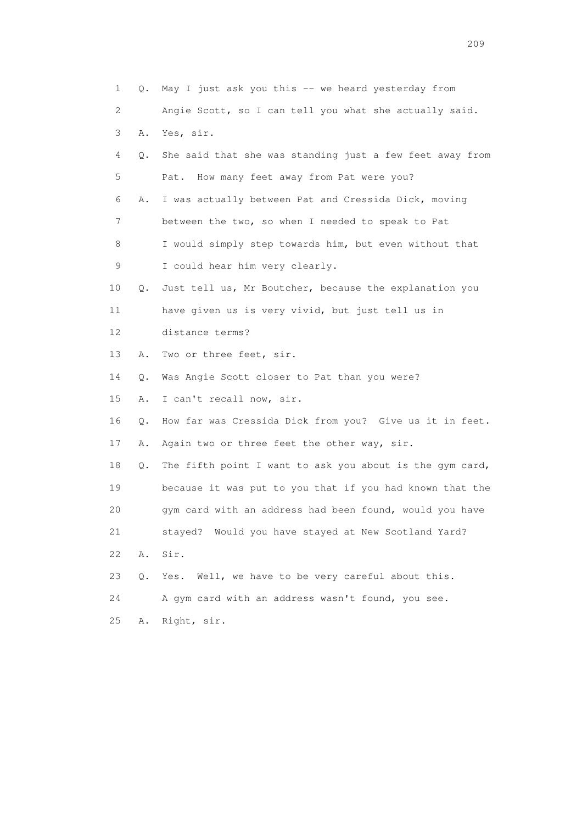| 1  | Q. | May I just ask you this -- we heard yesterday from       |
|----|----|----------------------------------------------------------|
| 2  |    | Angie Scott, so I can tell you what she actually said.   |
| 3  | Α. | Yes, sir.                                                |
| 4  | Q. | She said that she was standing just a few feet away from |
| 5  |    | How many feet away from Pat were you?<br>Pat.            |
| 6  | Α. | I was actually between Pat and Cressida Dick, moving     |
| 7  |    | between the two, so when I needed to speak to Pat        |
| 8  |    | I would simply step towards him, but even without that   |
| 9  |    | I could hear him very clearly.                           |
| 10 | Q. | Just tell us, Mr Boutcher, because the explanation you   |
| 11 |    | have given us is very vivid, but just tell us in         |
| 12 |    | distance terms?                                          |
| 13 | Α. | Two or three feet, sir.                                  |
| 14 | Q. | Was Angie Scott closer to Pat than you were?             |
| 15 | Α. | I can't recall now, sir.                                 |
| 16 | Q. | How far was Cressida Dick from you? Give us it in feet.  |
| 17 | Α. | Again two or three feet the other way, sir.              |
| 18 | Q. | The fifth point I want to ask you about is the gym card, |
| 19 |    | because it was put to you that if you had known that the |
| 20 |    | gym card with an address had been found, would you have  |
| 21 |    | stayed? Would you have stayed at New Scotland Yard?      |
| 22 | Α. | Sir.                                                     |
| 23 | Q. | Well, we have to be very careful about this.<br>Yes.     |
| 24 |    | A gym card with an address wasn't found, you see.        |
| 25 | Α. | Right, sir.                                              |
|    |    |                                                          |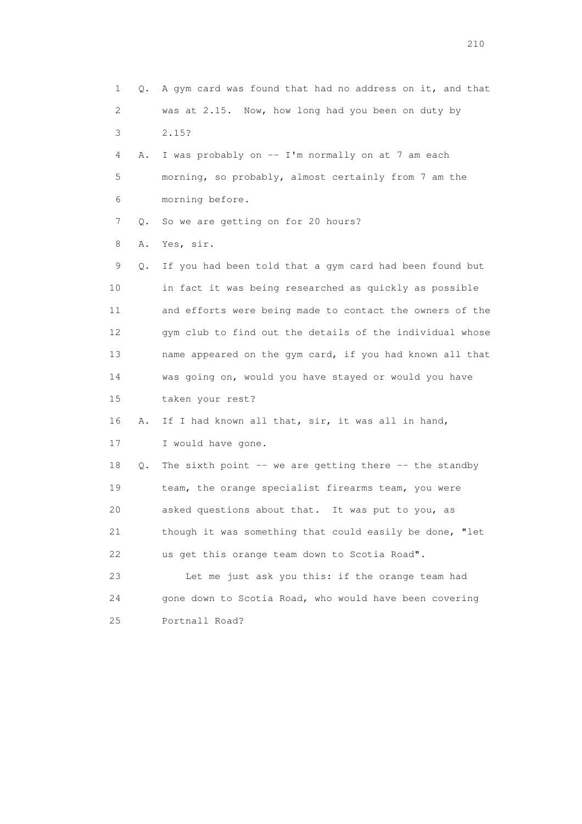1 Q. A gym card was found that had no address on it, and that 2 was at 2.15. Now, how long had you been on duty by 3 2.15? 4 A. I was probably on -- I'm normally on at 7 am each 5 morning, so probably, almost certainly from 7 am the 6 morning before. 7 Q. So we are getting on for 20 hours? 8 A. Yes, sir. 9 Q. If you had been told that a gym card had been found but 10 in fact it was being researched as quickly as possible 11 and efforts were being made to contact the owners of the 12 gym club to find out the details of the individual whose 13 name appeared on the gym card, if you had known all that 14 was going on, would you have stayed or would you have 15 taken your rest? 16 A. If I had known all that, sir, it was all in hand, 17 I would have gone. 18 Q. The sixth point -- we are getting there -- the standby 19 team, the orange specialist firearms team, you were 20 asked questions about that. It was put to you, as 21 though it was something that could easily be done, "let 22 us get this orange team down to Scotia Road". 23 Let me just ask you this: if the orange team had 24 gone down to Scotia Road, who would have been covering 25 Portnall Road?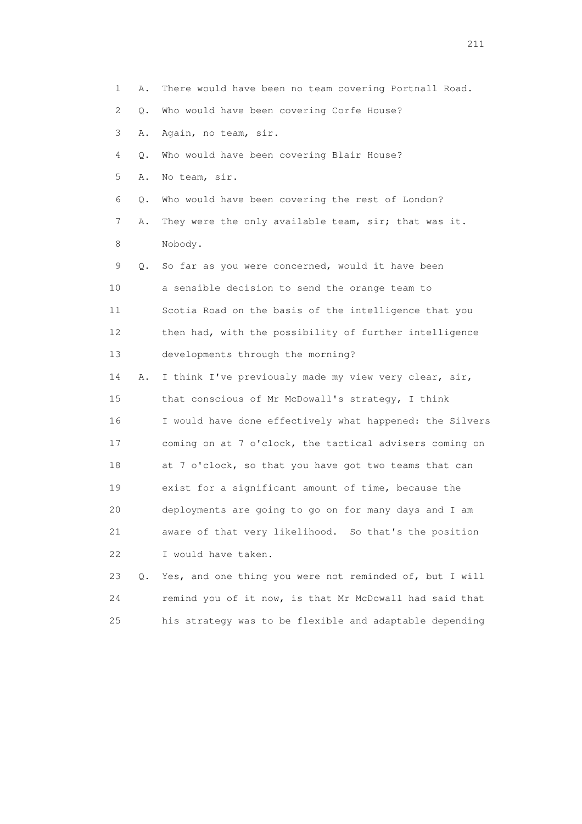1 A. There would have been no team covering Portnall Road. 2 Q. Who would have been covering Corfe House? 3 A. Again, no team, sir. 4 Q. Who would have been covering Blair House? 5 A. No team, sir. 6 Q. Who would have been covering the rest of London? 7 A. They were the only available team, sir; that was it. 8 Nobody. 9 Q. So far as you were concerned, would it have been 10 a sensible decision to send the orange team to 11 Scotia Road on the basis of the intelligence that you 12 then had, with the possibility of further intelligence 13 developments through the morning? 14 A. I think I've previously made my view very clear, sir, 15 that conscious of Mr McDowall's strategy, I think 16 I would have done effectively what happened: the Silvers 17 coming on at 7 o'clock, the tactical advisers coming on 18 at 7 o'clock, so that you have got two teams that can 19 exist for a significant amount of time, because the 20 deployments are going to go on for many days and I am 21 aware of that very likelihood. So that's the position 22 I would have taken. 23 Q. Yes, and one thing you were not reminded of, but I will

 24 remind you of it now, is that Mr McDowall had said that 25 his strategy was to be flexible and adaptable depending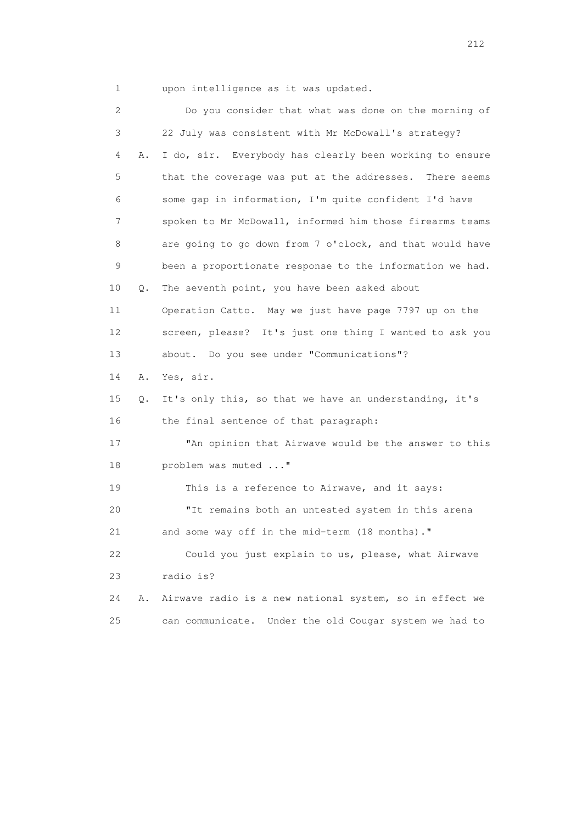1 upon intelligence as it was updated.

 2 Do you consider that what was done on the morning of 3 22 July was consistent with Mr McDowall's strategy? 4 A. I do, sir. Everybody has clearly been working to ensure 5 that the coverage was put at the addresses. There seems 6 some gap in information, I'm quite confident I'd have 7 spoken to Mr McDowall, informed him those firearms teams 8 are going to go down from 7 o'clock, and that would have 9 been a proportionate response to the information we had. 10 Q. The seventh point, you have been asked about 11 Operation Catto. May we just have page 7797 up on the 12 screen, please? It's just one thing I wanted to ask you 13 about. Do you see under "Communications"? 14 A. Yes, sir. 15 Q. It's only this, so that we have an understanding, it's 16 the final sentence of that paragraph: 17 "An opinion that Airwave would be the answer to this 18 problem was muted ..." 19 This is a reference to Airwave, and it says: 20 "It remains both an untested system in this arena 21 and some way off in the mid-term (18 months)." 22 Could you just explain to us, please, what Airwave 23 radio is? 24 A. Airwave radio is a new national system, so in effect we 25 can communicate. Under the old Cougar system we had to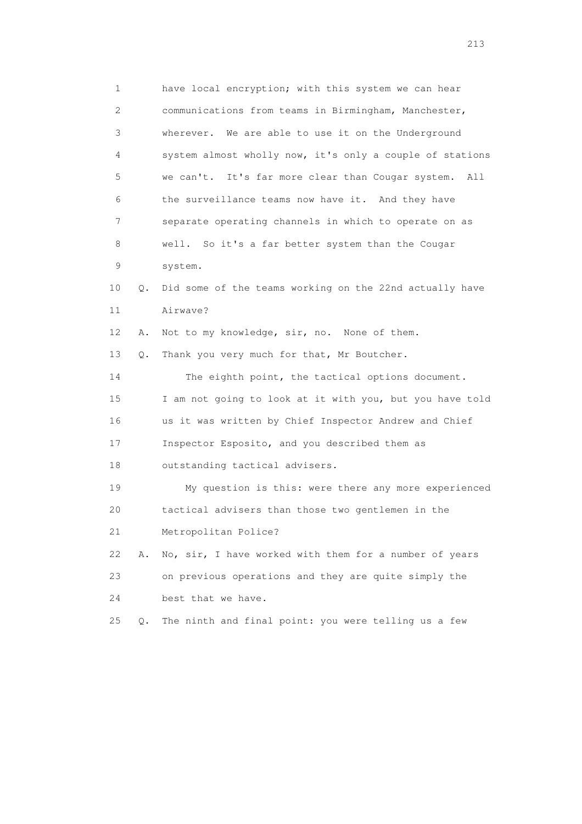1 have local encryption; with this system we can hear 2 communications from teams in Birmingham, Manchester, 3 wherever. We are able to use it on the Underground 4 system almost wholly now, it's only a couple of stations 5 we can't. It's far more clear than Cougar system. All 6 the surveillance teams now have it. And they have 7 separate operating channels in which to operate on as 8 well. So it's a far better system than the Cougar 9 system. 10 Q. Did some of the teams working on the 22nd actually have 11 Airwave? 12 A. Not to my knowledge, sir, no. None of them. 13 Q. Thank you very much for that, Mr Boutcher. 14 The eighth point, the tactical options document. 15 I am not going to look at it with you, but you have told 16 us it was written by Chief Inspector Andrew and Chief 17 Inspector Esposito, and you described them as 18 outstanding tactical advisers. 19 My question is this: were there any more experienced 20 tactical advisers than those two gentlemen in the 21 Metropolitan Police? 22 A. No, sir, I have worked with them for a number of years 23 on previous operations and they are quite simply the 24 best that we have. 25 Q. The ninth and final point: you were telling us a few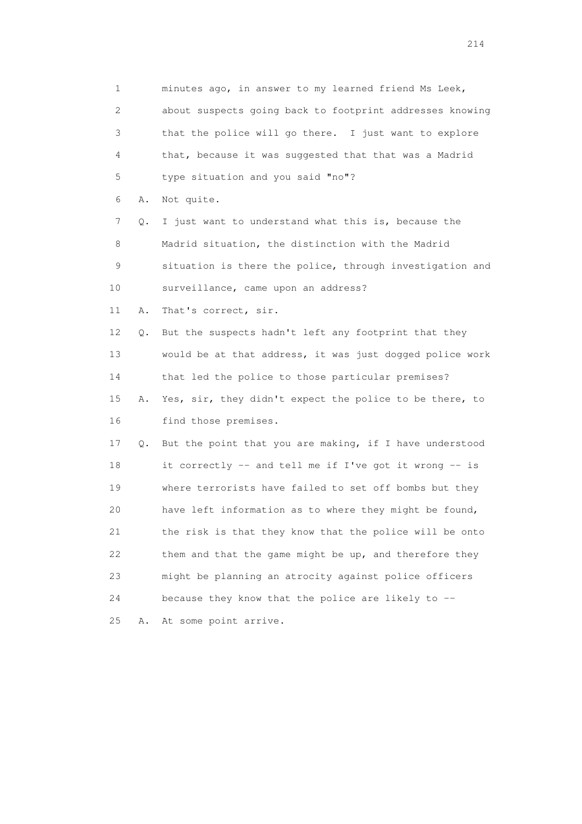1 minutes ago, in answer to my learned friend Ms Leek, 2 about suspects going back to footprint addresses knowing 3 that the police will go there. I just want to explore 4 that, because it was suggested that that was a Madrid 5 type situation and you said "no"? 6 A. Not quite. 7 Q. I just want to understand what this is, because the 8 Madrid situation, the distinction with the Madrid 9 situation is there the police, through investigation and 10 surveillance, came upon an address? 11 A. That's correct, sir. 12 Q. But the suspects hadn't left any footprint that they 13 would be at that address, it was just dogged police work 14 that led the police to those particular premises? 15 A. Yes, sir, they didn't expect the police to be there, to 16 find those premises. 17 Q. But the point that you are making, if I have understood 18 it correctly -- and tell me if I've got it wrong -- is 19 where terrorists have failed to set off bombs but they 20 have left information as to where they might be found, 21 the risk is that they know that the police will be onto 22 them and that the game might be up, and therefore they 23 might be planning an atrocity against police officers 24 because they know that the police are likely to -- 25 A. At some point arrive.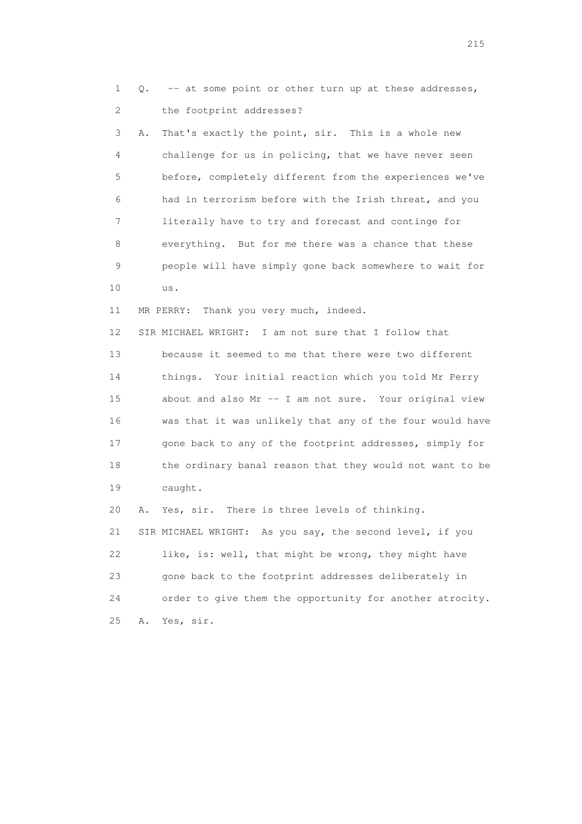1 Q. -- at some point or other turn up at these addresses, 2 the footprint addresses? 3 A. That's exactly the point, sir. This is a whole new 4 challenge for us in policing, that we have never seen 5 before, completely different from the experiences we've 6 had in terrorism before with the Irish threat, and you 7 literally have to try and forecast and continge for 8 everything. But for me there was a chance that these 9 people will have simply gone back somewhere to wait for 10 us. 11 MR PERRY: Thank you very much, indeed. 12 SIR MICHAEL WRIGHT: I am not sure that I follow that 13 because it seemed to me that there were two different 14 things. Your initial reaction which you told Mr Perry 15 about and also Mr -- I am not sure. Your original view 16 was that it was unlikely that any of the four would have 17 gone back to any of the footprint addresses, simply for 18 the ordinary banal reason that they would not want to be 19 caught. 20 A. Yes, sir. There is three levels of thinking. 21 SIR MICHAEL WRIGHT: As you say, the second level, if you 22 like, is: well, that might be wrong, they might have 23 gone back to the footprint addresses deliberately in 24 order to give them the opportunity for another atrocity.

25 A. Yes, sir.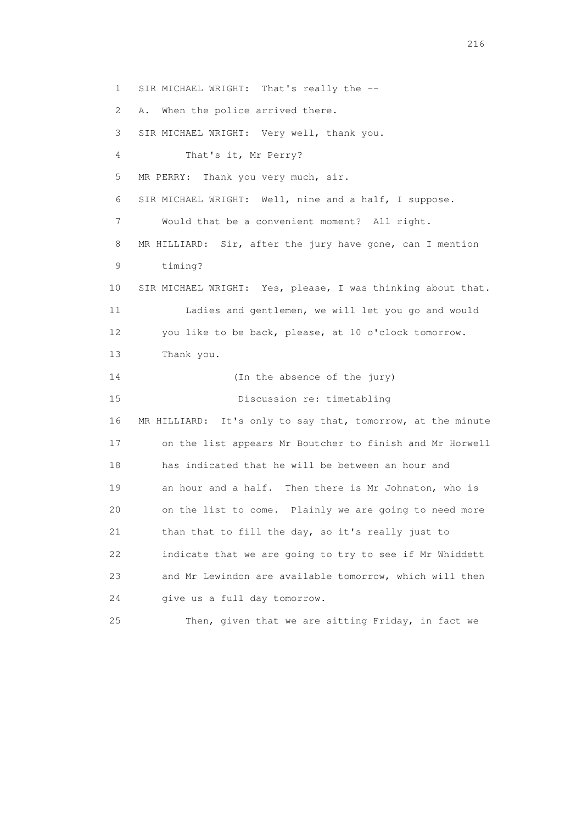1 SIR MICHAEL WRIGHT: That's really the -- 2 A. When the police arrived there. 3 SIR MICHAEL WRIGHT: Very well, thank you. 4 That's it, Mr Perry? 5 MR PERRY: Thank you very much, sir. 6 SIR MICHAEL WRIGHT: Well, nine and a half, I suppose. 7 Would that be a convenient moment? All right. 8 MR HILLIARD: Sir, after the jury have gone, can I mention 9 timing? 10 SIR MICHAEL WRIGHT: Yes, please, I was thinking about that. 11 Ladies and gentlemen, we will let you go and would 12 you like to be back, please, at 10 o'clock tomorrow. 13 Thank you. 14 (In the absence of the jury) 15 Discussion re: timetabling 16 MR HILLIARD: It's only to say that, tomorrow, at the minute 17 on the list appears Mr Boutcher to finish and Mr Horwell 18 has indicated that he will be between an hour and 19 an hour and a half. Then there is Mr Johnston, who is 20 on the list to come. Plainly we are going to need more 21 than that to fill the day, so it's really just to 22 indicate that we are going to try to see if Mr Whiddett 23 and Mr Lewindon are available tomorrow, which will then 24 give us a full day tomorrow. 25 Then, given that we are sitting Friday, in fact we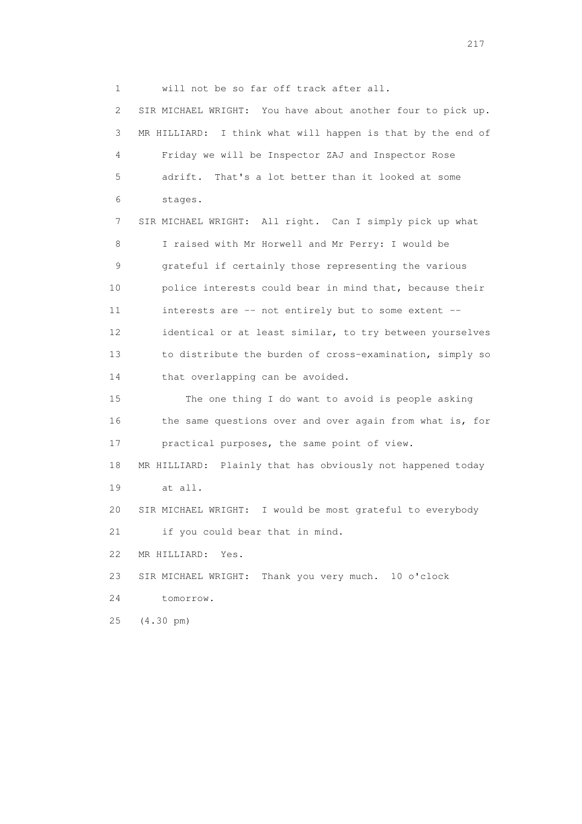1 will not be so far off track after all.

 2 SIR MICHAEL WRIGHT: You have about another four to pick up. 3 MR HILLIARD: I think what will happen is that by the end of 4 Friday we will be Inspector ZAJ and Inspector Rose 5 adrift. That's a lot better than it looked at some 6 stages. 7 SIR MICHAEL WRIGHT: All right. Can I simply pick up what 8 I raised with Mr Horwell and Mr Perry: I would be 9 grateful if certainly those representing the various 10 police interests could bear in mind that, because their 11 interests are -- not entirely but to some extent -- 12 identical or at least similar, to try between yourselves 13 to distribute the burden of cross-examination, simply so 14 that overlapping can be avoided. 15 The one thing I do want to avoid is people asking 16 the same questions over and over again from what is, for 17 practical purposes, the same point of view. 18 MR HILLIARD: Plainly that has obviously not happened today 19 at all. 20 SIR MICHAEL WRIGHT: I would be most grateful to everybody 21 if you could bear that in mind. 22 MR HILLIARD: Yes. 23 SIR MICHAEL WRIGHT: Thank you very much. 10 o'clock 24 tomorrow. 25 (4.30 pm)

217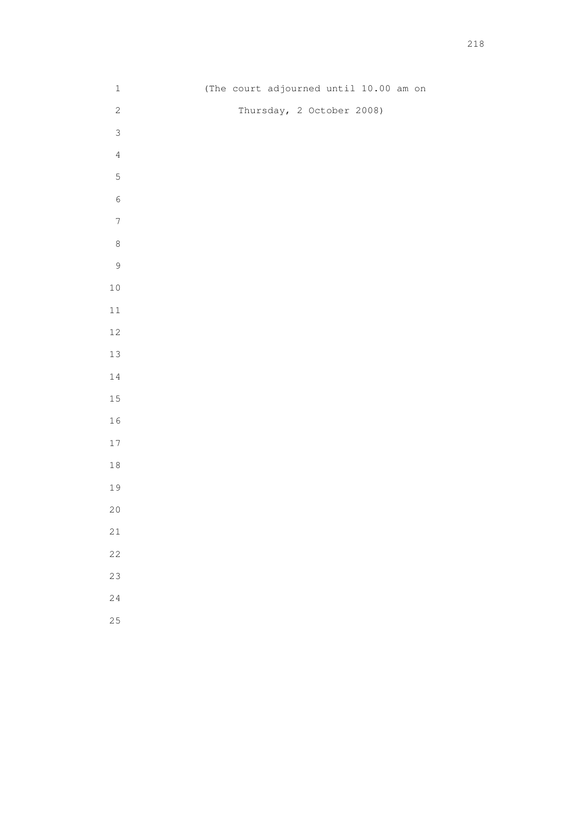| $1\,$            | (The court adjourned until 10.00 am on |
|------------------|----------------------------------------|
| $\sqrt{2}$       | Thursday, 2 October 2008)              |
| $\mathfrak{Z}$   |                                        |
| $\sqrt{4}$       |                                        |
| $\mathsf S$      |                                        |
| $\sqrt{6}$       |                                        |
| $\boldsymbol{7}$ |                                        |
| $\,8\,$          |                                        |
| $\mathcal{G}$    |                                        |
| $1\,0$           |                                        |
| $11\,$           |                                        |
| $12\,$           |                                        |
| $13\,$           |                                        |
| $1\,4$           |                                        |
| $1\,5$           |                                        |
| $1\,6$           |                                        |
| $17\,$           |                                        |
| $1\,8$           |                                        |
| 19               |                                        |
| $2\,0$           |                                        |
| $2\sqrt{1}$      |                                        |
| $2\sqrt{2}$      |                                        |
| 23               |                                        |
| 24               |                                        |
| 25               |                                        |